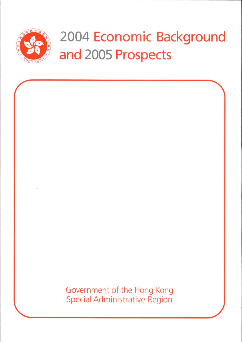

# 2004 Economic Background and 2005 Prospects

Government of the Hong Kong **Special Administrative Region**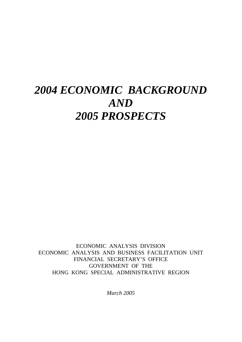# *2004 ECONOMIC BACKGROUND AND 2005 PROSPECTS*

ECONOMIC ANALYSIS DIVISION ECONOMIC ANALYSIS AND BUSINESS FACILITATION UNIT FINANCIAL SECRETARY'S OFFICE GOVERNMENT OF THE HONG KONG SPECIAL ADMINISTRATIVE REGION

*March 2005*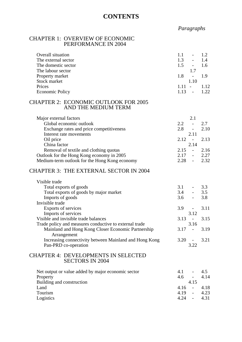# **CONTENTS**

# *Paragraphs*

#### CHAPTER 1: OVERVIEW OF ECONOMIC PERFORMANCE IN 2004

| Overall situation      | 1.1      | $-1.2$                   |       |
|------------------------|----------|--------------------------|-------|
| The external sector    | 1.3      | $\sim$                   | 1.4   |
| The domestic sector    | 1.5      | $-1.6$                   |       |
| The labour sector      |          |                          |       |
| Property market        | 1.8      | $\overline{\phantom{a}}$ |       |
| Stock market           |          | 1.10                     |       |
| Prices                 | $1.11 -$ |                          | 1 1 2 |
| <b>Economic Policy</b> | 1 1 3    |                          | 122   |
|                        |          |                          |       |

#### CHAPTER 2: ECONOMIC OUTLOOK FOR 2005 AND THE MEDIUM TERM

| 2.2.<br>$\overline{a}$ | 2.7  |
|------------------------|------|
| 2.8<br>$\blacksquare$  | 2.10 |
| 2.11                   |      |
| $2.12 - 2.13$          |      |
| 2.14                   |      |
| $2.15 -$               | 2.16 |
| $2.17 -$               | 2.27 |
| 2.28<br>$\overline{a}$ | 2.32 |
|                        |      |

# CHAPTER 3: THE EXTERNAL SECTOR IN 2004

| Visible trade                                          |          |                                 |        |
|--------------------------------------------------------|----------|---------------------------------|--------|
| Total exports of goods                                 | 3.1      |                                 | $-3.3$ |
| Total exports of goods by major market                 |          | $3.4 - 3.5$                     |        |
| Imports of goods                                       |          | $3.6 - 3.8$                     |        |
| Invisible trade                                        |          |                                 |        |
| Exports of services                                    |          | $3.9 -$                         | 3.11   |
| Imports of services                                    |          | 3.12                            |        |
| Visible and invisible trade balances                   |          | $3.13 - 3.15$                   |        |
| Trade policy and measures conductive to external trade |          | 3.16                            |        |
| Mainland and Hong Kong Closer Economic Partnership     | $3.17 -$ |                                 | 3.19   |
| Arrangement                                            |          |                                 |        |
| Increasing connectivity between Mainland and Hong Kong |          | $3.20 -$                        | 3.21   |
| Pan-PRD co-operation                                   |          | 3.22                            |        |
|                                                        |          |                                 |        |
| <b>CHAPTER 4: DEVELOPMENTS IN SELECTED</b>             |          |                                 |        |
| <b>SECTORS IN 2004</b>                                 |          |                                 |        |
| Net output or value added by major economic sector     | 4.1      | $\frac{1}{2}$ and $\frac{1}{2}$ | 4.5    |
| Property                                               |          | $4.6 -$                         | 4.14   |
| Building and construction                              |          | 4.15                            |        |
| Land                                                   | 4.16     | $\Delta \sim 10^4$              | 4.18   |

Tourism 4.19 - 4.23 Logistics 4.24 - 4.31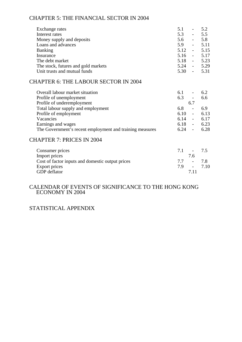# CHAPTER 5: THE FINANCIAL SECTOR IN 2004

| Exchange rates                                           | 5.1<br>$\omega_{\rm{max}}$             | 5.2  |
|----------------------------------------------------------|----------------------------------------|------|
| Interest rates                                           | 5.3<br>$\sim 10^{-10}$                 | 5.5  |
| Money supply and deposits                                | 5.6<br>$\Delta \sim 100$               | 5.8  |
| Loans and advances                                       | 5.9<br>$\frac{1}{2}$ and $\frac{1}{2}$ | 5.11 |
| <b>Banking</b>                                           | $5.12 -$                               | 5.15 |
| Insurance                                                | $5.16 -$                               | 5.17 |
| The debt market                                          | $5.18 - 5.23$                          |      |
| The stock, futures and gold markets                      | $5.24 - 5.29$                          |      |
| Unit trusts and mutual funds                             | $5.30 - 5.31$                          |      |
| <b>CHAPTER 6: THE LABOUR SECTOR IN 2004</b>              |                                        |      |
| Overall labour market situation                          | 6.1<br>$\blacksquare$                  | 6.2  |
| Profile of unemployment                                  | 6.3<br>$\sim 100$                      | 6.6  |
| Profile of underemployment                               | 6.7                                    |      |
| Total labour supply and employment                       | 6.8<br>$\omega_{\rm{max}}$             | 6.9  |
| Profile of employment                                    | $6.10 -$                               | 6.13 |
| Vacancies                                                | $6.14 -$                               | 6.17 |
| Earnings and wages                                       | $6.18 -$                               | 6.23 |
| The Government's recent employment and training measures | $6.24 -$                               | 6.28 |
| <b>CHAPTER 7: PRICES IN 2004</b>                         |                                        |      |
| Consumer prices                                          | 7.1<br>$\overline{\phantom{a}}$        | 7.5  |
| Import prices                                            | 7.6                                    |      |
| Cost of factor inputs and domestic output prices         | $7.7 -$                                | 7.8  |
| <b>Export prices</b>                                     | 7.9<br>$\sim 100$                      | 7.10 |
| GDP deflator                                             | 7.11                                   |      |
|                                                          |                                        |      |

#### CALENDAR OF EVENTS OF SIGNIFICANCE TO THE HONG KONG ECONOMY IN 2004

# STATISTICAL APPENDIX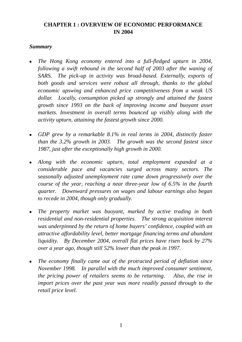# **CHAPTER 1 : OVERVIEW OF ECONOMIC PERFORMANCE IN 2004**

# *Summary*

- <sup>z</sup>*The Hong Kong economy entered into a full-fledged upturn in 2004, following a swift rebound in the second half of 2003 after the waning of SARS. The pick-up in activity was broad-based. Externally, exports of both goods and services were robust all through, thanks to the global economic upswing and enhanced price competitiveness from a weak US dollar. Locally, consumption picked up strongly and attained the fastest growth since 1993 on the back of improving income and buoyant asset markets. Investment in overall terms bounced up visibly along with the activity upturn, attaining the fastest growth since 2000.*
- *GDP grew by a remarkable 8.1% in real terms in 2004, distinctly faster than the 3.2% growth in 2003. The growth was the second fastest since 1987, just after the exceptionally high growth in 2000.*
- Along with the economic upturn, total employment expanded at a *considerable pace and vacancies surged across many sectors. The seasonally adjusted unemployment rate came down progressively over the course of the year, reaching a near three-year low of 6.5% in the fourth quarter. Downward pressures on wages and labour earnings also began to recede in 2004, though only gradually.*
- <sup>z</sup>*The property market was buoyant, marked by active trading in both residential and non-residential properties. The strong acquisition interest was underpinned by the return of home buyers' confidence, coupled with an attractive affordability level, better mortgage financing terms and abundant liquidity. By December 2004, overall flat prices have risen back by 27% over a year ago, though still 52% lower than the peak in 1997.*
- The economy finally came out of the protracted period of deflation since *November 1998. In parallel with the much improved consumer sentiment, the pricing power of retailers seems to be returning. Also, the rise in import prices over the past year was more readily passed through to the retail price level.*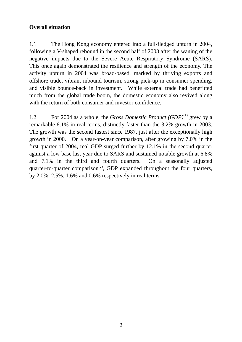# **Overall situation**

1.1 The Hong Kong economy entered into a full-fledged upturn in 2004, following a V-shaped rebound in the second half of 2003 after the waning of the negative impacts due to the Severe Acute Respiratory Syndrome (SARS). This once again demonstrated the resilience and strength of the economy. The activity upturn in 2004 was broad-based, marked by thriving exports and offshore trade, vibrant inbound tourism, strong pick-up in consumer spending, and visible bounce-back in investment. While external trade had benefitted much from the global trade boom, the domestic economy also revived along with the return of both consumer and investor confidence.

1.2 For 2004 as a whole, the *Gross Domestic Product (GDP)*(1) grew by a remarkable 8.1% in real terms, distinctly faster than the 3.2% growth in 2003. The growth was the second fastest since 1987, just after the exceptionally high growth in 2000. On a year-on-year comparison, after growing by 7.0% in the first quarter of 2004, real GDP surged further by 12.1% in the second quarter against a low base last year due to SARS and sustained notable growth at 6.8% and 7.1% in the third and fourth quarters. On a seasonally adjusted quarter-to-quarter comparison<sup>(2)</sup>, GDP expanded throughout the four quarters, by 2.0%, 2.5%, 1.6% and 0.6% respectively in real terms.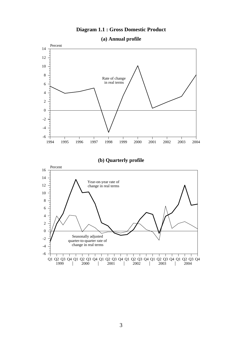# **Diagram 1.1 : Gross Domestic Product**



**(a) Annual profile**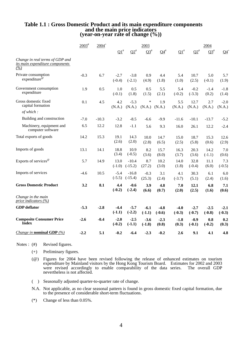# **Table 1.1 : Gross Domestic Product and its main expenditure components and the main price indicators (year-on-year rate of change (%))**

|                                                                              | $2003^{\text{*}}$ | $2004^{+}$ |                    |                      | 2003                          |                    |                       |                    | 2004               |                    |
|------------------------------------------------------------------------------|-------------------|------------|--------------------|----------------------|-------------------------------|--------------------|-----------------------|--------------------|--------------------|--------------------|
|                                                                              |                   |            | $\Omega^*$         | $\Omega^*$           | $\mathbf{\Omega}^{\text{\#}}$ | $Q4^{\#}$          | $\Omega$ <sup>#</sup> | $\Omega^*$         | $\Omega^*$         | $Q4^+$             |
| Change in real terms of GDP and<br>its main expenditure components<br>$($ %) |                   |            |                    |                      |                               |                    |                       |                    |                    |                    |
| Private consumption<br>expenditure <sup>@</sup>                              | $-0.3$            | 6.7        | $-2.7$<br>$(-0.4)$ | $-3.8$<br>$(-2.1)$   | 0.9<br>(4.9)                  | 4.4<br>(1.8)       | 5.4<br>(1.0)          | 10.7<br>(2.5)      | 5.0<br>$(-0.1)$    | 5.7<br>(1.9)       |
| Government consumption<br>expenditure                                        | 1.9               | 0.5        | 1.0<br>$(-0.1)$    | 0.5<br>(1.8)         | 0.5<br>(1.5)                  | 5.5<br>(2.1)       | 5.4<br>$(-0.2)$       | $-0.2$<br>$(-3.3)$ | $-1.4$<br>(0.2)    | $-1.8$<br>(1.4)    |
| Gross domestic fixed<br>capital formation                                    | 0.1               | 4.5        | 4.2<br>(N.A.)      | $-5.3$<br>(N.A.)     | $\ast$<br>(N.A.)              | 1.9<br>(N.A.)      | 5.5<br>(N.A.)         | 12.7<br>(N.A.)     | 2.7<br>(N.A.)      | $-2.0$<br>(N.A.)   |
| of which:                                                                    |                   |            |                    |                      |                               |                    |                       |                    |                    |                    |
| Building and construction                                                    | $-7.0$            | $-10.3$    | $-3.2$             | $-8.5$               | $-6.6$                        | $-9.9$             | $-11.6$               | $-10.1$            | $-13.7$            | $-5.2$             |
| Machinery, equipment and<br>computer software                                | 6.5               | 12.2       | 12.8               | $-1.1$               | 5.6                           | 9.3                | 16.0                  | 26.1               | 12.2               | $-2.4$             |
| Total exports of goods                                                       | 14.2              | 15.3       | 19.1<br>(2.6)      | 14.3<br>(2.0)        | 10.0<br>(2.8)                 | 14.7<br>(6.5)      | 15.0<br>(2.5)         | 18.7<br>(5.8)      | 15.3<br>(0.6)      | 12.6<br>(2.9)      |
| Imports of goods                                                             | 13.1              | 14.1       | 18.8<br>(3.4)      | 10.9<br>$(-0.5)$     | 8.2<br>(3.6)                  | 15.7<br>(8.0)      | 16.3<br>(3.7)         | 20.3<br>(3.6)      | 14.2<br>$(-1.1)$   | 7.0<br>(0.6)       |
| Exports of services <sup>@</sup>                                             | 5.7               | 14.9       | 13.0<br>$(-1.0)$   | $-10.4$<br>$(-15.2)$ | 8.7<br>(27.2)                 | 10.2<br>(3.0)      | 14.0<br>(1.8)         | 32.8<br>$(-0.4)$   | 11.1<br>(6.0)      | 7.3<br>$(-0.5)$    |
| Imports of services                                                          | $-4.6$            | 10.5       | $-5.4$<br>$(-5.5)$ | $-16.8$<br>$(-15.4)$ | $-0.3$<br>(25.3)              | 3.1<br>(2.4)       | 4.1<br>$(-3.7)$       | 30.3<br>(5.1)      | 6.1<br>(2.4)       | 6.0<br>(1.6)       |
| <b>Gross Domestic Product</b>                                                | 3.2               | 8.1        | 4.4<br>$(-0.2)$    | $-0.6$<br>$(-2.4)$   | 3.9<br>(6.6)                  | 4.8<br>(0.7)       | 7.0<br>(2.0)          | 12.1<br>(2.5)      | 6.8<br>(1.6)       | 7.1<br>(0.6)       |
| Change in the main<br>price indicators (%)                                   |                   |            |                    |                      |                               |                    |                       |                    |                    |                    |
| <b>GDP</b> deflator                                                          | $-5.3$            | $-2.8$     | $-4.4$<br>$(-1.1)$ | $-5.7$<br>$(-2.2)$   | $-6.1$<br>$(-1.1)$            | $-4.8$<br>$(-0.6)$ | $-4.0$<br>$(-0.3)$    | $-2.7$<br>$(-0.7)$ | $-2.5$<br>$(-0.8)$ | $-2.1$<br>$(-0.3)$ |
| <b>Composite Consumer Price</b><br><b>Index</b>                              | $-2.6$            | $-0.4$     | $-2.0$<br>$(-0.2)$ | $-2.5$<br>$(-1.1)$   | $-3.6$<br>$(-1.8)$            | $-2.3$<br>(0.8)    | $-1.8$<br>(0.3)       | $-0.9$<br>$(-0.1)$ | 0.8<br>$(-0.2)$    | 0.2<br>(0.3)       |
| <i>Change in nominal GDP</i> $(\%)$                                          | $-2.2$            | 5.1        | $-0.2$             | $-6.4$               | $-2.3$                        | $-0.2$             | 2.6                   | 9.1                | 4.1                | 4.8                |

Notes : (#) Revised figures.

- (+) Preliminary figures.
- (@) Figures for 2004 have been revised following the release of enhanced estimates on tourism expenditure by Mainland visitors by the Hong Kong Tourism Board. Estimates for 2002 and 2003 were revised accordingly to enable comparability of the data series. The overall GDP nevertheless is not affected.
- ( ) Seasonally adjusted quarter-to-quarter rate of change.
- N.A. Not applicable, as no clear seasonal pattern is found in gross domestic fixed capital formation, due to the presence of considerable short-term fluctuations.
- (\*) Change of less than 0.05%.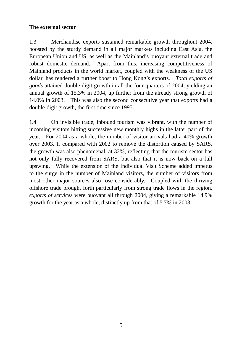# **The external sector**

1.3 Merchandise exports sustained remarkable growth throughout 2004, boosted by the sturdy demand in all major markets including East Asia, the European Union and US, as well as the Mainland's buoyant external trade and robust domestic demand. Apart from this, increasing competitiveness of Mainland products in the world market, coupled with the weakness of the US dollar, has rendered a further boost to Hong Kong's exports. *Total exports of goods* attained double-digit growth in all the four quarters of 2004, yielding an annual growth of 15.3% in 2004, up further from the already strong growth of 14.0% in 2003. This was also the second consecutive year that exports had a double-digit growth, the first time since 1995.

1.4 On invisible trade, inbound tourism was vibrant, with the number of incoming visitors hitting successive new monthly highs in the latter part of the year. For 2004 as a whole, the number of visitor arrivals had a 40% growth over 2003. If compared with 2002 to remove the distortion caused by SARS, the growth was also phenomenal, at 32%, reflecting that the tourism sector has not only fully recovered from SARS, but also that it is now back on a full upswing. While the extension of the Individual Visit Scheme added impetus to the surge in the number of Mainland visitors, the number of visitors from most other major sources also rose considerably. Coupled with the thriving offshore trade brought forth particularly from strong trade flows in the region, *exports of services* were buoyant all through 2004, giving a remarkable 14.9% growth for the year as a whole, distinctly up from that of 5.7% in 2003.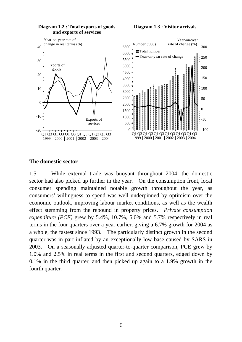

#### **Diagram 1.2 : Total exports of goods and exports of services**

#### **Diagram 1.3 : Visitor arrivals**



# **The domestic sector**

1.5 While external trade was buoyant throughout 2004, the domestic sector had also picked up further in the year. On the consumption front, local consumer spending maintained notable growth throughout the year, as consumers' willingness to spend was well underpinned by optimism over the economic outlook, improving labour market conditions, as well as the wealth effect stemming from the rebound in property prices. *Private consumption expenditure (PCE)* grew by 5.4%, 10.7%, 5.0% and 5.7% respectively in real terms in the four quarters over a year earlier, giving a 6.7% growth for 2004 as a whole, the fastest since 1993. The particularly distinct growth in the second quarter was in part inflated by an exceptionally low base caused by SARS in 2003. On a seasonally adjusted quarter-to-quarter comparison, PCE grew by 1.0% and 2.5% in real terms in the first and second quarters, edged down by 0.1% in the third quarter, and then picked up again to a 1.9% growth in the fourth quarter.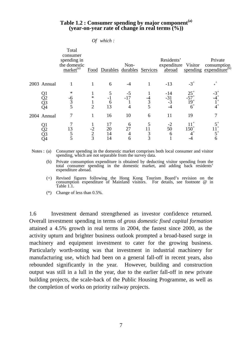#### **Table 1.2 : Consumer spending by major component(a) (year-on-year rate of change in real terms (%))**

*Of which :* 

|                | Total<br>consumer<br>spending in<br>the domestic<br>$marke^{(a)}$ |                             | Food Durables durables Services | Non-               |                     | Residents'<br>expenditure<br>abroad | Visitor                                | Private<br>consumption<br>spending expenditure <sup>(b)</sup> |
|----------------|-------------------------------------------------------------------|-----------------------------|---------------------------------|--------------------|---------------------|-------------------------------------|----------------------------------------|---------------------------------------------------------------|
| 2003 Annual    |                                                                   |                             | 6                               | -4                 |                     | $-13$                               | $-3^{+}$                               | $\ast^+$                                                      |
| Q4             | $\ast$<br>$\frac{-6}{3}$<br>$\overline{5}$                        | ∗<br>$\overline{2}$         | h<br>13                         | $-5$<br>$-17$<br>4 | $\overline{3}$<br>5 | $-14$<br>$-31$<br>$-3$<br>$-4$      | $25^{+}$<br>$-57$<br>$19^{+}$<br>$6^+$ | $4^+$                                                         |
| 2004 Annual    |                                                                   |                             | 16                              | 10                 | 6                   | 11                                  | 19                                     |                                                               |
| Q1<br>Q2<br>Q3 | 13<br>5<br>5                                                      | $-2$<br>$\overline{2}$<br>3 | 17<br>20<br>14<br>14            | 6<br>27<br>4<br>6  | 3<br>3              | -2<br>50<br>6                       | $150^{+}$                              | $5^+$<br>6                                                    |

Notes : (a) Consumer spending in the domestic market comprises both local consumer and visitor spending, which are not separable from the survey data.

 (b) Private consumption expenditure is obtained by deducting visitor spending from the total consumer spending in the domestic market, and adding back residents' expenditure abroad.

 (+) Revised figures following the Hong Kong Tourism Board's revision on the consumption expenditure of Mainland visitors. For details, see footnote @ in Table 1.1.

(\*) Change of less than 0.5%.

1.6 Investment demand strengthened as investor confidence returned. Overall investment spending in terms of *gross domestic fixed capital formation* attained a 4.5% growth in real terms in 2004, the fastest since 2000, as the activity upturn and brighter business outlook prompted a broad-based surge in machinery and equipment investment to cater for the growing business. Particularly worth-noting was that investment in industrial machinery for manufacturing use, which had been on a general fall-off in recent years, also rebounded significantly in the year. However, building and construction output was still in a lull in the year, due to the earlier fall-off in new private building projects, the scale-back of the Public Housing Programme, as well as the completion of works on priority railway projects.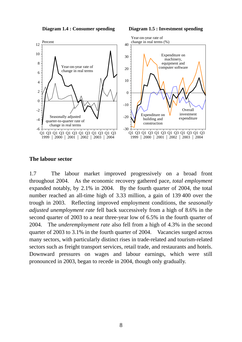**Diagram 1.4 : Consumer spending Diagram 1.5 : Investment spending**



#### **The labour sector**

1.7 The labour market improved progressively on a broad front throughout 2004. As the economic recovery gathered pace, *total employment* expanded notably, by 2.1% in 2004. By the fourth quarter of 2004, the total number reached an all-time high of 3.33 million, a gain of 139 400 over the trough in 2003. Reflecting improved employment conditions, the *seasonally adjusted unemployment rate* fell back successively from a high of 8.6% in the second quarter of 2003 to a near three-year low of 6.5% in the fourth quarter of 2004. The *underemployment rate* also fell from a high of 4.3% in the second quarter of 2003 to 3.1% in the fourth quarter of 2004. Vacancies surged across many sectors, with particularly distinct rises in trade-related and tourism-related sectors such as freight transport services, retail trade, and restaurants and hotels. Downward pressures on wages and labour earnings, which were still pronounced in 2003, began to recede in 2004, though only gradually.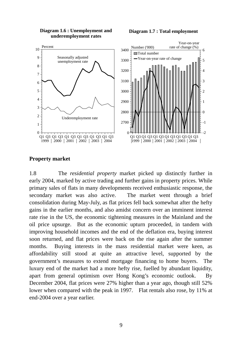

**Diagram 1.7 : Total employment**



#### **Property market**

1.8 The *residential property* market picked up distinctly further in early 2004, marked by active trading and further gains in property prices. While primary sales of flats in many developments received enthusiastic response, the secondary market was also active. The market went through a brief consolidation during May-July, as flat prices fell back somewhat after the hefty gains in the earlier months, and also amidst concern over an imminent interest rate rise in the US, the economic tightening measures in the Mainland and the oil price upsurge. But as the economic upturn proceeded, in tandem with improving household incomes and the end of the deflation era, buying interest soon returned, and flat prices were back on the rise again after the summer months. Buying interests in the mass residential market were keen, as affordability still stood at quite an attractive level, supported by the government's measures to extend mortgage financing to home buyers. The luxury end of the market had a more hefty rise, fuelled by abundant liquidity, apart from general optimism over Hong Kong's economic outlook. By December 2004, flat prices were 27% higher than a year ago, though still 52% lower when compared with the peak in 1997. Flat rentals also rose, by 11% at end-2004 over a year earlier.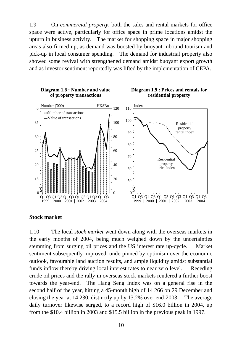1.9 On *commercial property*, both the sales and rental markets for office space were active, particularly for office space in prime locations amidst the upturn in business activity. The market for shopping space in major shopping areas also firmed up, as demand was boosted by buoyant inbound tourism and pick-up in local consumer spending. The demand for industrial property also showed some revival with strengthened demand amidst buoyant export growth and as investor sentiment reportedly was lifted by the implementation of CEPA.



#### **Stock market**

1.10 The local *stock market* went down along with the overseas markets in the early months of 2004, being much weighed down by the uncertainties stemming from surging oil prices and the US interest rate up-cycle. Market sentiment subsequently improved, underpinned by optimism over the economic outlook, favourable land auction results, and ample liquidity amidst substantial funds inflow thereby driving local interest rates to near zero level. Receding crude oil prices and the rally in overseas stock markets rendered a further boost towards the year-end. The Hang Seng Index was on a general rise in the second half of the year, hitting a 45-month high of 14 266 on 29 December and closing the year at 14 230, distinctly up by 13.2% over end-2003. The average daily turnover likewise surged, to a record high of \$16.0 billion in 2004, up from the \$10.4 billion in 2003 and \$15.5 billion in the previous peak in 1997.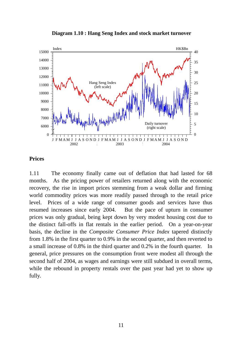



# **Prices**

1.11 The economy finally came out of deflation that had lasted for 68 months. As the pricing power of retailers returned along with the economic recovery, the rise in import prices stemming from a weak dollar and firming world commodity prices was more readily passed through to the retail price level. Prices of a wide range of consumer goods and services have thus resumed increases since early 2004. But the pace of upturn in consumer prices was only gradual, being kept down by very modest housing cost due to the distinct fall-offs in flat rentals in the earlier period. On a year-on-year basis, the decline in the *Composite Consumer Price Index* tapered distinctly from 1.8% in the first quarter to 0.9% in the second quarter, and then reverted to a small increase of 0.8% in the third quarter and 0.2% in the fourth quarter. In general, price pressures on the consumption front were modest all through the second half of 2004, as wages and earnings were still subdued in overall terms, while the rebound in property rentals over the past year had yet to show up fully.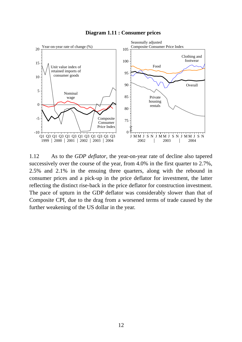

**Diagram 1.11 : Consumer prices**

1.12 As to the *GDP deflator*, the year-on-year rate of decline also tapered successively over the course of the year, from 4.0% in the first quarter to 2.7%, 2.5% and 2.1% in the ensuing three quarters, along with the rebound in consumer prices and a pick-up in the price deflator for investment, the latter reflecting the distinct rise-back in the price deflator for construction investment. The pace of upturn in the GDP deflator was considerably slower than that of Composite CPI, due to the drag from a worsened terms of trade caused by the further weakening of the US dollar in the year.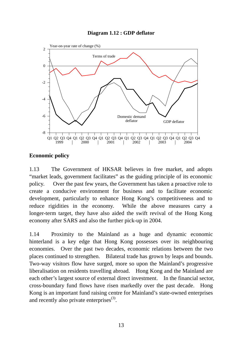



## **Economic policy**

1.13 The Government of HKSAR believes in free market, and adopts "market leads, government facilitates" as the guiding principle of its economic policy. Over the past few years, the Government has taken a proactive role to create a conducive environment for business and to facilitate economic development, particularly to enhance Hong Kong's competitiveness and to reduce rigidities in the economy. While the above measures carry a longer-term target, they have also aided the swift revival of the Hong Kong economy after SARS and also the further pick-up in 2004.

1.14 Proximity to the Mainland as a huge and dynamic economic hinterland is a key edge that Hong Kong possesses over its neighbouring economies. Over the past two decades, economic relations between the two places continued to strengthen. Bilateral trade has grown by leaps and bounds. Two-way visitors flow have surged, more so upon the Mainland's progressive liberalisation on residents travelling abroad. Hong Kong and the Mainland are each other's largest source of external direct investment. In the financial sector, cross-boundary fund flows have risen markedly over the past decade. Hong Kong is an important fund raising centre for Mainland's state-owned enterprises and recently also private enterprises $^{(3)}$ .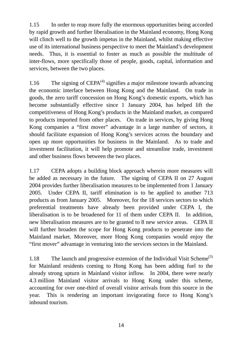1.15 In order to reap more fully the enormous opportunities being accorded by rapid growth and further liberalisation in the Mainland economy, Hong Kong will clinch well to the growth impetus in the Mainland, whilst making effective use of its international business perspective to meet the Mainland's development needs. Thus, it is essential to foster as much as possible the multitude of inter-flows, more specifically those of people, goods, capital, information and services, between the two places.

1.16 The signing of  $CEPA<sup>(4)</sup>$  signifies a major milestone towards advancing the economic interface between Hong Kong and the Mainland. On trade in goods, the zero tariff concession on Hong Kong's domestic exports, which has become substantially effective since 1 January 2004, has helped lift the competitiveness of Hong Kong's products in the Mainland market, as compared to products imported from other places. On trade in services, by giving Hong Kong companies a "first mover" advantage in a large number of sectors, it should facilitate expansion of Hong Kong's services across the boundary and open up more opportunities for business in the Mainland. As to trade and investment facilitation, it will help promote and streamline trade, investment and other business flows between the two places.

1.17 CEPA adopts a building block approach wherein more measures will be added as necessary in the future. The signing of CEPA II on 27 August 2004 provides further liberalisation measures to be implemented from 1 January 2005. Under CEPA II, tariff elimination is to be applied to another 713 products as from January 2005. Moreover, for the 18 services sectors to which preferential treatments have already been provided under CEPA I, the liberalisation is to be broadened for 11 of them under CEPA II. In addition, new liberalisation measures are to be granted to 8 new service areas. CEPA II will further broaden the scope for Hong Kong products to penetrate into the Mainland market. Moreover, more Hong Kong companies would enjoy the "first mover" advantage in venturing into the services sectors in the Mainland.

1.18 The launch and progressive extension of the Individual Visit Scheme<sup>(5)</sup> for Mainland residents coming to Hong Kong has been adding fuel to the already strong upturn in Mainland visitor inflow. In 2004, there were nearly 4.3 million Mainland visitor arrivals to Hong Kong under this scheme, accounting for over one-third of overall visitor arrivals from this source in the year. This is rendering an important invigorating force to Hong Kong's inbound tourism.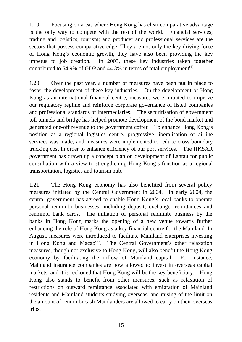1.19 Focusing on areas where Hong Kong has clear comparative advantage is the only way to compete with the rest of the world. Financial services; trading and logistics; tourism; and producer and professional services are the sectors that possess comparative edge. They are not only the key driving force of Hong Kong's economic growth, they have also been providing the key impetus to job creation. In 2003, these key industries taken together contributed to 54.9% of GDP and  $44.3\%$  in terms of total employment<sup>(6)</sup>.

1.20 Over the past year, a number of measures have been put in place to foster the development of these key industries. On the development of Hong Kong as an international financial centre, measures were initiated to improve our regulatory regime and reinforce corporate governance of listed companies and professional standards of intermediaries. The securitisation of government toll tunnels and bridge has helped promote development of the bond market and generated one-off revenue to the government coffer. To enhance Hong Kong's position as a regional logistics centre, progressive liberalisation of airline services was made, and measures were implemented to reduce cross boundary trucking cost in order to enhance efficiency of our port services. The HKSAR government has drawn up a concept plan on development of Lantau for public consultation with a view to strengthening Hong Kong's function as a regional transportation, logistics and tourism hub.

1.21 The Hong Kong economy has also benefited from several policy measures initiated by the Central Government in 2004. In early 2004, the central government has agreed to enable Hong Kong's local banks to operate personal renminbi businesses, including deposit, exchange, remittances and renminbi bank cards. The initiation of personal renminbi business by the banks in Hong Kong marks the opening of a new venue towards further enhancing the role of Hong Kong as a key financial centre for the Mainland. In August, measures were introduced to facilitate Mainland enterprises investing in Hong Kong and Macao<sup> $(7)$ </sup>. The Central Government's other relaxation measures, though not exclusive to Hong Kong, will also benefit the Hong Kong economy by facilitating the inflow of Mainland capital. For instance, Mainland insurance companies are now allowed to invest in overseas capital markets, and it is reckoned that Hong Kong will be the key beneficiary. Hong Kong also stands to benefit from other measures, such as relaxation of restrictions on outward remittance associated with emigration of Mainland residents and Mainland students studying overseas, and raising of the limit on the amount of renminbi cash Mainlanders are allowed to carry on their overseas trips.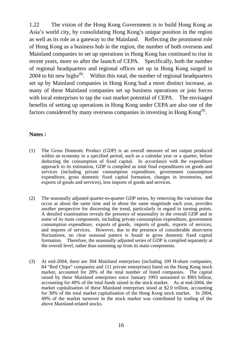1.22 The vision of the Hong Kong Government is to build Hong Kong as Asia's world city, by consolidating Hong Kong's unique position in the region as well as its role as a gateway to the Mainland. Reflecting the prominent role of Hong Kong as a business hub in the region, the number of both overseas and Mainland companies to set up operations in Hong Kong has continued to rise in recent years, more so after the launch of CEPA. Specifically, both the number of regional headquarters and regional offices set up in Hong Kong surged in 2004 to hit new highs<sup> $(8)$ </sup>. Within this total, the number of regional headquarters set up by Mainland companies in Hong Kong had a more distinct increase, as many of these Mainland companies set up business operations or join forces with local enterprises to tap the vast market potential of CEPA. The envisaged benefits of setting up operations in Hong Kong under CEPA are also one of the factors considered by many overseas companies in investing in Hong Kong<sup>(9)</sup>.

#### **Notes :**

- (1) The Gross Domestic Product (GDP) is an overall measure of net output produced within an economy in a specified period, such as a calendar year or a quarter, before deducting the consumption of fixed capital. In accordance with the expenditure approach to its estimation, GDP is compiled as total final expenditures on goods and services (including private consumption expenditure, government consumption expenditure, gross domestic fixed capital formation, changes in inventories, and exports of goods and services), less imports of goods and services.
- (2) The seasonally adjusted quarter-to-quarter GDP series, by removing the variations that occur at about the same time and in about the same magnitude each year, provides another perspective for discerning the trend, particularly in regard to turning points. A detailed examination reveals the presence of seasonality in the overall GDP and in some of its main components, including private consumption expenditure, government consumption expenditure, exports of goods, imports of goods, exports of services, and imports of services. However, due to the presence of considerable short-term fluctuations, no clear seasonal pattern is found in gross domestic fixed capital formation. Therefore, the seasonally adjusted series of GDP is compiled separately at the overall level, rather than summing up from its main components.
- (3) At end-2004, there are 304 Mainland enterprises (including 109 H-share companies, 84 "Red Chips" companies and 111 private enterprises) listed on the Hong Kong stock market, accounted for 28% of the total number of listed companies. The capital raised by these Mainland enterprises since January 1993 amounted to \$901 billion, accounting for 49% of the total funds raised in the stock market. As at end-2004, the market capitalisation of these Mainland enterprises stood at \$2.0 trillion, accounting for 30% of the total market capitalisation of the Hong Kong stock market. In 2004, 49% of the market turnover in the stock market was contributed by trading of the above Mainland-related stocks.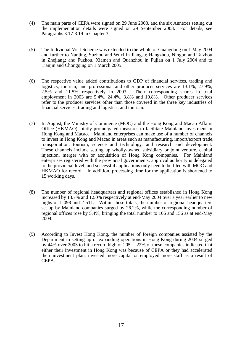- (4) The main parts of CEPA were signed on 29 June 2003, and the six Annexes setting out the implementation details were signed on 29 September 2003. For details, see Paragraphs 3.17-3.19 in Chapter 3.
- (5) The Individual Visit Scheme was extended to the whole of Guangdong on 1 May 2004 and further to Nanjing, Suzhou and Wuxi in Jiangsu; Hangzhou, Ningbo and Taizhou in Zhejiang; and Fuzhou, Xiamen and Quanzhou in Fujian on 1 July 2004 and to Tianjin and Chongqing on 1 March 2005.
- (6) The respective value added contributions to GDP of financial services, trading and logistics, tourism, and professional and other producer services are 13.1%, 27.9%, 2.5% and 11.5% respectively in 2003. Their corresponding shares in total  $2.5\%$  and  $11.5\%$  respectively in 2003. employment in 2003 are 5.4%, 24.4%, 3.8% and 10.8%. Other producer services refer to the producer services other than those covered in the three key industries of financial services, trading and logistics, and tourism.
- (7) In August, the Ministry of Commerce (MOC) and the Hong Kong and Macao Affairs Office (HKMAO) jointly promulgated measures to facilitate Mainland investment in Hong Kong and Macao. Mainland enterprises can make use of a number of channels to invest in Hong Kong and Macao in areas such as manufacturing, import/export trade, transportation, tourism, science and technology, and research and development. These channels include setting up wholly-owned subsidiary or joint venture, capital injection, merger with or acquisition of Hong Kong companies. For Mainland enterprises registered with the provincial governments, approval authority is delegated to the provincial level, and successful applications only need to be filed with MOC and HKMAO for record. In addition, processing time for the application is shortened to 15 working days.
- (8) The number of regional headquarters and regional offices established in Hong Kong increased by 13.7% and 12.0% respectively at end-May 2004 over a year earlier to new highs of 1 098 and 2 511. Within these totals, the number of regional headquarters set up by Mainland companies surged by 26.2%, while the corresponding number of regional offices rose by 5.4%, bringing the total number to 106 and 156 as at end-May 2004.
- (9) According to Invest Hong Kong, the number of foreign companies assisted by the Department in setting up or expanding operations in Hong Kong during 2004 surged by 44% over 2003 to hit a record high of 205. 22% of these companies indicated that either their investment in Hong Kong was because of CEPA or they had accelerated their investment plan, invested more capital or employed more staff as a result of CEPA.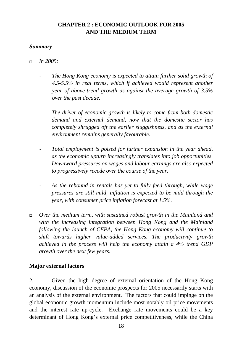# **CHAPTER 2 : ECONOMIC OUTLOOK FOR 2005 AND THE MEDIUM TERM**

# *Summary*

- *In 2005:* 
	- *The Hong Kong economy is expected to attain further solid growth of 4.5-5.5% in real terms, which if achieved would represent another year of above-trend growth as against the average growth of 3.5% over the past decade.*
	- The driver of economic growth is likely to come from both domestic *demand and external demand, now that the domestic sector has completely shrugged off the earlier sluggishness, and as the external environment remains generally favourable.*
	- Total employment is poised for further expansion in the year ahead, *as the economic upturn increasingly translates into job opportunities. Downward pressures on wages and labour earnings are also expected to progressively recede over the course of the year.*
	- *As the rebound in rentals has yet to fully feed through, while wage pressures are still mild, inflation is expected to be mild through the year, with consumer price inflation forecast at 1.5%.*
- *Over the medium term, with sustained robust growth in the Mainland and with the increasing integration between Hong Kong and the Mainland following the launch of CEPA, the Hong Kong economy will continue to shift towards higher value-added services. The productivity growth achieved in the process will help the economy attain a 4% trend GDP growth over the next few years.*

## **Major external factors**

2.1 Given the high degree of external orientation of the Hong Kong economy, discussion of the economic prospects for 2005 necessarily starts with an analysis of the external environment. The factors that could impinge on the global economic growth momentum include most notably oil price movements and the interest rate up-cycle. Exchange rate movements could be a key determinant of Hong Kong's external price competitiveness, while the China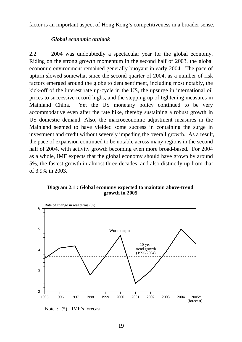factor is an important aspect of Hong Kong's competitiveness in a broader sense.

#### *Global economic outlook*

2.2 2004 was undoubtedly a spectacular year for the global economy. Riding on the strong growth momentum in the second half of 2003, the global economic environment remained generally buoyant in early 2004. The pace of upturn slowed somewhat since the second quarter of 2004, as a number of risk factors emerged around the globe to dent sentiment, including most notably, the kick-off of the interest rate up-cycle in the US, the upsurge in international oil prices to successive record highs, and the stepping up of tightening measures in Mainland China. Yet the US monetary policy continued to be very accommodative even after the rate hike, thereby sustaining a robust growth in US domestic demand. Also, the macroeconomic adjustment measures in the Mainland seemed to have yielded some success in containing the surge in investment and credit without severely impeding the overall growth. As a result, the pace of expansion continued to be notable across many regions in the second half of 2004, with activity growth becoming even more broad-based. For 2004 as a whole, IMF expects that the global economy should have grown by around 5%, the fastest growth in almost three decades, and also distinctly up from that of 3.9% in 2003.

#### **Diagram 2.1 : Global economy expected to maintain above-trend growth in 2005**



Note :  $(*)$  IMF's forecast.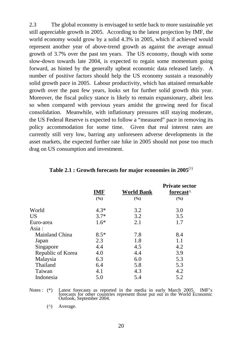2.3 The global economy is envisaged to settle back to more sustainable yet still appreciable growth in 2005. According to the latest projection by IMF, the world economy would grow by a solid 4.3% in 2005, which if achieved would represent another year of above-trend growth as against the average annual growth of 3.7% over the past ten years. The US economy, though with some slow-down towards late 2004, is expected to regain some momentum going forward, as hinted by the generally upbeat economic data released lately. A number of positive factors should help the US economy sustain a reasonably solid growth pace in 2005. Labour productivity, which has attained remarkable growth over the past few years, looks set for further solid growth this year. Moreover, the fiscal policy stance is likely to remain expansionary, albeit less so when compared with previous years amidst the growing need for fiscal consolidation. Meanwhile, with inflationary pressures still staying moderate, the US Federal Reserve is expected to follow a "measured" pace in removing its policy accommodation for some time. Given that real interest rates are currently still very low, barring any unforeseen adverse developments in the asset markets, the expected further rate hike in 2005 should not pose too much drag on US consumption and investment.

|                       | <b>IMF</b> | <b>World Bank</b> | <b>Private sector</b><br>forecast <sup>^</sup> |
|-----------------------|------------|-------------------|------------------------------------------------|
|                       | (%)        | $(\%)$            | (%)                                            |
| World                 | $4.3*$     | 3.2               | 3.0                                            |
| <b>US</b>             | $3.7*$     | 3.2               | 3.5                                            |
| Euro-area             | $1.6*$     | 2.1               | 1.7                                            |
| Asia:                 |            |                   |                                                |
| <b>Mainland China</b> | $8.5*$     | 7.8               | 8.4                                            |
| Japan                 | 2.3        | 1.8               | 1.1                                            |
| Singapore             | 4.4        | 4.5               | 4.2                                            |
| Republic of Korea     | 4.0        | 4.4               | 3.9                                            |
| Malaysia              | 6.3        | 6.0               | 5.3                                            |
| Thailand              | 6.4        | 5.8               | 5.3                                            |
| Taiwan                | 4.1        | 4.3               | 4.2                                            |
| Indonesia             | 5.0        | 5.4               | 5.2                                            |

#### **Table 2.1 : Growth forecasts for major economies in 2005**(1)

Notes : (\*) Latest forecasts as reported in the media in early March 2005. IMF's forecasts for other countries represent those put out in the World Economic Outlook, September 2004.

(^) Average.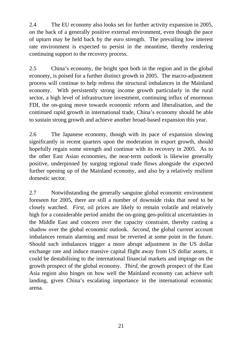2.4 The EU economy also looks set for further activity expansion in 2005, on the back of a generally positive external environment, even though the pace of upturn may be held back by the euro strength. The prevailing low interest rate environment is expected to persist in the meantime, thereby rendering continuing support to the recovery process.

2.5 China's economy, the bright spot both in the region and in the global economy, is poised for a further distinct growth in 2005. The macro-adjustment process will continue to help redress the structural imbalances in the Mainland economy. With persistently strong income growth particularly in the rural sector, a high level of infrastructure investment, continuing influx of enormous FDI, the on-going move towards economic reform and liberalisation, and the continued rapid growth in international trade, China's economy should be able to sustain strong growth and achieve another broad-based expansion this year.

2.6 The Japanese economy, though with its pace of expansion slowing significantly in recent quarters upon the moderation in export growth, should hopefully regain some strength and continue with its recovery in 2005. As to the other East Asian economies, the near-term outlook is likewise generally positive, underpinned by surging regional trade flows alongside the expected further opening up of the Mainland economy, and also by a relatively resilient domestic sector.

2.7 Notwithstanding the generally sanguine global economic environment foreseen for 2005, there are still a number of downside risks that need to be closely watched. *First*, oil prices are likely to remain volatile and relatively high for a considerable period amidst the on-going geo-political uncertainties in the Middle East and concern over the capacity constraint, thereby casting a shadow over the global economic outlook. *Second*, the global current account imbalances remain alarming and must be reverted at some point in the future. Should such imbalances trigger a more abrupt adjustment in the US dollar exchange rate and induce massive capital flight away from US dollar assets, it could be destabilising to the international financial markets and impinge on the growth prospect of the global economy. *Third*, the growth prospect of the East Asia region also hinges on how well the Mainland economy can achieve soft landing, given China's escalating importance in the international economic arena.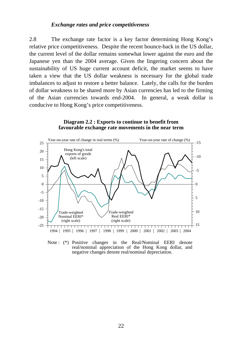#### *Exchange rates and price competitiveness*

2.8 The exchange rate factor is a key factor determining Hong Kong's relative price competitiveness. Despite the recent bounce-back in the US dollar, the current level of the dollar remains somewhat lower against the euro and the Japanese yen than the 2004 average. Given the lingering concern about the sustainability of US huge current account deficit, the market seems to have taken a view that the US dollar weakness is necessary for the global trade imbalances to adjust to restore a better balance. Lately, the calls for the burden of dollar weakness to be shared more by Asian currencies has led to the firming of the Asian currencies towards end-2004. In general, a weak dollar is conducive to Hong Kong's price competitiveness.

#### **Diagram 2.2 : Exports to continue to benefit from favourable exchange rate movements in the near term**



Note : (\*) Positive changes in the Real/Nominal EERI denote real/nominal appreciation of the Hong Kong dollar, and negative changes denote real/nominal depreciation.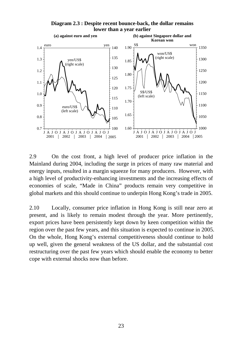

**Diagram 2.3 : Despite recent bounce-back, the dollar remains lower than a year earlier**

2.9 On the cost front, a high level of producer price inflation in the Mainland during 2004, including the surge in prices of many raw material and energy inputs, resulted in a margin squeeze for many producers. However, with a high level of productivity-enhancing investments and the increasing effects of economies of scale, "Made in China" products remain very competitive in global markets and this should continue to underpin Hong Kong's trade in 2005.

2.10 Locally, consumer price inflation in Hong Kong is still near zero at present, and is likely to remain modest through the year. More pertinently, export prices have been persistently kept down by keen competition within the region over the past few years, and this situation is expected to continue in 2005. On the whole, Hong Kong's external competitiveness should continue to hold up well, given the general weakness of the US dollar, and the substantial cost restructuring over the past few years which should enable the economy to better cope with external shocks now than before.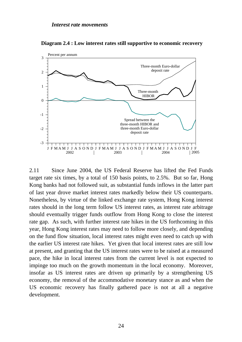

**Diagram 2.4 : Low interest rates still supportive to economic recovery**

2.11 Since June 2004, the US Federal Reserve has lifted the Fed Funds target rate six times, by a total of 150 basis points, to 2.5%. But so far, Hong Kong banks had not followed suit, as substantial funds inflows in the latter part of last year drove market interest rates markedly below their US counterparts. Nonetheless, by virtue of the linked exchange rate system, Hong Kong interest rates should in the long term follow US interest rates, as interest rate arbitrage should eventually trigger funds outflow from Hong Kong to close the interest rate gap. As such, with further interest rate hikes in the US forthcoming in this year, Hong Kong interest rates may need to follow more closely, and depending on the fund flow situation, local interest rates might even need to catch up with the earlier US interest rate hikes. Yet given that local interest rates are still low at present, and granting that the US interest rates were to be raised at a measured pace, the hike in local interest rates from the current level is not expected to impinge too much on the growth momentum in the local economy. Moreover, insofar as US interest rates are driven up primarily by a strengthening US economy, the removal of the accommodative monetary stance as and when the US economic recovery has finally gathered pace is not at all a negative development.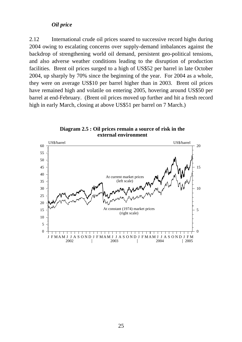#### *Oil price*

2.12 International crude oil prices soared to successive record highs during 2004 owing to escalating concerns over supply-demand imbalances against the backdrop of strengthening world oil demand, persistent geo-political tensions, and also adverse weather conditions leading to the disruption of production facilities. Brent oil prices surged to a high of US\$52 per barrel in late October 2004, up sharply by 70% since the beginning of the year. For 2004 as a whole, they were on average US\$10 per barrel higher than in 2003. Brent oil prices have remained high and volatile on entering 2005, hovering around US\$50 per barrel at end-February. (Brent oil prices moved up further and hit a fresh record high in early March, closing at above US\$51 per barrel on 7 March.)



**Diagram 2.5 : Oil prices remain a source of risk in the external environment**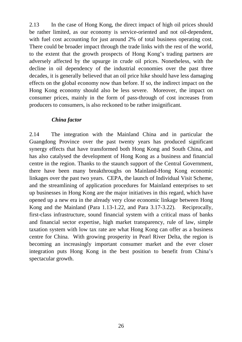2.13 In the case of Hong Kong, the direct impact of high oil prices should be rather limited, as our economy is service-oriented and not oil-dependent, with fuel cost accounting for just around 2% of total business operating cost. There could be broader impact through the trade links with the rest of the world, to the extent that the growth prospects of Hong Kong's trading partners are adversely affected by the upsurge in crude oil prices. Nonetheless, with the decline in oil dependency of the industrial economies over the past three decades, it is generally believed that an oil price hike should have less damaging effects on the global economy now than before. If so, the indirect impact on the Hong Kong economy should also be less severe. Moreover, the impact on consumer prices, mainly in the form of pass-through of cost increases from producers to consumers, is also reckoned to be rather insignificant.

# *China factor*

2.14 The integration with the Mainland China and in particular the Guangdong Province over the past twenty years has produced significant synergy effects that have transformed both Hong Kong and South China, and has also catalysed the development of Hong Kong as a business and financial centre in the region. Thanks to the staunch support of the Central Government, there have been many breakthroughs on Mainland-Hong Kong economic linkages over the past two years. CEPA, the launch of Individual Visit Scheme, and the streamlining of application procedures for Mainland enterprises to set up businesses in Hong Kong are the major initiatives in this regard, which have opened up a new era in the already very close economic linkage between Hong Kong and the Mainland (Para 1.13-1.22, and Para 3.17-3.22). Reciprocally, first-class infrastructure, sound financial system with a critical mass of banks and financial sector expertise, high market transparency, rule of law, simple taxation system with low tax rate are what Hong Kong can offer as a business centre for China. With growing prosperity in Pearl River Delta, the region is becoming an increasingly important consumer market and the ever closer integration puts Hong Kong in the best position to benefit from China's spectacular growth.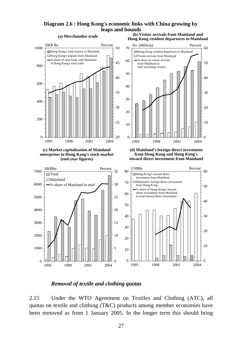#### **Diagram 2.6 : Hong Kong's economic links with China growing by leaps and bounds**



#### *Removal of textile and clothing quotas*

2.15 Under the WTO Agreement on Textiles and Clothing (ATC), all quotas on textile and clothing (T&C) products among member economies have been removed as from 1 January 2005. In the longer term this should bring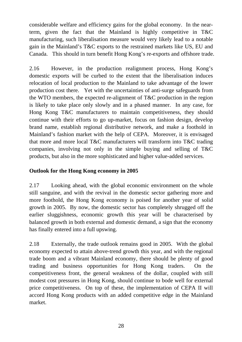considerable welfare and efficiency gains for the global economy. In the nearterm, given the fact that the Mainland is highly competitive in T&C manufacturing, such liberalisation measure would very likely lead to a notable gain in the Mainland's T&C exports to the restrained markets like US, EU and Canada. This should in turn benefit Hong Kong's re-exports and offshore trade.

2.16 However, in the production realignment process, Hong Kong's domestic exports will be curbed to the extent that the liberalisation induces relocation of local production to the Mainland to take advantage of the lower production cost there. Yet with the uncertainties of anti-surge safeguards from the WTO members, the expected re-alignment of T&C production in the region is likely to take place only slowly and in a phased manner. In any case, for Hong Kong T&C manufacturers to maintain competitiveness, they should continue with their efforts to go up-market, focus on fashion design, develop brand name, establish regional distributive network, and make a foothold in Mainland's fashion market with the help of CEPA. Moreover, it is envisaged that more and more local T&C manufacturers will transform into T&C trading companies, involving not only in the simple buying and selling of T&C products, but also in the more sophisticated and higher value-added services.

# **Outlook for the Hong Kong economy in 2005**

2.17 Looking ahead, with the global economic environment on the whole still sanguine, and with the revival in the domestic sector gathering more and more foothold, the Hong Kong economy is poised for another year of solid growth in 2005. By now, the domestic sector has completely shrugged off the earlier sluggishness, economic growth this year will be characterised by balanced growth in both external and domestic demand, a sign that the economy has finally entered into a full upswing.

2.18 Externally, the trade outlook remains good in 2005. With the global economy expected to attain above-trend growth this year, and with the regional trade boom and a vibrant Mainland economy, there should be plenty of good trading and business opportunities for Hong Kong traders. On the competitiveness front, the general weakness of the dollar, coupled with still modest cost pressures in Hong Kong, should continue to bode well for external price competitiveness. On top of these, the implementation of CEPA II will accord Hong Kong products with an added competitive edge in the Mainland market.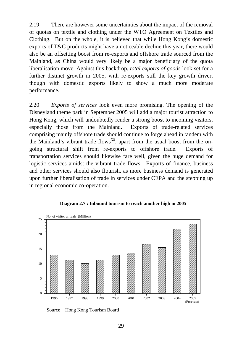2.19 There are however some uncertainties about the impact of the removal of quotas on textile and clothing under the WTO Agreement on Textiles and Clothing. But on the whole, it is believed that while Hong Kong's domestic exports of T&C products might have a noticeable decline this year, there would also be an offsetting boost from re-exports and offshore trade sourced from the Mainland, as China would very likely be a major beneficiary of the quota liberalisation move. Against this backdrop, *total exports of goods* look set for a further distinct growth in 2005, with re-exports still the key growth driver, though with domestic exports likely to show a much more moderate performance.

2.20 *Exports of services* look even more promising. The opening of the Disneyland theme park in September 2005 will add a major tourist attraction to Hong Kong, which will undoubtedly render a strong boost to incoming visitors, especially those from the Mainland. Exports of trade-related services comprising mainly offshore trade should continue to forge ahead in tandem with the Mainland's vibrant trade flows<sup>(2)</sup>, apart from the usual boost from the ongoing structural shift from re-exports to offshore trade. Exports of transportation services should likewise fare well, given the huge demand for logistic services amidst the vibrant trade flows. Exports of finance, business and other services should also flourish, as more business demand is generated upon further liberalisation of trade in services under CEPA and the stepping up in regional economic co-operation.



**Diagram 2.7 : Inbound tourism to reach another high in 2005**

Source : Hong Kong Tourism Board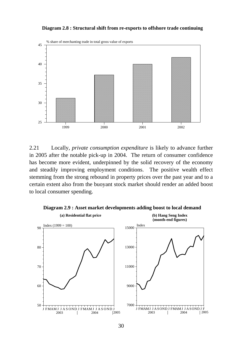#### **Diagram 2.8 : Structural shift from re-exports to offshore trade continuing**



2.21 Locally, *private consumption expenditure* is likely to advance further in 2005 after the notable pick-up in 2004. The return of consumer confidence has become more evident, underpinned by the solid recovery of the economy and steadily improving employment conditions. The positive wealth effect stemming from the strong rebound in property prices over the past year and to a certain extent also from the buoyant stock market should render an added boost to local consumer spending.



**Diagram 2.9 : Asset market developments adding boost to local demand**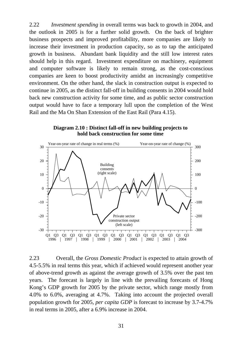2.22 *Investment spending* in overall terms was back to growth in 2004, and the outlook in 2005 is for a further solid growth. On the back of brighter business prospects and improved profitability, more companies are likely to increase their investment in production capacity, so as to tap the anticipated growth in business. Abundant bank liquidity and the still low interest rates should help in this regard. Investment expenditure on machinery, equipment and computer software is likely to remain strong, as the cost-conscious companies are keen to boost productivity amidst an increasingly competitive environment. On the other hand, the slack in construction output is expected to continue in 2005, as the distinct fall-off in building consents in 2004 would hold back new construction activity for some time, and as public sector construction output would have to face a temporary lull upon the completion of the West Rail and the Ma On Shan Extension of the East Rail (Para 4.15).

**Diagram 2.10 : Distinct fall-off in new building projects to hold back construction for some time**



2.23 Overall, the *Gross Domestic Product* is expected to attain growth of 4.5-5.5% in real terms this year, which if achieved would represent another year of above-trend growth as against the average growth of 3.5% over the past ten years. The forecast is largely in line with the prevailing forecasts of Hong Kong's GDP growth for 2005 by the private sector, which range mostly from 4.0% to 6.0%, averaging at 4.7%. Taking into account the projected overall population growth for 2005, *per capita GDP* is forecast to increase by 3.7-4.7% in real terms in 2005, after a 6.9% increase in 2004.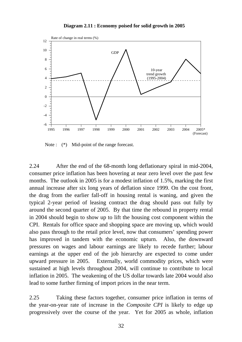



Note :  $(*)$  Mid-point of the range forecast.

2.24 After the end of the 68-month long deflationary spiral in mid-2004, consumer price inflation has been hovering at near zero level over the past few months. The outlook in 2005 is for a modest inflation of 1.5%, marking the first annual increase after six long years of deflation since 1999. On the cost front, the drag from the earlier fall-off in housing rental is waning, and given the typical 2-year period of leasing contract the drag should pass out fully by around the second quarter of 2005. By that time the rebound in property rental in 2004 should begin to show up to lift the housing cost component within the CPI. Rentals for office space and shopping space are moving up, which would also pass through to the retail price level, now that consumers' spending power has improved in tandem with the economic upturn. Also, the downward pressures on wages and labour earnings are likely to recede further; labour earnings at the upper end of the job hierarchy are expected to come under upward pressure in 2005. Externally, world commodity prices, which were sustained at high levels throughout 2004, will continue to contribute to local inflation in 2005. The weakening of the US dollar towards late 2004 would also lead to some further firming of import prices in the near term.

2.25 Taking these factors together, consumer price inflation in terms of the year-on-year rate of increase in the *Composite CPI* is likely to edge up progressively over the course of the year. Yet for 2005 as whole, inflation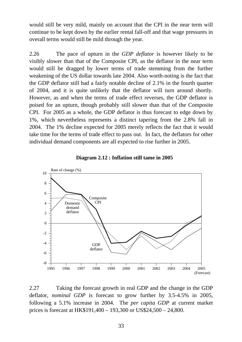would still be very mild, mainly on account that the CPI in the near term will continue to be kept down by the earlier rental fall-off and that wage pressures in overall terms would still be mild through the year.

2.26 The pace of upturn in the *GDP deflator* is however likely to be visibly slower than that of the Composite CPI, as the deflator in the near term would still be dragged by lower terms of trade stemming from the further weakening of the US dollar towards late 2004. Also worth-noting is the fact that the GDP deflator still had a fairly notable decline of 2.1% in the fourth quarter of 2004, and it is quite unlikely that the deflator will turn around shortly. However, as and when the terms of trade effect reverses, the GDP deflator is poised for an upturn, though probably still slower than that of the Composite CPI. For 2005 as a whole, the GDP deflator is thus forecast to edge down by 1%, which nevertheless represents a distinct tapering from the 2.8% fall in 2004. The 1% decline expected for 2005 merely reflects the fact that it would take time for the terms of trade effect to pass out. In fact, the deflators for other individual demand components are all expected to rise further in 2005.





2.27 Taking the forecast growth in real GDP and the change in the GDP deflator, *nominal GDP* is forecast to grow further by 3.5-4.5% in 2005, following a 5.1% increase in 2004. The *per capita GDP* at current market prices is forecast at HK\$191,400 – 193,300 or US\$24,500 – 24,800.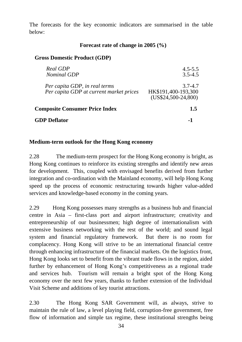The forecasts for the key economic indicators are summarised in the table below:

## **Forecast rate of change in 2005 (%)**

## **Gross Domestic Product (GDP)**

| Real GDP<br><b>Nominal GDP</b>                                           | $4.5 - 5.5$<br>$3.5 - 4.5$                                 |
|--------------------------------------------------------------------------|------------------------------------------------------------|
| Per capita GDP, in real terms<br>Per capita GDP at current market prices | $3.7 - 4.7$<br>HK\$191,400-193,300<br>$(US$24,500-24,800)$ |
| <b>Composite Consumer Price Index</b>                                    | 1.5                                                        |
| <b>GDP Deflator</b>                                                      |                                                            |
|                                                                          |                                                            |

## **Medium-term outlook for the Hong Kong economy**

2.28 The medium-term prospect for the Hong Kong economy is bright, as Hong Kong continues to reinforce its existing strengths and identify new areas for development. This, coupled with envisaged benefits derived from further integration and co-ordination with the Mainland economy, will help Hong Kong speed up the process of economic restructuring towards higher value-added services and knowledge-based economy in the coming years.

2.29 Hong Kong possesses many strengths as a business hub and financial centre in Asia – first-class port and airport infrastructure; creativity and entrepreneurship of our businessmen; high degree of internationalism with extensive business networking with the rest of the world; and sound legal system and financial regulatory framework. But there is no room for complacency. Hong Kong will strive to be an international financial centre through enhancing infrastructure of the financial markets. On the logistics front, Hong Kong looks set to benefit from the vibrant trade flows in the region, aided further by enhancement of Hong Kong's competitiveness as a regional trade and services hub. Tourism will remain a bright spot of the Hong Kong economy over the next few years, thanks to further extension of the Individual Visit Scheme and additions of key tourist attractions.

2.30 The Hong Kong SAR Government will, as always, strive to maintain the rule of law, a level playing field, corruption-free government, free flow of information and simple tax regime, these institutional strengths being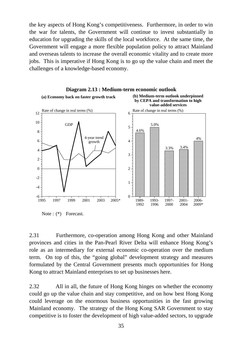the key aspects of Hong Kong's competitiveness. Furthermore, in order to win the war for talents, the Government will continue to invest substantially in education for upgrading the skills of the local workforce. At the same time, the Government will engage a more flexible population policy to attract Mainland and overseas talents to increase the overall economic vitality and to create more jobs. This is imperative if Hong Kong is to go up the value chain and meet the challenges of a knowledge-based economy.



Note : (\*) Forecast.

2.31 Furthermore, co-operation among Hong Kong and other Mainland provinces and cities in the Pan-Pearl River Delta will enhance Hong Kong's role as an intermediary for external economic co-operation over the medium term. On top of this, the "going global" development strategy and measures formulated by the Central Government presents much opportunities for Hong Kong to attract Mainland enterprises to set up businesses here.

2.32 All in all, the future of Hong Kong hinges on whether the economy could go up the value chain and stay competitive, and on how best Hong Kong could leverage on the enormous business opportunities in the fast growing Mainland economy. The strategy of the Hong Kong SAR Government to stay competitive is to foster the development of high value-added sectors, to upgrade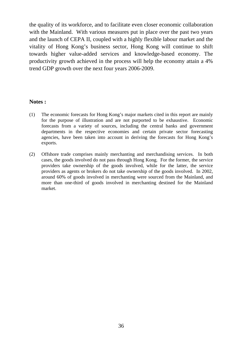the quality of its workforce, and to facilitate even closer economic collaboration with the Mainland. With various measures put in place over the past two years and the launch of CEPA II, coupled with a highly flexible labour market and the vitality of Hong Kong's business sector, Hong Kong will continue to shift towards higher value-added services and knowledge-based economy. The productivity growth achieved in the process will help the economy attain a 4% trend GDP growth over the next four years 2006-2009.

### **Notes :**

- (1) The economic forecasts for Hong Kong's major markets cited in this report are mainly for the purpose of illustration and are not purported to be exhaustive. Economic forecasts from a variety of sources, including the central banks and government departments in the respective economies and certain private sector forecasting agencies, have been taken into account in deriving the forecasts for Hong Kong's exports.
- (2) Offshore trade comprises mainly merchanting and merchandising services. In both cases, the goods involved do not pass through Hong Kong. For the former, the service providers take ownership of the goods involved, while for the latter, the service providers as agents or brokers do not take ownership of the goods involved. In 2002, around 60% of goods involved in merchanting were sourced from the Mainland, and more than one-third of goods involved in merchanting destined for the Mainland market.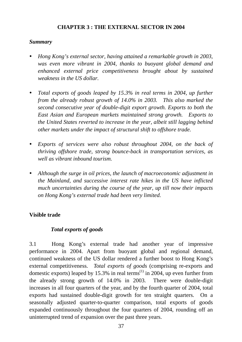# **CHAPTER 3 : THE EXTERNAL SECTOR IN 2004**

# *Summary*

- y *Hong Kong's external sector, having attained a remarkable growth in 2003, was even more vibrant in 2004, thanks to buoyant global demand and enhanced external price competitiveness brought about by sustained weakness in the US dollar.*
- *Total exports of goods leaped by 15.3% in real terms in 2004, up further from the already robust growth of 14.0% in 2003. This also marked the second consecutive year of double-digit export growth. Exports to both the East Asian and European markets maintained strong growth. Exports to the United States reverted to increase in the year, albeit still lagging behind other markets under the impact of structural shift to offshore trade.*
- *Exports of services were also robust throughout 2004, on the back of thriving offshore trade, strong bounce-back in transportation services, as well as vibrant inbound tourism.*
- Although the surge in oil prices, the launch of macroeconomic adjustment in *the Mainland, and successive interest rate hikes in the US have inflicted much uncertainties during the course of the year, up till now their impacts on Hong Kong's external trade had been very limited.*

# **Visible trade**

# *Total exports of goods*

3.1 Hong Kong's external trade had another year of impressive performance in 2004. Apart from buoyant global and regional demand, continued weakness of the US dollar rendered a further boost to Hong Kong's external competitiveness. *Total exports of goods* (comprising re-exports and domestic exports) leaped by 15.3% in real terms<sup>(1)</sup> in 2004, up even further from the already strong growth of 14.0% in 2003. There were double-digit increases in all four quarters of the year, and by the fourth quarter of 2004, total exports had sustained double-digit growth for ten straight quarters. On a seasonally adjusted quarter-to-quarter comparison, total exports of goods expanded continuously throughout the four quarters of 2004, rounding off an uninterrupted trend of expansion over the past three years.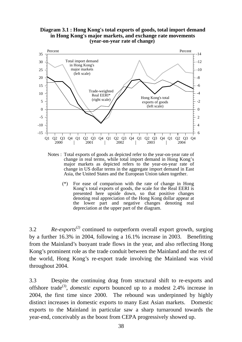#### **Diagram 3.1 : Hong Kong's total exports of goods, total import demand in Hong Kong's major markets, and exchange rate movements (year-on-year rate of change)**



Notes : Total exports of goods as depicted refer to the year-on-year rate of change in real terms, while total import demand in Hong Kong's major markets as depicted refers to the year-on-year rate of change in US dollar terms in the aggregate import demand in East Asia, the United States and the European Union taken together.

 (\*) For ease of comparison with the rate of change in Hong Kong's total exports of goods, the scale for the Real EERI is presented here upside down, so that positive changes denoting real appreciation of the Hong Kong dollar appear at the lower part and negative changes denoting real depreciation at the upper part of the diagram.

3.2 *Re-exports(2)* continued to outperform overall export growth, surging by a further 16.3% in 2004, following a 16.1% increase in 2003. Benefitting from the Mainland's buoyant trade flows in the year, and also reflecting Hong Kong's prominent role as the trade conduit between the Mainland and the rest of the world, Hong Kong's re-export trade involving the Mainland was vivid throughout 2004.

3.3 Despite the continuing drag from structural shift to re-exports and offshore trade(3), *domestic exports* bounced up to a modest 2.4% increase in 2004, the first time since 2000. The rebound was underpinned by highly distinct increases in domestic exports to many East Asian markets. Domestic exports to the Mainland in particular saw a sharp turnaround towards the year-end, conceivably as the boost from CEPA progressively showed up.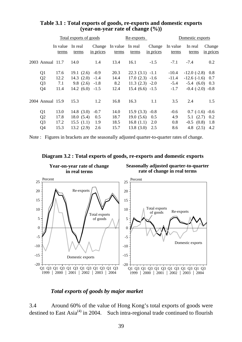|                  | Total exports of goods |                       |           |                                  | Re-exports       |                     | Domestic exports  |                        |                     |
|------------------|------------------------|-----------------------|-----------|----------------------------------|------------------|---------------------|-------------------|------------------------|---------------------|
|                  | In value<br>terms      | In real<br>terms      | in prices | Change In value In real<br>terms | terms            | Change<br>in prices | In value<br>terms | In real<br>terms       | Change<br>in prices |
| 2003 Annual 11.7 |                        | 14.0                  | 1.4       | 13.4                             | 16.1             | $-1.5$              | $-7.1$            | $-7.4$                 | 0.2                 |
| Q <sub>1</sub>   | 17.6                   | 19.1(2.6)             | $-0.9$    | 20.3                             | $22.3(3.1) -1.1$ |                     | $-10.4$           | $-12.0$ $(-2.8)$ 0.8   |                     |
| Q2               | 12.2                   | $14.3$ $(2.0)$ $-1.4$ |           | 14.4                             | $17.0(2.3) -1.6$ |                     | $-11.4$           | $-12.6$ $(-1.6)$ 0.7   |                     |
| Q <sub>3</sub>   | 7.1                    | $9.8(2.6) -1.8$       |           | 8.2                              | $11.3(2.3) -2.0$ |                     | $-5.4$            | $-5.4$ (6.0) 0.3       |                     |
| Q <sub>4</sub>   | 11.4                   | $14.2(6.0) -1.5$      |           | 12.4                             | $15.4(6.6) -1.5$ |                     | $-1.7$            | $-0.4$ $(-2.0)$ $-0.8$ |                     |
| 2004 Annual 15.9 |                        | 15.3                  | 1.2       | 16.8                             | 16.3             | 1.1                 | 3.5               | 2.4                    | 1.5                 |
| Q <sub>1</sub>   | 13.0                   | 14.8 $(3.0)$          | $-0.7$    | 14.0                             | $15.9(3.3) -0.8$ |                     | $-0.6$            | $0.7$ (-1.6) -0.6      |                     |
| Q2               | 17.8                   | 18.0(5.4)             | 0.5       | 18.7                             | 19.0(5.6)        | 0.5                 | 4.9               |                        | $5.1$ $(2.7)$ $0.2$ |
| Q <sub>3</sub>   | 17.2                   | 15.5(1.1)             | 1.9       | 18.5                             | 16.8(1.1)        | 2.0                 | 0.8               | $-0.5$ $(0.8)$ 1.8     |                     |
| Q4               | 15.3                   | 13.2(2.9)             | 2.6       | 15.7                             | 13.8(3.0)        | 2.5                 | 8.6               | 4.8 $(2.5)$            | 4.2                 |

### **Table 3.1 : Total exports of goods, re-exports and domestic exports (year-on-year rate of change (%))**

Note : Figures in brackets are the seasonally adjusted quarter-to-quarter rates of change.



#### **Diagram 3.2 : Total exports of goods, re-exports and domestic exports**

### *Total exports of goods by major market*

3.4 Around 60% of the value of Hong Kong's total exports of goods were destined to East  $Asia^{(4)}$  in 2004. Such intra-regional trade continued to flourish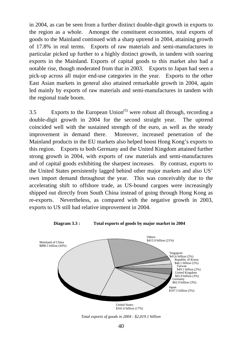in 2004, as can be seen from a further distinct double-digit growth in exports to the region as a whole. Amongst the constituent economies, total exports of goods to the Mainland continued with a sharp uptrend in 2004, attaining growth of 17.8% in real terms. Exports of raw materials and semi-manufactures in particular picked up further to a highly distinct growth, in tandem with soaring exports in the Mainland. Exports of capital goods to this market also had a notable rise, though moderated from that in 2003. Exports to Japan had seen a pick-up across all major end-use categories in the year. Exports to the other East Asian markets in general also attained remarkable growth in 2004, again led mainly by exports of raw materials and semi-manufactures in tandem with the regional trade boom.

3.5 Exports to the European Union<sup> $(5)$ </sup> were robust all through, recording a double-digit growth in 2004 for the second straight year. The uptrend coincided well with the sustained strength of the euro, as well as the steady improvement in demand there. Moreover, increased penetration of the Mainland products in the EU markets also helped boost Hong Kong's exports to this region. Exports to both Germany and the United Kingdom attained further strong growth in 2004, with exports of raw materials and semi-manufactures and of capital goods exhibiting the sharpest increases. By contrast, exports to the United States persistently lagged behind other major markets and also US' own import demand throughout the year. This was conceivably due to the accelerating shift to offshore trade, as US-bound cargoes were increasingly shipped out directly from South China instead of going through Hong Kong as re-exports. Nevertheless, as compared with the negative growth in 2003, exports to US still had relative improvement in 2004.



**Diagram 3.3 : Total exports of goods by major market in 2004**

*Total exports of goods in 2004 : \$2,019.1 billion*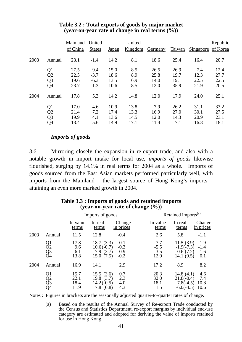|      |                | Mainland<br>of China | United<br><b>States</b> | <u>Japan</u> | United<br>Kingdom | Germany | Taiwan | Singapore | Republic<br>of Korea |
|------|----------------|----------------------|-------------------------|--------------|-------------------|---------|--------|-----------|----------------------|
| 2003 | Annual         | 23.1                 | $-1.4$                  | 14.2         | 8.1               | 18.6    | 25.4   | 16.4      | 20.7                 |
|      | Q1             | 27.5                 | 9.4                     | 15.0         | 8.5               | 26.5    | 26.9   | 7.4       | 12.4                 |
|      | Q <sub>2</sub> | 22.5                 | $-3.7$                  | 18.6         | 8.9               | 25.8    | 19.7   | 12.3      | 27.7                 |
|      | Q <sub>3</sub> | 19.6                 | $-6.3$                  | 13.5         | 6.9               | 14.0    | 19.1   | 22.5      | 22.5                 |
|      | Q4             | 23.7                 | $-1.3$                  | 10.6         | 8.5               | 12.0    | 35.9   | 21.9      | 20.5                 |
| 2004 | Annual         | 17.8                 | 5.3                     | 14.2         | 14.8              | 12.0    | 17.9   | 24.0      | 25.1                 |
|      | Q1             | 17.0                 | 4.6                     | 10.9         | 13.8              | 7.9     | 26.2   | 31.1      | 33.2                 |
|      | Q <sub>2</sub> | 21.4                 | 7.2                     | 17.4         | 13.3              | 16.9    | 27.0   | 30.1      | 27.5                 |
|      | Q3             | 19.9                 | 4.1                     | 13.6         | 14.5              | 12.0    | 14.3   | 20.9      | 23.1                 |
|      | Q4             | 13.4                 | 5.6                     | 14.9         | 17.1              | 11.4    | 7.1    | 16.8      | 18.1                 |

### **Table 3.2 : Total exports of goods by major market (year-on-year rate of change in real terms (%))**

### *Imports of goods*

3.6 Mirroring closely the expansion in re-export trade, and also with a notable growth in import intake for local use, *imports of goods* likewise flourished, surging by 14.1% in real terms for 2004 as a whole. Imports of goods sourced from the East Asian markets performed particularly well, with imports from the Mainland – the largest source of Hong Kong's imports – attaining an even more marked growth in 2004.

|      |                      |                              | Imports of goods                                           |                                      |                                 | Retained imports <sup>(a)</sup>                             |                                   |
|------|----------------------|------------------------------|------------------------------------------------------------|--------------------------------------|---------------------------------|-------------------------------------------------------------|-----------------------------------|
|      |                      | In value<br>terms            | In real<br>terms                                           | Change<br>in prices                  | In value<br>terms               | In real<br>terms                                            | Change<br>in prices               |
| 2003 | Annual               | 11.5                         | 12.8                                                       | $-0.4$                               | 2.6                             | 5.8                                                         | $-1.1$                            |
|      | Q1<br>Q2<br>Q3<br>Q4 | 17.8<br>9.6<br>6.1<br>13.8   | 18.7(3.3)<br>$10.6(-0.7)$<br>7.9<br>(3.7)<br>15.0<br>(7.5) | $-0.1$<br>$-0.3$<br>$-0.9$<br>$-0.2$ | 7.7<br>$-5.5$<br>$-3.5$<br>12.9 | 11.5(3.9)<br>$-1.9(-7.3)$<br>0.6(7.2)<br>14.1(9.5)          | $-1.9$<br>$-1.4$<br>$-1.6$<br>0.1 |
| 2004 | Annual               | 16.9                         | 14.1                                                       | 2.9                                  | 17.2                            | 8.9                                                         | 8.2                               |
|      | Q1<br>Q2<br>Q3<br>Q4 | 15.7<br>22.1<br>18.4<br>11.9 | 15.5(3.6)<br>19.8 $(3.7)$<br>$14.2(-0.5)$<br>7.8<br>(0.8)  | 0.7<br>2.3<br>4.0<br>4.3             | 20.3<br>32.0<br>18.1<br>1.5     | 14.8 $(4.1)$<br>$21.8(-0.4)$<br>$7.8(-4.5)$<br>$-6.0(-4.5)$ | 4.6<br>7.4<br>10.8<br>10.6        |

### **Table 3.3 : Imports of goods and retained imports (year-on-year rate of change (%))**

Notes : Figures in brackets are the seasonally adjusted quarter-to-quarter rates of change.

 (a) Based on the results of the Annual Survey of Re-export Trade conducted by the Census and Statistics Department, re-export margins by individual end-use category are estimated and adopted for deriving the value of imports retained for use in Hong Kong.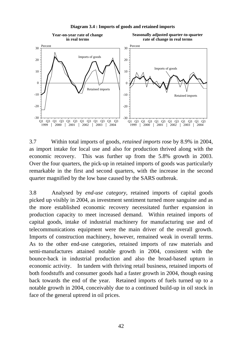

**Diagram 3.4 : Imports of goods and retained imports**

3.7 Within total imports of goods, *retained imports* rose by 8.9% in 2004, as import intake for local use and also for production thrived along with the economic recovery. This was further up from the 5.8% growth in 2003. Over the four quarters, the pick-up in retained imports of goods was particularly remarkable in the first and second quarters, with the increase in the second quarter magnified by the low base caused by the SARS outbreak.

3.8 Analysed by *end-use category*, retained imports of capital goods picked up visibly in 2004, as investment sentiment turned more sanguine and as the more established economic recovery necessitated further expansion in production capacity to meet increased demand. Within retained imports of capital goods, intake of industrial machinery for manufacturing use and of telecommunications equipment were the main driver of the overall growth. Imports of construction machinery, however, remained weak in overall terms. As to the other end-use categories, retained imports of raw materials and semi-manufactures attained notable growth in 2004, consistent with the bounce-back in industrial production and also the broad-based upturn in economic activity. In tandem with thriving retail business, retained imports of both foodstuffs and consumer goods had a faster growth in 2004, though easing back towards the end of the year. Retained imports of fuels turned up to a notable growth in 2004, conceivably due to a continued build-up in oil stock in face of the general uptrend in oil prices.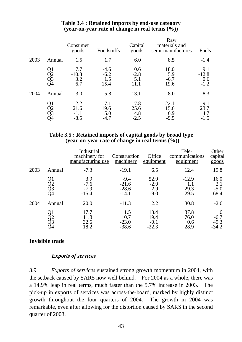|      |                            | Consumer<br>goods               | Foodstuffs                      | Capital<br>$\frac{goods}{}$    | Raw<br>materials and<br>semi-manufactures | Fuels                           |
|------|----------------------------|---------------------------------|---------------------------------|--------------------------------|-------------------------------------------|---------------------------------|
| 2003 | Annual                     | 1.5                             | 1.7                             | 6.0                            | 8.5                                       | $-1.4$                          |
|      | Q1<br>Q2<br>Q3<br>Q4       | 7.7<br>$-10.3$<br>3.2<br>6.7    | $-4.6$<br>$-6.2$<br>1.5<br>15.4 | 10.6<br>$-2.8$<br>5.1<br>11.1  | 18.0<br>5.9<br>$-6.7$<br>19.6             | 9.1<br>$-12.8$<br>0.6<br>$-1.2$ |
| 2004 | Annual                     | 3.0                             | 5.8                             | 13.1                           | 8.0                                       | 8.3                             |
|      | Q1<br>Q2<br>Q3<br>S4<br>Q4 | 2.2<br>21.6<br>$-1.1$<br>$-8.5$ | 7.1<br>19.6<br>5.0<br>$-4.7$    | 17.8<br>25.6<br>14.8<br>$-2.5$ | 22.1<br>15.6<br>6.9<br>$-9.5$             | 9.1<br>23.7<br>4.7              |

### **Table 3.4 : Retained imports by end-use category (year-on-year rate of change in real terms (%))**

### **Table 3.5 : Retained imports of capital goods by broad type (year-on-year rate of change in real terms (%))**

|      |                      | Industrial<br>machinery for<br>manufacturing use | Construction<br>machinery               | Office<br>equipment               | Tele-<br>communications<br>equipment | Other<br>capital<br>goods        |
|------|----------------------|--------------------------------------------------|-----------------------------------------|-----------------------------------|--------------------------------------|----------------------------------|
| 2003 | Annual               | $-7.3$                                           | $-19.1$                                 | 6.5                               | 12.4                                 | 19.8                             |
|      | Q1<br>Q2<br>Q3<br>Q4 | 3.9<br>$-7.6$<br>$-7.9$<br>$-15.4$               | $-9.4$<br>$-21.6$<br>$-28.6$<br>$-14.1$ | 52.9<br>$-2.0$<br>2.9<br>$-9.0$   | $-12.9$<br>1.1<br>29.3<br>29.5       | 16.0<br>2.1<br>$-5.0$<br>68.4    |
| 2004 | Annual               | 20.0                                             | $-11.3$                                 | 2.2                               | 30.8                                 | $-2.6$                           |
|      | Q1<br>Q2<br>Q3<br>Q4 | 17.7<br>11.8<br>32.6<br>18.2                     | 1.5<br>10.7<br>$-23.0$<br>$-38.6$       | 13.4<br>19.4<br>$-0.1$<br>$-22.3$ | 37.8<br>76.0<br>0.6<br>28.9          | 1.6<br>$-6.7$<br>49.3<br>$-34.2$ |

# **Invisible trade**

### *Exports of services*

3.9 *Exports of services* sustained strong growth momentum in 2004, with the setback caused by SARS now well behind. For 2004 as a whole, there was a 14.9% leap in real terms, much faster than the 5.7% increase in 2003. The pick-up in exports of services was across-the-board, marked by highly distinct growth throughout the four quarters of 2004. The growth in 2004 was remarkable, even after allowing for the distortion caused by SARS in the second quarter of 2003.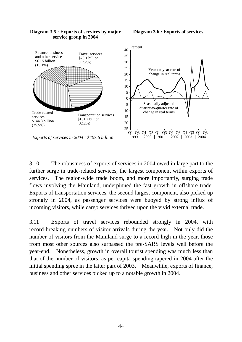

#### **Diagram 3.5 : Exports of services by major service group in 2004**

**Diagram 3.6 : Exports of services**

3.10 The robustness of exports of services in 2004 owed in large part to the further surge in trade-related services, the largest component within exports of services. The region-wide trade boom, and more importantly, surging trade flows involving the Mainland, underpinned the fast growth in offshore trade. Exports of transportation services, the second largest component, also picked up strongly in 2004, as passenger services were buoyed by strong influx of incoming visitors, while cargo services thrived upon the vivid external trade.

3.11 Exports of travel services rebounded strongly in 2004, with record-breaking numbers of visitor arrivals during the year. Not only did the number of visitors from the Mainland surge to a record-high in the year, those from most other sources also surpassed the pre-SARS levels well before the year-end. Nonetheless, growth in overall tourist spending was much less than that of the number of visitors, as per capita spending tapered in 2004 after the initial spending spree in the latter part of 2003. Meanwhile, exports of finance, business and other services picked up to a notable growth in 2004.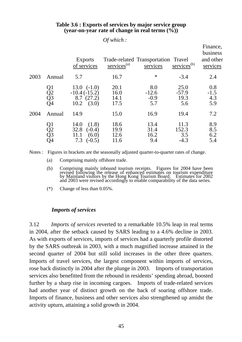|      |                      |                                                                               | $\sigma$ which :             |                                                 |                                |                                               |
|------|----------------------|-------------------------------------------------------------------------------|------------------------------|-------------------------------------------------|--------------------------------|-----------------------------------------------|
|      |                      | <b>Exports</b><br>of services                                                 | $s$ ervices <sup>(a)</sup>   | Trade-related Transportation Travel<br>services | $s$ ervices <sup>(b)</sup>     | Finance,<br>business<br>and other<br>services |
| 2003 | Annual               | 5.7                                                                           | 16.7                         | $\ast$                                          | $-3.4$                         | 2.4                                           |
|      | Q1<br>Q2<br>Q3<br>Q4 | $13.0 \left(-1.0\right)$<br>$-10.4(-15.2)$<br>8.7(27.2)<br>$10.2 \quad (3.0)$ | 20.1<br>16.0<br>14.1<br>17.5 | 8.0<br>$-12.6$<br>$-0.9$<br>5.7                 | 25.0<br>$-57.9$<br>19.3<br>5.6 | 0.8<br>$-1.5$<br>4.3<br>5.9                   |
| 2004 | Annual               | 14.9                                                                          | 15.0                         | 16.9                                            | 19.4                           | 7.2                                           |
|      | Q1<br>Q2<br>Q3<br>Q4 | 14.0<br>(1.8)<br>32.8<br>$(-0.4)$<br>(6.0)<br>11.1<br>7.3<br>$(-0.5)$         | 18.6<br>19.9<br>12.6<br>11.6 | 13.4<br>31.4<br>16.2<br>9.4                     | 11.3<br>152.3<br>3.5<br>$-4.3$ | 8.9<br>8.5<br>6.2<br>5.4                      |

### **Table 3.6 : Exports of services by major service group (year-on-year rate of change in real terms (%))**

 $OC \rightarrow \cdots$ 

Notes : Figures in brackets are the seasonally adjusted quarter-to-quarter rates of change.

- (a) Comprising mainly offshore trade.
- (b) Comprising mainly inbound tourism receipts. Figures for 2004 have been revised following the release of enhanced estimates on tourism expenditure by Mainland visitors by the Hong Kong Tourism Board. Estimates for 2002 and 2003 were revised accordingly to enable comparability of the data series.
	- (\*) Change of less than 0.05%.

#### *Imports of services*

3.12 *Imports of services* reverted to a remarkable 10.5% leap in real terms in 2004, after the setback caused by SARS leading to a 4.6% decline in 2003. As with exports of services, imports of services had a quarterly profile distorted by the SARS outbreak in 2003, with a much magnified increase attained in the second quarter of 2004 but still solid increases in the other three quarters. Imports of travel services, the largest component within imports of services, rose back distinctly in 2004 after the plunge in 2003. Imports of transportation services also benefitted from the rebound in residents' spending abroad, boosted further by a sharp rise in incoming cargoes. Imports of trade-related services had another year of distinct growth on the back of soaring offshore trade. Imports of finance, business and other services also strengthened up amidst the activity upturn, attaining a solid growth in 2004.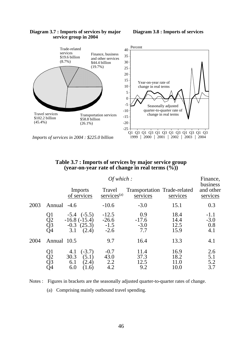#### **Diagram 3.8 : Imports of services**



#### **Diagram 3.7 : Imports of services by major service group in 2004**

*Imports of services in 2004 : \$225.0 billion*

#### **Table 3.7 : Imports of services by major service group (year-on-year rate of change in real terms (%))**

|      |                      |                                                                      | Of which:                              |                                                 |                              | Finance,<br>business           |
|------|----------------------|----------------------------------------------------------------------|----------------------------------------|-------------------------------------------------|------------------------------|--------------------------------|
|      |                      | Imports<br>of services                                               | Travel<br>$s$ ervices $(a)$            | <b>Transportation Trade-related</b><br>services | services                     | and other<br>services          |
| 2003 | Annual               | $-4.6$                                                               | $-10.6$                                | $-3.0$                                          | 15.1                         | 0.3                            |
|      | Q1<br>Q2<br>Q3<br>Q4 | $-5.4$ $(-5.5)$<br>$-16.8(-15.4)$<br>$-0.3$ $(25.3)$<br>3.1<br>(2.4) | $-12.5$<br>$-26.6$<br>$-1.5$<br>$-2.6$ | 0.9<br>$-17.6$<br>$-3.0$<br>7.7                 | 18.4<br>14.4<br>12.5<br>15.9 | $-1.1$<br>$-3.0$<br>0.8<br>4.1 |
| 2004 | Annual 10.5          |                                                                      | 9.7                                    | 16.4                                            | 13.3                         | 4.1                            |
|      | Q1<br>Q2<br>Q3<br>Q4 | $(-3.7)$<br>4.1<br>(5.1)<br>30.3<br>6.1<br>(2.4)<br>6.0<br>(1.6)     | $-0.7$<br>43.0<br>2.2<br>4.2           | 11.4<br>37.3<br>12.5<br>9.2                     | 16.9<br>18.2<br>11.0<br>10.0 | 2.6<br>5.1<br>5.2<br>3.7       |

Notes : Figures in brackets are the seasonally adjusted quarter-to-quarter rates of change.

(a) Comprising mainly outbound travel spending.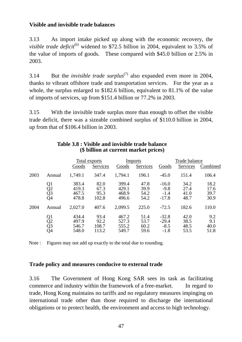# **Visible and invisible trade balances**

3.13 As import intake picked up along with the economic recovery, the *visible trade deficit*<sup>(6)</sup> widened to \$72.5 billion in 2004, equivalent to 3.5% of the value of imports of goods. These compared with \$45.0 billion or 2.5% in 2003.

3.14 But the *invisible trade surplus*<sup>(7)</sup> also expanded even more in 2004, thanks to vibrant offshore trade and transportation services. For the year as a whole, the surplus enlarged to \$182.6 billion, equivalent to 81.1% of the value of imports of services, up from \$151.4 billion or 77.2% in 2003.

3.15 With the invisible trade surplus more than enough to offset the visible trade deficit, there was a sizeable combined surplus of \$110.0 billion in 2004, up from that of \$106.4 billion in 2003.

|      |                                                |                                  | Total exports                  |                                  | <b>Imports</b>               | Trade balance                          |                              |                              |  |
|------|------------------------------------------------|----------------------------------|--------------------------------|----------------------------------|------------------------------|----------------------------------------|------------------------------|------------------------------|--|
|      |                                                | Goods                            | Services                       | Goods                            | Services                     | Goods                                  | Services                     | Combined                     |  |
| 2003 | Annual                                         | 1,749.1                          | 347.4                          | 1,794.1                          | 196.1                        | $-45.0$                                | 151.4                        | 106.4                        |  |
|      | Q1<br>Q2<br>Q3<br>Q4                           | 383.4<br>419.3<br>467.5<br>478.8 | 82.0<br>67.3<br>95.3<br>102.8  | 399.4<br>429.1<br>468.9<br>496.6 | 47.8<br>39.9<br>54.2<br>54.2 | $-16.0$<br>$-9.8$<br>$-1.4$<br>$-17.8$ | 34.2<br>27.4<br>41.0<br>48.7 | 18.2<br>17.6<br>39.7<br>30.9 |  |
| 2004 | Annual                                         | 2,027.0                          | 407.6                          | 2,099.5                          | 225.0                        | $-72.5$                                | 182.6                        | 110.0                        |  |
|      | Q1<br>$\overline{Q}2$<br>$\overline{Q}3$<br>Q4 | 434.4<br>497.9<br>546.7<br>548.0 | 93.4<br>92.2<br>108.7<br>113.2 | 467.2<br>527.3<br>555.2<br>549.7 | 51.4<br>53.7<br>60.2<br>59.6 | $-32.8$<br>$-29.4$<br>$-8.5$<br>$-1.8$ | 42.0<br>38.5<br>48.5<br>53.5 | 9.2<br>9.1<br>40.0<br>51.8   |  |

### **Table 3.8 : Visible and invisible trade balance (\$ billion at current market prices)**

Note : Figures may not add up exactly to the total due to rounding.

### **Trade policy and measures conducive to external trade**

3.16 The Government of Hong Kong SAR sees its task as facilitating commerce and industry within the framework of a free-market. In regard to trade, Hong Kong maintains no tariffs and no regulatory measures impinging on international trade other than those required to discharge the international obligations or to protect health, the environment and access to high technology.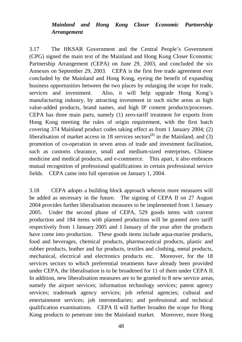# *Mainland and Hong Kong Closer Economic Partnership Arrangement*

3.17 The HKSAR Government and the Central People's Government (CPG) signed the main text of the Mainland and Hong Kong Closer Economic Partnership Arrangement (CEPA) on June 29, 2003, and concluded the six Annexes on September 29, 2003. CEPA is the first free trade agreement ever concluded by the Mainland and Hong Kong, eyeing the benefit of expanding business opportunities between the two places by enlarging the scope for trade, services and investment. Also, it will help upgrade Hong Kong's manufacturing industry, by attracting investment in such niche areas as high value-added products, brand names, and high IP content products/processes. CEPA has three main parts, namely (1) zero-tariff treatment for exports from Hong Kong meeting the rules of origin requirement, with the first batch covering 374 Mainland product codes taking effect as from 1 January 2004; (2) liberalisation of market access in 18 services sectors<sup>(8)</sup> in the Mainland; and (3) promotion of co-operation in seven areas of trade and investment facilitation, such as customs clearance, small and medium-sized enterprises, Chinese medicine and medical products, and e-commerce. This apart, it also embraces mutual recognition of professional qualifications in certain professional service fields. CEPA came into full operation on January 1, 2004.

3.18 CEPA adopts a building block approach wherein more measures will be added as necessary in the future. The signing of CEPA II on 27 August 2004 provides further liberalisation measures to be implemented from 1 January 2005. Under the second phase of CEPA, 529 goods items with current production and 184 items with planned production will be granted zero tariff respectively from 1 January 2005 and 1 January of the year after the products have come into production. These goods items include aqua-marine products, food and beverages, chemical products, pharmaceutical products, plastic and rubber products, leather and fur products, textiles and clothing, metal products, mechanical, electrical and electronics products etc. Moreover, for the 18 services sectors to which preferential treatments have already been provided under CEPA, the liberalisation is to be broadened for 11 of them under CEPA II. In addition, new liberalisation measures are to be granted to 8 new service areas, namely the airport services; information technology services; patent agency services; trademark agency services; job referral agencies; cultural and entertainment services; job intermediaries; and professional and technical qualification examinations. CEPA II will further broaden the scope for Hong Kong products to penetrate into the Mainland market. Moreover, more Hong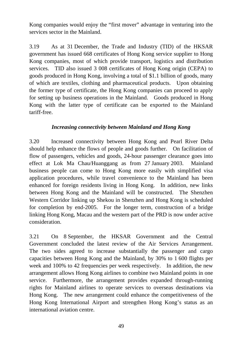Kong companies would enjoy the "first mover" advantage in venturing into the services sector in the Mainland.

3.19 As at 31 December, the Trade and Industry (TID) of the HKSAR government has issued 668 certificates of Hong Kong service supplier to Hong Kong companies, most of which provide transport, logistics and distribution services. TID also issued 3 008 certificates of Hong Kong origin (CEPA) to goods produced in Hong Kong, involving a total of \$1.1 billion of goods, many of which are textiles, clothing and pharmaceutical products. Upon obtaining the former type of certificate, the Hong Kong companies can proceed to apply for setting up business operations in the Mainland. Goods produced in Hong Kong with the latter type of certificate can be exported to the Mainland tariff-free.

# *Increasing connectivity between Mainland and Hong Kong*

3.20 Increased connectivity between Hong Kong and Pearl River Delta should help enhance the flows of people and goods further. On facilitation of flow of passengers, vehicles and goods, 24-hour passenger clearance goes into effect at Lok Ma Chau/Huanggang as from 27 January 2003. Mainland business people can come to Hong Kong more easily with simplified visa application procedures, while travel convenience to the Mainland has been enhanced for foreign residents living in Hong Kong. In addition, new links between Hong Kong and the Mainland will be constructed. The Shenzhen Western Corridor linking up Shekou in Shenzhen and Hong Kong is scheduled for completion by end-2005. For the longer term, construction of a bridge linking Hong Kong, Macau and the western part of the PRD is now under active consideration.

3.21 On 8 September, the HKSAR Government and the Central Government concluded the latest review of the Air Services Arrangement. The two sides agreed to increase substantially the passenger and cargo capacities between Hong Kong and the Mainland, by 30% to 1 600 flights per week and 100% to 42 frequencies per week respectively. In addition, the new arrangement allows Hong Kong airlines to combine two Mainland points in one service. Furthermore, the arrangement provides expanded through-running rights for Mainland airlines to operate services to overseas destinations via Hong Kong. The new arrangement could enhance the competitiveness of the Hong Kong International Airport and strengthen Hong Kong's status as an international aviation centre.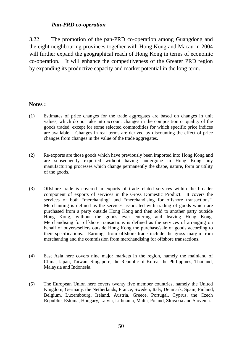### *Pan-PRD co-operation*

3.22 The promotion of the pan-PRD co-operation among Guangdong and the eight neighbouring provinces together with Hong Kong and Macau in 2004 will further expand the geographical reach of Hong Kong in terms of economic co-operation. It will enhance the competitiveness of the Greater PRD region by expanding its productive capacity and market potential in the long term.

#### **Notes :**

- (1) Estimates of price changes for the trade aggregates are based on changes in unit values, which do not take into account changes in the composition or quality of the goods traded, except for some selected commodities for which specific price indices are available. Changes in real terms are derived by discounting the effect of price changes from changes in the value of the trade aggregates.
- (2) Re-exports are those goods which have previously been imported into Hong Kong and are subsequently exported without having undergone in Hong Kong any manufacturing processes which change permanently the shape, nature, form or utility of the goods.
- (3) Offshore trade is covered in exports of trade-related services within the broader component of exports of services in the Gross Domestic Product. It covers the services of both "merchanting" and "merchandising for offshore transactions". Merchanting is defined as the services associated with trading of goods which are purchased from a party outside Hong Kong and then sold to another party outside Hong Kong, without the goods ever entering and leaving Hong Kong. Merchandising for offshore transactions is defined as the services of arranging on behalf of buyers/sellers outside Hong Kong the purchase/sale of goods according to their specifications. Earnings from offshore trade include the gross margin from merchanting and the commission from merchandising for offshore transactions.
- (4) East Asia here covers nine major markets in the region, namely the mainland of China, Japan, Taiwan, Singapore, the Republic of Korea, the Philippines, Thailand, Malaysia and Indonesia.
- (5) The European Union here covers twenty five member countries, namely the United Kingdom, Germany, the Netherlands, France, Sweden, Italy, Denmark, Spain, Finland, Belgium, Luxembourg, Ireland, Austria, Greece, Portugal, Cyprus, the Czech Republic, Estonia, Hungary, Latvia, Lithuania, Malta, Poland, Slovakia and Slovenia.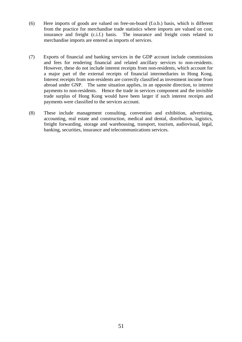- (6) Here imports of goods are valued on free-on-board (f.o.b.) basis, which is different from the practice for merchandise trade statistics where imports are valued on cost, insurance and freight (c.i.f.) basis. The insurance and freight costs related to merchandise imports are entered as imports of services.
- (7) Exports of financial and banking services in the GDP account include commissions and fees for rendering financial and related ancillary services to non-residents. However, these do not include interest receipts from non-residents, which account for a major part of the external receipts of financial intermediaries in Hong Kong. Interest receipts from non-residents are correctly classified as investment income from abroad under GNP. The same situation applies, in an opposite direction, to interest payments to non-residents. Hence the trade in services component and the invisible trade surplus of Hong Kong would have been larger if such interest receipts and payments were classified to the services account.
- (8) These include management consulting, convention and exhibition, advertising, accounting, real estate and construction, medical and dental, distribution, logistics, freight forwarding, storage and warehousing, transport, tourism, audiovisual, legal, banking, securities, insurance and telecommunications services.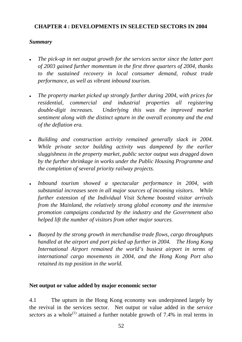# **CHAPTER 4 : DEVELOPMENTS IN SELECTED SECTORS IN 2004**

# *Summary*

- *The pick-up in net output growth for the services sector since the latter part of 2003 gained further momentum in the first three quarters of 2004, thanks to the sustained recovery in local consumer demand, robust trade performance, as well as vibrant inbound tourism.*
- The property market picked up strongly further during 2004, with prices for *residential, commercial and industrial properties all registering double-digit increases. Underlying this was the improved market sentiment along with the distinct upturn in the overall economy and the end of the deflation era.*
- **•** Building and construction activity remained generally slack in 2004. *While private sector building activity was dampened by the earlier sluggishness in the property market, public sector output was dragged down by the further shrinkage in works under the Public Housing Programme and the completion of several priority railway projects.*
- Inbound tourism showed a spectacular performance in 2004, with *substantial increases seen in all major sources of incoming visitors. While further extension of the Individual Visit Scheme boosted visitor arrivals from the Mainland, the relatively strong global economy and the intensive promotion campaigns conducted by the industry and the Government also helped lift the number of visitors from other major sources.*
- **•** Buoyed by the strong growth in merchandise trade flows, cargo throughputs *handled at the airport and port picked up further in 2004. The Hong Kong International Airport remained the world's busiest airport in terms of international cargo movements in 2004, and the Hong Kong Port also retained its top position in the world.*

# **Net output or value added by major economic sector**

4.1 The upturn in the Hong Kong economy was underpinned largely by the revival in the services sector. Net output or value added in the *service sectors* as a whole<sup>(1)</sup> attained a further notable growth of 7.4% in real terms in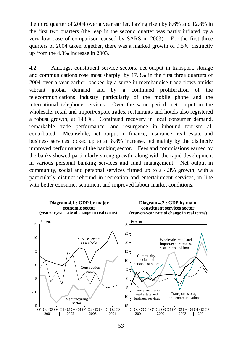the third quarter of 2004 over a year earlier, having risen by 8.6% and 12.8% in the first two quarters (the leap in the second quarter was partly inflated by a very low base of comparison caused by SARS in 2003). For the first three quarters of 2004 taken together, there was a marked growth of 9.5%, distinctly up from the 4.3% increase in 2003.

4.2 Amongst constituent service sectors, net output in transport, storage and communications rose most sharply, by 17.8% in the first three quarters of 2004 over a year earlier, backed by a surge in merchandise trade flows amidst vibrant global demand and by a continued proliferation of the telecommunications industry particularly of the mobile phone and the international telephone services. Over the same period, net output in the wholesale, retail and import/export trades, restaurants and hotels also registered a robust growth, at 14.8%. Continued recovery in local consumer demand, remarkable trade performance, and resurgence in inbound tourism all contributed. Meanwhile, net output in finance, insurance, real estate and business services picked up to an 8.8% increase, led mainly by the distinctly improved performance of the banking sector. Fees and commissions earned by the banks showed particularly strong growth, along with the rapid development in various personal banking services and fund management. Net output in community, social and personal services firmed up to a 4.3% growth, with a particularly distinct rebound in recreation and entertainment services, in line with better consumer sentiment and improved labour market conditions.

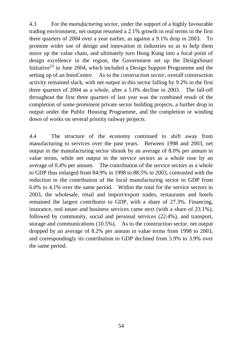4.3 For the *manufacturing sector*, under the support of a highly favourable trading environment, net output resumed a 2.1% growth in real terms in the first three quarters of 2004 over a year earlier, as against a 9.1% drop in 2003. To promote wider use of design and innovation in industries so as to help them move up the value chain, and ultimately turn Hong Kong into a focal point of design excellence in the region, the Government set up the DesignSmart Initiative<sup>(2)</sup> in June 2004, which included a Design Support Programme and the setting up of an InnoCentre. As to the *construction sector*, overall construction activity remained slack, with net output in this sector falling by 9.2% in the first three quarters of 2004 as a whole, after a 5.0% decline in 2003. The fall-off throughout the first three quarters of last year was the combined result of the completion of some prominent private sector building projects, a further drop in output under the Public Housing Programme, and the completion or winding down of works on several priority railway projects.

4.4 The structure of the economy continued to shift away from manufacturing to services over the past years. Between 1998 and 2003, net output in the manufacturing sector shrank by an average of 8.0% per annum in value terms, while net output in the service sectors as a whole rose by an average of 0.4% per annum. The contribution of the service sectors as a whole to GDP thus enlarged from 84.9% in 1998 to 88.5% in 2003, contrasted with the reduction in the contribution of the local manufacturing sector to GDP from 6.0% to 4.1% over the same period. Within the total for the service sectors in 2003, the wholesale, retail and import/export trades, restaurants and hotels remained the largest contributor to GDP, with a share of 27.3%. Financing, insurance, real estate and business services came next (with a share of 23.1%), followed by community, social and personal services (22.4%), and transport, storage and communications (10.5%). As to the construction sector, net output dropped by an average of 8.2% per annum in value terms from 1998 to 2003, and correspondingly its contribution to GDP declined from 5.9% to 3.9% over the same period.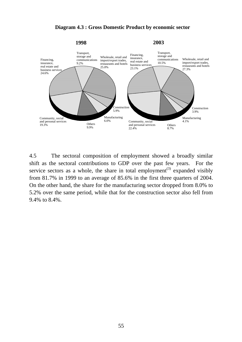

#### **Diagram 4.3 : Gross Domestic Product by economic sector**

4.5 The sectoral composition of employment showed a broadly similar shift as the sectoral contributions to GDP over the past few years. For the service sectors as a whole, the share in total employment<sup>(3)</sup> expanded visibly from 81.7% in 1999 to an average of 85.6% in the first three quarters of 2004. On the other hand, the share for the manufacturing sector dropped from 8.0% to 5.2% over the same period, while that for the construction sector also fell from 9.4% to 8.4%.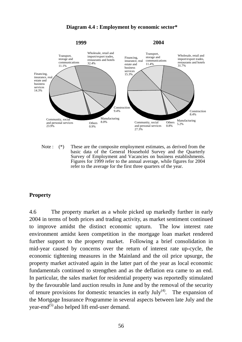#### **Diagram 4.4 : Employment by economic sector\***



Note : (\*) These are the composite employment estimates, as derived from the basic data of the General Household Survey and the Quarterly Survey of Employment and Vacancies on business establishments. Figures for 1999 refer to the annual average, while figures for 2004 refer to the average for the first three quarters of the year.

### **Property**

4.6 The property market as a whole picked up markedly further in early 2004 in terms of both prices and trading activity, as market sentiment continued to improve amidst the distinct economic upturn. The low interest rate environment amidst keen competition in the mortgage loan market rendered further support to the property market. Following a brief consolidation in mid-year caused by concerns over the return of interest rate up-cycle, the economic tightening measures in the Mainland and the oil price upsurge, the property market activated again in the latter part of the year as local economic fundamentals continued to strengthen and as the deflation era came to an end. In particular, the sales market for residential property was reportedly stimulated by the favourable land auction results in June and by the removal of the security of tenure provisions for domestic tenancies in early  $July^{(4)}$ . The expansion of the Mortgage Insurance Programme in several aspects between late July and the year-end<sup>(5)</sup> also helped lift end-user demand.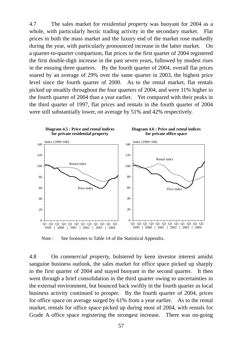4.7 The sales market for *residential property* was buoyant for 2004 as a whole, with particularly hectic trading activity in the secondary market. Flat prices in both the mass market and the luxury end of the market rose markedly during the year, with particularly pronounced increase in the latter market. On a quarter-to-quarter comparison, flat prices in the first quarter of 2004 registered the first double-digit increase in the past seven years, followed by modest rises in the ensuing three quarters. By the fourth quarter of 2004, overall flat prices soared by an average of 29% over the same quarter in 2003, the highest price level since the fourth quarter of 2000. As to the rental market, flat rentals picked up steadily throughout the four quarters of 2004, and were 11% higher in the fourth quarter of 2004 than a year earlier. Yet compared with their peaks in the third quarter of 1997, flat prices and rentals in the fourth quarter of 2004 were still substantially lower, on average by 51% and 42% respectively.



Note : See footnotes to Table 14 of the Statistical Appendix.

4.8 On *commercial property*, bolstered by keen investor interest amidst sanguine business outlook, the sales market for office space picked up sharply in the first quarter of 2004 and stayed buoyant in the second quarter. It then went through a brief consolidation in the third quarter owing to uncertainties in the external environment, but bounced back swiftly in the fourth quarter as local business activity continued to prosper. By the fourth quarter of 2004, prices for office space on average surged by 61% from a year earlier. As to the rental market, rentals for office space picked up during most of 2004, with rentals for Grade A office space registering the strongest increase. There was on-going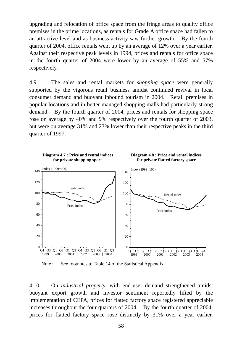upgrading and relocation of office space from the fringe areas to quality office premises in the prime locations, as rentals for Grade A office space had fallen to an attractive level and as business activity saw further growth. By the fourth quarter of 2004, office rentals went up by an average of 12% over a year earlier. Against their respective peak levels in 1994, prices and rentals for office space in the fourth quarter of 2004 were lower by an average of 55% and 57% respectively.

4.9 The sales and rental markets for *shopping space* were generally supported by the vigorous retail business amidst continued revival in local consumer demand and buoyant inbound tourism in 2004. Retail premises in popular locations and in better-managed shopping malls had particularly strong demand. By the fourth quarter of 2004, prices and rentals for shopping space rose on average by 40% and 9% respectively over the fourth quarter of 2003, but were on average 31% and 23% lower than their respective peaks in the third quarter of 1997.



Note : See footnotes to Table 14 of the Statistical Appendix.

4.10 On *industrial property*, with end-user demand strengthened amidst buoyant export growth and investor sentiment reportedly lifted by the implementation of CEPA, prices for flatted factory space registered appreciable increases throughout the four quarters of 2004. By the fourth quarter of 2004, prices for flatted factory space rose distinctly by 31% over a year earlier.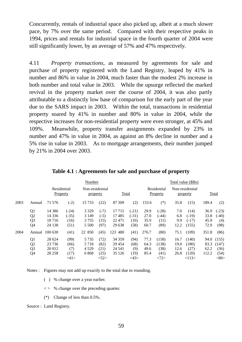Concurrently, rentals of industrial space also picked up, albeit at a much slower pace, by 7% over the same period. Compared with their respective peaks in 1994, prices and rentals for industrial space in the fourth quarter of 2004 were still significantly lower, by an average of 57% and 47% respectively.

4.11 *Property transactions*, as measured by agreements for sale and purchase of property registered with the Land Registry, leaped by 41% in number and 86% in value in 2004, much faster than the modest 2% increase in both number and total value in 2003. While the upsurge reflected the marked revival in the property market over the course of 2004, it was also partly attributable to a distinctly low base of comparison for the early part of the year due to the SARS impact in 2003. Within the total, transactions in residential property soared by 41% in number and 80% in value in 2004, while the respective increases for non-residential property were even stronger, at 45% and 109%. Meanwhile, property transfer assignments expanded by 23% in number and 47% in value in 2004, as against an 8% decline in number and a 5% rise in value in 2003. As to mortgage arrangements, their number jumped by 21% in 2004 over 2003.

|      |                |                         |         | Number                      |        |            |                |       |                         |      | Total value (\$Bn)          |       |         |
|------|----------------|-------------------------|---------|-----------------------------|--------|------------|----------------|-------|-------------------------|------|-----------------------------|-------|---------|
|      |                | Residential<br>Property |         | Non-residential<br>property |        | Total      |                |       | Residential<br>Property |      | Non-residential<br>property |       | Total   |
| 2003 | Annual         | 71 576                  | $(-2)$  | 15 7 33                     | (22)   | 87 309     | (2)            | 153.6 | $(*)$                   | 35.8 | (15)                        | 189.4 | (2)     |
|      | Q <sub>1</sub> | 14 3 8 6                | $(-24)$ | 3 3 2 9                     | $(-7)$ | 17715      | $(-21)$        | 29.9  | $(-28)$                 | 7.0  | (14)                        | 36.9  | $(-23)$ |
|      | Q <sub>2</sub> | 14 3 36                 | $(-35)$ | 3 1 4 9                     | $(-5)$ | 17485      | $(-31)$        | 27.0  | $(-44)$                 | 6.8  | $(-19)$                     | 33.8  | $(-40)$ |
|      | Q <sub>3</sub> | 18 7 16                 | (16)    | 3 7 5 5                     | (15)   | 22 4 7 1   | (16)           | 35.9  | (11)                    | 9.9  | $(-17)$                     | 45.9  | (4)     |
|      | Q4             | 24 138                  | (51)    | 5 5 0 0                     | (97)   | 29 638     | (58)           | 60.7  | (89)                    | 12.2 | (155)                       | 72.9  | (98)    |
| 2004 | Annual         | 100 630                 | (41)    | 22 850                      | (45)   | 123<br>480 | (41)           | 276.7 | (80)                    | 75.1 | (109)                       | 351.8 | (86)    |
|      | Q <sub>1</sub> | 28 624                  | (99)    | 5 7 3 5                     | (72)   | 34 35 9    | (94)           | 77.3  | (158)                   | 16.7 | (140)                       | 94.0  | (155)   |
|      | Q <sub>2</sub> | 23 7 36                 | (66)    | 5 7 1 8                     | (82)   | 29 4 54    | (68)           | 64.3  | (138)                   | 19.0 | (180)                       | 83.3  | (147)   |
|      | Q <sub>3</sub> | 20 012                  | (7)     | 4 5 2 9                     | (21)   | 24 541     | (9)            | 49.6  | (38)                    | 12.6 | (27)                        | 62.2  | (36)    |
|      | Q4             | 28 25 8                 | (17)    | 6868                        | (25)   | 35 1 26    | (19)           | 85.4  | (41)                    | 26.8 | (120)                       | 112.2 | (54)    |
|      |                |                         | <41>    |                             | <152>  |            | $<\!\!43\!\!>$ |       | <72>                    |      | <113>                       |       | $<$ 80> |

**Table 4.1 : Agreements for sale and purchase of property** 

Notes : Figures may not add up exactly to the total due to rounding.

( ) % change over a year earlier.

 $\langle \rangle$  % change over the preceding quarter.

(\*) Change of less than 0.5%.

Source : Land Registry.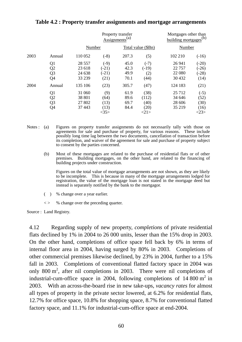|      |                                              |                                        | <b>Assignments</b>                     | Property transfer<br>(a)     |                                       | Mortgages other than<br>building mortgages | (b)                                       |  |
|------|----------------------------------------------|----------------------------------------|----------------------------------------|------------------------------|---------------------------------------|--------------------------------------------|-------------------------------------------|--|
|      |                                              | Number                                 |                                        |                              | Total value (\$Bn)                    | Number                                     |                                           |  |
| 2003 | Annual                                       | 110 052                                | $(-8)$                                 | 207.3                        | (5)                                   | 102 210                                    | $(-16)$                                   |  |
|      | Q1<br>Q <sub>2</sub><br>Q3<br>Q <sub>4</sub> | 28 5 5 7<br>23 618<br>24 638<br>33 239 | $(-9)$<br>$(-21)$<br>$(-21)$<br>(21)   | 45.0<br>42.3<br>49.9<br>70.1 | $(-7)$<br>$(-19)$<br>(2)<br>(44)      | 26 941<br>22 757<br>22 080<br>30 4 32      | $(-20)$<br>$(-26)$<br>$(-28)$<br>(14)     |  |
| 2004 | Annual                                       | 135 106                                | (23)                                   | 305.7                        | (47)                                  | 124 183                                    | (21)                                      |  |
|      | Q1<br>Q2<br>Q3<br>Q4                         | 31 060<br>38 801<br>27 802<br>37 443   | (9)<br>(64)<br>(13)<br>(13)<br>$<$ 35> | 61.9<br>89.6<br>69.7<br>84.4 | (38)<br>(112)<br>(40)<br>(20)<br><21> | 25 7 12<br>34 646<br>28 606<br>35 219      | $(-5)$<br>(52)<br>(30)<br>(16)<br>$<$ 23> |  |

# **Table 4.2 : Property transfer assignments and mortgage arrangements**

- Notes : (a) Figures on property transfer assignments do not necessarily tally with those on agreements for sale and purchase of property, for various reasons. These include possibly long time lag between the two documents, cancellation of transaction before its completion, and waiver of the agreement for sale and purchase of property subject to consent by the parties concerned.
	- (b) Most of these mortgages are related to the purchase of residential flats or of other premises. Building mortgages, on the other hand, are related to the financing of building projects under construction.

 Figures on the total value of mortgage arrangements are not shown, as they are likely to be incomplete. This is because in many of the mortgage arrangements lodged for registration, the value of the mortgage loan is not stated in the mortgage deed but instead is separately notified by the bank to the mortgagor.

- ( ) % change over a year earlier.
- $\langle \rangle$  % change over the preceding quarter.

Source : Land Registry.

4.12 Regarding supply of new property, *completions* of private residential flats declined by 1% in 2004 to 26 000 units, lesser than the 15% drop in 2003. On the other hand, completions of office space fell back by 6% in terms of internal floor area in 2004, having surged by 80% in 2003. Completions of other commercial premises likewise declined, by 23% in 2004, further to a 15% fall in 2003. Completions of conventional flatted factory space in 2004 was only 800 m<sup>2</sup>, after nil completions in 2003. There were nil completions of industrial-cum-office space in 2004, following completions of  $14\,800\,\mathrm{m}^2$  in 2003. With an across-the-board rise in new take-ups, *vacancy rates* for almost all types of property in the private sector lowered, at 6.2% for residential flats, 12.7% for office space, 10.8% for shopping space, 8.7% for conventional flatted factory space, and 11.1% for industrial-cum-office space at end-2004.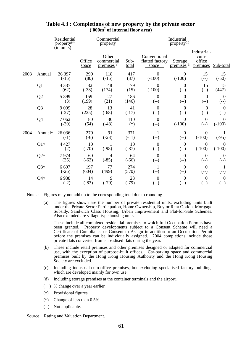|      |                | Residential<br>property <sup>(a)</sup><br>(in units) |                 | Commercial<br>property                         |                | Industrial<br>property <sup>(c)</sup>    |                                       |                                           |                            |
|------|----------------|------------------------------------------------------|-----------------|------------------------------------------------|----------------|------------------------------------------|---------------------------------------|-------------------------------------------|----------------------------|
|      |                |                                                      | Office<br>space | Other<br>commercial<br>premises <sup>(b)</sup> | Sub-<br>total  | Conventional<br>flatted factory<br>space | Storage<br>premises <sup>(d)</sup>    | Industrial-<br>cum-<br>office<br>premises | Sub-total                  |
| 2003 | Annual         | 26 397<br>$(-15)$                                    | 299<br>(80)     | 118<br>$(-15)$                                 | 417<br>(37)    | $\overline{0}$<br>$(-100)$               | $\overline{0}$<br>$(-100)$            | 15<br>$(-)$                               | 15<br>$(-50)$              |
|      | Q <sub>1</sub> | 4 3 3 7<br>(62)                                      | 32<br>$(-38)$   | 48<br>(174)                                    | 79<br>(15)     | $\boldsymbol{0}$<br>$(-100)$             | $\boldsymbol{0}$<br>$(-)$             | 15<br>$(-)$                               | 15<br>(447)                |
|      | Q2             | 5 8 9 9<br>(3)                                       | 159<br>(199)    | 27<br>(21)                                     | 186<br>(146)   | $\boldsymbol{0}$<br>$(-)$                | $\theta$<br>$(-)$                     | $\boldsymbol{0}$<br>$(-)$                 | $\overline{0}$<br>$(-)$    |
|      | Q <sub>3</sub> | 9099<br>$(-27)$                                      | 28<br>(225)     | 13<br>$(-68)$                                  | 41<br>$(-17)$  | $\overline{0}$<br>$(-)$                  | $\boldsymbol{0}$<br>$(-)$             | $\boldsymbol{0}$<br>$(-)$                 | $\overline{0}$<br>$(-)$    |
|      | Q4             | 7062<br>$(-30)$                                      | 80<br>(54)      | 30<br>$(-48)$                                  | 110<br>$(*)$   | $\boldsymbol{0}$<br>$(-)$                | $\overline{0}$<br>$(-100)$            | $\boldsymbol{0}$<br>$(-)$                 | $\overline{0}$<br>$(-100)$ |
| 2004 | Annual^        | 26 036<br>$(-1)$                                     | 279<br>$(-6)$   | 91<br>$(-23)$                                  | 371<br>$(-11)$ | $\mathbf{1}$<br>$(-)$                    | $\boldsymbol{0}$<br>$(-)$             | $\boldsymbol{0}$<br>$(-100)$              | $(-95)$                    |
|      | $Q1^{\wedge}$  | 4 4 2 7<br>(2)                                       | 10<br>$(-70)$   | 1<br>$(-98)$                                   | 10<br>$(-87)$  | $\overline{0}$<br>$(-)$                  | $\overline{0}$<br>$(-)$               | $\boldsymbol{0}$<br>$(-100)$              | $\overline{0}$<br>$(-100)$ |
|      | $Q2^{\wedge}$  | 7974<br>(35)                                         | 60<br>$(-62)$   | $\overline{4}$<br>$(-85)$                      | 64<br>$(-66)$  | $\theta$<br>$(-)$                        | $\boldsymbol{0}$<br>$(-)$             | $\boldsymbol{0}$<br>$(-)$                 | $\overline{0}$<br>$(-)$    |
|      | $Q3^{\wedge}$  | 6 6 9 7<br>$(-26)$                                   | 197<br>(604)    | 77<br>(499)                                    | 274<br>(570)   | $(-)$                                    | $\boldsymbol{0}$<br>$(-)$             | $\boldsymbol{0}$<br>$(-)$                 | 1<br>$(-)$                 |
|      | Q4^            | 6938<br>$(-2)$                                       | 14<br>$(-83)$   | 9<br>$(-70)$                                   | 23<br>$(-79)$  | $\overline{0}$<br>$(-)$                  | $\boldsymbol{0}$<br>$\left( -\right)$ | $\boldsymbol{0}$<br>$(-)$                 | $\overline{0}$<br>$(-)$    |

#### **Table 4.3 : Completions of new property by the private sector ('000m2 of internal floor area)**

Notes : Figures may not add up to the corresponding total due to rounding.

 (a) The figures shown are the number of private residential units, excluding units built under the Private Sector Participation, Home Ownership, Buy or Rent Option, Mortgage Subsidy, Sandwich Class Housing, Urban Improvement and Flat-for-Sale Schemes. Also excluded are village-type housing units.

 These include all completed residential premises to which full Occupation Permits have been granted. Property developments subject to a Consent Scheme will need a Certificate of Compliance or Consent to Assign in addition to an Occupation Permit before the premises can be individually assigned. 2004 completions include those private flats converted from subsidised flats during the year.

- (b) These include retail premises and other premises designed or adapted for commercial use, with the exception of purpose-built offices. Car-parking space and commercial premises built by the Hong Kong Housing Authority and the Hong Kong Housing Society are excluded.
- (c) Including industrial-cum-office premises, but excluding specialised factory buildings which are developed mainly for own use.
- (d) Including storage premises at the container terminals and the airport.
- ( ) % change over a year earlier.
- (^) Provisional figures.
- (\*) Change of less than 0.5%.
- (--) Not applicable.
- Source : Rating and Valuation Department.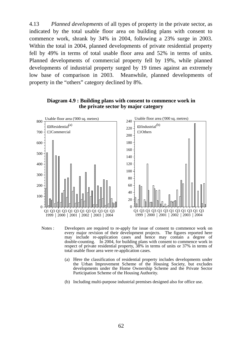4.13 *Planned developments* of all types of property in the private sector, as indicated by the total usable floor area on building plans with consent to commence work, shrank by 34% in 2004, following a 23% surge in 2003. Within the total in 2004, planned developments of private residential property fell by 49% in terms of total usable floor area and 52% in terms of units. Planned developments of commercial property fell by 19%, while planned developments of industrial property surged by 19 times against an extremely low base of comparison in 2003. Meanwhile, planned developments of property in the "others" category declined by 8%.



#### **Diagram 4.9 : Building plans with consent to commence work in the private sector by major category**

- Notes : Developers are required to re-apply for issue of consent to commence work on every major revision of their development projects. The figures reported here may include re-application cases and hence may contain a degree of double-counting. In 2004, for building plans with consent to commence work in respect of private residential property, 38% in terms of units or 37% in terms of total usable floor area were re-application cases.
	- (a) Here the classification of residential property includes developments under the Urban Improvement Scheme of the Housing Society, but excludes developments under the Home Ownership Scheme and the Private Sector Participation Scheme of the Housing Authority.
	- (b) Including multi-purpose industrial premises designed also for office use.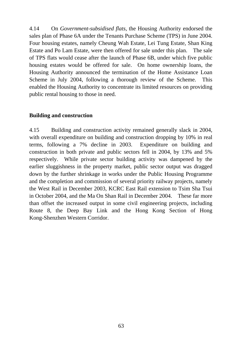4.14 On *Government-subsidised flats*, the Housing Authority endorsed the sales plan of Phase 6A under the Tenants Purchase Scheme (TPS) in June 2004. Four housing estates, namely Cheung Wah Estate, Lei Tung Estate, Shan King Estate and Po Lam Estate, were then offered for sale under this plan. The sale of TPS flats would cease after the launch of Phase 6B, under which five public housing estates would be offered for sale. On home ownership loans, the Housing Authority announced the termination of the Home Assistance Loan Scheme in July 2004, following a thorough review of the Scheme. This enabled the Housing Authority to concentrate its limited resources on providing public rental housing to those in need.

## **Building and construction**

4.15 Building and construction activity remained generally slack in 2004, with overall expenditure on building and construction dropping by 10% in real terms, following a 7% decline in 2003. Expenditure on building and construction in both private and public sectors fell in 2004, by 13% and 5% respectively. While private sector building activity was dampened by the earlier sluggishness in the property market, public sector output was dragged down by the further shrinkage in works under the Public Housing Programme and the completion and commission of several priority railway projects, namely the West Rail in December 2003, KCRC East Rail extension to Tsim Sha Tsui in October 2004, and the Ma On Shan Rail in December 2004. These far more than offset the increased output in some civil engineering projects, including Route 8, the Deep Bay Link and the Hong Kong Section of Hong Kong-Shenzhen Western Corridor.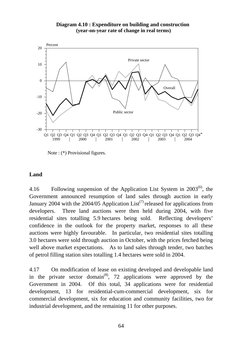### **Diagram 4.10 : Expenditure on building and construction (year-on-year rate of change in real terms)**



Note : (\*) Provisional figures.

# **Land**

4.16 Following suspension of the Application List System in  $2003^{(6)}$ , the Government announced resumption of land sales through auction in early January 2004 with the 2004/05 Application List<sup>(7)</sup> released for applications from developers. Three land auctions were then held during 2004, with five residential sites totalling 5.9 hectares being sold. Reflecting developers' confidence in the outlook for the property market, responses to all these auctions were highly favourable. In particular, two residential sites totalling 3.0 hectares were sold through auction in October, with the prices fetched being well above market expectations. As to land sales through tender, two batches of petrol filling station sites totalling 1.4 hectares were sold in 2004.

4.17 On modification of lease on existing developed and developable land in the private sector domain<sup>(8)</sup>, 72 applications were approved by the Government in 2004. Of this total, 34 applications were for residential development, 13 for residential-cum-commercial development, six for commercial development, six for education and community facilities, two for industrial development, and the remaining 11 for other purposes.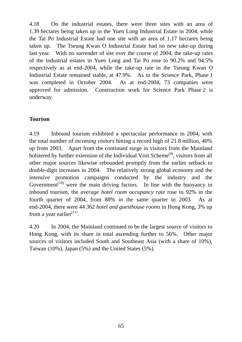4.18 On the industrial estates, there were three sites with an area of 1.39 hectares being taken up in the Yuen Long Industrial Estate in 2004, while the Tai Po Industrial Estate had one site with an area of 1.17 hectares being taken up. The Tseung Kwan O Industrial Estate had no new take-up during last year. With no surrender of site over the course of 2004, the take-up rates of the industrial estates in Yuen Long and Tai Po rose to 90.2% and 94.5% respectively as at end-2004, while the take-up rate in the Tseung Kwan O Industrial Estate remained stable, at 47.9%. As to the Science Park, Phase 1 was completed in October 2004. As at end-2004, 73 companies were approved for admission. Construction work for Science Park Phase 2 is underway.

# **Tourism**

4.19 Inbound tourism exhibited a spectacular performance in 2004, with the total number of *incoming visitors* hitting a record high of 21.8 million, 40% up from 2003. Apart from the continued surge in visitors from the Mainland bolstered by further extension of the Individual Visit Scheme<sup>(9)</sup>, visitors from all other major sources likewise rebounded promptly from the earlier setback to double-digit increases in 2004. The relatively strong global economy and the intensive promotion campaigns conducted by the industry and the Government<sup> $(10)$ </sup> were the main driving factors. In line with the buoyancy in inbound tourism, the *average hotel room occupancy rate* rose to 92% in the fourth quarter of 2004, from 88% in the same quarter in 2003. As at end-2004, there were 44 362 *hotel and guesthouse rooms* in Hong Kong, 3% up from a year earlier $(11)$ .

4.20 In 2004, the Mainland continued to be the largest source of visitors to Hong Kong, with its share in total ascending further to 56%. Other major sources of visitors included South and Southeast Asia (with a share of 10%), Taiwan (10%), Japan (5%) and the United States (5%).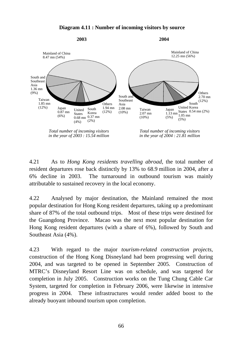

**Diagram 4.11 : Number of incoming visitors by source** 

4.21 As to *Hong Kong residents travelling abroad*, the total number of resident departures rose back distinctly by 13% to 68.9 million in 2004, after a 6% decline in 2003. The turnaround in outbound tourism was mainly attributable to sustained recovery in the local economy.

4.22 Analysed by major destination, the Mainland remained the most popular destination for Hong Kong resident departures, taking up a predominant share of 87% of the total outbound trips. Most of these trips were destined for the Guangdong Province. Macao was the next most popular destination for Hong Kong resident departures (with a share of 6%), followed by South and Southeast Asia (4%).

4.23 With regard to the major *tourism-related construction projects*, construction of the Hong Kong Disneyland had been progressing well during 2004, and was targeted to be opened in September 2005. Construction of MTRC's Disneyland Resort Line was on schedule, and was targeted for completion in July 2005. Construction works on the Tung Chung Cable Car System, targeted for completion in February 2006, were likewise in intensive progress in 2004. These infrastructures would render added boost to the already buoyant inbound tourism upon completion.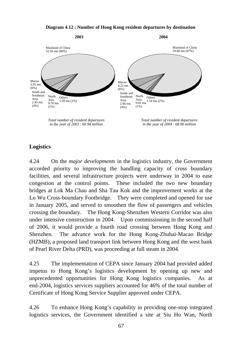#### **Diagram 4.12 : Number of Hong Kong resident departures by destination**



*Total number of resident departures in the year of 2003 : 60.94 million*

*Total number of resident departures in the year of 2004 : 68.90 million*

# **Logistics**

4.24 On the *major developments* in the logistics industry, the Government accorded priority to improving the handling capacity of cross boundary facilities, and several infrastructure projects were underway in 2004 to ease congestion at the control points. These included the two new boundary bridges at Lok Ma Chau and Sha Tau Kok and the improvement works at the Lo Wu Cross-boundary Footbridge. They were completed and opened for use in January 2005, and served to smoothen the flow of passengers and vehicles crossing the boundary. The Hong Kong-Shenzhen Western Corridor was also under intensive construction in 2004. Upon commissioning in the second half of 2006, it would provide a fourth road crossing between Hong Kong and Shenzhen. The advance work for the Hong Kong-Zhuhai-Macao Bridge (HZMB), a proposed land transport link between Hong Kong and the west bank of Pearl River Delta (PRD), was proceeding at full steam in 2004.

4.25 The implementation of CEPA since January 2004 had provided added impetus to Hong Kong's logistics development by opening up new and unprecedented opportunities for Hong Kong logistics companies. As at end-2004, logistics services suppliers accounted for 46% of the total number of Certificate of Hong Kong Service Supplier approved under CEPA.

4.26 To enhance Hong Kong's capability in providing one-stop integrated logistics services, the Government identified a site at Siu Ho Wan, North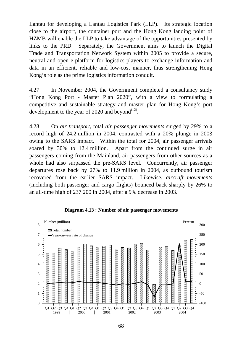Lantau for developing a Lantau Logistics Park (LLP). Its strategic location close to the airport, the container port and the Hong Kong landing point of HZMB will enable the LLP to take advantage of the opportunities presented by links to the PRD. Separately, the Government aims to launch the Digital Trade and Transportation Network System within 2005 to provide a secure, neutral and open e-platform for logistics players to exchange information and data in an efficient, reliable and low-cost manner, thus strengthening Hong Kong's role as the prime logistics information conduit.

4.27 In November 2004, the Government completed a consultancy study "Hong Kong Port - Master Plan 2020", with a view to formulating a competitive and sustainable strategy and master plan for Hong Kong's port development to the year of 2020 and beyond<sup> $(12)$ </sup>.

4.28 On *air transport*, total *air passenger movements* surged by 29% to a record high of 24.2 million in 2004, contrasted with a 20% plunge in 2003 owing to the SARS impact. Within the total for 2004, air passenger arrivals soared by 30% to 12.4 million. Apart from the continued surge in air passengers coming from the Mainland, air passengers from other sources as a whole had also surpassed the pre-SARS level. Concurrently, air passenger departures rose back by 27% to 11.9 million in 2004, as outbound tourism recovered from the earlier SARS impact. Likewise, *aircraft movements* (including both passenger and cargo flights) bounced back sharply by 26% to an all-time high of 237 200 in 2004, after a 9% decrease in 2003.



**Diagram 4.13 : Number of air passenger movements**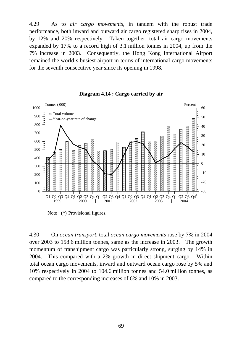4.29 As to *air cargo movements*, in tandem with the robust trade performance, both inward and outward air cargo registered sharp rises in 2004, by 12% and 20% respectively. Taken together, total air cargo movements expanded by 17% to a record high of 3.1 million tonnes in 2004, up from the 7% increase in 2003. Consequently, the Hong Kong International Airport remained the world's busiest airport in terms of international cargo movements for the seventh consecutive year since its opening in 1998.



**Diagram 4.14 : Cargo carried by air**

Note : (\*) Provisional figures.

4.30 On *ocean transport*, total *ocean cargo movements* rose by 7% in 2004 over 2003 to 158.6 million tonnes, same as the increase in 2003. The growth momentum of transhipment cargo was particularly strong, surging by 14% in 2004. This compared with a 2% growth in direct shipment cargo. Within total ocean cargo movements, inward and outward ocean cargo rose by 5% and 10% respectively in 2004 to 104.6 million tonnes and 54.0 million tonnes, as compared to the corresponding increases of 6% and 10% in 2003.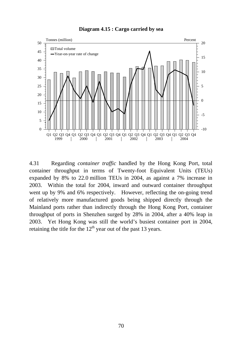

**Diagram 4.15 : Cargo carried by sea**

4.31 Regarding *container traffic* handled by the Hong Kong Port, total container throughput in terms of Twenty-foot Equivalent Units (TEUs) expanded by 8% to 22.0 million TEUs in 2004, as against a 7% increase in 2003. Within the total for 2004, inward and outward container throughput went up by 9% and 6% respectively. However, reflecting the on-going trend of relatively more manufactured goods being shipped directly through the Mainland ports rather than indirectly through the Hong Kong Port, container throughput of ports in Shenzhen surged by 28% in 2004, after a 40% leap in 2003. Yet Hong Kong was still the world's busiest container port in 2004, retaining the title for the  $12<sup>th</sup>$  year out of the past 13 years.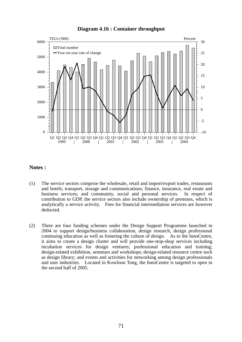#### **Diagram 4.16 : Container throughput**



#### **Notes :**

- (1) The service sectors comprise the wholesale, retail and import/export trades, restaurants and hotels; transport, storage and communications; finance, insurance, real estate and business services; and community, social and personal services. In respect of contribution to GDP, the service sectors also include ownership of premises, which is analytically a service activity. Fees for financial intermediation services are however deducted.
- (2) There are four funding schemes under the Design Support Programme launched in 2004 to support design/business collaboration, design research, design professional continuing education as well as fostering the culture of design. As to the InnoCentre, it aims to create a design cluster and will provide one-stop-shop services including incubation services for design ventures; professional education and training; design-related exhibition, seminars and workshops; design-related resource centre such as design library; and events and activities for networking among design professionals and user industries. Located in Kowloon Tong, the InnoCentre is targeted to open in the second half of 2005.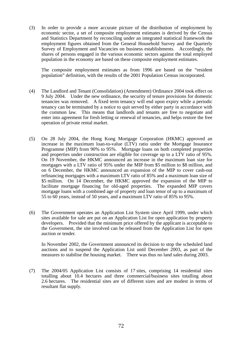(3) In order to provide a more accurate picture of the distribution of employment by economic sector, a set of composite employment estimates is derived by the Census and Statistics Department by reconciling under an integrated statistical framework the employment figures obtained from the General Household Survey and the Quarterly Survey of Employment and Vacancies on business establishments. Accordingly, the shares of persons engaged in the various economic sectors against the total employed population in the economy are based on these composite employment estimates.

The composite employment estimates as from 1996 are based on the "resident population" definition, with the results of the 2001 Population Census incorporated.

- (4) The Landlord and Tenant (Consolidation) (Amendment) Ordinance 2004 took effect on 9 July 2004. Under the new ordinance, the security of tenure provisions for domestic tenancies was removed. A fixed term tenancy will end upon expiry while a periodic tenancy can be terminated by a notice to quit served by either party in accordance with the common law. This means that landlords and tenants are free to negotiate and enter into agreement for fresh letting or renewal of tenancies, and helps restore the free operation of private rental market.
- (5) On 28 July 2004, the Hong Kong Mortgage Corporation (HKMC) approved an increase in the maximum loan-to-value (LTV) ratio under the Mortgage Insurance Programme (MIP) from 90% to 95%. Mortgage loans on both completed properties and properties under construction are eligible for coverage up to a LTV ratio of 95%. On 19 November, the HKMC announced an increase in the maximum loan size for mortgages with a LTV ratio of 95% under the MIP from \$5 million to \$8 million, and on 6 December, the HKMC announced an expansion of the MIP to cover cash-out refinancing mortgages with a maximum LTV ratio of 85% and a maximum loan size of \$5 million. On 14 December, the HKMC approved the expansion of the MIP to facilitate mortgage financing for old-aged properties. The expanded MIP covers mortgage loans with a combined age of property and loan tenor of up to a maximum of 55 to 60 years, instead of 50 years, and a maximum LTV ratio of 85% to 95%.
- (6) The Government operates an Application List System since April 1999, under which sites available for sale are put on an Application List for open application by property developers. Provided that the minimum price offered by the applicant is acceptable to the Government, the site involved can be released from the Application List for open auction or tender.

 In November 2002, the Government announced its decision to stop the scheduled land auctions and to suspend the Application List until December 2003, as part of the measures to stabilise the housing market. There was thus no land sales during 2003.

(7) The 2004/05 Application List consists of 17 sites, comprising 14 residential sites totalling about 10.4 hectares and three commercial/business sites totalling about 2.6 hectares. The residential sites are of different sizes and are modest in terms of resultant flat supply.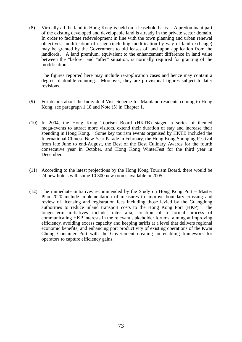(8) Virtually all the land in Hong Kong is held on a leasehold basis. A predominant part of the existing developed and developable land is already in the private sector domain. In order to facilitate redevelopment in line with the town planning and urban renewal objectives, modification of usage (including modification by way of land exchange) may be granted by the Government to old leases of land upon application from the landlords. A land premium, equivalent to the enhancement difference in land value between the "before" and "after" situation, is normally required for granting of the modification.

 The figures reported here may include re-application cases and hence may contain a degree of double-counting. Moreover, they are provisional figures subject to later revisions.

- (9) For details about the Individual Visit Scheme for Mainland residents coming to Hong Kong, see paragraph 1.18 and Note (5) in Chapter 1.
- (10) In 2004, the Hong Kong Tourism Board (HKTB) staged a series of themed mega-events to attract more visitors, extend their duration of stay and increase their spending in Hong Kong. Some key tourism events organised by HKTB included the International Chinese New Year Parade in February, the Hong Kong Shopping Festival from late June to end-August, the Best of the Best Culinary Awards for the fourth consecutive year in October, and Hong Kong WinterFest for the third year in December.
- (11) According to the latest projections by the Hong Kong Tourism Board, there would be 24 new hotels with some 10 300 new rooms available in 2005.
- (12) The immediate initiatives recommended by the Study on Hong Kong Port Master Plan 2020 include implementation of measures to improve boundary crossing and review of licensing and registration fees including those levied by the Guangdong authorities to reduce inland transport costs to the Hong Kong Port (HKP). The longer-term initiatives include, inter alia, creation of a formal process of communicating HKP interests in the relevant stakeholder forums; aiming at improving efficiency, avoiding excess capacity and keeping tariffs at a level that delivers regional economic benefits; and enhancing port productivity of existing operations of the Kwai Chung Container Port with the Government creating an enabling framework for operators to capture efficiency gains.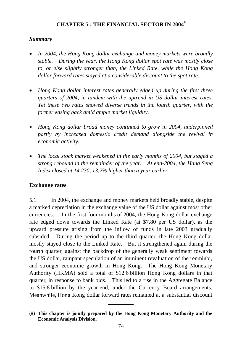# **CHAPTER 5 : THE FINANCIAL SECTOR IN 2004#**

### *Summary*

- *In 2004, the Hong Kong dollar exchange and money markets were broadly stable. During the year, the Hong Kong dollar spot rate was mostly close to, or else slightly stronger than, the Linked Rate, while the Hong Kong dollar forward rates stayed at a considerable discount to the spot rate.*
- *Hong Kong dollar interest rates generally edged up during the first three quarters of 2004, in tandem with the uptrend in US dollar interest rates. Yet these two rates showed diverse trends in the fourth quarter, with the former easing back amid ample market liquidity.*
- *Hong Kong dollar broad money continued to grow in 2004, underpinned partly by increased domestic credit demand alongside the revival in economic activity.*
- *The local stock market weakened in the early months of 2004, but staged a strong rebound in the remainder of the year. At end-2004, the Hang Seng Index closed at 14 230, 13.2% higher than a year earlier.*

### **Exchange rates**

5.1 In 2004, the exchange and money markets held broadly stable, despite a marked depreciation in the exchange value of the US dollar against most other currencies. In the first four months of 2004, the Hong Kong dollar exchange rate edged down towards the Linked Rate (at \$7.80 per US dollar), as the upward pressure arising from the inflow of funds in late 2003 gradually subsided. During the period up to the third quarter, the Hong Kong dollar mostly stayed close to the Linked Rate. But it strengthened again during the fourth quarter, against the backdrop of the generally weak sentiment towards the US dollar, rampant speculation of an imminent revaluation of the renminbi, and stronger economic growth in Hong Kong. The Hong Kong Monetary Authority (HKMA) sold a total of \$12.6 billion Hong Kong dollars in that quarter, in response to bank bids. This led to a rise in the Aggregate Balance to \$15.8 billion by the year-end, under the Currency Board arrangements. Meanwhile, Hong Kong dollar forward rates remained at a substantial discount

**\_\_\_\_\_\_\_\_\_** 

**<sup>(#)</sup> This chapter is jointly prepared by the Hong Kong Monetary Authority and the Economic Analysis Division.**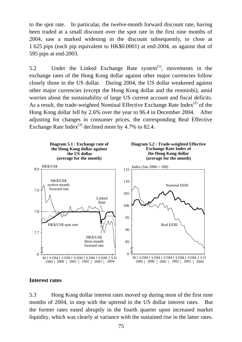to the spot rate. In particular, the twelve-month forward discount rate, having been traded at a small discount over the spot rate in the first nine months of 2004, saw a marked widening in the discount subsequently, to close at 1 625 pips (each pip equivalent to HK\$0.0001) at end-2004, as against that of 595 pips at end-2003.

5.2 Under the Linked Exchange Rate system<sup>(1)</sup>, movements in the exchange rates of the Hong Kong dollar against other major currencies follow closely those in the US dollar. During 2004, the US dollar weakened against other major currencies (except the Hong Kong dollar and the renminbi), amid worries about the sustainability of large US current account and fiscal deficits. As a result, the trade-weighted Nominal Effective Exchange Rate Index<sup>(2)</sup> of the Hong Kong dollar fell by 2.6% over the year to 96.4 in December 2004. After adjusting for changes in consumer prices, the corresponding Real Effective Exchange Rate Index<sup>(3)</sup> declined more by 4.7% to 82.4.



#### **Interest rates**

5.3 Hong Kong dollar interest rates moved up during most of the first nine months of 2004, in step with the uptrend in the US dollar interest rates. But the former rates eased abruptly in the fourth quarter upon increased market liquidity, which was clearly at variance with the sustained rise in the latter rates.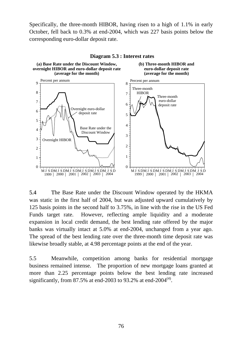Specifically, the three-month HIBOR, having risen to a high of 1.1% in early October, fell back to 0.3% at end-2004, which was 227 basis points below the corresponding euro-dollar deposit rate.



**Diagram 5.3 : Interest rates**

5.4 The Base Rate under the Discount Window operated by the HKMA was static in the first half of 2004, but was adjusted upward cumulatively by 125 basis points in the second half to 3.75%, in line with the rise in the US Fed Funds target rate. However, reflecting ample liquidity and a moderate expansion in local credit demand, the best lending rate offered by the major banks was virtually intact at 5.0% at end-2004, unchanged from a year ago. The spread of the best lending rate over the three-month time deposit rate was likewise broadly stable, at 4.98 percentage points at the end of the year.

5.5 Meanwhile, competition among banks for residential mortgage business remained intense. The proportion of new mortgage loans granted at more than 2.25 percentage points below the best lending rate increased significantly, from 87.5% at end-2003 to 93.2% at end-2004<sup> $(4)$ </sup>.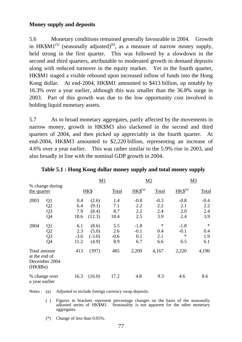# **Money supply and deposits**

5.6 Monetary conditions remained generally favourable in 2004. Growth in HK\$M1<sup>(5)</sup> (seasonally adjusted)<sup>(6)</sup>, as a measure of narrow money supply, held strong in the first quarter. This was followed by a slowdown in the second and third quarters, attributable to moderated growth in demand deposits along with reduced turnover in the equity market. Yet in the fourth quarter, HK\$M1 staged a visible rebound upon increased inflow of funds into the Hong Kong dollar. At end-2004, HK\$M1 amounted to \$413 billion, up notably by 16.3% over a year earlier, although this was smaller than the 36.8% surge in 2003. Part of this growth was due to the low opportunity cost involved in holding liquid monetary assets.

5.7 As to broad monetary aggregates, partly affected by the movements in narrow money, growth in HK\$M3 also slackened in the second and third quarters of 2004, and then picked up appreciably in the fourth quarter. At end-2004, HK\$M3 amounted to \$2,220 billion, representing an increase of 4.6% over a year earlier. This was rather similar to the 5.9% rise in 2003, and also broadly in line with the nominal GDP growth in 2004.

|                                           |                                                          |                              | M1                                  |                             |                                | M2                          | M <sub>3</sub>               |                             |
|-------------------------------------------|----------------------------------------------------------|------------------------------|-------------------------------------|-----------------------------|--------------------------------|-----------------------------|------------------------------|-----------------------------|
| % change during<br>the quarter            |                                                          |                              | HK\$                                | Total                       | $HKS^{(a)}$                    | Total                       | $HKS^{(a)}$                  | Total                       |
| 2003                                      | Q <sub>1</sub><br>Q2<br>Q <sub>3</sub><br>Q4             | 0.4<br>6.4<br>7.9<br>18.6    | (2.6)<br>(9.1)<br>(8.4)<br>(12.3)   | 1.4<br>7.1<br>8.7<br>18.4   | $-0.8$<br>2.2<br>2.2<br>2.5    | $-0.3$<br>2.2<br>2.4<br>3.9 | $-0.8$<br>2.1<br>2.0<br>2.4  | $-0.4$<br>2.2<br>2.4<br>3.9 |
| 2004                                      | Q <sub>1</sub><br>Q <sub>2</sub><br>Q <sub>3</sub><br>Q4 | 6.1<br>2.3<br>$-3.6$<br>11.2 | (8.6)<br>(5.0)<br>$(-3.0)$<br>(4.9) | 5.5<br>2.6<br>$-0.6$<br>8.9 | $-1.8$<br>$-0.1$<br>0.1<br>6.7 | ∗<br>0.4<br>2.1<br>6.6      | $-1.8$<br>$-0.1$<br>*<br>6.5 | $\ast$<br>0.4<br>1.9<br>6.1 |
| Total amount<br>at the end of<br>(HK\$Bn) | December 2004                                            | 413                          | (397)                               | 485                         | 2,209                          | 4,167                       | 2,220                        | 4,190                       |
| a year earlier                            | % change over                                            | 16.3                         | (16.0)                              | 17.2                        | 4.8                            | 9.3                         | 4.6                          | 8.6                         |

**Table 5.1 : Hong Kong dollar money supply and total money supply** 

Notes : (a) Adjusted to include foreign currency swap deposits.

- ( ) Figures in brackets represent percentage changes on the basis of the seasonally adjusted series of HK\$M1. Seasonality is not apparent for the other monetary aggregates.
- (\*) Change of less than 0.05%.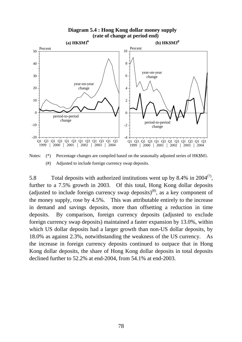#### **Diagram 5.4 : Hong Kong dollar money supply (rate of change at period end)**



Notes: (\*) Percentage changes are compiled based on the seasonally adjusted series of HK\$M1. (#) Adjusted to include foreign currency swap deposits.

5.8 Total deposits with authorized institutions went up by 8.4% in 2004 $(7)$ , further to a 7.5% growth in 2003. Of this total, Hong Kong dollar deposits (adjusted to include foreign currency swap deposits)<sup>(8)</sup>, as a key component of the money supply, rose by 4.5%. This was attributable entirely to the increase in demand and savings deposits, more than offsetting a reduction in time deposits. By comparison, foreign currency deposits (adjusted to exclude foreign currency swap deposits) maintained a faster expansion by 13.0%, within which US dollar deposits had a larger growth than non-US dollar deposits, by 18.0% as against 2.3%, notwithstanding the weakness of the US currency. As the increase in foreign currency deposits continued to outpace that in Hong Kong dollar deposits, the share of Hong Kong dollar deposits in total deposits declined further to 52.2% at end-2004, from 54.1% at end-2003.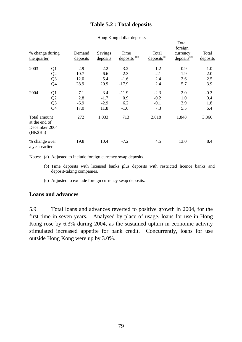# **Table 5.2 : Total deposits**

|                                                            |                 |                    |                     |                             |                                     | Total<br>foreign             |                   |
|------------------------------------------------------------|-----------------|--------------------|---------------------|-----------------------------|-------------------------------------|------------------------------|-------------------|
| the quarter                                                | % change during | Demand<br>deposits | Savings<br>deposits | Time<br>$deposits^{(a)(b)}$ | Total<br>$\frac{deposits^{(a)}}{h}$ | currency<br>$deposits^{(c)}$ | Total<br>deposits |
| 2003                                                       | Q1              | $-2.9$             | 2.2                 | $-3.2$                      | $-1.2$                              | $-0.9$                       | $-1.0$            |
|                                                            | Q2              | 10.7               | 6.6                 | $-2.3$                      | 2.1                                 | 1.9                          | 2.0               |
|                                                            | Q <sub>3</sub>  | 12.0               | 5.4                 | $-1.6$                      | 2.4                                 | 2.6                          | 2.5               |
|                                                            | Q4              | 28.9               | 20.9                | $-17.9$                     | 2.4                                 | 5.7                          | 3.9               |
| 2004                                                       | Q <sub>1</sub>  | 7.1                | 3.4                 | $-11.9$                     | $-2.3$                              | 2.0                          | $-0.3$            |
|                                                            | Q2              | 2.8                | $-1.7$              | 0.9                         | $-0.2$                              | 1.0                          | 0.4               |
|                                                            | Q <sub>3</sub>  | $-6.9$             | $-2.9$              | 6.2                         | $-0.1$                              | 3.9                          | 1.8               |
|                                                            | Q4              | 17.0               | 11.8                | $-1.6$                      | 7.3                                 | 5.5                          | 6.4               |
| Total amount<br>at the end of<br>December 2004<br>(HK\$Bn) |                 | 272                | 1,033               | 713                         | 2,018                               | 1,848                        | 3,866             |
| % change over<br>a year earlier                            |                 | 19.8               | 10.4                | $-7.2$                      | 4.5                                 | 13.0                         | 8.4               |

#### Hong Kong dollar deposits

Notes: (a) Adjusted to include foreign currency swap deposits.

- (b) Time deposits with licensed banks plus deposits with restricted licence banks and deposit-taking companies.
- (c) Adjusted to exclude foreign currency swap deposits.

#### **Loans and advances**

5.9 Total loans and advances reverted to positive growth in 2004, for the first time in seven years. Analysed by place of usage, loans for use in Hong Kong rose by 6.3% during 2004, as the sustained upturn in economic activity stimulated increased appetite for bank credit. Concurrently, loans for use outside Hong Kong were up by 3.0%.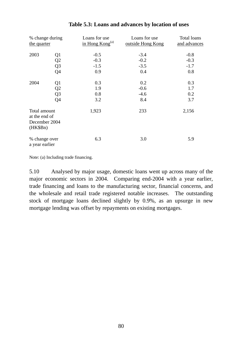| % change during<br>the quarter                             |                | Loans for use<br>in Hong $Kong(a)$ | Loans for use<br>outside Hong Kong | Total loans<br>and advances |
|------------------------------------------------------------|----------------|------------------------------------|------------------------------------|-----------------------------|
| 2003                                                       | Q <sub>1</sub> | $-0.5$                             | $-3.4$                             | $-0.8$                      |
|                                                            | Q2             | $-0.3$                             | $-0.2$                             | $-0.3$                      |
|                                                            | Q <sub>3</sub> | $-1.5$                             | $-3.5$                             | $-1.7$                      |
|                                                            | Q4             | 0.9                                | 0.4                                | 0.8                         |
| 2004                                                       | Q <sub>1</sub> | 0.3                                | 0.2                                | 0.3                         |
|                                                            | Q2             | 1.9                                | $-0.6$                             | 1.7                         |
|                                                            | Q <sub>3</sub> | 0.8                                | $-4.6$                             | 0.2                         |
|                                                            | Q4             | 3.2                                | 8.4                                | 3.7                         |
| Total amount<br>at the end of<br>December 2004<br>(HK\$Bn) |                | 1,923                              | 233                                | 2,156                       |
| % change over<br>a year earlier                            |                | 6.3                                | 3.0                                | 5.9                         |

### **Table 5.3: Loans and advances by location of uses**

Note: (a) Including trade financing.

5.10 Analysed by major usage, domestic loans went up across many of the major economic sectors in 2004. Comparing end-2004 with a year earlier, trade financing and loans to the manufacturing sector, financial concerns, and the wholesale and retail trade registered notable increases. The outstanding stock of mortgage loans declined slightly by 0.9%, as an upsurge in new mortgage lending was offset by repayments on existing mortgages.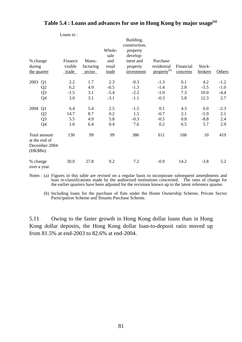|                         |                                                | Loans to: |           | Whole-      | Building,<br>construction,<br>property |                         |           |         |               |
|-------------------------|------------------------------------------------|-----------|-----------|-------------|----------------------------------------|-------------------------|-----------|---------|---------------|
| % change                |                                                | Finance   | Manu-     | sale<br>and | develop-<br>ment and                   | Purchase                |           |         |               |
| during                  |                                                | visible   | facturing | retail      | property                               | residential             | Financial | Stock-  |               |
| the quarter             |                                                | trade     | sector    | trade       | investment                             | property <sup>(b)</sup> | concerns  | brokers | <b>Others</b> |
| 2003                    | Q1                                             | 2.2       | 1.7       | 2.3         | $-0.3$                                 | $-1.3$                  | 0.1       | 4.2     | $-1.2$        |
|                         | Q2                                             | 6.2       | 4.9       | $-0.5$      | $-1.3$                                 | $-1.4$                  | 2.8       | $-5.5$  | $-1.0$        |
|                         | Q <sub>3</sub>                                 | $-1.5$    | 3.1       | $-5.4$      | $-2.2$                                 | $-1.0$                  | 7.3       | 10.0    | $-4.4$        |
|                         | Q4                                             | 3.0       | 3.1       | $-3.1$      | $-1.1$                                 | $-0.3$                  | 5.8       | 12.3    | 2.7           |
| 2004                    | Q1                                             | 6.4       | 5.4       | 2.5         | $-1.5$                                 | 0.1                     | 4.3       | 6.0     | $-2.3$        |
|                         | Q2                                             | 14.7      | 8.7       | 0.2         | 1.5                                    | $-0.7$                  | 2.1       | $-5.9$  | 2.1           |
|                         | Q <sub>3</sub>                                 | 5.5       | 4.9       | 5.8         | $-0.3$                                 | $-0.5$                  | 0.8       | $-8.8$  | 2.4           |
|                         | Q4                                             | 1.0       | 6.4       | 0.4         | 7.6                                    | 0.2                     | 6.5       | 5.7     | 2.9           |
| (HK\$Bn)                | Total amount<br>at the end of<br>December 2004 | 130       | 99        | 99          | 386                                    | 611                     | 168       | 10      | 419           |
| % change<br>over a year |                                                | 30.0      | 27.8      | 9.2         | 7.2                                    | $-0.9$                  | 14.2      | $-3.8$  | 5.2           |

# **Table 5.4 : Loans and advances for use in Hong Kong by major usage(a)**

Notes : (a) Figures in this table are revised on a regular basis to incorporate subsequent amendments and loan re-classifications made by the authorized institutions concerned. The rates of change for the earlier quarters have been adjusted for the revisions known up to the latest reference quarter.

 (b) Including loans for the purchase of flats under the Home Ownership Scheme, Private Sector Participation Scheme and Tenants Purchase Scheme.

5.11 Owing to the faster growth in Hong Kong dollar loans than in Hong Kong dollar deposits, the Hong Kong dollar loan-to-deposit ratio moved up from 81.5% at end-2003 to 82.6% at end-2004.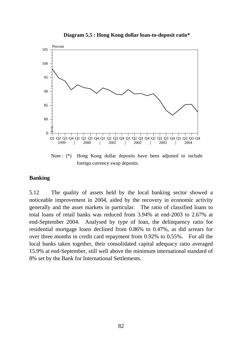

Note : (\*) Hong Kong dollar deposits have been adjusted to include foreign currency swap deposits.

#### **Banking**

5.12 The quality of assets held by the local banking sector showed a noticeable improvement in 2004, aided by the recovery in economic activity generally and the asset markets in particular. The ratio of classified loans to total loans of retail banks was reduced from 3.94% at end-2003 to 2.67% at end-September 2004. Analysed by type of loan, the delinquency ratio for residential mortgage loans declined from 0.86% to 0.47%, as did arrears for over three months in credit card repayment from 0.92% to 0.55%. For all the local banks taken together, their consolidated capital adequacy ratio averaged 15.9% at end-September, still well above the minimum international standard of 8% set by the Bank for International Settlements.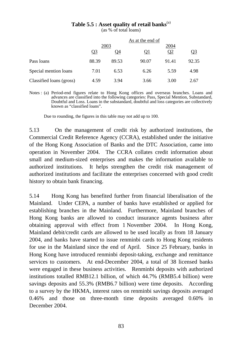### **Table 5.5 : Asset quality of retail banks**(a)

(as % of total loans)

|                          |                |       | As at the end of |          |         |  |  |  |
|--------------------------|----------------|-------|------------------|----------|---------|--|--|--|
|                          |                | 2003  |                  | 2004     |         |  |  |  |
|                          | Q <sub>3</sub> | Q4    | Q1               | $\Omega$ | $Q_2^2$ |  |  |  |
| Pass loans               | 88.39          | 89.53 | 90.07            | 91.41    | 92.35   |  |  |  |
| Special mention loans    | 7.01           | 6.53  | 6.26             | 5.59     | 4.98    |  |  |  |
| Classified loans (gross) | 4.59           | 3.94  | 3.66             | 3.00     | 2.67    |  |  |  |

Notes : (a) Period-end figures relate to Hong Kong offices and overseas branches. Loans and advances are classified into the following categories: Pass, Special Mention, Substandard, Doubtful and Loss. Loans in the substandard, doubtful and loss categories are collectively known as "classified loans".

Due to rounding, the figures in this table may not add up to 100.

5.13 On the management of credit risk by authorized institutions, the Commercial Credit Reference Agency (CCRA), established under the initiative of the Hong Kong Association of Banks and the DTC Association, came into operation in November 2004. The CCRA collates credit information about small and medium-sized enterprises and makes the information available to authorized institutions. It helps strengthen the credit risk management of authorized institutions and facilitate the enterprises concerned with good credit history to obtain bank financing.

5.14 Hong Kong has benefited further from financial liberalisation of the Mainland. Under CEPA, a number of banks have established or applied for establishing branches in the Mainland. Furthermore, Mainland branches of Hong Kong banks are allowed to conduct insurance agents business after obtaining approval with effect from 1 November 2004. In Hong Kong, Mainland debit/credit cards are allowed to be used locally as from 18 January 2004, and banks have started to issue renminbi cards to Hong Kong residents for use in the Mainland since the end of April. Since 25 February, banks in Hong Kong have introduced renminbi deposit-taking, exchange and remittance services to customers. At end-December 2004, a total of 38 licensed banks were engaged in these business activities. Renminbi deposits with authorized institutions totalled RMB12.1 billion, of which 44.7% (RMB5.4 billion) were savings deposits and 55.3% (RMB6.7 billion) were time deposits. According to a survey by the HKMA, interest rates on renminbi savings deposits averaged 0.46% and those on three-month time deposits averaged 0.60% in December 2004.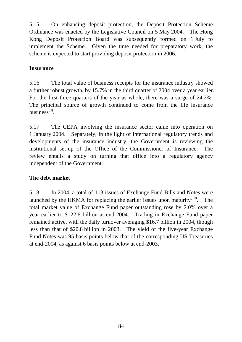5.15 On enhancing deposit protection, the Deposit Protection Scheme Ordinance was enacted by the Legislative Council on 5 May 2004. The Hong Kong Deposit Protection Board was subsequently formed on 1 July to implement the Scheme. Given the time needed for preparatory work, the scheme is expected to start providing deposit protection in 2006.

# **Insurance**

5.16 The total value of business receipts for the insurance industry showed a further robust growth, by 15.7% in the third quarter of 2004 over a year earlier. For the first three quarters of the year as whole, there was a surge of 24.2%. The principal source of growth continued to come from the life insurance business $^{(9)}$ .

5.17 The CEPA involving the insurance sector came into operation on 1 January 2004. Separately, in the light of international regulatory trends and developments of the insurance industry, the Government is reviewing the institutional set-up of the Office of the Commissioner of Insurance. The review entails a study on turning that office into a regulatory agency independent of the Government.

# **The debt market**

5.18 In 2004, a total of 113 issues of Exchange Fund Bills and Notes were launched by the HKMA for replacing the earlier issues upon maturity<sup>(10)</sup>. The total market value of Exchange Fund paper outstanding rose by 2.0% over a year earlier to \$122.6 billion at end-2004. Trading in Exchange Fund paper remained active, with the daily turnover averaging \$16.7 billion in 2004, though less than that of \$20.8 billion in 2003. The yield of the five-year Exchange Fund Notes was 95 basis points below that of the corresponding US Treasuries at end-2004, as against 6 basis points below at end-2003.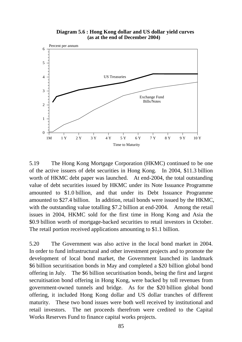**Diagram 5.6 : Hong Kong dollar and US dollar yield curves (as at the end of December 2004)**



5.19 The Hong Kong Mortgage Corporation (HKMC) continued to be one of the active issuers of debt securities in Hong Kong. In 2004, \$11.3 billion worth of HKMC debt paper was launched. At end-2004, the total outstanding value of debt securities issued by HKMC under its Note Issuance Programme amounted to \$1.0 billion, and that under its Debt Issuance Programme amounted to \$27.4 billion. In addition, retail bonds were issued by the HKMC, with the outstanding value totalling \$7.2 billion at end-2004. Among the retail issues in 2004, HKMC sold for the first time in Hong Kong and Asia the \$0.9 billion worth of mortgage-backed securities to retail investors in October. The retail portion received applications amounting to \$1.1 billion.

5.20 The Government was also active in the local bond market in 2004. In order to fund infrastructural and other investment projects and to promote the development of local bond market, the Government launched its landmark \$6 billion securitisation bonds in May and completed a \$20 billion global bond offering in July. The \$6 billion securitisation bonds, being the first and largest secruitisation bond offering in Hong Kong, were backed by toll revenues from government-owned tunnels and bridge. As for the \$20 billion global bond offering, it included Hong Kong dollar and US dollar tranches of different maturity. These two bond issues were both well received by institutional and retail investors. The net proceeds therefrom were credited to the Capital Works Reserves Fund to finance capital works projects.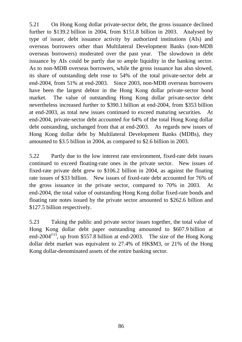5.21 On Hong Kong dollar private-sector debt, the gross issuance declined further to \$139.2 billion in 2004, from \$151.8 billion in 2003. Analysed by type of issuer, debt issuance activity by authorized institutions (AIs) and overseas borrowers other than Multilateral Development Banks (non-MDB overseas borrowers) moderated over the past year. The slowdown in debt issuance by AIs could be partly due to ample liquidity in the banking sector. As to non-MDB overseas borrowers, while the gross issuance has also slowed, its share of outstanding debt rose to 54% of the total private-sector debt at end-2004, from 51% at end-2003. Since 2003, non-MDB overseas borrowers have been the largest debtor in the Hong Kong dollar private-sector bond market. The value of outstanding Hong Kong dollar private-sector debt nevertheless increased further to \$390.1 billion at end-2004, from \$353 billion at end-2003, as total new issues continued to exceed maturing securities. At end-2004, private-sector debt accounted for 64% of the total Hong Kong dollar debt outstanding, unchanged from that at end-2003. As regards new issues of Hong Kong dollar debt by Multilateral Development Banks (MDBs), they amounted to \$3.5 billion in 2004, as compared to \$2.6 billion in 2003.

5.22 Partly due to the low interest rate environment, fixed-rate debt issues continued to exceed floating-rate ones in the private sector. New issues of fixed-rate private debt grew to \$106.2 billion in 2004, as against the floating rate issues of \$33 billion. New issues of fixed-rate debt accounted for 76% of the gross issuance in the private sector, compared to 70% in 2003. At end-2004, the total value of outstanding Hong Kong dollar fixed-rate bonds and floating rate notes issued by the private sector amounted to \$262.6 billion and \$127.5 billion respectively.

5.23 Taking the public and private sector issues together, the total value of Hong Kong dollar debt paper outstanding amounted to \$607.9 billion at end-2004 $(11)$ , up from \$557.8 billion at end-2003. The size of the Hong Kong dollar debt market was equivalent to 27.4% of HK\$M3, or 21% of the Hong Kong dollar-denominated assets of the entire banking sector.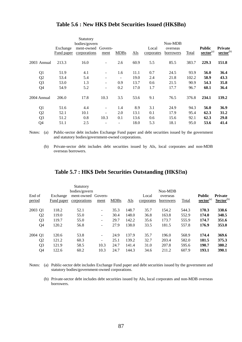|                |                        | Statutory<br>bodies/govern         |                              |             |      |                     | Non-MDB               |       |                                                      |                                  |
|----------------|------------------------|------------------------------------|------------------------------|-------------|------|---------------------|-----------------------|-------|------------------------------------------------------|----------------------------------|
|                | Exchange<br>Fund paper | ment-owned Govern-<br>corporations | ment                         | <b>MDBs</b> | AIs  | Local<br>corporates | overseas<br>borrowers | Total | <b>Public</b><br>$\mathbf{\underline{sector}}^{(a)}$ | Private<br>sector <sup>(b)</sup> |
| 2003 Annual    | 213.3                  | 16.0                               | $\qquad \qquad -$            | 2.6         | 60.9 | 5.5                 | 85.5                  | 383.7 | 229.3                                                | 151.8                            |
| Q1             | 51.9                   | 4.1                                | $\overline{\phantom{a}}$     | 1.6         | 11.1 | 0.7                 | 24.5                  | 93.9  | 56.0                                                 | 36.4                             |
| Q <sub>2</sub> | 53.4                   | 5.4                                | $\qquad \qquad \blacksquare$ |             | 19.0 | 2.4                 | 21.8                  | 102.2 | 58.9                                                 | 43.3                             |
| Q <sub>3</sub> | 53.0                   | 1.3                                | $\overline{\phantom{a}}$     | 0.9         | 13.7 | 0.6                 | 21.5                  | 90.9  | 54.3                                                 | 35.8                             |
| Q4             | 54.9                   | 5.2                                | $\overline{\phantom{a}}$     | 0.2         | 17.0 | 1.7                 | 17.7                  | 96.7  | 60.1                                                 | 36.4                             |
| 2004 Annual    | 206.0                  | 17.8                               | 10.3                         | 3.5         | 53.6 | 9.1                 | 76.5                  | 376.8 | 234.1                                                | 139.2                            |
| Q1             | 51.6                   | 4.4                                | $\overline{\phantom{a}}$     | 1.4         | 8.9  | 3.1                 | 24.9                  | 94.3  | 56.0                                                 | 36.9                             |
| Q <sub>2</sub> | 52.1                   | 10.1                               | $\overline{\phantom{a}}$     | 2.0         | 13.1 | 0.1                 | 17.9                  | 95.4  | 62.3                                                 | 31.2                             |
| Q <sub>3</sub> | 51.2                   | 0.8                                | 10.3                         | 0.1         | 13.6 | 0.6                 | 15.6                  | 92.1  | 62.3                                                 | 29.8                             |
| Q4             | 51.1                   | 2.5                                | $\qquad \qquad \blacksquare$ |             | 18.0 | 5.3                 | 18.1                  | 95.0  | 53.6                                                 | 41.4                             |

### **Table 5.6 : New HK\$ Debt Securities Issued (HK\$Bn)**

Notes: (a) Public-sector debt includes Exchange Fund paper and debt securities issued by the government and statutory bodies/government-owned corporations.

 (b) Private-sector debt includes debt securities issued by AIs, local corporates and non-MDB overseas borrowers.

### **Table 5.7 : HK\$ Debt Securities Outstanding (HK\$**B**n)**

| End of<br>period | Exchange<br>Fund paper | <b>Statutory</b><br>bodies/govern<br>ment-owned Govern-<br>corporations | ment                         | <b>MDBs</b> | <b>AIs</b> | Local<br>corporates | Non-MDB<br>overseas<br>borrowers | <b>Total</b> | <b>Public</b><br>$\mathbf{\underline{sector}}^{(\mathrm{a})}$ | <b>Private</b><br>$Sector^{(b)}$ |
|------------------|------------------------|-------------------------------------------------------------------------|------------------------------|-------------|------------|---------------------|----------------------------------|--------------|---------------------------------------------------------------|----------------------------------|
| 2003 Q1          | 118.2                  | 52.1                                                                    | $\overline{\phantom{a}}$     | 35.3        | 148.7      | 35.7                | 154.2                            | 544.3        | 170.3                                                         | 338.6                            |
| Q <sub>2</sub>   | 119.0                  | 55.0                                                                    | $\overline{\phantom{a}}$     | 30.4        | 148.0      | 36.8                | 163.8                            | 552.9        | 174.0                                                         | 348.5                            |
| Q <sub>3</sub>   | 119.7                  | 55.0                                                                    | $\qquad \qquad \blacksquare$ | 29.7        | 142.2      | 35.6                | 173.7                            | 555.9        | 174.7                                                         | 351.6                            |
| Q4               | 120.2                  | 56.8                                                                    | $\qquad \qquad \blacksquare$ | 27.9        | 138.0      | 33.5                | 181.5                            | 557.8        | 176.9                                                         | 353.0                            |
| 2004 Q1          | 120.6                  | 53.8                                                                    | $\overline{\phantom{a}}$     | 24.9        | 137.9      | 35.7                | 196.0                            | 568.9        | 174.4                                                         | 369.6                            |
| Q <sub>2</sub>   | 121.2                  | 60.3                                                                    | $\blacksquare$               | 25.1        | 139.2      | 32.7                | 203.4                            | 582.0        | 181.5                                                         | 375.3                            |
| Q <sub>3</sub>   | 121.9                  | 58.5                                                                    | 10.3                         | 24.7        | 141.4      | 31.0                | 207.8                            | 595.6        | 190.7                                                         | 380.2                            |
| Q4               | 122.6                  | 60.2                                                                    | 10.3                         | 24.7        | 144.3      | 34.6                | 211.2                            | 607.9        | 193.1                                                         | 390.1                            |

Notes: (a) Public-sector debt includes Exchange Fund paper and debt securities issued by the government and statutory bodies/government-owned corporations.

 (b) Private-sector debt includes debt securities issued by AIs, local corporates and non-MDB overseas borrowers.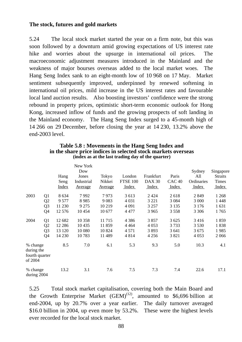### **The stock, futures and gold markets**

5.24 The local stock market started the year on a firm note, but this was soon followed by a downturn amid growing expectations of US interest rate hike and worries about the upsurge in international oil prices. The macroeconomic adjustment measures introduced in the Mainland and the weakness of major bourses overseas added to the local market woes. The Hang Seng Index sank to an eight-month low of 10 968 on 17 May. Market sentiment subsequently improved, underpinned by renewed softening in international oil prices, mild increase in the US interest rates and favourable local land auction results. Also boosting investors' confidence were the strong rebound in property prices, optimistic short-term economic outlook for Hong Kong, increased inflow of funds and the growing prospects of soft landing in the Mainland economy. The Hang Seng Index surged to a 45-month high of 14 266 on 29 December, before closing the year at 14 230, 13.2% above the end-2003 level.

|                                                     |                | Hang<br>Seng<br><b>Index</b> | New York<br>Dow<br>Jones<br>Industrial<br>Average | Tokyo<br>Nikkei<br><u>Average</u> | London<br><b>FTSE 100</b><br>Index | Frankfurt<br><b>DAX 30</b><br>Index | Paris<br>CAC <sub>40</sub><br>Index | Sydney<br>All<br>Ordinaries<br>Index | Singapore<br><b>Straits</b><br><b>Times</b><br>Index |
|-----------------------------------------------------|----------------|------------------------------|---------------------------------------------------|-----------------------------------|------------------------------------|-------------------------------------|-------------------------------------|--------------------------------------|------------------------------------------------------|
| 2003                                                | Q1             | 8 6 3 4                      | 7992                                              | 7973                              | 3 6 1 3                            | 2 4 2 4                             | 2618                                | 2849                                 | 1 2 6 8                                              |
|                                                     | Q <sub>2</sub> | 9577                         | 8 9 8 5                                           | 9 0 8 3                           | 4 0 31                             | 3 2 2 1                             | 3 0 8 4                             | 3 000                                | 1 4 4 8                                              |
|                                                     | Q <sub>3</sub> | 11 230                       | 9 2 7 5                                           | 10 219                            | 4 0 9 1                            | 3 2 5 7                             | 3 1 3 5                             | 3 1 7 6                              | 1 631                                                |
|                                                     | Q <sub>4</sub> | 12 576                       | 10454                                             | 10 677                            | 4 4 7 7                            | 3 9 6 5                             | 3 5 5 8                             | 3 3 0 6                              | 1765                                                 |
| 2004                                                | Q1             | 12 682                       | 10 358                                            | 11 7 15                           | 4 3 8 6                            | 3857                                | 3 6 25                              | 3416                                 | 1859                                                 |
|                                                     | Q <sub>2</sub> | 12 2 8 6                     | 10 4 35                                           | 11859                             | 4 4 6 4                            | 4 0 5 3                             | 3733                                | 3 5 3 0                              | 1838                                                 |
|                                                     | Q <sub>3</sub> | 13 120                       | 10 080                                            | 10 824                            | 4 5 7 1                            | 3893                                | 3 641                               | 3675                                 | 1985                                                 |
|                                                     | Q4             | 14 230                       | 10783                                             | 11 489                            | 4814                               | 4 2 5 6                             | 3821                                | 4 0 5 3                              | 2066                                                 |
| % change<br>during the<br>fourth quarter<br>of 2004 |                | 8.5                          | 7.0                                               | 6.1                               | 5.3                                | 9.3                                 | 5.0                                 | 10.3                                 | 4.1                                                  |
| % change<br>during 2004                             |                | 13.2                         | 3.1                                               | 7.6                               | 7.5                                | 7.3                                 | 7.4                                 | 22.6                                 | 17.1                                                 |

#### **Table 5.8 : Movements in the Hang Seng Index and in the share price indices in selected stock markets overseas (index as at the last trading day of the quarter)**

5.25 Total stock market capitalisation, covering both the Main Board and the Growth Enterprise Market  $(GEM)^{(12)}$ , amounted to \$6,696 billion at end-2004, up by 20.7% over a year earlier. The daily turnover averaged \$16.0 billion in 2004, up even more by 53.2%. These were the highest levels ever recorded for the local stock market.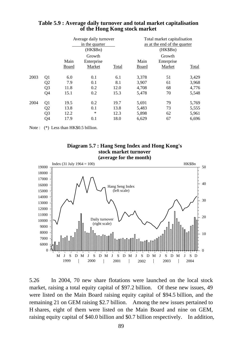|      |                |               | Average daily turnover<br>in the quarter<br>(HK\$Bn) |       | Total market capitalisation<br>as at the end of the quarter<br>(HK\$Bn) |                                |       |  |  |
|------|----------------|---------------|------------------------------------------------------|-------|-------------------------------------------------------------------------|--------------------------------|-------|--|--|
|      |                | Main<br>Board | Growth<br>Enterprise<br>Market                       | Total | Main<br>Board                                                           | Growth<br>Enterprise<br>Market | Total |  |  |
| 2003 | Q <sub>1</sub> | 6.0           | 0.1                                                  | 6.1   | 3,378                                                                   | 51                             | 3,429 |  |  |
|      | Q <sub>2</sub> | 7.9           | 0.1                                                  | 8.1   | 3,907                                                                   | 61                             | 3,968 |  |  |
|      | Q <sub>3</sub> | 11.8          | 0.2                                                  | 12.0  | 4,708                                                                   | 68                             | 4,776 |  |  |
|      | Q4             | 15.1          | 0.2                                                  | 15.3  | 5,478                                                                   | 70                             | 5,548 |  |  |
| 2004 | Q <sub>1</sub> | 19.5          | 0.2                                                  | 19.7  | 5,691                                                                   | 79                             | 5,769 |  |  |
|      | Q <sub>2</sub> | 13.8          | 0.1                                                  | 13.8  | 5,483                                                                   | 73                             | 5,555 |  |  |
|      | Q <sub>3</sub> | 12.2          | $\ast$                                               | 12.3  | 5,898                                                                   | 62                             | 5,961 |  |  |
|      | Q4             | 17.9          | 0.1                                                  | 18.0  | 6,629                                                                   | 67                             | 6,696 |  |  |

### **Table 5.9 : Average daily turnover and total market capitalisation of the Hong Kong stock market**

Note : (\*) Less than HK\$0.5 billion.





5.26 In 2004, 70 new share flotations were launched on the local stock market, raising a total equity capital of \$97.2 billion. Of these new issues, 49 were listed on the Main Board raising equity capital of \$94.5 billion, and the remaining 21 on GEM raising \$2.7 billion. Among the new issues pertained to H shares, eight of them were listed on the Main Board and nine on GEM, raising equity capital of \$40.0 billion and \$0.7 billion respectively. In addition,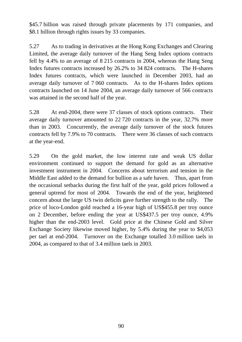\$45.7 billion was raised through private placements by 171 companies, and \$8.1 billion through rights issues by 33 companies.

5.27 As to trading in derivatives at the Hong Kong Exchanges and Clearing Limited, the average daily turnover of the Hang Seng Index options contracts fell by 4.4% to an average of 8 215 contracts in 2004, whereas the Hang Seng Index futures contracts increased by 26.2% to 34 824 contracts. The H-shares Index futures contracts, which were launched in December 2003, had an average daily turnover of 7 060 contracts. As to the H-shares Index options contracts launched on 14 June 2004, an average daily turnover of 566 contracts was attained in the second half of the year.

5.28 At end-2004, there were 37 classes of stock options contracts. Their average daily turnover amounted to 22 720 contracts in the year, 32.7% more than in 2003. Concurrently, the average daily turnover of the stock futures contracts fell by 7.9% to 70 contracts. There were 36 classes of such contracts at the year-end.

5.29 On the gold market, the low interest rate and weak US dollar environment continued to support the demand for gold as an alternative investment instrument in 2004. Concerns about terrorism and tension in the Middle East added to the demand for bullion as a safe haven. Thus, apart from the occasional setbacks during the first half of the year, gold prices followed a general uptrend for most of 2004. Towards the end of the year, heightened concern about the large US twin deficits gave further strength to the rally. The price of loco-London gold reached a 16-year high of US\$455.8 per troy ounce on 2 December, before ending the year at US\$437.5 per troy ounce, 4.9% higher than the end-2003 level. Gold price at the Chinese Gold and Silver Exchange Society likewise moved higher, by 5.4% during the year to \$4,053 per tael at end-2004. Turnover on the Exchange totalled 3.0 million taels in 2004, as compared to that of 3.4 million taels in 2003.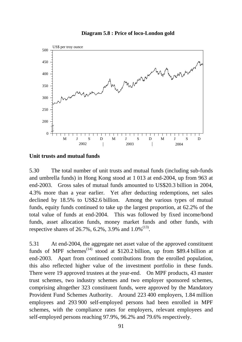# $500 -$ US\$ per troy ounce 450 Municipal 400 350 300 250 200  $\overline{\phantom{0}}$ M J S D M J S D M J S D 2002 2003 2004

#### **Diagram 5.8 : Price of loco-London gold**

### **Unit trusts and mutual funds**

5.30 The total number of unit trusts and mutual funds (including sub-funds and umbrella funds) in Hong Kong stood at 1 013 at end-2004, up from 963 at end-2003. Gross sales of mutual funds amounted to US\$20.3 billion in 2004, 4.3% more than a year earlier. Yet after deducting redemptions, net sales declined by 18.5% to US\$2.6 billion. Among the various types of mutual funds, equity funds continued to take up the largest proportion, at 62.2% of the total value of funds at end-2004. This was followed by fixed income/bond funds, asset allocation funds, money market funds and other funds, with respective shares of  $26.7\%$ ,  $6.2\%$ ,  $3.9\%$  and  $1.0\%$ <sup>(13)</sup>.

5.31 At end-2004, the aggregate net asset value of the approved constituent funds of MPF schemes<sup> $(14)$ </sup> stood at \$120.2 billion, up from \$89.4 billion at end-2003. Apart from continued contributions from the enrolled population, this also reflected higher value of the investment portfolio in these funds. There were 19 approved trustees at the year-end. On MPF products, 43 master trust schemes, two industry schemes and two employer sponsored schemes, comprising altogether 323 constituent funds, were approved by the Mandatory Provident Fund Schemes Authority. Around 223 400 employers, 1.84 million employees and 293 900 self-employed persons had been enrolled in MPF schemes, with the compliance rates for employers, relevant employees and self-employed persons reaching 97.9%, 96.2% and 79.6% respectively.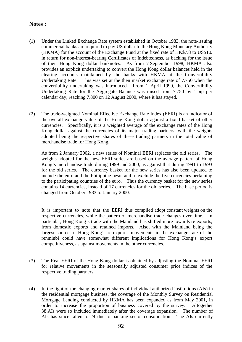### **Notes :**

- (1) Under the Linked Exchange Rate system established in October 1983, the note-issuing commercial banks are required to pay US dollar to the Hong Kong Monetary Authority (HKMA) for the account of the Exchange Fund at the fixed rate of HK\$7.8 to US\$1.0 in return for non-interest-bearing Certificates of Indebtedness, as backing for the issue of their Hong Kong dollar banknotes. As from 7 September 1998, HKMA also provides an explicit undertaking to convert the Hong Kong dollar balances held in the clearing accounts maintained by the banks with HKMA at the Convertibility Undertaking Rate. This was set at the then market exchange rate of 7.750 when the convertibility undertaking was introduced. From 1 April 1999, the Convertibility Undertaking Rate for the Aggregate Balance was raised from 7.750 by 1 pip per calendar day, reaching 7.800 on 12 August 2000, where it has stayed.
- (2) The trade-weighted Nominal Effective Exchange Rate Index (EERI) is an indicator of the overall exchange value of the Hong Kong dollar against a fixed basket of other currencies. Specifically, it is a weighted average of the exchange rates of the Hong Kong dollar against the currencies of its major trading partners, with the weights adopted being the respective shares of these trading partners in the total value of merchandise trade for Hong Kong.

 As from 2 January 2002, a new series of Nominal EERI replaces the old series. The weights adopted for the new EERI series are based on the average pattern of Hong Kong's merchandise trade during 1999 and 2000, as against that during 1991 to 1993 for the old series. The currency basket for the new series has also been updated to include the euro and the Philippine peso, and to exclude the five currencies pertaining to the participating countries of the euro. Thus the currency basket for the new series contains 14 currencies, instead of 17 currencies for the old series. The base period is changed from October 1983 to January 2000.

 It is important to note that the EERI thus compiled adopt constant weights on the respective currencies, while the pattern of merchandise trade changes over time. In particular, Hong Kong's trade with the Mainland has shifted more towards re-exports, from domestic exports and retained imports. Also, with the Mainland being the largest source of Hong Kong's re-exports, movements in the exchange rate of the renminbi could have somewhat different implications for Hong Kong's export competitiveness, as against movements in the other currencies.

- (3) The Real EERI of the Hong Kong dollar is obtained by adjusting the Nominal EERI for relative movements in the seasonally adjusted consumer price indices of the respective trading partners.
- (4) In the light of the changing market shares of individual authorized institutions (AIs) in the residential mortgage business, the coverage of the Monthly Survey on Residential Mortgage Lending conducted by HKMA has been expanded as from May 2001, in order to increase the proportion of business covered by the survey. Altogether 38 AIs were so included immediately after the coverage expansion. The number of AIs has since fallen to 24 due to banking sector consolidation. The AIs currently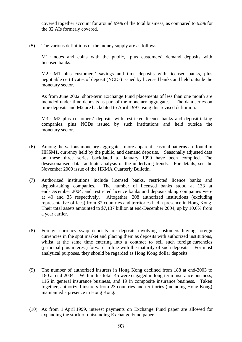covered together account for around 99% of the total business, as compared to 92% for the 32 AIs formerly covered.

(5) The various definitions of the money supply are as follows:

M1 : notes and coins with the public, plus customers' demand deposits with licensed banks.

M2 : M1 plus customers' savings and time deposits with licensed banks, plus negotiable certificates of deposit (NCDs) issued by licensed banks and held outside the monetary sector.

 As from June 2002, short-term Exchange Fund placements of less than one month are included under time deposits as part of the monetary aggregates. The data series on time deposits and M2 are backdated to April 1997 using this revised definition.

M3 : M2 plus customers' deposits with restricted licence banks and deposit-taking companies, plus NCDs issued by such institutions and held outside the monetary sector.

- (6) Among the various monetary aggregates, more apparent seasonal patterns are found in HK\$M1, currency held by the public, and demand deposits. Seasonally adjusted data on these three series backdated to January 1990 have been compiled. The deseasonalised data facilitate analysis of the underlying trends. For details, see the November 2000 issue of the HKMA Quarterly Bulletin.
- (7) Authorized institutions include licensed banks, restricted licence banks and deposit-taking companies. The number of licensed banks stood at 133 at end-December 2004, and restricted licence banks and deposit-taking companies were at 40 and 35 respectively. Altogether, 208 authorized institutions (excluding representative offices) from 32 countries and territories had a presence in Hong Kong. Their total assets amounted to \$7,137 billion at end-December 2004, up by 10.0% from a year earlier.
- (8) Foreign currency swap deposits are deposits involving customers buying foreign currencies in the spot market and placing them as deposits with authorized institutions, whilst at the same time entering into a contract to sell such foreign currencies (principal plus interest) forward in line with the maturity of such deposits. For most analytical purposes, they should be regarded as Hong Kong dollar deposits.
- (9) The number of authorized insurers in Hong Kong declined from 188 at end-2003 to 180 at end-2004. Within this total, 45 were engaged in long-term insurance business, 116 in general insurance business, and 19 in composite insurance business. Taken together, authorized insurers from 23 countries and territories (including Hong Kong) maintained a presence in Hong Kong.
- (10) As from 1 April 1999, interest payments on Exchange Fund paper are allowed for expanding the stock of outstanding Exchange Fund paper.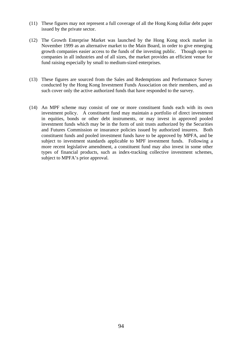- (11) These figures may not represent a full coverage of all the Hong Kong dollar debt paper issued by the private sector.
- (12) The Growth Enterprise Market was launched by the Hong Kong stock market in November 1999 as an alternative market to the Main Board, in order to give emerging growth companies easier access to the funds of the investing public. Though open to companies in all industries and of all sizes, the market provides an efficient venue for fund raising especially by small to medium-sized enterprises.
- (13) These figures are sourced from the Sales and Redemptions and Performance Survey conducted by the Hong Kong Investment Funds Association on their members, and as such cover only the active authorized funds that have responded to the survey.
- (14) An MPF scheme may consist of one or more constituent funds each with its own investment policy. A constituent fund may maintain a portfolio of direct investment in equities, bonds or other debt instruments, or may invest in approved pooled investment funds which may be in the form of unit trusts authorized by the Securities and Futures Commission or insurance policies issued by authorized insurers. Both constituent funds and pooled investment funds have to be approved by MPFA, and be subject to investment standards applicable to MPF investment funds. Following a more recent legislative amendment, a constituent fund may also invest in some other types of financial products, such as index-tracking collective investment schemes, subject to MPFA's prior approval.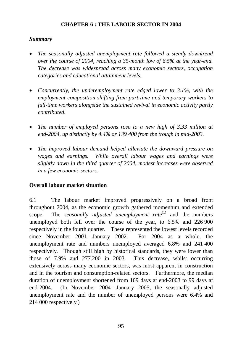# **CHAPTER 6 : THE LABOUR SECTOR IN 2004**

### *Summary*

- *The seasonally adjusted unemployment rate followed a steady downtrend over the course of 2004, reaching a 35-month low of 6.5% at the year-end. The decrease was widespread across many economic sectors, occupation categories and educational attainment levels.*
- *Concurrently, the underemployment rate edged lower to 3.1%, with the employment composition shifting from part-time and temporary workers to full-time workers alongside the sustained revival in economic activity partly contributed.*
- *The number of employed persons rose to a new high of 3.33 million at end-2004, up distinctly by 4.4% or 139 400 from the trough in mid-2003.*
- *The improved labour demand helped alleviate the downward pressure on wages and earnings. While overall labour wages and earnings were slightly down in the third quarter of 2004, modest increases were observed in a few economic sectors.*

# **Overall labour market situation**

6.1 The labour market improved progressively on a broad front throughout 2004, as the economic growth gathered momentum and extended scope. The *seasonally adjusted unemployment rate*<sup>(1)</sup> and the numbers unemployed both fell over the course of the year, to 6.5% and 226 900 respectively in the fourth quarter. These represented the lowest levels recorded since November 2001 – January 2002. For 2004 as a whole, the unemployment rate and numbers unemployed averaged 6.8% and 241 400 respectively. Though still high by historical standards, they were lower than those of 7.9% and 277 200 in 2003. This decrease, whilst occurring extensively across many economic sectors, was most apparent in construction and in the tourism and consumption-related sectors. Furthermore, the median duration of unemployment shortened from 109 days at end-2003 to 99 days at end-2004. (In November 2004 – January 2005, the seasonally adjusted unemployment rate and the number of unemployed persons were 6.4% and 214 000 respectively.)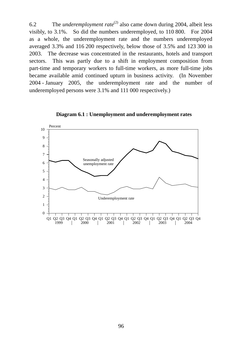6.2 The *underemployment rate*(2) also came down during 2004, albeit less visibly, to 3.1%. So did the numbers underemployed, to 110 800. For 2004 as a whole, the underemployment rate and the numbers underemployed averaged 3.3% and 116 200 respectively, below those of 3.5% and 123 300 in 2003. The decrease was concentrated in the restaurants, hotels and transport sectors. This was partly due to a shift in employment composition from part-time and temporary workers to full-time workers, as more full-time jobs became available amid continued upturn in business activity. (In November 2004 - January 2005, the underemployment rate and the number of underemployed persons were 3.1% and 111 000 respectively.)



**Diagram 6.1 : Unemployment and underemployment rates**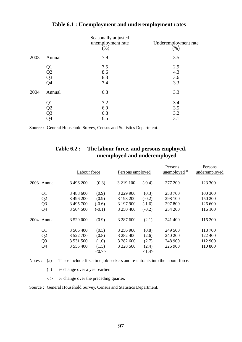|      |                                                                       | Seasonally adjusted<br>unemployment rate | Underemployment rate |
|------|-----------------------------------------------------------------------|------------------------------------------|----------------------|
|      |                                                                       | (% )                                     | (% )                 |
| 2003 | Annual                                                                | 7.9                                      | 3.5                  |
|      | Q <sub>1</sub>                                                        | 7.5                                      | 2.9                  |
|      |                                                                       | 8.6                                      | 4.3                  |
|      |                                                                       | 8.3                                      | 3.6                  |
|      | $\begin{array}{c} \tilde{Q2} \\ \tilde{Q3} \\ \tilde{Q4} \end{array}$ | 7.4                                      | 3.3                  |
| 2004 | Annual                                                                | 6.8                                      | 3.3                  |
|      | Q1                                                                    | 7.2                                      | 3.4                  |
|      | Q2                                                                    | 6.9                                      | 3.5                  |
|      | $\bar{\rm Q3}$                                                        | 6.8                                      | 3.2                  |
|      | Q4                                                                    | 6.5                                      | 3.1                  |

# **Table 6.1 : Unemployment and underemployment rates**

Source : General Household Survey, Census and Statistics Department.

# **Table 6.2 : The labour force, and persons employed, unemployed and underemployed**

|                | Labour force  |          | Persons employed |          | Persons<br>unemploved <sup>(a)</sup> | Persons<br>underemployed |
|----------------|---------------|----------|------------------|----------|--------------------------------------|--------------------------|
| 2003 Annual    | 3 496 200     | (0.3)    | 3 2 1 9 1 0 0    | $(-0.4)$ | 277 200                              | 123 300                  |
| Q <sub>1</sub> | 3 488 600     | (0.9)    | 3 229 900        | (0.3)    | 258 700                              | 100 300                  |
| Q2             | 3 496 200     | (0.9)    | 3 198 200        | $(-0.2)$ | 298 100                              | 150 200                  |
| Q <sub>3</sub> | 3 495 700     | $(-0.6)$ | 3 197 900        | $(-1.6)$ | 297 800                              | 126 600                  |
| Q4             | 3 504 500     | $(-0.1)$ | 3 250 400        | $(-0.2)$ | 254 200                              | 116 100                  |
| 2004 Annual    | 3 529 000     | (0.9)    | 3 287 600        | (2.1)    | 241 400                              | 116 200                  |
| Q <sub>1</sub> | 3 506 400     | (0.5)    | 3 256 900        | (0.8)    | 249 500                              | 118 700                  |
| Q <sub>2</sub> | 3 522 700     | (0.8)    | 3 282 400        | (2.6)    | 240 200                              | 122 400                  |
| Q <sub>3</sub> | 3 5 3 1 5 0 0 | (1.0)    | 3 2 8 2 6 0 0    | (2.7)    | 248 900                              | 112 900                  |
| Q4             | 3 555 400     | (1.5)    | 3 3 28 5 00      | (2.4)    | 226 900                              | 110 800                  |
|                |               | <0.7>    |                  | <1.4>    |                                      |                          |

Notes : (a) These include first-time job-seekers and re-entrants into the labour force.

( ) % change over a year earlier.

< > % change over the preceding quarter.

Source : General Household Survey, Census and Statistics Department.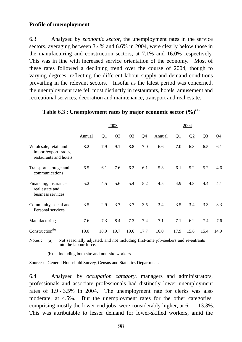### **Profile of unemployment**

6.3 Analysed by *economic sector*, the unemployment rates in the service sectors, averaging between 3.4% and 6.6% in 2004, were clearly below those in the manufacturing and construction sectors, at 7.1% and 16.0% respectively. This was in line with increased service orientation of the economy. Most of these rates followed a declining trend over the course of 2004, though to varying degrees, reflecting the different labour supply and demand conditions prevailing in the relevant sectors. Insofar as the latest period was concerned, the unemployment rate fell most distinctly in restaurants, hotels, amusement and recreational services, decoration and maintenance, transport and real estate.

|                                                                          |        | 2003     |      |       |       |        | 2004 |      |       |                       |  |
|--------------------------------------------------------------------------|--------|----------|------|-------|-------|--------|------|------|-------|-----------------------|--|
|                                                                          | Annual | $\Omega$ | Q2   | $Q_3$ | $Q_4$ | Annual | Q1   | Q2   | $Q_3$ | $\Omega$ <sup>4</sup> |  |
| Wholesale, retail and<br>import/export trades,<br>restaurants and hotels | 8.2    | 7.9      | 9.1  | 8.8   | 7.0   | 6.6    | 7.0  | 6.8  | 6.5   | 6.1                   |  |
| Transport, storage and<br>communications                                 | 6.5    | 6.1      | 7.6  | 6.2   | 6.1   | 5.3    | 6.1  | 5.2  | 5.2   | 4.6                   |  |
| Financing, insurance,<br>real estate and<br>business services            | 5.2    | 4.5      | 5.6  | 5.4   | 5.2   | 4.5    | 4.9  | 4.8  | 4.4   | 4.1                   |  |
| Community, social and<br>Personal services                               | 3.5    | 2.9      | 3.7  | 3.7   | 3.5   | 3.4    | 3.5  | 3.4  | 3.3   | 3.3                   |  |
| Manufacturing                                                            | 7.6    | 7.3      | 8.4  | 7.3   | 7.4   | 7.1    | 7.1  | 6.2  | 7.4   | 7.6                   |  |
| Construction <sup>(b)</sup>                                              | 19.0   | 18.9     | 19.7 | 19.6  | 17.7  | 16.0   | 17.9 | 15.8 | 15.4  | 14.9                  |  |

### **Table 6.3 : Unemployment rates by major economic sector (%)(a)**

Notes : (a) Not seasonally adjusted, and not including first-time job-seekers and re-entrants into the labour force.

(b) Including both site and non-site workers.

Source : General Household Survey, Census and Statistics Department.

6.4 Analysed by *occupation category*, managers and administrators, professionals and associate professionals had distinctly lower unemployment rates of 1.9 - 3.5% in 2004. The unemployment rate for clerks was also moderate, at 4.5%. But the unemployment rates for the other categories, comprising mostly the lower-end jobs, were considerably higher, at  $6.1 - 13.3\%$ . This was attributable to lesser demand for lower-skilled workers, amid the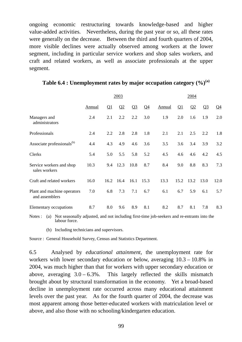ongoing economic restructuring towards knowledge-based and higher value-added activities. Nevertheless, during the past year or so, all these rates were generally on the decrease. Between the third and fourth quarters of 2004, more visible declines were actually observed among workers at the lower segment, including in particular service workers and shop sales workers, and craft and related workers, as well as associate professionals at the upper segment.

|                                               | 2003          |          |          |       |                | 2004   |          |                |                |                |
|-----------------------------------------------|---------------|----------|----------|-------|----------------|--------|----------|----------------|----------------|----------------|
|                                               | <b>Annual</b> | $\Omega$ | $\Omega$ | $Q_3$ | Q <sub>4</sub> | Annual | $\Omega$ | Q <sub>2</sub> | Q <sub>3</sub> | Q <sub>4</sub> |
| Managers and<br>administrators                | 2.4           | 2.1      | 2.2      | 2.2   | 3.0            | 1.9    | 2.0      | 1.6            | 1.9            | 2.0            |
| Professionals                                 | 2.4           | 2.2      | 2.8      | 2.8   | 1.8            | 2.1    | 2.1      | 2.5            | 2.2            | 1.8            |
| Associate professionals <sup>(b)</sup>        | 4.4           | 4.3      | 4.9      | 4.6   | 3.6            | 3.5    | 3.6      | 3.4            | 3.9            | 3.2            |
| Clerks                                        | 5.4           | 5.0      | 5.5      | 5.8   | 5.2            | 4.5    | 4.6      | 4.6            | 4.2            | 4.5            |
| Service workers and shop<br>sales workers     | 10.3          | 9.4      | 12.3     | 10.8  | 8.7            | 8.4    | 9.0      | 8.8            | 8.3            | 7.3            |
| Craft and related workers                     | 16.0          | 16.2     | 16.4     | 16.1  | 15.3           | 13.3   | 15.2     | 13.2           | 13.0           | 12.0           |
| Plant and machine operators<br>and assemblers | 7.0           | 6.8      | 7.3      | 7.1   | 6.7            | 6.1    | 6.7      | 5.9            | 6.1            | 5.7            |
| Elementary occupations                        | 8.7           | 8.0      | 9.6      | 8.9   | 8.1            | 8.2    | 8.7      | 8.1            | 7.8            | 8.3            |

### **Table 6.4 : Unemployment rates by major occupation category (%)(a)**

Notes : (a) Not seasonally adjusted, and not including first-time job-seekers and re-entrants into the labour force.

(b) Including technicians and supervisors.

Source : General Household Survey, Census and Statistics Department.

6.5 Analysed by *educational attainment*, the unemployment rate for workers with lower secondary education or below, averaging 10.3 – 10.8% in 2004, was much higher than that for workers with upper secondary education or above, averaging  $3.0 - 6.3\%$ . This largely reflected the skills mismatch brought about by structural transformation in the economy. Yet a broad-based decline in unemployment rate occurred across many educational attainment levels over the past year. As for the fourth quarter of 2004, the decrease was most apparent among those better-educated workers with matriculation level or above, and also those with no schooling/kindergarten education.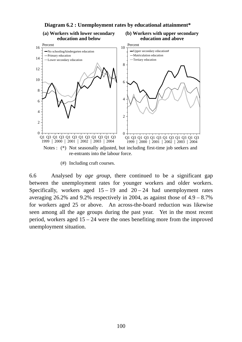

(#) Including craft courses.

6.6 Analysed by *age group*, there continued to be a significant gap between the unemployment rates for younger workers and older workers. Specifically, workers aged  $15 - 19$  and  $20 - 24$  had unemployment rates averaging 26.2% and 9.2% respectively in 2004, as against those of  $4.9 - 8.7\%$ for workers aged 25 or above. An across-the-board reduction was likewise seen among all the age groups during the past year. Yet in the most recent period, workers aged 15 – 24 were the ones benefiting more from the improved unemployment situation.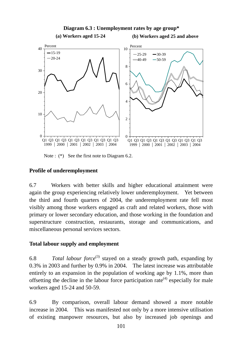

Note :  $(*)$  See the first note to Diagram 6.2.

# **Profile of underemployment**

6.7 Workers with better skills and higher educational attainment were again the group experiencing relatively lower underemployment. Yet between the third and fourth quarters of 2004, the underemployment rate fell most visibly among those workers engaged as craft and related workers, those with primary or lower secondary education, and those working in the foundation and superstructure construction, restaurants, storage and communications, and miscellaneous personal services sectors.

# **Total labour supply and employment**

6.8 *Total labour force*(3) stayed on a steady growth path, expanding by 0.3% in 2003 and further by 0.9% in 2004. The latest increase was attributable entirely to an expansion in the population of working age by 1.1%, more than offsetting the decline in the labour force participation rate<sup> $(4)$ </sup> especially for male workers aged 15-24 and 50-59.

6.9 By comparison, overall labour demand showed a more notable increase in 2004. This was manifested not only by a more intensive utilisation of existing manpower resources, but also by increased job openings and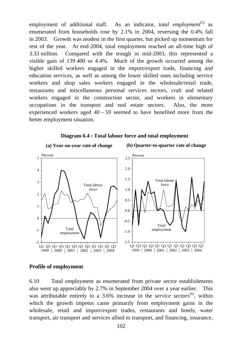employment of additional staff. As an indicator, *total employment*<sup>(5)</sup> as enumerated from households rose by 2.1% in 2004, reversing the 0.4% fall in 2003. Growth was modest in the first quarter, but picked up momentum for rest of the year. At end-2004, total employment reached an all-time high of 3.33 million. Compared with the trough in mid-2003, this represented a visible gain of 139 400 or 4.4%. Much of the growth occurred among the higher skilled workers engaged in the import/export trade, financing and education services, as well as among the lower skilled ones including service workers and shop sales workers engaged in the wholesale/retail trade, restaurants and miscellaneous personal services sectors, craft and related workers engaged in the construction sector, and workers in elementary occupations in the transport and real estate sectors. Also, the more experienced workers aged  $40 - 59$  seemed to have benefited more from the better employment situation.

#### **Diagram 6.4 : Total labour force and total employment**



### **Profile of employment**

6.10 Total employment as enumerated from private sector establishments also went up appreciably by 2.7% in September 2004 over a year earlier. This was attributable entirely to a 3.6% increase in the *service sectors*<sup>(6)</sup>, within which the growth impetus came primarily from employment gains in the wholesale, retail and import/export trades, restaurants and hotels, water transport, air transport and services allied to transport, and financing, insurance,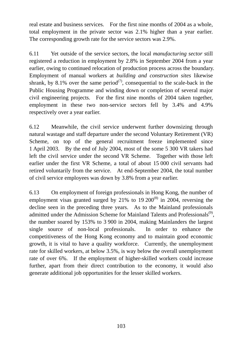real estate and business services. For the first nine months of 2004 as a whole, total employment in the private sector was 2.1% higher than a year earlier. The corresponding growth rate for the service sectors was 2.9%.

6.11 Yet outside of the service sectors, the local *manufacturing sector* still registered a reduction in employment by 2.8% in September 2004 from a year earlier, owing to continued relocation of production process across the boundary. Employment of manual workers at *building and construction sites* likewise shrank, by 8.1% over the same period<sup>(7)</sup>, consequential to the scale-back in the Public Housing Programme and winding down or completion of several major civil engineering projects. For the first nine months of 2004 taken together, employment in these two non-service sectors fell by 3.4% and 4.9% respectively over a year earlier.

6.12 Meanwhile, the civil service underwent further downsizing through natural wastage and staff departure under the second Voluntary Retirement (VR) Scheme, on top of the general recruitment freeze implemented since 1 April 2003. By the end of July 2004, most of the some 5 300 VR takers had left the civil service under the second VR Scheme. Together with those left earlier under the first VR Scheme, a total of about 15 000 civil servants had retired voluntarily from the service. At end-September 2004, the total number of civil service employees was down by 3.8% from a year earlier.

6.13 On employment of foreign professionals in Hong Kong, the number of employment visas granted surged by  $21\%$  to  $19\,200^{(8)}$  in 2004, reversing the decline seen in the preceding three years. As to the Mainland professionals admitted under the Admission Scheme for Mainland Talents and Professionals<sup>(9)</sup>, the number soared by 153% to 3 900 in 2004, making Mainlanders the largest single source of non-local professionals. In order to enhance the competitiveness of the Hong Kong economy and to maintain good economic growth, it is vital to have a quality workforce. Currently, the unemployment rate for skilled workers, at below 3.5%, is way below the overall unemployment rate of over 6%. If the employment of higher-skilled workers could increase further, apart from their direct contribution to the economy, it would also generate additional job opportunities for the lesser skilled workers.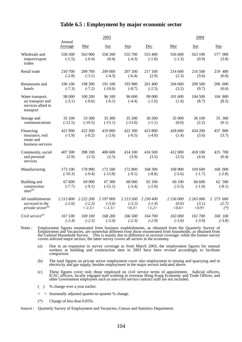## **Table 6.5 : Employment by major economic sector**

|                                                                          | 2003                  |                                                 |                                                 |                                |                                | 2004                        |                             |                                  |  |
|--------------------------------------------------------------------------|-----------------------|-------------------------------------------------|-------------------------------------------------|--------------------------------|--------------------------------|-----------------------------|-----------------------------|----------------------------------|--|
|                                                                          | Annual<br>Average     | Mar                                             | Jun                                             | <b>Sep</b>                     | Dec                            | Mar                         | Jun                         | Sep                              |  |
| Wholesale and<br>import/export<br>trades                                 | 558 300<br>$(-1.5)$   | 563 900<br>$(-0.4)$                             | 558 200<br>(0.4)                                | 555 700<br>$(-4.3)$            | 555 400<br>$(-1.8)$            | 556 600<br>$(-1.3)$         | 563 100<br>(0.9)            | 577 000<br>(3.8)                 |  |
| Retail trade                                                             | 210 700<br>$(-2.8)$   | 209 700<br>$(-3.1)$                             | 209 000<br>$(-4.3)$                             | 207 100<br>$(-6.4)$            | 217 100<br>(2.9)               | 214 600<br>(2.3)            | 216 500<br>(3.6)            | 219 400<br>(6.0)                 |  |
| Restaurants and<br>hotels                                                | 196 100<br>$(-7.3)$   | 198 200<br>$(-7.2)$                             | 191 100<br>$(-10.6)$                            | 193 900<br>$(-8.7)$            | 201 400<br>$(-2.5)$            | 204 600<br>(3.2)            | 209 500<br>(9.7)            | 206 600<br>(6.6)                 |  |
| Water transport,<br>air transport and<br>services allied to<br>transport | 98 000<br>$(-3.1)$    | 100 200<br>$(-0.6)$                             | 96 100<br>$(-6.1)$                              | 96 600<br>$(-4.4)$             | 99 000<br>$(-1.0)$             | 101 600<br>(1.4)            | 104 500<br>(8.7)            | 104 800<br>(8.5)                 |  |
| Storage and<br>communications                                            | 35 100<br>$(-12.5)$   | 33 300<br>$(-19.5)$                             | 35 300<br>$(-15.1)$                             | 35 200<br>$(-13.0)$            | 36 500<br>$(-1.1)$             | 35 900<br>(8.0)             | 36 100<br>(2.2)             | 35 300<br>(0.1)                  |  |
| Financing,<br>insurance, real<br>estate and<br>business services         | 421 900<br>$(-1.9)$   | 422 500<br>$(-0.2)$                             | 419 000<br>$(-2.6)$                             | 422 300<br>$(-0.5)$            | 423 800<br>$(-4.0)$            | 428 600<br>(1.4)            | 434 200<br>(3.6)            | 437 800<br>(3.7)                 |  |
| Community, social<br>and personal<br>services                            | 407 300<br>(2.9)      | 398 100<br>(1.5)                                | 400 600<br>(2.5)                                | 414 100<br>(3.9)               | 416 500<br>(3.5)               | 412 000<br>(3.5)            | 418 100<br>(4.4)            | 415 700<br>(0.4)                 |  |
| Manufacturing                                                            | 173 100<br>$(-10.3)$  | 178 900<br>$(-9.4)$                             | 172 500<br>$(-13.8)$                            | 172 800<br>$(-9.1)$            | 168 300<br>$(-8.8)$            | 168 900<br>$(-5.6)$         | 169 600<br>$(-1.7)$         | 168 000<br>$(-2.8)$              |  |
| Building and<br>construction<br>sites $(a)$                              | 67 600<br>$(-7.7)$    | 69 900<br>$(-9.1)$                              | 67 300<br>$(-15.1)$                             | 68 000<br>$(-3.4)$             | 65 100<br>$(-2.0)$             | 66 100<br>$(-5.5)$          | 66 600<br>$(-1.0)$          | 62 500<br>$(-8.1)$               |  |
| All establishments<br>surveyed in the<br>private sector <sup>(b)</sup>   | 2 215 800<br>$(-2.6)$ | 2 222 200<br>$(-2.3)$<br>$\langle -1.5 \rangle$ | 2 197 000<br>$(-3.6)$<br>$\langle -1.5 \rangle$ | 2 213 500<br>$(-3.2)$<br><0.3> | 2 230 400<br>$(-1.4)$<br><1.2> | 2 236 000<br>(0.6)<br><0.6> | 2 265 000<br>(3.1)<br><0.9> | 2 2 7 3<br>600<br>(2.7)<br>$(*)$ |  |
| Civil service $(c)$                                                      | 167 100<br>$(-2.4)$   | 169 100<br>$(-2.3)$                             | 168 200<br>$(-2.0)$                             | 166 500<br>$(-2.3)$            | 164 700<br>$(-2.9)$            | 163 000<br>$(-3.6)$         | 161 700<br>$(-3.9)$         | 160 100<br>$(-3.8)$              |  |

Notes : Employment figures enumerated from business establishments, as obtained from the Quarterly Survey of Employment and Vacancies, are somewhat different from those enumerated from households, as obtained from the General Household Survey. This is mainly due to difference in sectoral coverage: while the former survey covers selected major sectors, the latter survey covers all sectors in the economy.

(a) Due to an expansion in survey coverage as from March 2003, the employment figures for manual workers at building and construction sites in 2003 have been revised accordingly to facilitate comparison.

(b) The total figures on private sector employment cover also employment in mining and quarrying and in electricity and gas supply, besides employment in the major sectors indicated above.

(c) These figures cover only those employed on civil service terms of appointment. Judicial officers, ICAC officers, locally engaged staff working in overseas Hong Kong Economic and Trade Offices, and other Government empl

- ( ) % change over a year earlier.
- < > Seasonally adjusted quarter-to-quarter % change.
- (\*) Change of less than 0.05%.

Source : Quarterly Survey of Employment and Vacancies, Census and Statistics Department.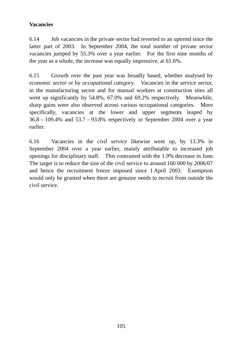# **Vacancies**

6.14 Job vacancies in the private sector had reverted to an uptrend since the latter part of 2003. In September 2004, the total number of private sector vacancies jumped by 55.3% over a year earlier. For the first nine months of the year as a whole, the increase was equally impressive, at 61.6%.

6.15 Growth over the past year was broadly based, whether analysed by *economic sector* or by *occupational category*. Vacancies in the service sector, in the manufacturing sector and for manual workers at construction sites all went up significantly by 54.8%, 67.0% and 69.2% respectively. Meanwhile, sharp gains were also observed across various occupational categories. More specifically, vacancies at the lower and upper segments leaped by 36.8 – 109.4% and 53.7 – 93.8% respectively in September 2004 over a year earlier.

6.16 Vacancies in the *civil service* likewise went up, by 13.3% in September 2004 over a year earlier, mainly attributable to increased job openings for disciplinary staff. This contrasted with the 1.9% decrease in June. The target is to reduce the size of the civil service to around 160 000 by 2006/07 and hence the recruitment freeze imposed since 1 April 2003. Exemption would only be granted when there are genuine needs to recruit from outside the civil service.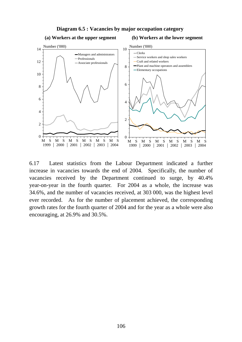

**Diagram 6.5 : Vacancies by major occupation category**

6.17 Latest statistics from the Labour Department indicated a further increase in vacancies towards the end of 2004. Specifically, the number of vacancies received by the Department continued to surge, by 40.4% year-on-year in the fourth quarter. For 2004 as a whole, the increase was 34.6%, and the number of vacancies received, at 303 000, was the highest level ever recorded. As for the number of placement achieved, the corresponding growth rates for the fourth quarter of 2004 and for the year as a whole were also encouraging, at 26.9% and 30.5%.

#### **(b) Workers at the lower segment**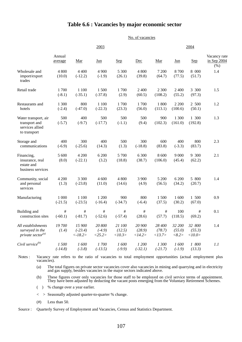## **Table 6.6 : Vacancies by major economic sector**

|                                                                          | No. of vacancies   |                                   |                              |                            |                            |                            |                           |                            |                                     |  |  |
|--------------------------------------------------------------------------|--------------------|-----------------------------------|------------------------------|----------------------------|----------------------------|----------------------------|---------------------------|----------------------------|-------------------------------------|--|--|
|                                                                          |                    |                                   | 2003                         |                            |                            |                            | 2004                      |                            |                                     |  |  |
|                                                                          | Annual<br>average  | Mar                               | $_{\text{Jun}}$              | <u>Sep</u>                 | Dec                        | Mar                        | $_{\text{Jun}}$           | <u>Sep</u>                 | Vacancy rate<br>in Sep 2004<br>(% ) |  |  |
| Wholesale and<br>import/export<br>trades                                 | 4 800<br>(10.0)    | 4 4 0 0<br>$(-12.2)$              | 4 9 0 0<br>$(-1.9)$          | 5 300<br>(26.1)            | 4 800<br>(39.8)            | 7 200<br>(64.7)            | 8700<br>(77.5)            | 8 000<br>(51.7)            | 1.4                                 |  |  |
| Retail trade                                                             | 1700<br>$(-8.1)$   | 1 100<br>$(-35.1)$                | 1500<br>$(-37.8)$            | 1700<br>(2.9)              | 2 400<br>(60.5)            | 2 300<br>(108.2)           | 2 4 0 0<br>(55.2)         | 3 300<br>(97.3)            | 1.5                                 |  |  |
| Restaurants and<br>hotels                                                | 1 300<br>$(-2.4)$  | 800<br>$(-47.0)$                  | 1 100<br>$(-22.3)$           | 1700<br>(23.3)             | 1700<br>(56.0)             | 1 800<br>(113.1)           | 2 2 0 0<br>(100.6)        | 2 500<br>(50.1)            | 1.2                                 |  |  |
| Water transport, air<br>transport and<br>services allied<br>to transport | 500<br>$(-5.7)$    | 400<br>$(-9.7)$                   | 500<br>$(-17.7)$             | 500<br>$(-1.1)$            | 500<br>(9.4)               | 900<br>(102.3)             | 1 300<br>(161.0)          | 1 300<br>(192.8)           | 1.3                                 |  |  |
| Storage and<br>communications                                            | 400<br>$(-6.9)$    | 300<br>$(-25.6)$                  | 400<br>(14.3)                | 500<br>(1.3)               | 300<br>$(-18.8)$           | 600<br>(83.8)              | 400<br>$(-3.3)$           | 800<br>(83.7)              | 2.3                                 |  |  |
| Financing,<br>insurance, real<br>estate and<br>business services         | 5 600<br>(8.0)     | 4 200<br>$(-22.1)$                | 6 200<br>(3.2)               | 5 700<br>(18.8)            | 6 300<br>(38.7)            | 8 600<br>(106.0)           | 9 0 0 0<br>(45.4)         | 9 300<br>(62.2)            | 2.1                                 |  |  |
| Community, social<br>and personal<br>services                            | 4 200<br>(1.3)     | 3 3 0 0<br>$(-23.8)$              | 4 600<br>(11.0)              | 4 800<br>(14.6)            | 3 900<br>(4.9)             | 5 200<br>(56.5)            | 6 200<br>(34.2)           | 5 800<br>(20.7)            | 1.4                                 |  |  |
| Manufacturing                                                            | 1 000<br>$(-21.5)$ | 1 100<br>$(-23.5)$                | 1 200<br>$(-16.4)$           | 900<br>$(-34.7)$           | 800<br>$(-6.4)$            | 1500<br>(37.5)             | 1 600<br>(30.2)           | 1 500<br>(67.0)            | 0.9                                 |  |  |
| Building and<br>construction sites                                       | #<br>$(-60.1)$     | #<br>$(-81.7)$                    | #<br>$(-52.6)$               | $\#$<br>$(-57.4)$          | #<br>(28.6)                | #<br>(57.7)                | 100<br>(118.5)            | #<br>(69.2)                | 0.1                                 |  |  |
| All establishments<br>surveyed in the<br>private sector $^{(a)}$         | 19700<br>(1.4)     | 15 900<br>$(-23.4)$<br>$< -18.2>$ | 20 800<br>$(-4.9)$<br><25.2> | 21 100<br>(12.5)<br><10.3> | 20 900<br>(28.9)<br><14.2> | 28 400<br>(78.7)<br><13.7> | 32 200<br>(55.0)<br><8.2> | 32 800<br>(55.3)<br><10.0> | 1.4                                 |  |  |
| Civil service <sup>(b)</sup>                                             | 1500<br>$(-14.8)$  | 1600<br>$(-3.8)$                  | 1700<br>$(-13.5)$            | 1600<br>$(-9.9)$           | 1 200<br>$(-32.1)$         | 1300<br>$(-21.7)$          | 1600<br>$(-1.9)$          | $1\,$ 800<br>(13.3)        | 1.1                                 |  |  |

Notes : Vacancy rate refers to the ratio of vacancies to total employment opportunities (actual employment plus vacancies).

(a) The total figures on private sector vacancies cover also vacancies in mining and quarrying and in electricity and gas supply, besides vacancies in the major sectors indicated above.

(b) These figures cover only vacancies for those staff to be employed on civil service terms of appointment. They have been adjusted by deducting the vacant posts emerging from the Voluntary Retirement Schemes.

- ( ) % change over a year earlier.
- < > Seasonally adjusted quarter-to-quarter % change.
- (#) Less than 50.

Source : Quarterly Survey of Employment and Vacancies, Census and Statistics Department.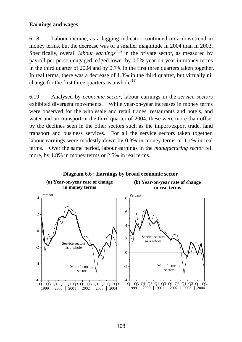## **Earnings and wages**

6.18 Labour income, as a lagging indicator, continued on a downtrend in money terms, but the decrease was of a smaller magnitude in 2004 than in 2003. Specifically, overall *labour earnings*<sup>(10)</sup> in the private sector, as measured by payroll per person engaged, edged lower by 0.5% year-on-year in money terms in the third quarter of 2004 and by 0.7% in the first three quarters taken together. In real terms, there was a decrease of 1.3% in the third quarter, but virtually nil change for the first three quarters as a whole $^{(11)}$ .

6.19 Analysed by *economic sector*, labour earnings in the *service sectors* exhibited divergent movements. While year-on-year increases in money terms were observed for the wholesale and retail trades, restaurants and hotels, and water and air transport in the third quarter of 2004, these were more than offset by the declines seen in the other sectors such as the import/export trade, land transport and business services. For all the service sectors taken together, labour earnings were modestly down by 0.3% in money terms or 1.1% in real terms. Over the same period, labour earnings in the *manufacturing sector* fell more, by 1.8% in money terms or 2.5% in real terms.

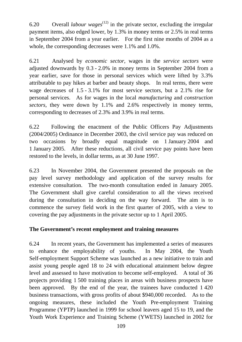6.20 Overall *labour wages*<sup> $(12)$ </sup> in the private sector, excluding the irregular payment items, also edged lower, by 1.3% in money terms or 2.5% in real terms in September 2004 from a year earlier. For the first nine months of 2004 as a whole, the corresponding decreases were 1.1% and 1.0%.

6.21 Analysed by *economic sector*, wages in the *service sectors* were adjusted downwards by 0.3 - 2.0% in money terms in September 2004 from a year earlier, save for those in personal services which were lifted by 3.3% attributable to pay hikes at barber and beauty shops. In real terms, there were wage decreases of 1.5 - 3.1% for most service sectors, but a 2.1% rise for personal services. As for wages in the local *manufacturing* and *construction sectors,* they were down by 1.1% and 2.6% respectively in money terms, corresponding to decreases of 2.3% and 3.9% in real terms.

6.22 Following the enactment of the Public Officers Pay Adjustments (2004/2005) Ordinance in December 2003, the civil service pay was reduced on two occasions by broadly equal magnitude on 1 January 2004 and 1 January 2005. After these reductions, all civil service pay points have been restored to the levels, in dollar terms, as at 30 June 1997.

6.23 In November 2004, the Government presented the proposals on the pay level survey methodology and application of the survey results for extensive consultation. The two-month consultation ended in January 2005. The Government shall give careful consideration to all the views received during the consultation in deciding on the way forward. The aim is to commence the survey field work in the first quarter of 2005, with a view to covering the pay adjustments in the private sector up to 1 April 2005.

# **The Government's recent employment and training measures**

6.24 In recent years, the Government has implemented a series of measures to enhance the employability of youths. In May 2004, the Youth Self-employment Support Scheme was launched as a new initiative to train and assist young people aged 18 to 24 with educational attainment below degree level and assessed to have motivation to become self-employed. A total of 36 projects providing 1 500 training places in areas with business prospects have been approved. By the end of the year, the trainees have conducted 1 420 business transactions, with gross profits of about \$940,000 recorded. As to the ongoing measures, these included the Youth Pre-employment Training Programme (YPTP) launched in 1999 for school leavers aged 15 to 19, and the Youth Work Experience and Training Scheme (YWETS) launched in 2002 for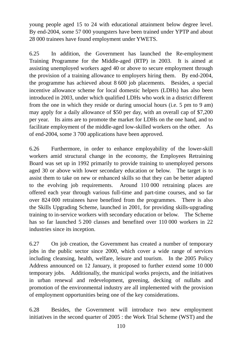young people aged 15 to 24 with educational attainment below degree level. By end-2004, some 57 000 youngsters have been trained under YPTP and about 28 000 trainees have found employment under YWETS.

6.25 In addition, the Government has launched the Re-employment Training Programme for the Middle-aged (RTP) in 2003. It is aimed at assisting unemployed workers aged 40 or above to secure employment through the provision of a training allowance to employers hiring them. By end-2004, the programme has achieved about 8 600 job placements. Besides, a special incentive allowance scheme for local domestic helpers (LDHs) has also been introduced in 2003, under which qualified LDHs who work in a district different from the one in which they reside or during unsocial hours (i.e. 5 pm to 9 am) may apply for a daily allowance of \$50 per day, with an overall cap of \$7,200 per year. Its aims are to promote the market for LDHs on the one hand, and to facilitate employment of the middle-aged low-skilled workers on the other. As of end-2004, some 3 700 applications have been approved.

6.26 Furthermore, in order to enhance employability of the lower-skill workers amid structural change in the economy, the Employees Retraining Board was set up in 1992 primarily to provide training to unemployed persons aged 30 or above with lower secondary education or below. The target is to assist them to take on new or enhanced skills so that they can be better adapted to the evolving job requirements. Around 110 000 retraining places are offered each year through various full-time and part-time courses, and so far over 824 000 retrainees have benefited from the programmes. There is also the Skills Upgrading Scheme, launched in 2001, for providing skills-upgrading training to in-service workers with secondary education or below. The Scheme has so far launched 5 200 classes and benefited over 110 000 workers in 22 industries since its inception.

6.27 On job creation, the Government has created a number of temporary jobs in the public sector since 2000, which cover a wide range of services including cleansing, health, welfare, leisure and tourism. In the 2005 Policy Address announced on 12 January, it proposed to further extend some 10 000 temporary jobs. Additionally, the municipal works projects, and the initiatives in urban renewal and redevelopment, greening, decking of nullahs and promotion of the environmental industry are all implemented with the provision of employment opportunities being one of the key considerations.

6.28 Besides, the Government will introduce two new employment initiatives in the second quarter of 2005 : the Work Trial Scheme (WST) and the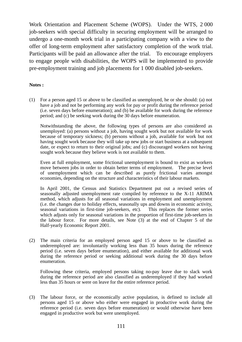Work Orientation and Placement Scheme (WOPS). Under the WTS, 2 000 job-seekers with special difficulty in securing employment will be arranged to undergo a one-month work trial in a participating company with a view to the offer of long-term employment after satisfactory completion of the work trial. Participants will be paid an allowance after the trial. To encourage employers to engage people with disabilities, the WOPS will be implemented to provide pre-employment training and job placements for 1 000 disabled job-seekers.

#### **Notes :**

(1) For a person aged 15 or above to be classified as unemployed, he or she should: (a) not have a job and not be performing any work for pay or profit during the reference period (i.e. seven days before enumeration); and (b) be available for work during the reference period; and (c) be seeking work during the 30 days before enumeration.

 Notwithstanding the above, the following types of persons are also considered as unemployed: (a) persons without a job, having sought work but not available for work because of temporary sickness; (b) persons without a job, available for work but not having sought work because they will take up new jobs or start business at a subsequent date, or expect to return to their original jobs; and (c) discouraged workers not having sought work because they believe work is not available to them.

 Even at full employment, some frictional unemployment is bound to exist as workers move between jobs in order to obtain better terms of employment. The precise level of unemployment which can be described as purely frictional varies amongst economies, depending on the structure and characteristics of their labour markets.

 In April 2001, the Census and Statistics Department put out a revised series of seasonally adjusted unemployment rate compiled by reference to the X-11 ARIMA method, which adjusts for all seasonal variations in employment and unemployment (i.e. the changes due to holiday effects, seasonally ups and downs in economic activity, seasonal variations in first-time job-seekers, etc). This replaces the former series which adjusts only for seasonal variations in the proportion of first-time job-seekers in the labour force. For more details, see Note (3) at the end of Chapter 5 of the Half-yearly Economic Report 2001.

(2) The main criteria for an employed person aged 15 or above to be classified as underemployed are: involuntarily working less than 35 hours during the reference period (i.e. seven days before enumeration), and either available for additional work during the reference period or seeking additional work during the 30 days before enumeration.

 Following these criteria, employed persons taking no-pay leave due to slack work during the reference period are also classified as underemployed if they had worked less than 35 hours or were on leave for the entire reference period.

(3) The labour force, or the economically active population, is defined to include all persons aged 15 or above who either were engaged in productive work during the reference period (i.e. seven days before enumeration) or would otherwise have been engaged in productive work but were unemployed.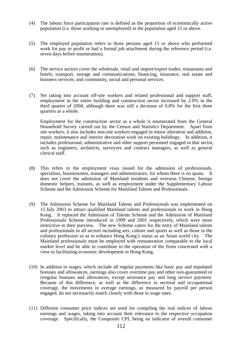- (4) The labour force participation rate is defined as the proportion of economically active population (i.e. those working or unemployed) in the population aged 15 or above.
- (5) The employed population refers to those persons aged 15 or above who performed work for pay or profit or had a formal job attachment during the reference period (i.e. seven days before enumeration).
- (6) The service sectors cover the wholesale, retail and import/export trades, restaurants and hotels; transport, storage and communications; financing, insurance, real estate and business services; and community, social and personal services.
- (7) Yet taking into account off-site workers and related professional and support staff, employment in the entire building and construction sector increased by 2.0% in the third quarter of 2004, although there was still a decrease of 0.8% for the first three quarters as a whole.

 Employment for the construction sector as a whole is enumerated from the General Household Survey carried out by the Census and Statistics Department. Apart from site workers, it also includes non-site workers engaged in minor alteration and addition, repair, maintenance and interior decoration work on existing buildings. In addition, it includes professional, administrative and other support personnel engaged in that sector, such as engineers, architects, surveyors and contract managers, as well as general clerical staff.

- (8) This refers to the employment visas issued for the admission of professionals, specialists, businessmen, managers and administrators, for whom there is no quota. It does not cover the admission of Mainland residents and overseas Chinese, foreign domestic helpers, trainees, as well as employment under the Supplementary Labour Scheme and the Admission Scheme for Mainland Talents and Professionals.
- (9) The Admission Scheme for Mainland Talents and Professionals was implemented on 15 July 2003 to attract qualified Mainland talents and professionals to work in Hong Kong. It replaced the Admission of Talents Scheme and the Admission of Mainland Professionals Scheme introduced in 1999 and 2001 respectively, which were more restrictive in their purview. The new Scheme caters for the entry of Mainland talents and professionals in all sectors including arts, culture and sports as well as those in the culinary profession so as to enhance Hong Kong's status as an Asian world city. The Mainland professionals must be employed with remuneration comparable to the local market level and be able to contribute to the operation of the firms concerned with a view to facilitating economic development in Hong Kong.
- (10) In addition to wages, which include all regular payments like basic pay and stipulated bonuses and allowances, earnings also cover overtime pay and other non-guaranteed or irregular bonuses and allowances, except severance pay and long service payment. Because of this difference, as well as the difference in sectoral and occupational coverage, the movements in average earnings, as measured by payroll per person engaged, do not necessarily match closely with those in wage rates.
- (11) Different consumer price indices are used for compiling the real indices of labour earnings and wages, taking into account their relevance to the respective occupation coverage. Specifically, the Composite CPI, being an indicator of overall consumer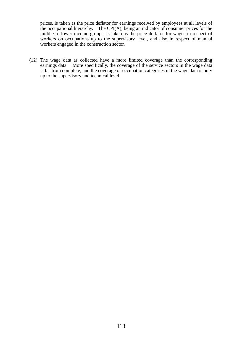prices, is taken as the price deflator for earnings received by employees at all levels of the occupational hierarchy. The CPI(A), being an indicator of consumer prices for the middle to lower income groups, is taken as the price deflator for wages in respect of workers on occupations up to the supervisory level, and also in respect of manual workers engaged in the construction sector.

(12) The wage data as collected have a more limited coverage than the corresponding earnings data. More specifically, the coverage of the service sectors in the wage data is far from complete, and the coverage of occupation categories in the wage data is only up to the supervisory and technical level.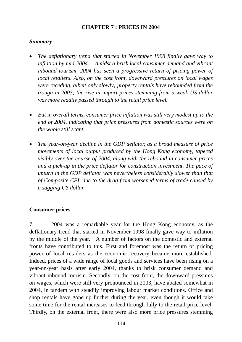# **CHAPTER 7 : PRICES IN 2004**

## *Summary*

- *The deflationary trend that started in November 1998 finally gave way to inflation by mid-2004. Amidst a brisk local consumer demand and vibrant inbound tourism, 2004 has seen a progressive return of pricing power of local retailers. Also, on the cost front, downward pressures on local wages were receding, albeit only slowly; property rentals have rebounded from the trough in 2003; the rise in import prices stemming from a weak US dollar was more readily passed through to the retail price level.*
- *But in overall terms, consumer price inflation was still very modest up to the end of 2004, indicating that price pressures from domestic sources were on the whole still scant.*
- *The year-on-year decline in the GDP deflator, as a broad measure of price movements of local output produced by the Hong Kong economy, tapered visibly over the course of 2004, along with the rebound in consumer prices and a pick-up in the price deflator for construction investment. The pace of upturn in the GDP deflator was nevertheless considerably slower than that of Composite CPI, due to the drag from worsened terms of trade caused by a sagging US dollar.*

# **Consumer prices**

7.1 2004 was a remarkable year for the Hong Kong economy, as the deflationary trend that started in November 1998 finally gave way to inflation by the middle of the year. A number of factors on the domestic and external fronts have contributed to this. First and foremost was the return of pricing power of local retailers as the economic recovery became more established. Indeed, prices of a wide range of local goods and services have been rising on a year-on-year basis after early 2004, thanks to brisk consumer demand and vibrant inbound tourism. Secondly, on the cost front, the downward pressures on wages, which were still very pronounced in 2003, have abated somewhat in 2004, in tandem with steadily improving labour market conditions. Office and shop rentals have gone up further during the year, even though it would take some time for the rental increases to feed through fully to the retail price level. Thirdly, on the external front, there were also more price pressures stemming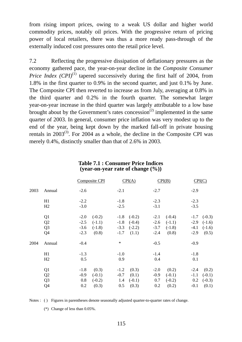from rising import prices, owing to a weak US dollar and higher world commodity prices, notably oil prices. With the progressive return of pricing power of local retailers, there was thus a more ready pass-through of the externally induced cost pressures onto the retail price level.

7.2 Reflecting the progressive dissipation of deflationary pressures as the economy gathered pace, the year-on-year decline in the *Composite Consumer Price Index*  $(CPI)^{(1)}$  *tapered successively during the first half of 2004, from* 1.8% in the first quarter to 0.9% in the second quarter, and just 0.1% by June. The Composite CPI then reverted to increase as from July, averaging at 0.8% in the third quarter and 0.2% in the fourth quarter. The somewhat larger year-on-year increase in the third quarter was largely attributable to a low base brought about by the Government's rates concession<sup> $(2)$ </sup> implemented in the same quarter of 2003. In general, consumer price inflation was very modest up to the end of the year, being kept down by the marked fall-off in private housing rentals in  $2003^{(3)}$ . For 2004 as a whole, the decline in the Composite CPI was merely 0.4%, distinctly smaller than that of 2.6% in 2003.

|      |                | Composite CPI       | CPI(A)             | CPI(B)             | CPI(C)              |
|------|----------------|---------------------|--------------------|--------------------|---------------------|
| 2003 | Annual         | $-2.6$              | $-2.1$             | $-2.7$             | $-2.9$              |
|      | H1             | $-2.2$              | $-1.8$             | $-2.3$             | $-2.3$              |
|      | H2             | $-3.0$              | $-2.5$             | $-3.1$             | $-3.5$              |
|      | Q <sub>1</sub> | $(-0.2)$<br>$-2.0$  | $(-0.2)$<br>$-1.8$ | $(-0.4)$<br>$-2.1$ | $-1.7$ $(-0.3)$     |
|      | Q2             | $-2.5$<br>$(-1.1)$  | $-1.8$<br>$(-0.4)$ | $-2.6$<br>$(-1.1)$ | $-2.9$<br>$(-1.6)$  |
|      | Q <sub>3</sub> | $-3.6$<br>$(-1.8)$  | $(-2.2)$<br>$-3.3$ | $-3.7$<br>$(-1.8)$ | $-4.1$<br>$(-1.6)$  |
|      | Q4             | (0.8)<br>$-2.3$     | (1.1)<br>$-1.7$    | $-2.4$<br>(0.8)    | $-2.9$<br>(0.5)     |
| 2004 | Annual         | $-0.4$              | $\ast$             | $-0.5$             | $-0.9$              |
|      | H1             | $-1.3$              | $-1.0$             | $-1.4$             | $-1.8$              |
|      | H2             | 0.5                 | 0.9                | 0.4                | 0.1                 |
|      | Q <sub>1</sub> | $-1.8$<br>(0.3)     | (0.3)<br>$-1.2$    | (0.2)<br>$-2.0$    | (0.2)<br>$-2.4$     |
|      | Q2             | $(-0.1)$<br>$-0.9$  | (0.1)<br>$-0.7$    | $-0.9$<br>$(-0.1)$ | $-1.1$<br>$(-0.1)$  |
|      | Q <sub>3</sub> | $(-0.2)$<br>$0.8\,$ | $(-0.1)$<br>1.4    | 0.7<br>$(-0.2)$    | $0.2\,$<br>$(-0.3)$ |
|      | Q4             | (0.3)<br>0.2        | 0.5<br>(0.3)       | 0.2<br>(0.2)       | $-0.1$<br>(0.1)     |

#### **Table 7.1 : Consumer Price Indices (year-on-year rate of change (%))**

Notes : ( ) Figures in parentheses denote seasonally adjusted quarter-to-quarter rates of change.

(\*) Change of less than 0.05%.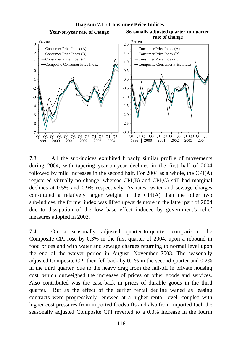

7.3 All the sub-indices exhibited broadly similar profile of movements during 2004, with tapering year-on-year declines in the first half of 2004 followed by mild increases in the second half. For 2004 as a whole, the CPI(A) registered virtually no change, whereas CPI(B) and CPI(C) still had marginal declines at 0.5% and 0.9% respectively. As rates, water and sewage charges constituted a relatively larger weight in the CPI(A) than the other two sub-indices, the former index was lifted upwards more in the latter part of 2004 due to dissipation of the low base effect induced by government's relief measures adopted in 2003.

7.4 On a seasonally adjusted quarter-to-quarter comparison, the Composite CPI rose by 0.3% in the first quarter of 2004, upon a rebound in food prices and with water and sewage charges returning to normal level upon the end of the waiver period in August - November 2003. The seasonally adjusted Composite CPI then fell back by 0.1% in the second quarter and 0.2% in the third quarter, due to the heavy drag from the fall-off in private housing cost, which outweighed the increases of prices of other goods and services. Also contributed was the ease-back in prices of durable goods in the third quarter. But as the effect of the earlier rental decline waned as leasing contracts were progressively renewed at a higher rental level, coupled with higher cost pressures from imported foodstuffs and also from imported fuel, the seasonally adjusted Composite CPI reverted to a 0.3% increase in the fourth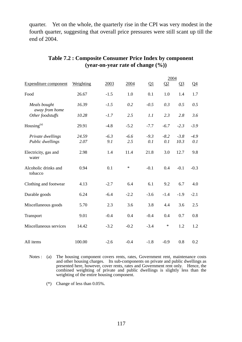quarter. Yet on the whole, the quarterly rise in the CPI was very modest in the fourth quarter, suggesting that overall price pressures were still scant up till the end of 2004.

|                                       |               |               |               |               | 2004          |                |                |
|---------------------------------------|---------------|---------------|---------------|---------------|---------------|----------------|----------------|
| <b>Expenditure component</b>          | Weighting     | 2003          | 2004          | $\Omega$      | Q2            | $Q_3$          | Q <sub>4</sub> |
| Food                                  | 26.67         | $-1.5$        | 1.0           | 0.1           | 1.0           | 1.4            | 1.7            |
| Meals bought                          | 16.39         | $-1.5$        | 0.2           | $-0.5$        | 0.3           | 0.5            | 0.5            |
| away from home<br>Other foodstuffs    | 10.28         | $-1.7$        | 2.5           | 1.1           | 2.3           | 2.8            | 3.6            |
| Housing $(a)$                         | 29.91         | $-4.8$        | $-5.2$        | $-7.7$        | $-6.7$        | $-2.3$         | $-3.9$         |
| Private dwellings<br>Public dwellings | 24.59<br>2.07 | $-6.3$<br>9.1 | $-6.6$<br>2.5 | $-9.3$<br>0.1 | $-8.2$<br>0.1 | $-3.8$<br>10.3 | $-4.9$<br>0.1  |
| Electricity, gas and<br>water         | 2.98          | 1.4           | 11.4          | 21.8          | 3.0           | 12.7           | 9.8            |
| Alcoholic drinks and<br>tobacco       | 0.94          | 0.1           | $\ast$        | $-0.1$        | 0.4           | $-0.1$         | $-0.3$         |
| Clothing and footwear                 | 4.13          | $-2.7$        | 6.4           | 6.1           | 9.2           | 6.7            | 4.0            |
| Durable goods                         | 6.24          | $-6.4$        | $-2.2$        | $-3.6$        | $-1.4$        | $-1.9$         | $-2.1$         |
| Miscellaneous goods                   | 5.70          | 2.3           | 3.6           | 3.8           | 4.4           | 3.6            | 2.5            |
| Transport                             | 9.01          | $-0.4$        | 0.4           | $-0.4$        | 0.4           | 0.7            | 0.8            |
| Miscellaneous services                | 14.42         | $-3.2$        | $-0.2$        | $-3.4$        | $\ast$        | 1.2            | 1.2            |
| All items                             | 100.00        | $-2.6$        | $-0.4$        | $-1.8$        | $-0.9$        | 0.8            | 0.2            |

# **Table 7.2 : Composite Consumer Price Index by component (year-on-year rate of change (%))**

Notes : (a) The housing component covers rents, rates, Government rent, maintenance costs and other housing charges. Its sub-components on private and public dwellings as presented here, however, cover rents, rates and Government rent only. Hence, the combined weighting of private and public dwellings is slightly less than the weighting of the entire housing component.

(\*) Change of less than 0.05%.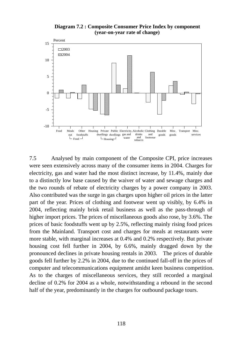



7.5 Analysed by main component of the Composite CPI, price increases were seen extensively across many of the consumer items in 2004. Charges for electricity, gas and water had the most distinct increase, by 11.4%, mainly due to a distinctly low base caused by the waiver of water and sewage charges and the two rounds of rebate of electricity charges by a power company in 2003. Also contributed was the surge in gas charges upon higher oil prices in the latter part of the year. Prices of clothing and footwear went up visibly, by 6.4% in 2004, reflecting mainly brisk retail business as well as the pass-through of higher import prices. The prices of miscellaneous goods also rose, by 3.6%. The prices of basic foodstuffs went up by 2.5%, reflecting mainly rising food prices from the Mainland. Transport cost and charges for meals at restaurants were more stable, with marginal increases at 0.4% and 0.2% respectively. But private housing cost fell further in 2004, by 6.6%, mainly dragged down by the pronounced declines in private housing rentals in 2003. The prices of durable goods fell further by 2.2% in 2004, due to the continued fall-off in the prices of computer and telecommunications equipment amidst keen business competition. As to the charges of miscellaneous services, they still recorded a marginal decline of 0.2% for 2004 as a whole, notwithstanding a rebound in the second half of the year, predominantly in the charges for outbound package tours.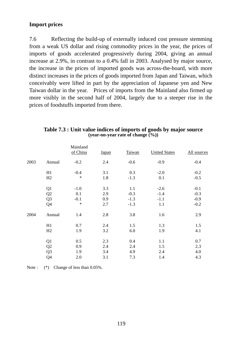# **Import prices**

7.6 Reflecting the build-up of externally induced cost pressure stemming from a weak US dollar and rising commodity prices in the year, the prices of imports of goods accelerated progressively during 2004, giving an annual increase at 2.9%, in contrast to a 0.4% fall in 2003. Analysed by major source, the increase in the prices of imported goods was across-the-board, with more distinct increases in the prices of goods imported from Japan and Taiwan, which conceivably were lifted in part by the appreciation of Japanese yen and New Taiwan dollar in the year. Prices of imports from the Mainland also firmed up more visibly in the second half of 2004, largely due to a steeper rise in the prices of foodstuffs imported from there.

|      |                | Mainland<br>of China | <b>Japan</b> | Taiwan | <b>United States</b> | All sources |
|------|----------------|----------------------|--------------|--------|----------------------|-------------|
| 2003 | Annual         | $-0.2$               | 2.4          | $-0.6$ | $-0.9$               | $-0.4$      |
|      | H1             | $-0.4$               | 3.1          | 0.3    | $-2.0$               | $-0.2$      |
|      | H2             | $\ast$               | 1.8          | $-1.3$ | 0.1                  | $-0.5$      |
|      | Q1             | $-1.0$               | 3.3          | 1.1    | $-2.6$               | $-0.1$      |
|      | Q <sub>2</sub> | 0.1                  | 2.9          | $-0.3$ | $-1.4$               | $-0.3$      |
|      | Q <sub>3</sub> | $-0.1$               | 0.9          | $-1.3$ | $-1.1$               | $-0.9$      |
|      | Q4             | $\ast$               | 2.7          | $-1.3$ | 1.1                  | $-0.2$      |
| 2004 | Annual         | 1.4                  | 2.8          | 3.8    | 1.6                  | 2.9         |
|      | H1             | 0.7                  | 2.4          | 1.5    | 1.3                  | 1.5         |
|      | H2             | 1.9                  | 3.2          | 6.0    | 1.9                  | 4.1         |
|      | Q1             | 0.5                  | 2.3          | 0.4    | 1.1                  | 0.7         |
|      | Q2             | 0.9                  | 2.4          | 2.4    | 1.5                  | 2.3         |
|      | Q <sub>3</sub> | 1.9                  | 3.4          | 4.9    | 2.4                  | 4.0         |
|      | Q4             | 2.0                  | 3.1          | 7.3    | 1.4                  | 4.3         |

#### **Table 7.3 : Unit value indices of imports of goods by major source (year-on-year rate of change (%))**

Note :  $(*)$  Change of less than 0.05%.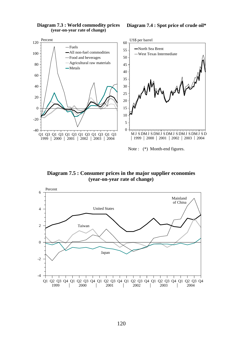

**Diagram 7.3 : World commodity prices (year-on-year rate of change)** 

**Diagram 7.4 : Spot price of crude oil\***

Note : (\*) Month-end figures.

**Diagram 7.5 : Consumer prices in the major supplier economies (year-on-year rate of change)**

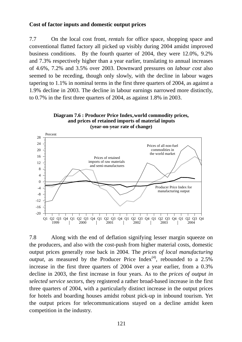## **Cost of factor inputs and domestic output prices**

7.7 On the local cost front, *rentals* for office space, shopping space and conventional flatted factory all picked up visibly during 2004 amidst improved business conditions. By the fourth quarter of 2004, they were 12.0%, 9.2% and 7.3% respectively higher than a year earlier, translating to annual increases of 4.6%, 7.2% and 3.5% over 2003. Downward pressures on *labour cost* also seemed to be receding, though only slowly, with the decline in labour wages tapering to 1.1% in nominal terms in the first three quarters of 2004, as against a 1.9% decline in 2003. The decline in labour earnings narrowed more distinctly, to 0.7% in the first three quarters of 2004, as against 1.8% in 2003.





7.8 Along with the end of deflation signifying lesser margin squeeze on the producers, and also with the cost-push from higher material costs, domestic output prices generally rose back in 2004. The *prices of local manufacturing output*, as measured by the Producer Price Index<sup>(4)</sup>, rebounded to a  $2.5\%$ increase in the first three quarters of 2004 over a year earlier, from a 0.3% decline in 2003, the first increase in four years. As to the *prices of output in selected service sectors*, they registered a rather broad-based increase in the first three quarters of 2004, with a particularly distinct increase in the output prices for hotels and boarding houses amidst robust pick-up in inbound tourism. Yet the output prices for telecommunications stayed on a decline amidst keen competition in the industry.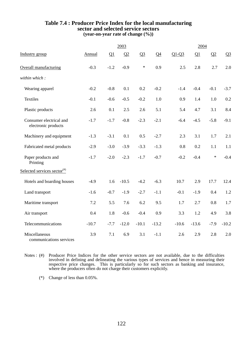#### **Table 7.4 : Producer Price Index for the local manufacturing sector and selected service sectors (year-on-year rate of change (%))**

|                                                |               |        | 2003    |         |                |         | 2004    |        |                |
|------------------------------------------------|---------------|--------|---------|---------|----------------|---------|---------|--------|----------------|
| Industry group                                 | <b>Annual</b> | Q1     | Q2      | $Q_3$   | Q <sub>4</sub> | $Q1-Q3$ | Q1      | Q2     | Q <sub>3</sub> |
| Overall manufacturing                          | $-0.3$        | $-1.2$ | $-0.9$  | $\ast$  | 0.9            | 2.5     | 2.8     | 2.7    | 2.0            |
| within which:                                  |               |        |         |         |                |         |         |        |                |
| Wearing apparel                                | $-0.2$        | $-0.8$ | 0.1     | 0.2     | $-0.2$         | $-1.4$  | $-0.4$  | $-0.1$ | $-3.7$         |
| <b>Textiles</b>                                | $-0.1$        | $-0.6$ | $-0.5$  | $-0.2$  | 1.0            | 0.9     | 1.4     | 1.0    | 0.2            |
| Plastic products                               | 2.6           | 0.1    | 2.5     | 2.6     | 5.1            | 5.4     | 4.7     | 3.1    | 8.4            |
| Consumer electrical and<br>electronic products | $-1.7$        | $-1.7$ | $-0.8$  | $-2.3$  | $-2.1$         | $-6.4$  | $-4.5$  | $-5.8$ | $-9.1$         |
| Machinery and equipment                        | $-1.3$        | $-3.1$ | 0.1     | 0.5     | $-2.7$         | 2.3     | 3.1     | 1.7    | 2.1            |
| Fabricated metal products                      | $-2.9$        | $-3.0$ | $-3.9$  | $-3.3$  | $-1.3$         | 0.8     | 0.2     | 1.1    | 1.1            |
| Paper products and<br>Printing                 | $-1.7$        | $-2.0$ | $-2.3$  | $-1.7$  | $-0.7$         | $-0.2$  | $-0.4$  | $\ast$ | $-0.4$         |
| Selected services sector <sup>(#)</sup>        |               |        |         |         |                |         |         |        |                |
| Hotels and boarding houses                     | $-4.9$        | 1.6    | $-10.5$ | $-4.2$  | $-6.3$         | 10.7    | 2.9     | 17.7   | 12.4           |
| Land transport                                 | $-1.6$        | $-0.7$ | $-1.9$  | $-2.7$  | $-1.1$         | $-0.1$  | $-1.9$  | 0.4    | 1.2            |
| Maritime transport                             | 7.2           | 5.5    | 7.6     | 6.2     | 9.5            | 1.7     | 2.7     | 0.8    | 1.7            |
| Air transport                                  | 0.4           | 1.8    | $-0.6$  | $-0.4$  | 0.9            | 3.3     | 1.2     | 4.9    | 3.8            |
| Telecommunications                             | $-10.7$       | $-7.7$ | $-12.0$ | $-10.1$ | $-13.2$        | $-10.6$ | $-13.6$ | $-7.9$ | $-10.2$        |
| Miscellaneous<br>communications services       | 3.9           | 7.1    | 6.9     | 3.1     | $-1.1$         | 2.6     | 2.9     | 2.8    | 2.0            |

Notes : (#) Producer Price Indices for the other service sectors are not available, due to the difficulties involved in defining and delineating the various types of services and hence in measuring their respective price changes. This is particularly so for such sectors as banking and insurance, where the producers often do not charge their customers explicitly.

(\*) Change of less than 0.05%.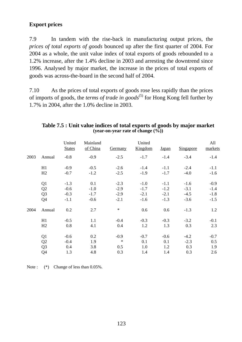# **Export prices**

7.9 In tandem with the rise-back in manufacturing output prices, the *prices of total exports of goods* bounced up after the first quarter of 2004. For 2004 as a whole, the unit value index of total exports of goods rebounded to a 1.2% increase, after the 1.4% decline in 2003 and arresting the downtrend since 1996. Analysed by major market, the increase in the prices of total exports of goods was across-the-board in the second half of 2004.

7.10 As the prices of total exports of goods rose less rapidly than the prices of imports of goods, the *terms of trade in goods*<sup>(5)</sup> for Hong Kong fell further by 1.7% in 2004, after the 1.0% decline in 2003.

|      |                | United<br><b>States</b> | Mainland<br>of China | Germany | United<br>Kingdom | <b>Japan</b> | Singapore | All<br>markets |
|------|----------------|-------------------------|----------------------|---------|-------------------|--------------|-----------|----------------|
| 2003 | Annual         | $-0.8$                  | $-0.9$               | $-2.5$  | $-1.7$            | $-1.4$       | $-3.4$    | $-1.4$         |
|      | H1             | $-0.9$                  | $-0.5$               | $-2.6$  | $-1.4$            | $-1.1$       | $-2.4$    | $-1.1$         |
|      | H2             | $-0.7$                  | $-1.2$               | $-2.5$  | $-1.9$            | $-1.7$       | $-4.0$    | $-1.6$         |
|      | Q <sub>1</sub> | $-1.3$                  | 0.1                  | $-2.3$  | $-1.0$            | $-1.1$       | $-1.6$    | $-0.9$         |
|      | Q2             | $-0.6$                  | $-1.0$               | $-2.9$  | $-1.7$            | $-1.2$       | $-3.1$    | $-1.4$         |
|      | Q <sub>3</sub> | $-0.3$                  | $-1.7$               | $-2.9$  | $-2.1$            | $-2.1$       | $-4.5$    | $-1.8$         |
|      | Q4             | $-1.1$                  | $-0.6$               | $-2.1$  | $-1.6$            | $-1.3$       | $-3.6$    | $-1.5$         |
| 2004 | Annual         | 0.2                     | 2.7                  | $\ast$  | 0.6               | 0.6          | $-1.3$    | 1.2            |
|      | H1             | $-0.5$                  | 1.1                  | $-0.4$  | $-0.3$            | $-0.3$       | $-3.2$    | $-0.1$         |
|      | H2             | 0.8                     | 4.1                  | 0.4     | 1.2               | 1.3          | 0.3       | 2.3            |
|      | Q1             | $-0.6$                  | 0.2                  | $-0.9$  | $-0.7$            | $-0.6$       | $-4.2$    | $-0.7$         |
|      | Q2             | $-0.4$                  | 1.9                  | $\ast$  | 0.1               | 0.1          | $-2.3$    | 0.5            |
|      | Q <sub>3</sub> | 0.4                     | 3.8                  | 0.5     | 1.0               | 1.2          | 0.3       | 1.9            |
|      | Q4             | 1.3                     | 4.8                  | 0.3     | 1.4               | 1.4          | 0.3       | 2.6            |

## **Table 7.5 : Unit value indices of total exports of goods by major market (year-on-year rate of change (%))**

Note :  $(*)$  Change of less than 0.05%.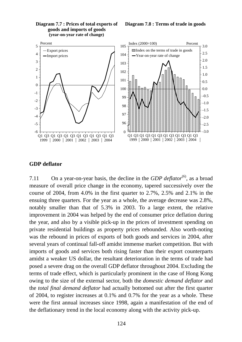

#### **Diagram 7.7 : Prices of total exports of goods and imports of goods (year-on-year rate of change)**

#### **Diagram 7.8 : Terms of trade in goods**

### **GDP deflator**

7.11 On a year-on-year basis, the decline in the *GDP deflator*<sup>(6)</sup>, as a broad measure of overall price change in the economy, tapered successively over the course of 2004, from 4.0% in the first quarter to 2.7%, 2.5% and 2.1% in the ensuing three quarters. For the year as a whole, the average decrease was 2.8%, notably smaller than that of 5.3% in 2003. To a large extent, the relative improvement in 2004 was helped by the end of consumer price deflation during the year, and also by a visible pick-up in the prices of investment spending on private residential buildings as property prices rebounded. Also worth-noting was the rebound in prices of exports of both goods and services in 2004, after several years of continual fall-off amidst immense market competition. But with imports of goods and services both rising faster than their export counterparts amidst a weaker US dollar, the resultant deterioration in the terms of trade had posed a severe drag on the overall GDP deflator throughout 2004. Excluding the terms of trade effect, which is particularly prominent in the case of Hong Kong owing to the size of the external sector, both the *domestic demand deflator* and the *total final demand deflator* had actually bottomed out after the first quarter of 2004, to register increases at 0.1% and 0.7% for the year as a whole. These were the first annual increases since 1998, again a manifestation of the end of the deflationary trend in the local economy along with the activity pick-up.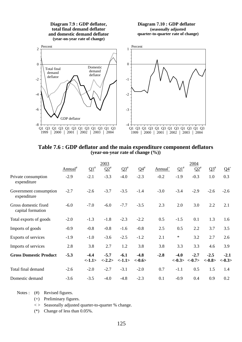

**Table 7.6 : GDP deflator and the main expenditure component deflators (year-on-year rate of change (%))** 

|                                           | 2003             |                 |                     |                 | 2004               |                     |            |                          |                     |                    |
|-------------------------------------------|------------------|-----------------|---------------------|-----------------|--------------------|---------------------|------------|--------------------------|---------------------|--------------------|
|                                           | ${\rm Annual}^*$ | $\Omega^*$      | $Q2^*$              | $\Omega^*$      | $Q4^{\#}$          | Annual <sup>+</sup> | $\Omega^*$ | $\Omega^*$               | $\Omega^*$          | $Q4$ <sup>+</sup>  |
| Private consumption<br>expenditure        | $-2.9$           | $-2.1$          | $-3.3$              | $-4.0$          | $-2.3$             | $-0.2$              | $-1.9$     | $-0.3$                   | 1.0                 | 0.3                |
| Government consumption<br>expenditure     | $-2.7$           | $-2.6$          | $-3.7$              | $-3.5$          | $-1.4$             | $-3.0$              | $-3.4$     | $-2.9$                   | $-2.6$              | $-2.6$             |
| Gross domestic fixed<br>capital formation | $-6.0$           | $-7.0$          | $-6.0$              | $-7.7$          | $-3.5$             | 2.3                 | 2.0        | 3.0                      | 2.2                 | 2.1                |
| Total exports of goods                    | $-2.0$           | $-1.3$          | $-1.8$              | $-2.3$          | $-2.2$             | 0.5                 | $-1.5$     | 0.1                      | 1.3                 | 1.6                |
| Imports of goods                          | $-0.9$           | $-0.8$          | $-0.8$              | $-1.6$          | $-0.8$             | 2.5                 | 0.5        | 2.2                      | 3.7                 | 3.5                |
| Exports of services                       | $-1.9$           | $-1.0$          | $-3.6$              | $-2.5$          | $-1.2$             | 2.1                 | $\ast$     | 3.2                      | 2.7                 | 2.6                |
| Imports of services                       | 2.8              | 3.8             | 2.7                 | 1.2             | 3.8                | 3.8                 | 3.3        | 3.3                      | 4.6                 | 3.9                |
| <b>Gross Domestic Product</b>             | $-5.3$           | $-4.4$<br><1.1> | $-5.7$<br>$< -2.2>$ | $-6.1$<br><1.1> | $-4.8$<br>$<-0.6>$ | $-2.8$              | $-4.0$     | $-2.7$<br>$<-0.3><-0.7>$ | $-2.5$<br>$< -0.8>$ | $-2.1$<br>$<-0.3>$ |
| Total final demand                        | $-2.6$           | $-2.0$          | $-2.7$              | $-3.1$          | $-2.0$             | 0.7                 | $-1.1$     | 0.5                      | 1.5                 | 1.4                |
| Domestic demand                           | $-3.6$           | $-3.5$          | $-4.0$              | $-4.8$          | $-2.3$             | 0.1                 | $-0.9$     | 0.4                      | 0.9                 | 0.2                |

- Notes : (#) Revised figures.
	- (+) Preliminary figures.
	- $\langle \rangle$  Seasonally adjusted quarter-to-quarter % change.
	- (\*) Change of less than 0.05%.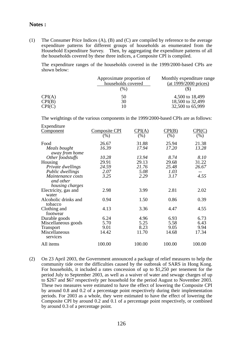### **Notes :**

(1) The Consumer Price Indices (A), (B) and (C) are compiled by reference to the average expenditure patterns for different groups of households as enumerated from the Household Expenditure Survey. Then, by aggregating the expenditure patterns of all the households covered by these three indices, a Composite CPI is compiled.

 The expenditure ranges of the households covered in the 1999/2000-based CPIs are shown below:

|        | Approximate proportion of<br>households covered | Monthly expenditure range<br>(at 1999/2000 prices) |
|--------|-------------------------------------------------|----------------------------------------------------|
|        | $(\%)$                                          |                                                    |
| CPI(A) | 50                                              | 4,500 to 18,499                                    |
| CPI(B) | 30                                              | 18,500 to 32,499                                   |
| CPI(C) | 10                                              | 32,500 to 65,999                                   |

The weightings of the various components in the 1999/2000-based CPIs are as follows:

| Expenditure          |                      |                   |        |                                     |
|----------------------|----------------------|-------------------|--------|-------------------------------------|
| <u>Component</u>     | <b>Composite CPI</b> | $\mathbb{C}PI(A)$ | CPI(B) | $\mathbb{C}\mathrm{PI}(\mathrm{C})$ |
|                      | (%)                  | (%)               | (%)    | (% )                                |
| Food                 | 26.67                | 31.88             | 25.94  | 21.38                               |
| Meals bought         | 16.39                | 17.94             | 17.20  | 13.28                               |
| away from home       |                      |                   |        |                                     |
| Other foodstuffs     | 10.28                | 13.94             | 8.74   | 8.10                                |
| Housing              | 29.91                | 29.13             | 29.68  | 31.22                               |
| Private dwellings    | 24.59                | 21.76             | 25.48  | 26.67                               |
| Public dwellings     | 2.07                 | 5.08              | 1.03   |                                     |
| Maintenance costs    | 3.25                 | 2.29              | 3.17   | 4.55                                |
| and other            |                      |                   |        |                                     |
| housing charges      |                      |                   |        |                                     |
| Electricity, gas and | 2.98                 | 3.99              | 2.81   | 2.02                                |
| water                |                      |                   |        |                                     |
| Alcoholic drinks and | 0.94                 | 1.50              | 0.86   | 0.39                                |
| tobacco              |                      |                   |        |                                     |
| Clothing and         | 4.13                 | 3.36              | 4.47   | 4.55                                |
| footwear             |                      |                   |        |                                     |
| Durable goods        | 6.24                 | 4.96              | 6.93   | 6.73                                |
| Miscellaneous goods  | 5.70                 | 5.25              | 5.58   | 6.43                                |
| <b>Transport</b>     | 9.01                 | 8.23              | 9.05   | 9.94                                |
| Miscellaneous        | 14.42                | 11.70             | 14.68  | 17.34                               |
| services             |                      |                   |        |                                     |
| All items            | 100.00               | 100.00            | 100.00 | 100.00                              |
|                      |                      |                   |        |                                     |

(2) On 23 April 2003, the Government announced a package of relief measures to help the community tide over the difficulties caused by the outbreak of SARS in Hong Kong. For households, it included a rates concession of up to \$1,250 per tenement for the period July to September 2003, as well as a waiver of water and sewage charges of up to \$267 and \$67 respectively per household for the period August to November 2003. These two measures were estimated to have the effect of lowering the Composite CPI by around 0.8 and 0.2 of a percentage point respectively during their implementation periods. For 2003 as a whole, they were estimated to have the effect of lowering the Composite CPI by around 0.2 and 0.1 of a percentage point respectively, or combined by around 0.3 of a percentage point.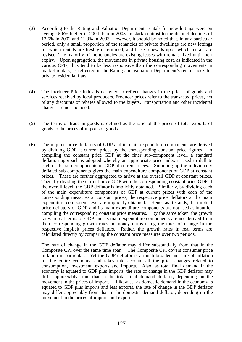- (3) According to the Rating and Valuation Department, rentals for new lettings were on average 5.6% higher in 2004 than in 2003, in stark contrast to the distinct declines of 12.6% in 2002 and 11.8% in 2003. However, it should be noted that, in any particular period, only a small proportion of the tenancies of private dwellings are new lettings for which rentals are freshly determined, and lease renewals upon which rentals are revised. The majority of the tenancies are existing leases with rentals fixed until their expiry. Upon aggregation, the movements in private housing cost, as indicated in the various CPIs, thus tend to be less responsive than the corresponding movements in market rentals, as reflected in the Rating and Valuation Department's rental index for private residential flats.
- (4) The Producer Price Index is designed to reflect changes in the prices of goods and services received by local producers. Producer prices refer to the transacted prices, net of any discounts or rebates allowed to the buyers. Transportation and other incidental charges are not included.
- (5) The terms of trade in goods is defined as the ratio of the prices of total exports of goods to the prices of imports of goods.
- (6) The implicit price deflators of GDP and its main expenditure components are derived by dividing GDP at current prices by the corresponding constant price figures. In compiling the constant price GDP at the finer sub-component level, a standard deflation approach is adopted whereby an appropriate price index is used to deflate each of the sub-components of GDP at current prices. Summing up the individually deflated sub-components gives the main expenditure components of GDP at constant prices. These are further aggregated to arrive at the overall GDP at constant prices. Then, by dividing the current price GDP with the corresponding constant price GDP at the overall level, the GDP deflator is implicitly obtained. Similarly, by dividing each of the main expenditure components of GDP at current prices with each of the corresponding measures at constant prices, the respective price deflators at the main expenditure component level are implicitly obtained. Hence as it stands, the implicit price deflators of GDP and its main expenditure components are not used as input for compiling the corresponding constant price measures. By the same token, the growth rates in real terms of GDP and its main expenditure components are not derived from their corresponding growth rates in money terms using the rates of change in the respective implicit prices deflators. Rather, the growth rates in real terms are calculated directly by comparing the constant price measures over two periods.

 The rate of change in the GDP deflator may differ substantially from that in the Composite CPI over the same time span. The Composite CPI covers consumer price inflation in particular. Yet the GDP deflator is a much broader measure of inflation for the entire economy, and takes into account all the price changes related to consumption, investment, exports and imports. Also, as total final demand in the economy is equated to GDP plus imports, the rate of change in the GDP deflator may differ appreciably from that in the total final demand deflator, depending on the movement in the prices of imports. Likewise, as domestic demand in the economy is equated to GDP plus imports and less exports, the rate of change in the GDP deflator may differ appreciably from that in the domestic demand deflator, depending on the movement in the prices of imports and exports.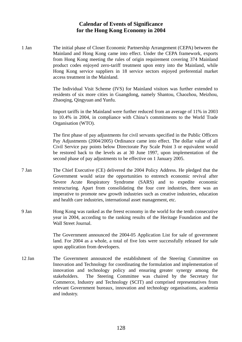## **Calendar of Events of Significance for the Hong Kong Economy in 2004**

1 Jan The initial phase of Closer Economic Partnership Arrangement (CEPA) between the Mainland and Hong Kong came into effect. Under the CEPA framework, exports from Hong Kong meeting the rules of origin requirement covering 374 Mainland product codes enjoyed zero-tariff treatment upon entry into the Mainland, while Hong Kong service suppliers in 18 service sectors enjoyed preferential market access treatment in the Mainland.

> The Individual Visit Scheme (IVS) for Mainland visitors was further extended to residents of six more cities in Guangdong, namely Shantou, Chaozhou, Meizhou, Zhaoqing, Qingyuan and Yunfu.

> Import tariffs in the Mainland were further reduced from an average of 11% in 2003 to 10.4% in 2004, in compliance with China's commitments to the World Trade Organisation (WTO).

> The first phase of pay adjustments for civil servants specified in the Public Officers Pay Adjustments (2004/2005) Ordinance came into effect. The dollar value of all Civil Service pay points below Directorate Pay Scale Point 3 or equivalent would be restored back to the levels as at 30 June 1997, upon implementation of the second phase of pay adjustments to be effective on 1 January 2005.

- 7 Jan The Chief Executive (CE) delivered the 2004 Policy Address. He pledged that the Government would seize the opportunities to entrench economic revival after Severe Acute Respiratory Syndrome (SARS) and to expedite economic restructuring. Apart from consolidating the four core industries, there was an imperative to promote new growth industries such as creative industries, education and health care industries, international asset management, etc.
- 9 Jan Hong Kong was ranked as the freest economy in the world for the tenth consecutive year in 2004, according to the ranking results of the Heritage Foundation and the Wall Street Journal.

The Government announced the 2004-05 Application List for sale of government land. For 2004 as a whole, a total of five lots were successfully released for sale upon application from developers.

12 Jan The Government announced the establishment of the Steering Committee on Innovation and Technology for coordinating the formulation and implementation of innovation and technology policy and ensuring greater synergy among the stakeholders. The Steering Committee was chaired by the Secretary for Commerce, Industry and Technology (SCIT) and comprised representatives from relevant Government bureaux, innovation and technology organisations, academia and industry.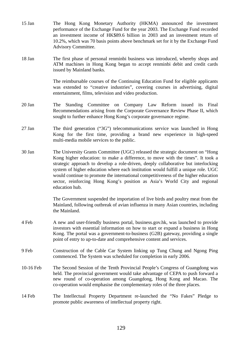- 15 Jan The Hong Kong Monetary Authority (HKMA) announced the investment performance of the Exchange Fund for the year 2003. The Exchange Fund recorded an investment income of HK\$89.6 billion in 2003 and an investment return of 10.2%, which was 70 basis points above benchmark set for it by the Exchange Fund Advisory Committee.
- 18 Jan The first phase of personal renminbi business was introduced, whereby shops and ATM machines in Hong Kong began to accept renminbi debit and credit cards issued by Mainland banks.

The reimbursable courses of the Continuing Education Fund for eligible applicants was extended to "creative industries", covering courses in advertising, digital entertainment, films, television and video production.

- 20 Jan The Standing Committee on Company Law Reform issued its Final Recommendations arising from the Corporate Governance Review Phase II, which sought to further enhance Hong Kong's corporate governance regime.
- 27 Jan The third generation ("3G") telecommunications service was launched in Hong Kong for the first time, providing a brand new experience in high-speed multi-media mobile services to the public.
- 30 Jan The University Grants Committee (UGC) released the strategic document on "Hong Kong higher education: to make a difference, to move with the times". It took a strategic approach to develop a role-driven, deeply collaborative but interlocking system of higher education where each institution would fulfill a unique role. UGC would continue to promote the international competitiveness of the higher education sector, reinforcing Hong Kong's position as Asia's World City and regional education hub.

The Government suspended the importation of live birds and poultry meat from the Mainland, following outbreak of avian influenza in many Asian countries, including the Mainland.

- 4 Feb A new and user-friendly business portal, business.gov.hk, was launched to provide investors with essential information on how to start or expand a business in Hong Kong. The portal was a government-to-business (G2B) gateway, providing a single point of entry to up-to-date and comprehensive content and services.
- 9 Feb Construction of the Cable Car System linking up Tung Chung and Ngong Ping commenced. The System was scheduled for completion in early 2006.
- 10-16 Feb The Second Session of the Tenth Provincial People's Congress of Guangdong was held. The provincial government would take advantage of CEPA to push forward a new round of co-operation among Guangdong, Hong Kong and Macao. The co-operation would emphasise the complementary roles of the three places.
- 14 Feb The Intellectual Property Department re-launched the "No Fakes" Pledge to promote public awareness of intellectual property right.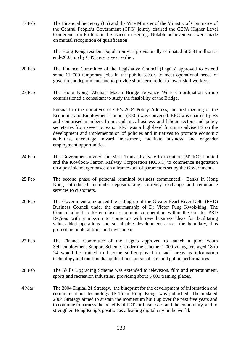17 Feb The Financial Secretary (FS) and the Vice Minister of the Ministry of Commerce of the Central People's Government (CPG) jointly chaired the CEPA Higher Level Conference on Professional Services in Beijing. Notable achievements were made on mutual recognition of qualification.

> The Hong Kong resident population was provisionally estimated at 6.81 million at end-2003, up by 0.4% over a year earlier.

- 20 Feb The Finance Committee of the Legislative Council (LegCo) approved to extend some 11 700 temporary jobs in the public sector, to meet operational needs of government departments and to provide short-term relief to lower-skill workers.
- 23 Feb The Hong Kong Zhuhai Macao Bridge Advance Work Co-ordination Group commissioned a consultant to study the feasibility of the Bridge.

Pursuant to the initiatives of CE's 2004 Policy Address, the first meeting of the Economic and Employment Council (EEC) was convened. EEC was chaired by FS and comprised members from academic, business and labour sectors and policy secretaries from seven bureaux. EEC was a high-level forum to advise FS on the development and implementation of policies and initiatives to promote economic activities, encourage inward investment, facilitate business, and engender employment opportunities.

- 24 Feb The Government invited the Mass Transit Railway Corporation (MTRC) Limited and the Kowloon-Canton Railway Corporation (KCRC) to commence negotiation on a possible merger based on a framework of parameters set by the Government.
- 25 Feb The second phase of personal renminbi business commenced. Banks in Hong Kong introduced renminbi deposit-taking, currency exchange and remittance services to customers.
- 26 Feb The Government announced the setting up of the Greater Pearl River Delta (PRD) Business Council under the chairmanship of Dr Victor Fung Kwok-king. The Council aimed to foster closer economic co-operation within the Greater PRD Region, with a mission to come up with new business ideas for facilitating value-added operations and sustainable development across the boundary, thus promoting bilateral trade and investment.
- 27 Feb The Finance Committee of the LegCo approved to launch a pilot Youth Self-employment Support Scheme. Under the scheme, 1 000 youngsters aged 18 to 24 would be trained to become self-employed in such areas as information technology and multimedia applications, personal care and public performances.
- 28 Feb The Skills Upgrading Scheme was extended to television, film and entertainment, sports and recreation industries, providing about 5 600 training places.
- 4 Mar The 2004 Digital 21 Strategy**,** the blueprint for the development of information and communications technology (ICT) in Hong Kong, was published. The updated 2004 Strategy aimed to sustain the momentum built up over the past five years and to continue to harness the benefits of ICT for businesses and the community, and to strengthen Hong Kong's position as a leading digital city in the world.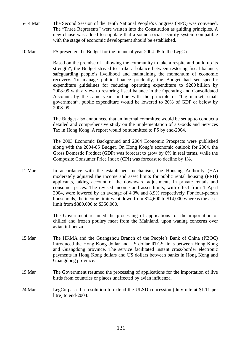- 5-14 Mar The Second Session of the Tenth National People's Congress (NPC) was convened. The "Three Represents" were written into the Constitution as guiding principles. A new clause was added to stipulate that a sound social security system compatible with the stage of economic development should be established.
- 10 Mar FS presented the Budget for the financial year 2004-05 to the LegCo.

Based on the premise of "allowing the community to take a respite and build up its strength", the Budget strived to strike a balance between restoring fiscal balance, safeguarding people's livelihood and maintaining the momentum of economic recovery. To manage public finance prudently, the Budget had set specific expenditure guidelines for reducing operating expenditure to \$200 billion by 2008-09 with a view to restoring fiscal balance in the Operating and Consolidated Accounts by the same year. In line with the principle of "big market, small government", public expenditure would be lowered to 20% of GDP or below by 2008-09.

The Budget also announced that an internal committee would be set up to conduct a detailed and comprehensive study on the implementation of a Goods and Services Tax in Hong Kong. A report would be submitted to FS by end-2004.

The 2003 Economic Background and 2004 Economic Prospects were published along with the 2004-05 Budget. On Hong Kong's economic outlook for 2004, the Gross Domestic Product (GDP) was forecast to grow by 6% in real terms, while the Composite Consumer Price Index (CPI) was forecast to decline by 1%.

11 Mar In accordance with the established mechanism, the Housing Authority (HA) moderately adjusted the income and asset limits for public rental housing (PRH) applicants, taking account of the downward adjustments in private rentals and consumer prices. The revised income and asset limits, with effect from 1 April 2004, were lowered by an average of 4.3% and 8.9% respectively. For four-person households, the income limit went down from \$14,600 to \$14,000 whereas the asset limit from \$380,000 to \$350,000.

> The Government resumed the processing of applications for the importation of chilled and frozen poultry meat from the Mainland, upon waning concerns over avian influenza.

- 15 Mar The HKMA and the Guangzhou Branch of the People's Bank of China (PBOC) introduced the Hong Kong dollar and US dollar RTGS links between Hong Kong and Guangdong province. The service facilitated instant cross-border electronic payments in Hong Kong dollars and US dollars between banks in Hong Kong and Guangdong province.
- 19 Mar The Government resumed the processing of applications for the importation of live birds from countries or places unaffected by avian influenza.
- 24 Mar LegCo passed a resolution to extend the ULSD concession (duty rate at \$1.11 per litre) to end-2004.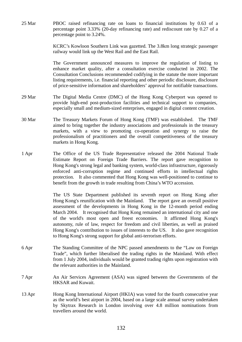25 Mar PBOC raised refinancing rate on loans to financial institutions by 0.63 of a percentage point 3.33% (20-day refinancing rate) and rediscount rate by 0.27 of a percentage point to 3.24%.

> KCRC's Kowloon Southern Link was gazetted. The 3.8km long strategic passenger railway would link up the West Rail and the East Rail.

> The Government announced measures to improve the regulation of listing to enhance market quality, after a consultation exercise conducted in 2002. The Consultation Conclusions recommended codifying in the statute the more important listing requirements, i.e. financial reporting and other periodic disclosure, disclosure of price-sensitive information and shareholders' approval for notifiable transactions.

- 29 Mar The Digital Media Centre (DMC) of the Hong Kong Cyberport was opened to provide high-end post-production facilities and technical support to companies, especially small and medium-sized enterprises, engaged in digital content creation.
- 30 Mar The Treasury Markets Forum of Hong Kong (TMF) was established. The TMF aimed to bring together the industry associations and professionals in the treasury markets, with a view to promoting co-operation and synergy to raise the professionalism of practitioners and the overall competitiveness of the treasury markets in Hong Kong.
- 1 Apr The Office of the US Trade Representative released the 2004 National Trade Estimate Report on Foreign Trade Barriers. The report gave recognition to Hong Kong's strong legal and banking system, world-class infrastructure, rigorously enforced anti-corruption regime and continued efforts in intellectual rights protection. It also commented that Hong Kong was well-positioned to continue to benefit from the growth in trade resulting from China's WTO accession.

The US State Department published its seventh report on Hong Kong after Hong Kong's reunification with the Mainland. The report gave an overall positive assessment of the developments in Hong Kong in the 12-month period ending March 2004. It recognised that Hong Kong remained an international city and one of the world's most open and freest economies. It affirmed Hong Kong's autonomy, rule of law, respect for freedom and civil liberties, as well as praised Hong Kong's contribution to issues of interests to the US. It also gave recognition to Hong Kong's strong support for global anti-terrorism efforts.

- 6 Apr The Standing Committee of the NPC passed amendments to the "Law on Foreign Trade", which further liberalised the trading rights in the Mainland. With effect from 1 July 2004, individuals would be granted trading rights upon registration with the relevant authorities in the Mainland.
- 7 Apr An Air Services Agreement (ASA) was signed between the Governments of the HKSAR and Kuwait.
- 13 Apr Hong Kong International Airport (HKIA) was voted for the fourth consecutive year as the world's best airport in 2004, based on a large scale annual survey undertaken by Skytrax Research in London involving over 4.8 million nominations from travellers around the world.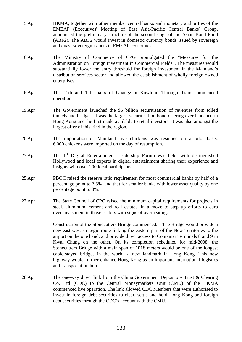- 15 Apr HKMA, together with other member central banks and monetary authorities of the EMEAP (Executives' Meeting of East Asia-Pacific Central Banks) Group, announced the preliminary structure of the second stage of the Asian Bond Fund (ABF2). The ABF2 would invest in domestic currency bonds issued by sovereign and quasi-sovereign issuers in EMEAP economies.
- 16 Apr The Ministry of Commerce of CPG promulgated the "Measures for the Administration on Foreign Investment in Commercial Fields". The measures would substantially lower the entry threshold for foreign investment in the Mainland's distribution services sector and allowed the establishment of wholly foreign owned enterprises.
- 18 Apr The 11th and 12th pairs of Guangzhou-Kowloon Through Train commenced operation.
- 19 Apr The Government launched the \$6 billion securitisation of revenues from tolled tunnels and bridges. It was the largest securitisation bond offering ever launched in Hong Kong and the first made available to retail investors. It was also amongst the largest offer of this kind in the region.
- 20 Apr The importation of Mainland live chickens was resumed on a pilot basis. 6,000 chickens were imported on the day of resumption.
- 23 Apr The 1<sup>st</sup> Digital Entertainment Leadership Forum was held, with distinguished Hollywood and local experts in digital entertainment sharing their experience and insights with over 200 local participants.
- 25 Apr PBOC raised the reserve ratio requirement for most commercial banks by half of a percentage point to 7.5%, and that for smaller banks with lower asset quality by one percentage point to 8%.
- 27 Apr The State Council of CPG raised the minimum capital requirements for projects in steel, aluminum, cement and real estates, in a move to step up efforts to curb over-investment in those sectors with signs of overheating.

Construction of the Stonecutters Bridge commenced. The Bridge would provide a new east-west strategic route linking the eastern part of the New Territories to the airport on the one hand, and provide direct access to Container Terminals 8 and 9 in Kwai Chung on the other. On its completion scheduled for mid-2008, the Stonecutters Bridge with a main span of 1018 meters would be one of the longest cable-stayed bridges in the world, a new landmark in Hong Kong. This new highway would further enhance Hong Kong as an important international logistics and transportation hub.

28 Apr The one-way direct link from the China Government Depository Trust & Clearing Co. Ltd (CDC) to the Central Moneymarkets Unit (CMU) of the HKMA commenced live operation. The link allowed CDC Members that were authorised to invest in foreign debt securities to clear, settle and hold Hong Kong and foreign debt securities through the CDC's account with the CMU.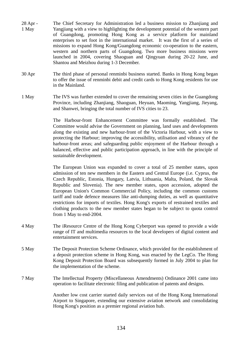- 28 Apr 1 May The Chief Secretary for Administration led a business mission to Zhanjiang and Yangjiang with a view to highlighting the development potential of the western part of Guangdong, promoting Hong Kong as a service platform for mainland enterprises to set foot in the international market. It was the first of a series of missions to expand Hong Kong/Guangdong economic co-operation to the eastern, western and northern parts of Guangdong. Two more business missions were launched in 2004, covering Shaoguan and Qingyuan during 20-22 June, and Shantou and Meizhou during 1-3 December.
- 30 Apr The third phase of personal renminbi business started. Banks in Hong Kong began to offer the issue of renminbi debit and credit cards to Hong Kong residents for use in the Mainland.
- 1 May The IVS was further extended to cover the remaining seven cities in the Guangdong Province, including Zhanjiang, Shaoguan, Heyuan, Maoming, Yangjiang, Jieyang, and Shanwei, bringing the total number of IVS cities to 23.

The Harbour-front Enhancement Committee was formally established. The Committee would advise the Government on planning, land uses and developments along the existing and new harbour-front of the Victoria Harbour, with a view to protecting the Harbour; improving the accessibility, utilisation and vibrancy of the harbour-front areas; and safeguarding public enjoyment of the Harbour through a balanced, effective and public participation approach, in line with the principle of sustainable development.

The European Union was expanded to cover a total of 25 member states, upon admission of ten new members in the Eastern and Central Europe (i.e. Cyprus, the Czech Republic, Estonia, Hungary, Latvia, Lithuania, Malta, Poland, the Slovak Republic and Slovenia). The new member states, upon accession, adopted the European Union's Common Commercial Policy, including the common customs tariff and trade defence measures like anti-dumping duties, as well as quantitative restrictions for imports of textiles. Hong Kong's exports of restrained textiles and clothing products to the new member states began to be subject to quota control from 1 May to end-2004.

- 4 May The iResource Centre of the Hong Kong Cyberport was opened to provide a wide range of IT and multimedia resources to the local developers of digital content and entertainment services.
- 5 May The Deposit Protection Scheme Ordinance, which provided for the establishment of a deposit protection scheme in Hong Kong, was enacted by the LegCo. The Hong Kong Deposit Protection Board was subsequently formed in July 2004 to plan for the implementation of the scheme.
- 7 May The Intellectual Property (Miscellaneous Amendments) Ordinance 2001 came into operation to facilitate electronic filing and publication of patents and designs.

 Another low cost carrier started daily services out of the Hong Kong International Airport to Singapore, extending our extensive aviation network and consolidating Hong Kong's position as a premier regional aviation hub.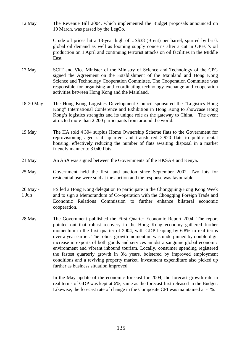12 May The Revenue Bill 2004, which implemented the Budget proposals announced on 10 March, was passed by the LegCo.

> Crude oil prices hit a 13-year high of US\$38 (Brent) per barrel, spurred by brisk global oil demand as well as looming supply concerns after a cut in OPEC's oil production on 1 April and continuing terrorist attacks on oil facilities in the Middle East.

- 17 May SCIT and Vice Minister of the Ministry of Science and Technology of the CPG signed the Agreement on the Establishment of the Mainland and Hong Kong Science and Technology Cooperation Committee. The Cooperation Committee was responsible for organising and coordinating technology exchange and cooperation activities between Hong Kong and the Mainland.
- 18-20 May The Hong Kong Logistics Development Council sponsored the "Logistics Hong Kong" International Conference and Exhibition in Hong Kong to showcase Hong Kong's logistics strengths and its unique role as the gateway to China. The event attracted more than 2 200 participants from around the world.
- 19 May The HA sold 4 304 surplus Home Ownership Scheme flats to the Government for reprovisioning aged staff quarters and transferred 2 920 flats to public rental housing, effectively reducing the number of flats awaiting disposal in a market friendly manner to 3 040 flats.
- 21 May An ASA was signed between the Governments of the HKSAR and Kenya.
- 25 May Government held the first land auction since September 2002. Two lots for residential use were sold at the auction and the response was favourable.
- 26 May 1 Jun FS led a Hong Kong delegation to participate in the Chongquing/Hong Kong Week and to sign a Memorandum of Co-operation with the Chongqing Foreign Trade and Economic Relations Commission to further enhance bilateral economic cooperation.
- 28 May The Government published the First Quarter Economic Report 2004. The report pointed out that robust recovery in the Hong Kong economy gathered further momentum in the first quarter of 2004, with GDP leaping by 6.8% in real terms over a year earlier. The robust growth momentum was underpinned by double-digit increase in exports of both goods and services amidst a sanguine global economic environment and vibrant inbound tourism. Locally, consumer spending registered the fastest quarterly growth in 3½ years, bolstered by improved employment conditions and a reviving property market. Investment expenditure also picked up further as business situation improved.

In the May update of the economic forecast for 2004, the forecast growth rate in real terms of GDP was kept at 6%, same as the forecast first released in the Budget. Likewise, the forecast rate of change in the Composite CPI was maintained at -1%.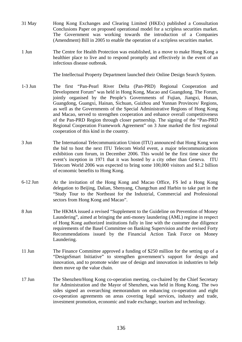- 31 May Hong Kong Exchanges and Clearing Limited (HKEx) published a Consultation Conclusions Paper on proposed operational model for a scripless securities market. The Government was working towards the introduction of a Companies (Amendment) Bill in 2005 to enable the operation of a scripless securities market.
- 1 Jun The Centre for Health Protection was established, in a move to make Hong Kong a healthier place to live and to respond promptly and effectively in the event of an infectious disease outbreak.

The Intellectual Property Department launched their Online Design Search System.

- 1-3 Jun The first "Pan-Pearl River Delta (Pan-PRD) Regional Cooperation and Development Forum" was held in Hong Kong, Macao and Guangdong. The Forum, jointly organised by the People's Governments of Fujian, Jiangxi, Hunan, Guangdong, Guangxi, Hainan, Sichuan, Guizhou and Yunnan Provinces/ Regions, as well as the Governments of the Special Administrative Regions of Hong Kong and Macao, served to strengthen cooperation and enhance overall competitiveness of the Pan-PRD Region through closer partnership. The signing of the "Pan-PRD Regional Cooperation Framework Agreement" on 3 June marked the first regional cooperation of this kind in the country.
- 3 Jun The International Telecommunication Union (ITU) announced that Hong Kong won the bid to host the next ITU Telecom World event, a major telecommunications exhibition cum forum, in December 2006. This would be the first time since the event's inception in 1971 that it was hosted by a city other than Geneva. ITU Telecom World 2006 was expected to bring some 100,000 visitors and \$1.2 billion of economic benefits to Hong Kong.
- 6-12 Jun At the invitation of the Hong Kong and Macao Office, FS led a Hong Kong delegation to Beijing, Dalian, Shenyang, Changchun and Harbin to take part in the "Study Tour to the Northeast for the Industrial, Commercial and Professional sectors from Hong Kong and Macao".
- 8 Jun The HKMA issued a revised "Supplement to the Guideline on Prevention of Money Laundering", aimed at bringing the anti-money laundering (AML) regime in respect of Hong Kong authorized institutions fully in line with the customer due diligence requirements of the Basel Committee on Banking Supervision and the revised Forty Recommendations issued by the Financial Action Task Force on Money Laundering.
- 11 Jun The Finance Committee approved a funding of \$250 million for the setting up of a "DesignSmart Initiative" to strengthen government's support for design and innovation, and to promote wider use of design and innovation in industries to help them move up the value chain.
- 17 Jun The Shenzhen/Hong Kong co-operation meeting, co-chaired by the Chief Secretary for Administration and the Mayor of Shenzhen, was held in Hong Kong. The two sides signed an overarching memorandum on enhancing co-operation and eight co-operation agreements on areas covering legal services, industry and trade, investment promotion, economic and trade exchange, tourism and technology.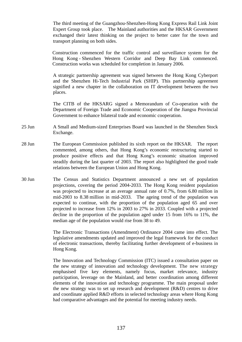The third meeting of the Guangzhou-Shenzhen-Hong Kong Express Rail Link Joint Expert Group took place. The Mainland authorities and the HKSAR Government exchanged their latest thinking on the project to better cater for the town and transport planning on both sides.

 Construction commenced for the traffic control and surveillance system for the Hong Kong - Shenzhen Western Corridor and Deep Bay Link commenced. Construction works was scheduled for completion in January 2006.

 A strategic partnership agreement was signed between the Hong Kong Cyberport and the Shenzhen Hi-Tech Industrial Park (SHIP). This partnership agreement signified a new chapter in the collaboration on IT development between the two places.

The CITB of the HKSARG signed a Memorandum of Co-operation with the Department of Foreign Trade and Economic Cooperation of the Jiangsu Provincial Government to enhance bilateral trade and economic cooperation.

- 25 Jun A Small and Medium-sized Enterprises Board was launched in the Shenzhen Stock Exchange.
- 28 Jun The European Commission published its sixth report on the HKSAR. The report commented, among others, that Hong Kong's economic restructuring started to produce positive effects and that Hong Kong's economic situation improved steadily during the last quarter of 2003. The report also highlighted the good trade relations between the European Union and Hong Kong.
- 30 Jun The Census and Statistics Department announced a new set of population projections, covering the period 2004-2033. The Hong Kong resident population was projected to increase at an average annual rate of 0.7%, from 6.80 million in mid-2003 to 8.38 million in mid-2033. The ageing trend of the population was expected to continue, with the proportion of the population aged 65 and over projected to increase from 12% in 2003 to 27% in 2033. Coupled with a projected decline in the proportion of the population aged under 15 from 16% to 11%, the median age of the population would rise from 38 to 49.

 The Electronic Transactions (Amendment) Ordinance 2004 came into effect. The legislative amendments updated and improved the legal framework for the conduct of electronic transactions, thereby facilitating further development of e-business in Hong Kong.

 The Innovation and Technology Commission (ITC) issued a consultation paper on the new strategy of innovation and technology development. The new strategy emphasised five key elements, namely focus, market relevance, industry participation, leverage on the Mainland, and better coordination among different elements of the innovation and technology programme. The main proposal under the new strategy was to set up research and development (R&D) centres to drive and coordinate applied R&D efforts in selected technology areas where Hong Kong had comparative advantages and the potential for meeting industry needs.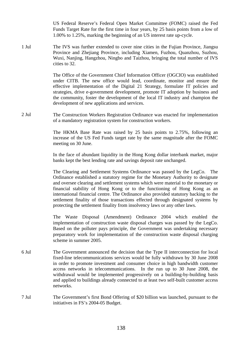US Federal Reserve's Federal Open Market Committee (FOMC) raised the Fed Funds Target Rate for the first time in four years, by 25 basis points from a low of 1.00% to 1.25%, marking the beginning of an US interest rate up-cycle.

1 Jul The IVS was further extended to cover nine cities in the Fujian Province, Jiangsu Province and Zhejiang Province, including Xiamen, Fuzhou, Quanzhou, Suzhou, Wuxi, Nanjing, Hangzhou, Ningbo and Taizhou, bringing the total number of IVS cities to 32.

> The Office of the Government Chief Information Officer (OGCIO) was established under CITB. The new office would lead, coordinate, monitor and ensure the effective implementation of the Digital 21 Strategy, formulate IT policies and strategies, drive e-government development, promote IT adoption by business and the community, foster the development of the local IT industry and champion the development of new applications and services.

2 Jul The Construction Workers Registration Ordinance was enacted for implementation of a mandatory registration system for construction workers.

> The HKMA Base Rate was raised by 25 basis points to 2.75%, following an increase of the US Fed Funds target rate by the same magnitude after the FOMC meeting on 30 June.

> In the face of abundant liquidity in the Hong Kong dollar interbank market, major banks kept the best lending rate and savings deposit rate unchanged.

> The Clearing and Settlement Systems Ordinance was passed by the LegCo. The Ordinance established a statutory regime for the Monetary Authority to designate and oversee clearing and settlement systems which were material to the monetary or financial stability of Hong Kong or to the functioning of Hong Kong as an international financial centre. The Ordinance also provided statutory backing to the settlement finality of those transactions effected through designated systems by protecting the settlement finality from insolvency laws or any other laws.

> The Waste Disposal (Amendment) Ordinance 2004 which enabled the implementation of construction waste disposal charges was passed by the LegCo. Based on the polluter pays principle, the Government was undertaking necessary preparatory work for implementation of the construction waste disposal charging scheme in summer 2005.

- 6 Jul The Government announced the decision that the Type II interconnection for local fixed-line telecommunications services would be fully withdrawn by 30 June 2008 in order to promote investment and consumer choice in high bandwidth customer access networks in telecommunications. In the run up to 30 June 2008, the withdrawal would be implemented progressively on a building-by-building basis and applied to buildings already connected to at least two self-built customer access networks.
- 7 Jul The Government's first Bond Offering of \$20 billion was launched, pursuant to the initiatives in FS's 2004-05 Budget.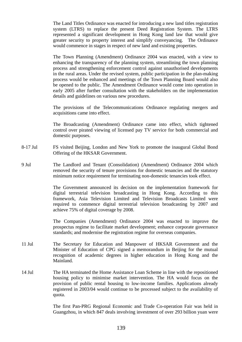The Land Titles Ordinance was enacted for introducing a new land titles registration system (LTRS) to replace the present Deed Registration System. The LTRS represented a significant development in Hong Kong land law that would give greater security to property interest and simplify conveyancing. The Ordinance would commence in stages in respect of new land and existing properties.

 The Town Planning (Amendment) Ordinance 2004 was enacted, with a view to enhancing the transparency of the planning system, streamlining the town planning process and strengthening enforcement control against unauthorised developments in the rural areas. Under the revised system, public participation in the plan-making process would be enhanced and meetings of the Town Planning Board would also be opened to the public. The Amendment Ordinance would come into operation in early 2005 after further consultation with the stakeholders on the implementation details and guidelines on various new procedures.

 The provisions of the Telecommunications Ordinance regulating mergers and acquisitions came into effect.

 The Broadcasting (Amendment) Ordinance came into effect, which tightened control over pirated viewing of licensed pay TV service for both commercial and domestic purposes.

- 8-17 Jul FS visited Beijing, London and New York to promote the inaugural Global Bond Offering of the HKSAR Government.
- 9 Jul The Landlord and Tenant (Consolidation) (Amendment) Ordinance 2004 which removed the security of tenure provisions for domestic tenancies and the statutory minimum notice requirement for terminating non-domestic tenancies took effect.

 The Government announced its decision on the implementation framework for digital terrestrial television broadcasting in Hong Kong. According to this framework, Asia Television Limited and Television Broadcasts Limited were required to commence digital terrestrial television broadcasting by 2007 and achieve 75% of digital coverage by 2008.

 The Companies (Amendment) Ordinance 2004 was enacted to improve the prospectus regime to facilitate market development; enhance corporate governance standards; and modernise the registration regime for overseas companies.

- 11 Jul The Secretary for Education and Manpower of HKSAR Government and the Minister of Education of CPG signed a memorandum in Beijing for the mutual recognition of academic degrees in higher education in Hong Kong and the Mainland.
- 14 Jul The HA terminated the Home Assistance Loan Scheme in line with the repositioned housing policy to minimise market intervention. The HA would focus on the provision of public rental housing to low-income families. Applications already registered in 2003/04 would continue to be processed subject to the availability of quota.

The first Pan-PRG Regional Economic and Trade Co-operation Fair was held in Guangzhou, in which 847 deals involving investment of over 293 billion yuan were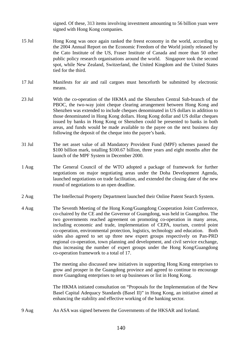signed. Of these, 313 items involving investment amounting to 56 billion yuan were signed with Hong Kong companies.

- 15 Jul Hong Kong was once again ranked the freest economy in the world, according to the 2004 Annual Report on the Economic Freedom of the World jointly released by the Cato Institute of the US, Fraser Institute of Canada and more than 50 other public policy research organisations around the world. Singapore took the second spot, while New Zealand, Switzerland, the United Kingdom and the United States tied for the third.
- 17 Jul Manifests for air and rail cargoes must henceforth be submitted by electronic means.
- 23 Jul With the co-operation of the HKMA and the Shenzhen Central Sub-branch of the PBOC, the two-way joint cheque clearing arrangement between Hong Kong and Shenzhen was extended to include cheques denominated in US dollars in addition to those denominated in Hong Kong dollars. Hong Kong dollar and US dollar cheques issued by banks in Hong Kong or Shenzhen could be presented to banks in both areas, and funds would be made available to the payee on the next business day following the deposit of the cheque into the payee's bank.
- 31 Jul The net asset value of all Mandatory Provident Fund (MPF) schemes passed the \$100 billion mark, totalling \$100.67 billion, three years and eight months after the launch of the MPF System in December 2000.
- 1 Aug The General Council of the WTO adopted a package of framework for further negotiations on major negotiating areas under the Doha Development Agenda, launched negotiations on trade facilitation, and extended the closing date of the new round of negotiations to an open deadline.
- 2 Aug The Intellectual Property Department launched their Online Patent Search System.
- 4 Aug The Seventh Meeting of the Hong Kong/Guangdong Cooperation Joint Conference, co-chaired by the CE and the Governor of Guangdong, was held in Guangzhou. The two governments reached agreement on promoting co-operation in many areas, including economic and trade, implementation of CEPA, tourism, control point co-operation, environmental protection, logistics, technology and education. Both sides also agreed to set up three new expert groups respectively on Pan-PRD regional co-operation, town planning and development, and civil service exchange, thus increasing the number of expert groups under the Hong Kong/Guangdong co-operation framework to a total of 17.

The meeting also discussed new initiatives in supporting Hong Kong enterprises to grow and prosper in the Guangdong province and agreed to continue to encourage more Guangdong enterprises to set up businesses or list in Hong Kong.

The HKMA initiated consultation on "Proposals for the Implementation of the New Basel Capital Adequacy Standards (Basel II)" in Hong Kong, an initiative aimed at enhancing the stability and effective working of the banking sector.

9 Aug An ASA was signed between the Governments of the HKSAR and Iceland.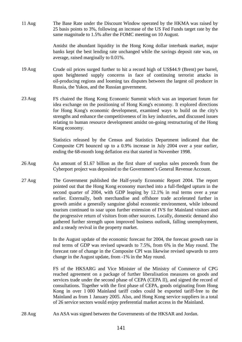11 Aug The Base Rate under the Discount Window operated by the HKMA was raised by 25 basis points to 3%, following an increase of the US Fed Funds target rate by the same magnitude to 1.5% after the FOMC meeting on 10 August.

> Amidst the abundant liquidity in the Hong Kong dollar interbank market, major banks kept the best lending rate unchanged while the savings deposit rate was, on average, raised marginally to 0.01%.

- 19 Aug Crude oil prices surged further to hit a record high of US\$44.9 (Brent) per barrel, upon heightened supply concerns in face of continuing terrorist attacks in oil-producing regions and looming tax disputes between the largest oil producer in Russia, the Yukos, and the Russian government.
- 23 Aug FS chaired the Hong Kong Economic Summit which was an important forum for idea exchange on the positioning of Hong Kong's economy. It explored directions for Hong Kong's economic development, examined ways to build on the city's strengths and enhance the competitiveness of its key industries, and discussed issues relating to human resource development amidst on-going restructuring of the Hong Kong economy.

Statistics released by the Census and Statistics Department indicated that the Composite CPI bounced up to a 0.9% increase in July 2004 over a year earlier, ending the 68-month long deflation era that started in November 1998.

- 26 Aug An amount of \$1.67 billion as the first share of surplus sales proceeds from the Cyberport project was deposited to the Government's General Revenue Account.
- 27 Aug The Government published the Half-yearly Economic Report 2004. The report pointed out that the Hong Kong economy marched into a full-fledged upturn in the second quarter of 2004, with GDP leaping by 12.1% in real terms over a year earlier. Externally, both merchandise and offshore trade accelerated further in growth amidst a generally sanguine global economic environment, while inbound tourism continued to soar upon further extension of IVS for Mainland visitors and the progressive return of visitors from other sources. Locally, domestic demand also gathered further strength upon improved business outlook, falling unemployment, and a steady revival in the property market.

In the August update of the economic forecast for 2004, the forecast growth rate in real terms of GDP was revised upwards to 7.5%, from 6% in the May round. The forecast rate of change in the Composite CPI was likewise revised upwards to zero change in the August update, from -1% in the May round.

 FS of the HKSARG and Vice Minister of the Ministry of Commerce of CPG reached agreement on a package of further liberalisation measures on goods and services trade under the second phase of CEPA (CEPA II), and signed the record of consultations. Together with the first phase of CEPA, goods originating from Hong Kong in over 1 000 Mainland tariff codes could be exported tariff-free to the Mainland as from 1 January 2005. Also, and Hong Kong service suppliers in a total of 26 service sectors would enjoy preferential market access in the Mainland.

28 Aug An ASA was signed between the Governments of the HKSAR and Jordan.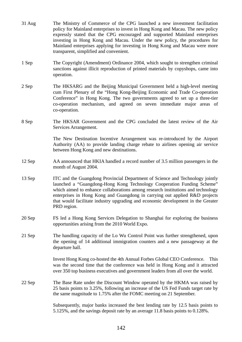| $31$ Aug | The Ministry of Commerce of the CPG launched a new investment facilitation<br>policy for Mainland enterprises to invest in Hong Kong and Macau. The new policy<br>expressly stated that the CPG encouraged and supported Mainland enterprises<br>investing in Hong Kong and Macau. Under the new policy, the procedures for<br>Mainland enterprises applying for investing in Hong Kong and Macau were more<br>transparent, simplified and convenient. |
|----------|--------------------------------------------------------------------------------------------------------------------------------------------------------------------------------------------------------------------------------------------------------------------------------------------------------------------------------------------------------------------------------------------------------------------------------------------------------|
| 1 Sep    | The Copyright (Amendment) Ordinance 2004, which sought to strengthen criminal<br>sanctions against illicit reproduction of printed materials by copyshops, came into<br>operation.                                                                                                                                                                                                                                                                     |
| 2 Sep    | The HKSARG and the Beijing Municipal Government held a high-level meeting<br>cum First Plenary of the "Hong Kong-Beijing Economic and Trade Co-operation<br>Conference" in Hong Kong. The two governments agreed to set up a three-tier<br>co-operation mechanism, and agreed on seven immediate major areas of<br>co-operation.                                                                                                                       |
| 8 Sep    | The HKSAR Government and the CPG concluded the latest review of the Air<br>Services Arrangement.                                                                                                                                                                                                                                                                                                                                                       |
|          | The New Destination Incentive Arrangement was re-introduced by the Airport<br>Authority (AA) to provide landing charge rebate to airlines opening air service<br>between Hong Kong and new destinations.                                                                                                                                                                                                                                               |
| 12 Sep   | AA announced that HKIA handled a record number of 3.5 million passengers in the<br>month of August 2004.                                                                                                                                                                                                                                                                                                                                               |
| 13 Sep   | ITC and the Guangdong Provincial Department of Science and Technology jointly<br>launched a "Guangdong-Hong Kong Technology Cooperation Funding Scheme"<br>which aimed to enhance collaborations among research institutions and technology<br>enterprises in Hong Kong and Guangdong in carrying out applied R&D projects<br>that would facilitate industry upgrading and economic development in the Greater<br>PRD region.                          |
| 20 Sep   | FS led a Hong Kong Services Delegation to Shanghai for exploring the business<br>opportunities arising from the 2010 World Expo.                                                                                                                                                                                                                                                                                                                       |
| 21 Sep   | The handling capacity of the Lo Wu Control Point was further strengthened, upon<br>the opening of 14 additional immigration counters and a new passageway at the<br>departure hall.                                                                                                                                                                                                                                                                    |
|          | Invest Hong Kong co-hosted the 4th Annual Forbes Global CEO Conference.<br>This<br>was the second time that the conference was held in Hong Kong and it attracted<br>over 350 top business executives and government leaders from all over the world.                                                                                                                                                                                                  |
| 22 Sep   | The Base Rate under the Discount Window operated by the HKMA was raised by<br>25 basis points to 3.25%, following an increase of the US Fed Funds target rate by<br>the same magnitude to 1.75% after the FOMC meeting on 21 September.                                                                                                                                                                                                                |
|          | Subsequently, major banks increased the best lending rate by 12.5 basis points to<br>5.125%, and the savings deposit rate by an average 11.8 basis points to 0.128%.                                                                                                                                                                                                                                                                                   |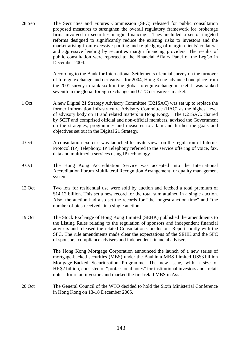28 Sep The Securities and Futures Commission (SFC) released for public consultation proposed measures to strengthen the overall regulatory framework for brokerage firms involved in securities margin financing. They included a set of targeted reforms designed to significantly reduce the existing risks to investors and the market arising from excessive pooling and re-pledging of margin clients' collateral and aggressive lending by securities margin financing providers. The results of public consultation were reported to the Financial Affairs Panel of the LegCo in December 2004.

> According to the Bank for International Settlements triennial survey on the turnover of foreign exchange and derivatives for 2004, Hong Kong advanced one place from the 2001 survey to rank sixth in the global foreign exchange market. It was ranked seventh in the global foreign exchange and OTC derivatives market.

- 1 Oct A new Digital 21 Strategy Advisory Committee (D21SAC) was set up to replace the former Information Infrastructure Advisory Committee (IIAC) as the highest level of advisory body on IT and related matters in Hong Kong. The D21SAC, chaired by SCIT and comprised official and non-official members, advised the Government on the strategies, programmes and measures to attain and further the goals and objectives set out in the Digital 21 Strategy.
- 4 Oct A consultation exercise was launched to invite views on the regulation of Internet Protocol (IP) Telephony. IP Telephony referred to the service offering of voice, fax, data and multimedia services using IP technology.
- 9 Oct The Hong Kong Accreditation Service was accepted into the International Accreditation Forum Multilateral Recognition Arrangement for quality management systems.
- 12 Oct Two lots for residential use were sold by auction and fetched a total premium of \$14.12 billion. This set a new record for the total sum attained in a single auction. Also, the auction had also set the records for "the longest auction time" and "the number of bids received" in a single auction.
- 19 Oct The Stock Exchange of Hong Kong Limited (SEHK) published the amendments to the Listing Rules relating to the regulation of sponsors and independent financial advisers and released the related Consultation Conclusions Report jointly with the SFC. The rule amendments made clear the expectations of the SEHK and the SFC of sponsors, compliance advisers and independent financial advisers.

The Hong Kong Mortgage Corporation announced the launch of a new series of mortgage-backed securities (MBS) under the Bauhinia MBS Limited US\$3 billion Mortgage-Backed Securitisation Programme. The new issue, with a size of HK\$2 billion, consisted of "professional notes" for institutional investors and "retail notes" for retail investors and marked the first retail MBS in Asia.

20 Oct The General Council of the WTO decided to hold the Sixth Ministerial Conference in Hong Kong on 13-18 December 2005.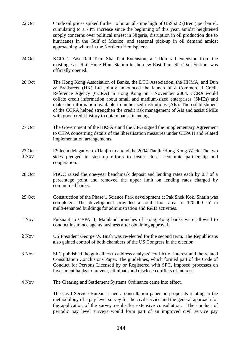- 22 Oct Crude oil prices spiked further to hit an all-time high of US\$52.2 (Brent) per barrel, cumulating to a 74% increase since the beginning of this year, amidst heightened supply concerns over political unrest in Nigeria, disruption in oil production due to hurricanes in the Gulf of Mexico, and seasonal pick-up in oil demand amidst approaching winter in the Northern Hemisphere.
- 24 Oct KCRC's East Rail Tsim Sha Tsui Extension, a 1.1km rail extension from the existing East Rail Hung Hom Station to the new East Tsim Sha Tsui Station, was officially opened.
- 26 Oct The Hong Kong Association of Banks, the DTC Association, the HKMA, and Dun & Bradstreet (HK) Ltd jointly announced the launch of a Commercial Credit Reference Agency (CCRA) in Hong Kong on 1 November 2004. CCRA would collate credit information about small and medium-sized enterprises (SMEs) and make the information available to authorized institutions (AIs). The establishment of the CCRA helped strengthen the credit risk management of AIs and assist SMEs with good credit history to obtain bank financing.
- 27 Oct The Government of the HKSAR and the CPG signed the Supplementary Agreement to CEPA concerning details of the liberalisation measures under CEPA II and related implementation arrangements.
- 27 Oct 3 Nov FS led a delegation to Tianjin to attend the 2004 Tianjin/Hong Kong Week. The two sides pledged to step up efforts to foster closer economic partnership and cooperation.
- 28 Oct PBOC raised the one-year benchmark deposit and lending rates each by 0.7 of a percentage point and removed the upper limit on lending rates charged by commercial banks.
- 29 Oct Construction of the Phase 1 Science Park development at Pak Shek Kok, Shatin was completed. The development provided a total floor area of  $120\,000 \text{ m}^2$  in multi-tenanted buildings for administration and R&D activities.
- 1 Nov Pursuant to CEPA II, Mainland branches of Hong Kong banks were allowed to conduct insurance agents business after obtaining approval.
- 2 Nov US President George W. Bush was re-elected for the second term. The Republicans also gained control of both chambers of the US Congress in the election.
- 3 Nov SFC published the guidelines to address analysts' conflict of interest and the related Consultation Conclusions Paper. The guidelines, which formed part of the Code of Conduct for Persons Licensed by or Registered with SFC, imposed processes on investment banks to prevent, eliminate and disclose conflicts of interest.
- 4 Nov The Clearing and Settlement Systems Ordinance came into effect.

The Civil Service Bureau issued a consultation paper on proposals relating to the methodology of a pay level survey for the civil service and the general approach for the application of the survey results for extensive consultation. The conduct of periodic pay level surveys would form part of an improved civil service pay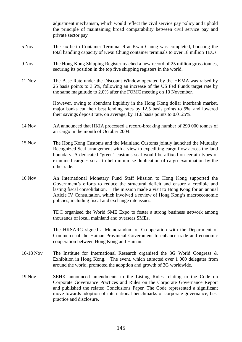|               | adjustment mechanism, which would reflect the civil service pay policy and uphold<br>the principle of maintaining broad comparability between civil service pay and<br>private sector pay.                                                                                                                                                                                               |
|---------------|------------------------------------------------------------------------------------------------------------------------------------------------------------------------------------------------------------------------------------------------------------------------------------------------------------------------------------------------------------------------------------------|
| 5 Nov         | The six-berth Container Terminal 9 at Kwai Chung was completed, boosting the<br>total handling capacity of Kwai Chung container terminals to over 18 million TEUs.                                                                                                                                                                                                                       |
| 9 Nov         | The Hong Kong Shipping Register reached a new record of 25 million gross tonnes,<br>securing its position in the top five shipping registers in the world.                                                                                                                                                                                                                               |
| 11 Nov        | The Base Rate under the Discount Window operated by the HKMA was raised by<br>25 basis points to 3.5%, following an increase of the US Fed Funds target rate by<br>the same magnitude to 2.0% after the FOMC meeting on 10 November.                                                                                                                                                     |
|               | However, owing to abundant liquidity in the Hong Kong dollar interbank market,<br>major banks cut their best lending rates by 12.5 basis points to 5%, and lowered<br>their savings deposit rate, on average, by 11.6 basis points to 0.0125%.                                                                                                                                           |
| 14 Nov        | AA announced that HKIA processed a record-breaking number of 299 000 tonnes of<br>air cargo in the month of October 2004.                                                                                                                                                                                                                                                                |
| 15 Nov        | The Hong Kong Customs and the Mainland Customs jointly launched the Mutually<br>Recognized Seal arrangement with a view to expediting cargo flow across the land<br>boundary. A dedicated "green" customs seal would be affixed on certain types of<br>examined cargoes so as to help minimise duplication of cargo examination by the<br>other side.                                    |
| <b>16 Nov</b> | An International Monetary Fund Staff Mission to Hong Kong supported the<br>Government's efforts to reduce the structural deficit and ensure a credible and<br>lasting fiscal consolidation. The mission made a visit to Hong Kong for an annual<br>Article IV Consultation, which involved a review of Hong Kong's macroeconomic<br>policies, including fiscal and exchange rate issues. |
|               | TDC organised the World SME Expo to foster a strong business network among<br>thousands of local, mainland and overseas SMEs.                                                                                                                                                                                                                                                            |
|               | The HKSARG signed a Memorandum of Co-operation with the Department of<br>Commerce of the Hainan Provincial Government to enhance trade and economic<br>cooperation between Hong Kong and Hainan.                                                                                                                                                                                         |
| 16-18 Nov     | The Institute for International Research organised the 3G World Congress $\&$<br>Exhibition in Hong Kong. The event, which attracted over 1 000 delegates from<br>around the world, promoted the adoption and growth of 3G worldwide.                                                                                                                                                    |
| <b>19 Nov</b> | SEHK announced amendments to the Listing Rules relating to the Code on<br>Corporate Governance Practices and Rules on the Corporate Governance Report<br>and published the related Conclusions Paper. The Code represented a significant<br>move towards adoption of international benchmarks of corporate governance, best<br>practice and disclosure.                                  |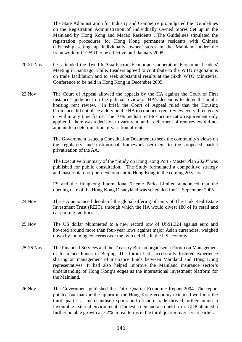The State Administration for Industry and Commerce promulgated the "Guidelines on the Registration Administration of Individually Owned Stores Set up in the Mainland by Hong Kong and Macao Residents". The Guidelines stipulated the registration procedures for Hong Kong permanent residents with Chinese citizenship setting up individually owned stores in the Mainland under the framework of CEPA II to be effective on 1 January 2005.

- 20-21 Nov CE attended the Twelfth Asia-Pacific Economic Cooperation Economic Leaders' Meeting in Santiago, Chile. Leaders agreed to contribute to the WTO negotiations on trade facilitation and to seek substantial results at the Sixth WTO Ministerial Conference to be held in Hong Kong in December 2005.
- 22 Nov The Court of Appeal allowed the appeals by the HA against the Court of First Instance's judgment on the judicial review of HA's decisions to defer the public housing rent review. In brief, the Court of Appeal ruled that the Housing Ordinance did not place a duty on the HA to conduct a rent review every three years or within any time frame. The 10% median rent-to-income ratio requirement only applied if there was a decision to vary rent, and a deferment of rent review did not amount to a determination of variation of rent.

 The Government issued a Consultation Document to seek the community's views on the regulatory and institutional framework pertinent to the proposed partial privatisation of the AA.

The Executive Summary of the "Study on Hong Kong Port - Master Plan 2020" was published for public consultation. The Study formulated a competitive strategy and master plan for port development in Hong Kong in the coming 20 years.

FS and the Hongkong International Theme Parks Limited announced that the opening date of the Hong Kong Disneyland was scheduled for 12 September 2005.

- 24 Nov The HA announced details of the global offering of units of The Link Real Estate Investment Trust (REIT), through which the HA would divest 180 of its retail and car parking facilities.
- 25 Nov The US dollar plummeted to a new record low of US\$1.324 against euro and hovered around more than four-year lows against major Asian currencies, weighed down by looming concerns over the twin deficits in the US economy.
- 25-26 Nov The Financial Services and the Treasury Bureau organised a Forum on Management of Insurance Funds in Beijing. The forum had successfully fostered experience sharing on management of insurance funds between Mainland and Hong Kong representatives. It had also helped improve the Mainland insurance sector's understanding of Hong Kong's edges as the international investment platform for the Mainland.
- 26 Nov The Government published the Third Quarter Economic Report 2004. The report pointed out that the the upturn in the Hong Kong economy extended well into the third quarter as merchandise exports and offshore trade thrived further amidst a favourable external environment. Domestic demand also held firm. GDP attained a further notable growth at 7.2% in real terms in the third quarter over a year earlier.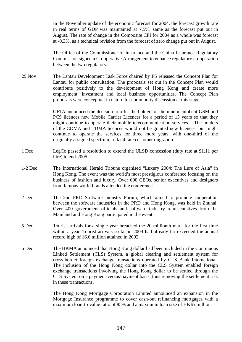In the November update of the economic forecast for 2004, the forecast growth rate in real terms of GDP was maintained at 7.5%, same as the forecast put out in August. The rate of change in the Composite CPI for 2004 as a whole was forecast at -0.3%, as a technical revision from the forecast of zero change put out in August.

The Office of the Commissioner of Insurance and the China Insurance Regulatory Commission signed a Co-operative Arrangement to enhance regulatory co-operation between the two regulators.

29 Nov The Lantau Development Task Force chaired by FS released the Concept Plan for Lantau for public consultation. The proposals set out in the Concept Plan would contribute positively to the development of Hong Kong and create more employment, investment and local business opportunities. The Concept Plan proposals were conceptual in nature for community discussion at this stage.

> OFTA announced the decision to offer the holders of the nine incumbent GSM and PCS licences new Mobile Carrier Licences for a period of 15 years so that they might continue to operate their mobile telecommunication services. The holders of the CDMA and TDMA licences would not be granted new licences, but might continue to operate the services for three more years, with one-third of the originally assigned spectrum, to facilitate customer migration.

- 1 Dec LegCo passed a resolution to extend the ULSD concession (duty rate at \$1.11 per litre) to end-2005.
- 1-2 Dec The International Herald Tribune organised "Luxury 2004: The Lure of Asia" in Hong Kong. The event was the world's most prestigious conference focusing on the business of fashion and luxury. Over 600 CEOs, senior executives and designers from famous world brands attended the conference.
- 2 Dec The 2nd PRD Software Industry Forum, which aimed to promote cooperation between the software industries in the PRD and Hong Kong, was held in Zhuhai. Over 400 government officials and software industry representatives from the Mainland and Hong Kong participated in the event.
- 5 Dec Tourist arrivals for a single year breached the 20 millionth mark for the first time within a year. Tourist arrivals so far in 2004 had already far exceeded the annual record high of 16.6 million attained in 2002.
- 6 Dec The HKMA announced that Hong Kong dollar had been included in the Continuous Linked Settlement (CLS) System, a global clearing and settlement system for cross-border foreign exchange transactions operated by CLS Bank International. The inclusion of the Hong Kong dollar into the CLS System enabled foreign exchange transactions involving the Hong Kong dollar to be settled through the CLS System on a payment-versus-payment basis, thus removing the settlement risk in these transactions.

The Hong Kong Mortgage Corporation Limited announced an expansion in the Mortgage Insurance programme to cover cash-out refinancing mortgages with a maximum loan-to-value ratio of 85% and a maximum loan size of HK\$5 million.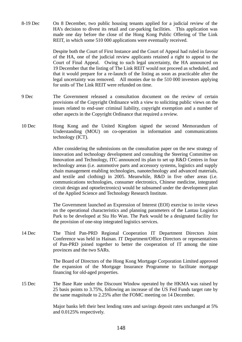8-19 Dec On 8 December, two public housing tenants applied for a judicial review of the HA's decision to divest its retail and car-parking facilities. This application was made one day before the close of the Hong Kong Public Offering of The Link REIT, in which some 510 000 applications were eventually received.

> Despite both the Court of First Instance and the Court of Appeal had ruled in favour of the HA, one of the judicial review applicants retained a right to appeal to the Court of Final Appeal. Owing to such legal uncertainty, the HA announced on 19 December that the listing of The Link REIT would not proceed as scheduled, and that it would prepare for a re-launch of the listing as soon as practicable after the legal uncertainty was removed. All monies due to the 510 000 investors applying for units of The Link REIT were refunded on time.

- 9 Dec The Government released a consultation document on the review of certain provisions of the Copyright Ordinance with a view to soliciting public views on the issues related to end-user criminal liability, copyright exemption and a number of other aspects in the Copyright Ordinance that required a review.
- 10 Dec Hong Kong and the United Kingdom signed the second Memorandum of Understanding (MOU) on co-operation in information and communications technology (ICT).

After considering the submissions on the consultation paper on the new strategy of innovation and technology development and consulting the Steering Committee on Innovation and Technology, ITC announced its plan to set up R&D Centres in four technology areas (i.e. automotive parts and accessory systems, logistics and supply chain management enabling technologies, nanotechnology and advanced materials, and textile and clothing) in 2005. Meanwhile, R&D in five other areas (i.e. communications technologies, consumer electronics, Chinese medicine, integrated circuit design and optoelectronics) would be subsumed under the development plan of the Applied Science and Technology Research Institute.

 The Government launched an Expression of Interest (EOI) exercise to invite views on the operational characteristics and planning parameters of the Lantau Logistics Park to be developed at Siu Ho Wan. The Park would be a designated facility for the provision of one-stop integrated logistics services.

14 Dec The Third Pan-PRD Regional Cooperation IT Department Directors Joint Conference was held in Hainan. IT Department/Office Directors or representatives of Pan-PRD joined together to better the cooperation of IT among the nine provinces and the two SARs.

> The Board of Directors of the Hong Kong Mortgage Corporation Limited approved the expansion of the Mortgage Insurance Programme to facilitate mortgage financing for old-aged properties.

15 Dec The Base Rate under the Discount Window operated by the HKMA was raised by 25 basis points to 3.75%, following an increase of the US Fed Funds target rate by the same magnitude to 2.25% after the FOMC meeting on 14 December.

> Major banks left their best lending rates and savings deposit rates unchanged at 5% and 0.0125% respectively.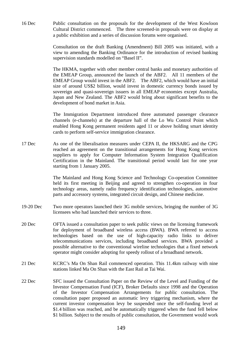16 Dec Public consultation on the proposals for the development of the West Kowloon Cultural District commenced. The three screened-in proposals were on display at a public exhibition and a series of discussion forums were organised.

> Consultation on the draft Banking (Amendment) Bill 2005 was initiated, with a view to amending the Banking Ordinance for the introduction of revised banking supervision standards modelled on "Basel II".

> The HKMA, together with other member central banks and monetary authorities of the EMEAP Group, announced the launch of the ABF2. All 11 members of the EMEAP Group would invest in the ABF2. The ABF2, which would have an initial size of around US\$2 billion, would invest in domestic currency bonds issued by sovereign and quasi-sovereign issuers in all EMEAP economies except Australia, Japan and New Zealand. The ABF2 would bring about significant benefits to the development of bond market in Asia.

> The Immigration Department introduced three automated passenger clearance channels (e-channels) at the departure hall of the Lo Wu Control Point which enabled Hong Kong permanent residents aged 11 or above holding smart identity cards to perform self-service immigration clearance.

17 Dec As one of the liberalisation measures under CEPA II, the HKSARG and the CPG reached an agreement on the transitional arrangements for Hong Kong services suppliers to apply for Computer Information System Integration Qualification Certification in the Mainland. The transitional period would last for one year starting from 1 January 2005.

> The Mainland and Hong Kong Science and Technology Co-operation Committee held its first meeting in Beijing and agreed to strengthen co-operation in four technology areas, namely radio frequency identification technologies, automotive parts and accessory systems, integrated circuit design, and Chinese medicine.

- 19-20 Dec Two more operators launched their 3G mobile services, bringing the number of 3G licensees who had launched their services to three.
- 20 Dec OFTA issued a consultation paper to seek public views on the licensing framework for deployment of broadband wireless access (BWA). BWA referred to access technologies based on the use of high-capacity radio links to deliver telecommunications services, including broadband services. BWA provided a possible alternative to the conventional wireline technologies that a fixed network operator might consider adopting for speedy rollout of a broadband network.
- 21 Dec KCRC's Ma On Shan Rail commenced operation. This 11.4km railway with nine stations linked Ma On Shan with the East Rail at Tai Wai.
- 22 Dec SFC issued the Consultation Paper on the Review of the Level and Funding of the Investor Compensation Fund (ICF), Broker Defaults since 1998 and the Operation of the Investor Compensation Arrangements for public consultation. The consultation paper proposed an automatic levy triggering mechanism, where the current investor compensation levy be suspended once the self-funding level at \$1.4 billion was reached, and be automatically triggered when the fund fell below \$1 billion. Subject to the results of public consultation, the Government would work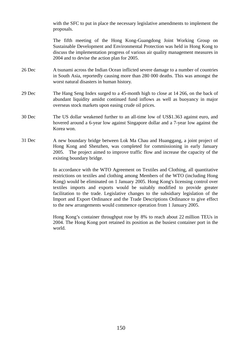with the SFC to put in place the necessary legislative amendments to implement the proposals.

The fifth meeting of the Hong Kong-Guangdong Joint Working Group on Sustainable Development and Environmental Protection was held in Hong Kong to discuss the implementation progress of various air quality management measures in 2004 and to devise the action plan for 2005.

- 26 Dec A tsunami across the Indian Ocean inflicted severe damage to a number of countries in South Asia, reportedly causing more than 280 000 deaths. This was amongst the worst natural disasters in human history.
- 29 Dec The Hang Seng Index surged to a 45-month high to close at 14 266, on the back of abundant liquidity amidst continued fund inflows as well as buoyancy in major overseas stock markets upon easing crude oil prices.
- 30 Dec The US dollar weakened further to an all-time low of US\$1.363 against euro, and hovered around a 6-year low against Singapore dollar and a 7-year low against the Korea won.
- 31 Dec A new boundary bridge between Lok Ma Chau and Huanggang, a joint project of Hong Kong and Shenzhen, was completed for commissioning in early January 2005. The project aimed to improve traffic flow and increase the capacity of the existing boundary bridge.

In accordance with the WTO Agreement on Textiles and Clothing, all quantitative restrictions on textiles and clothing among Members of the WTO (including Hong Kong) would be eliminated on 1 January 2005. Hong Kong's licensing control over textiles imports and exports would be suitably modified to provide greater facilitation to the trade. Legislative changes to the subsidiary legislation of the Import and Export Ordinance and the Trade Descriptions Ordinance to give effect to the new arrangements would commence operation from 1 January 2005.

 Hong Kong's container throughput rose by 8% to reach about 22 million TEUs in 2004. The Hong Kong port retained its position as the busiest container port in the world.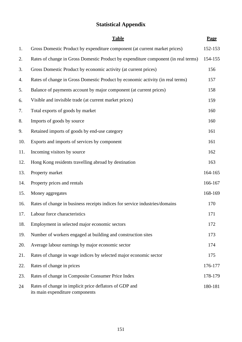# **Statistical Appendix**

|     | <b>Table</b>                                                                              | Page    |
|-----|-------------------------------------------------------------------------------------------|---------|
| 1.  | Gross Domestic Product by expenditure component (at current market prices)                | 152-153 |
| 2.  | Rates of change in Gross Domestic Product by expenditure component (in real terms)        | 154-155 |
| 3.  | Gross Domestic Product by economic activity (at current prices)                           | 156     |
| 4.  | Rates of change in Gross Domestic Product by economic activity (in real terms)            | 157     |
| 5.  | Balance of payments account by major component (at current prices)                        | 158     |
| 6.  | Visible and invisible trade (at current market prices)                                    | 159     |
| 7.  | Total exports of goods by market                                                          | 160     |
| 8.  | Imports of goods by source                                                                | 160     |
| 9.  | Retained imports of goods by end-use category                                             | 161     |
| 10. | Exports and imports of services by component                                              | 161     |
| 11. | Incoming visitors by source                                                               | 162     |
| 12. | Hong Kong residents travelling abroad by destination                                      | 163     |
| 13. | Property market                                                                           | 164-165 |
| 14. | Property prices and rentals                                                               | 166-167 |
| 15. | Money aggregates                                                                          | 168-169 |
| 16. | Rates of change in business receipts indices for service industries/domains               | 170     |
| 17. | Labour force characteristics                                                              | 171     |
| 18. | Employment in selected major economic sectors                                             | 172     |
| 19. | Number of workers engaged at building and construction sites                              | 173     |
| 20. | Average labour earnings by major economic sector                                          | 174     |
| 21. | Rates of change in wage indices by selected major economic sector                         | 175     |
| 22. | Rates of change in prices                                                                 | 176-177 |
| 23. | Rates of change in Composite Consumer Price Index                                         | 178-179 |
| 24  | Rates of change in implicit price deflators of GDP and<br>its main expenditure components | 180-181 |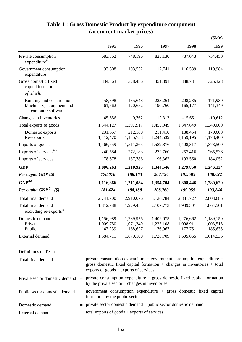|                                                                            |                                   |                                   |                                   |                                   | \$Mn)                             |
|----------------------------------------------------------------------------|-----------------------------------|-----------------------------------|-----------------------------------|-----------------------------------|-----------------------------------|
|                                                                            | 1995                              | 1996                              | 1997                              | 1998                              | 1999                              |
| Private consumption<br>expenditure <sup>(a)</sup>                          | 683,362                           | 748,196                           | 825,130                           | 787,043                           | 754,450                           |
| Government consumption<br>expenditure                                      | 93,608                            | 103,532                           | 112,741                           | 116,539                           | 119,984                           |
| Gross domestic fixed<br>capital formation                                  | 334,363                           | 378,486                           | 451,891                           | 388,731                           | 325,328                           |
| of which:                                                                  |                                   |                                   |                                   |                                   |                                   |
| Building and construction<br>Machinery, equipment and<br>computer software | 158,898<br>161,562                | 185,648<br>170,652                | 223,264<br>190,760                | 208,235<br>165,177                | 171,930<br>141,349                |
| Changes in inventories                                                     | 45,656                            | 9,762                             | 12,313                            | $-15,651$                         | $-10,612$                         |
| Total exports of goods                                                     | 1,344,127                         | 1,397,917                         | 1,455,949                         | 1,347,649                         | 1,349,000                         |
| Domestic exports<br>Re-exports                                             | 231,657<br>1,112,470              | 212,160<br>1,185,758              | 211,410<br>1,244,539              | 188,454<br>1,159,195              | 170,600<br>1,178,400              |
| Imports of goods                                                           | 1,466,759                         | 1,511,365                         | 1,589,876                         | 1,408,317                         | 1,373,500                         |
| Exports of services <sup>(a)</sup>                                         | 240,584                           | 272,183                           | 272,760                           | 257,416                           | 265,536                           |
| Imports of services                                                        | 178,678                           | 187,786                           | 196,362                           | 193,560                           | 184,052                           |
| <b>GDP</b>                                                                 | 1,096,263                         | 1,210,925                         | 1,344,546                         | 1,279,850                         | 1,246,134                         |
| Per capita GDP $(\$)$                                                      | 178,078                           | 188,163                           | 207,194                           | 195,585                           | 188,622                           |
| $\mathbf{GNP}^{(\mathrm{b})}$                                              | 1,116,866                         | 1,211,084                         | 1,354,704                         | 1,308,446                         | 1,280,629                         |
| Per capita GNP $^{(b)}$ (\$)                                               | 181,424                           | 188,188                           | 208,760                           | 199,955                           | 193,844                           |
| Total final demand                                                         | 2,741,700                         | 2,910,076                         | 3,130,784                         | 2,881,727                         | 2,803,686                         |
| Total final demand<br>excluding re-exports $(c)$                           | 1,812,788                         | 1,929,454                         | 2,107,773                         | 1,939,301                         | 1,864,501                         |
| Domestic demand<br>Private<br>Public                                       | 1,156,989<br>1,009,750<br>147,239 | 1,239,976<br>1,071,349<br>168,627 | 1,402,075<br>1,225,108<br>176,967 | 1,276,662<br>1,098,911<br>177,751 | 1,189,150<br>1,003,515<br>185,635 |
| External demand                                                            | 1,584,711                         | 1,670,100                         | 1,728,709                         | 1,605,065                         | 1,614,536                         |

# **Table 1 : Gross Domestic Product by expenditure component (at current market prices)**

#### Definitions of Terms :

| Total final demand             |     | $\equiv$ private consumption expenditure + government consumption expenditure +<br>gross domestic fixed capital formation $+$ changes in inventories $+$ total<br>exports of goods $+$ exports of services |
|--------------------------------|-----|------------------------------------------------------------------------------------------------------------------------------------------------------------------------------------------------------------|
| Private sector domestic demand | $=$ | private consumption expenditure $+$ gross domestic fixed capital formation<br>by the private sector $+$ changes in inventories                                                                             |
| Public sector domestic demand  |     | $\equiv$ government consumption expenditure + gross domestic fixed capital<br>formation by the public sector                                                                                               |
| Domestic demand                |     | $=$ private sector domestic demand + public sector domestic demand                                                                                                                                         |
| External demand                |     | $\equiv$ total exports of goods + exports of services                                                                                                                                                      |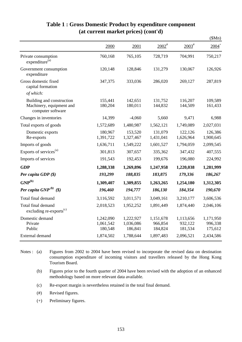|                                                                            |                                   |                                   |                                 |                                 | \$Mn)                           |
|----------------------------------------------------------------------------|-----------------------------------|-----------------------------------|---------------------------------|---------------------------------|---------------------------------|
|                                                                            | 2000                              | 2001                              | $2002^*$                        | $2003^{\text{#}}$               | $2004$ <sup>+</sup>             |
| Private consumption<br>expenditure <sup>(a)</sup>                          | 760,168                           | 765,105                           | 728,719                         | 704,991                         | 750,217                         |
| Government consumption<br>expenditure                                      | 120,148                           | 128,846                           | 131,279                         | 130,067                         | 126,926                         |
| Gross domestic fixed<br>capital formation                                  | 347,375                           | 333,036                           | 286,020                         | 269,127                         | 287,819                         |
| of which:                                                                  |                                   |                                   |                                 |                                 |                                 |
| Building and construction<br>Machinery, equipment and<br>computer software | 155,441<br>180,204                | 142,651<br>180,011                | 131,752<br>144,832              | 116,207<br>144,509              | 109,589<br>161,433              |
| Changes in inventories                                                     | 14,399                            | $-4,060$                          | 5,660                           | 9,471                           | 6,988                           |
| Total exports of goods                                                     | 1,572,689                         | 1,480,987                         | 1,562,121                       | 1,749,089                       | 2,027,031                       |
| Domestic exports<br>Re-exports                                             | 180,967<br>1,391,722              | 153,520<br>1,327,467              | 131,079<br>1,431,041            | 122,126<br>1,626,964            | 126,386<br>1,900,645            |
| Imports of goods                                                           | 1,636,711                         | 1,549,222                         | 1,601,527                       | 1,794,059                       | 2,099,545                       |
| Exports of services <sup>(a)</sup>                                         | 301,813                           | 307,657                           | 335,362                         | 347,432                         | 407,555                         |
| Imports of services                                                        | 191,543                           | 192,453                           | 199,676                         | 196,080                         | 224,992                         |
| <b>GDP</b>                                                                 | 1,288,338                         | 1,269,896                         | 1,247,958                       | 1,220,038                       | 1,281,999                       |
| Per capita GDP (\$)                                                        | 193,299                           | 188,835                           | 183,875                         | 179,336                         | 186,267                         |
| $\mathbf{GNP}^{(\mathrm{b})}$                                              | 1,309,407                         | 1,309,855                         | 1,263,265                       | 1,254,180                       | 1,312,305                       |
| Per capita GNP $^{(b)}$ (\$)                                               | 196,460                           | 194,777                           | 186,130                         | 184,354                         | 190,670                         |
| Total final demand                                                         | 3,116,592                         | 3,011,571                         | 3,049,161                       | 3,210,177                       | 3,606,536                       |
| Total final demand<br>excluding re-exports <sup>(c)</sup>                  | 2,018,523                         | 1,952,252                         | 1,891,449                       | 1,874,440                       | 2,046,106                       |
| Domestic demand<br>Private<br>Public                                       | 1,242,090<br>1,061,542<br>180,548 | 1,222,927<br>1,036,086<br>186,841 | 1,151,678<br>966,854<br>184,824 | 1,113,656<br>932,122<br>181,534 | 1,171,950<br>996,338<br>175,612 |
| External demand                                                            | 1,874,502                         | 1,788,644                         | 1,897,483                       | 2,096,521                       | 2,434,586                       |

#### **Table 1 : Gross Domestic Product by expenditure component (at current market prices) (cont'd)**

- Notes : (a) Figures from 2002 to 2004 have been revised to incorporate the revised data on destination consumption expenditure of incoming visitors and travellers released by the Hong Kong Tourism Board.
	- (b) Figures prior to the fourth quarter of 2004 have been revised with the adoption of an enhanced methodology based on more relevant data available.
	- (c) Re-export margin is nevertheless retained in the total final demand.
	- (#) Revised figures.
	- (+) Preliminary figures.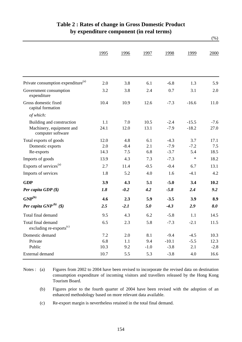|                                                           |      |        |        |         |         | $(\%)$ |
|-----------------------------------------------------------|------|--------|--------|---------|---------|--------|
|                                                           | 1995 | 1996   | 1997   | 1998    | 1999    | 2000   |
|                                                           |      |        |        |         |         |        |
| Private consumption expenditure <sup>(a)</sup>            | 2.0  | 3.8    | 6.1    | $-6.8$  | 1.3     | 5.9    |
| Government consumption<br>expenditure                     | 3.2  | 3.8    | 2.4    | 0.7     | 3.1     | 2.0    |
| Gross domestic fixed<br>capital formation                 | 10.4 | 10.9   | 12.6   | $-7.3$  | $-16.6$ | 11.0   |
| of which:                                                 |      |        |        |         |         |        |
| Building and construction                                 | 1.1  | 7.0    | 10.5   | $-2.4$  | $-15.5$ | $-7.6$ |
| Machinery, equipment and<br>computer software             | 24.1 | 12.0   | 13.1   | $-7.9$  | $-18.2$ | 27.0   |
| Total exports of goods                                    | 12.0 | 4.8    | 6.1    | $-4.3$  | 3.7     | 17.1   |
| Domestic exports                                          | 2.0  | $-8.4$ | 2.1    | $-7.9$  | $-7.2$  | 7.5    |
| Re-exports                                                | 14.3 | 7.5    | 6.8    | $-3.7$  | 5.4     | 18.5   |
| Imports of goods                                          | 13.9 | 4.3    | 7.3    | $-7.3$  | $\ast$  | 18.2   |
| Exports of services <sup>(a)</sup>                        | 2.7  | 11.4   | $-0.5$ | $-0.4$  | 6.7     | 13.1   |
| Imports of services                                       | 1.8  | 5.2    | 4.0    | 1.6     | $-4.1$  | 4.2    |
| <b>GDP</b>                                                | 3.9  | 4.3    | 5.1    | $-5.0$  | 3.4     | 10.2   |
| Per capita GDP $(\$)$                                     | 1.8  | $-0.2$ | 4.2    | $-5.8$  | 2.4     | 9.2    |
| $GNP^{(b)}$                                               | 4.6  | 2.3    | 5.9    | $-3.5$  | 3.9     | 8.9    |
| Per capita GNP $^{(b)}$ (\$)                              | 2.5  | $-2.1$ | 5.0    | $-4.3$  | 2.9     | 8.0    |
| Total final demand                                        | 9.5  | 4.3    | 6.2    | $-5.8$  | 1.1     | 14.5   |
| Total final demand<br>excluding re-exports <sup>(c)</sup> | 6.5  | 2.3    | 5.8    | $-7.3$  | $-2.1$  | 11.5   |
| Domestic demand                                           | 7.2  | 2.0    | 8.1    | $-9.4$  | $-4.5$  | 10.3   |
| Private                                                   | 6.8  | 1.1    | 9.4    | $-10.1$ | $-5.5$  | 12.3   |
| Public                                                    | 10.3 | 9.2    | $-1.0$ | $-3.8$  | 2.1     | $-2.8$ |
| External demand                                           | 10.7 | 5.5    | 5.3    | $-3.8$  | 4.0     | 16.6   |

### **Table 2 : Rates of change in Gross Domestic Product by expenditure component (in real terms)**

- Notes : (a) Figures from 2002 to 2004 have been revised to incorporate the revised data on destination consumption expenditure of incoming visitors and travellers released by the Hong Kong Tourism Board.
	- (b) Figures prior to the fourth quarter of 2004 have been revised with the adoption of an enhanced methodology based on more relevant data available.
	- (c) Re-export margin is nevertheless retained in the total final demand.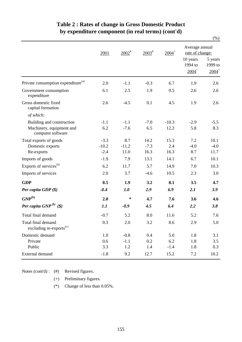|                                                           |         |          |                   |                     |                                            | $(\%)$                                    |  |
|-----------------------------------------------------------|---------|----------|-------------------|---------------------|--------------------------------------------|-------------------------------------------|--|
|                                                           | 2001    | $2002^*$ | $2003^{\text{*}}$ | $2004$ <sup>+</sup> | Average annual<br>rate of change:          |                                           |  |
|                                                           |         |          |                   |                     | 10 years<br>1994 to<br>$2004$ <sup>+</sup> | 5 years<br>1999 to<br>$2004$ <sup>+</sup> |  |
| Private consumption expenditure <sup>(a)</sup>            | 2.0     | $-1.1$   | $-0.3$            | 6.7                 | 1.9                                        | 2.6                                       |  |
| Government consumption<br>expenditure                     | 6.1     | 2.5      | 1.9               | 0.5                 | 2.6                                        | 2.6                                       |  |
| Gross domestic fixed<br>capital formation                 | 2.6     | $-4.5$   | 0.1               | 4.5                 | 1.9                                        | 2.6                                       |  |
| of which:                                                 |         |          |                   |                     |                                            |                                           |  |
| Building and construction                                 | $-1.1$  | $-1.1$   | $-7.0$            | $-10.3$             | $-2.9$                                     | $-5.5$                                    |  |
| Machinery, equipment and<br>computer software             | 6.2     | $-7.6$   | 6.5               | 12.2                | 5.8                                        | 8.3                                       |  |
| Total exports of goods                                    | $-3.3$  | 8.7      | 14.2              | 15.3                | 7.2                                        | 10.1                                      |  |
| Domestic exports                                          | $-10.2$ | $-11.2$  | $-7.3$            | 2.4                 | $-4.0$                                     | $-4.0$                                    |  |
| Re-exports                                                | $-2.4$  | 11.0     | 16.3              | 16.3                | 8.7                                        | 11.7                                      |  |
| Imports of goods                                          | $-1.9$  | 7.9      | 13.1              | 14.1                | 6.7                                        | 10.1                                      |  |
| Exports of services <sup>(a)</sup>                        | 6.2     | 11.7     | 5.7               | 14.9                | 7.0                                        | 10.3                                      |  |
| Imports of services                                       | 2.0     | 3.7      | $-4.6$            | 10.5                | 2.3                                        | 3.0                                       |  |
| <b>GDP</b>                                                | 0.5     | 1.9      | 3.2               | 8.1                 | 3.5                                        | 4.7                                       |  |
| Per capita GDP $(\$)$                                     | $-0.4$  | 1.0      | 2.9               | 6.9                 | 2.1                                        | 3.9                                       |  |
| $GNP^{(b)}$                                               | 2.0     | $\ast$   | 4.7               | 7.6                 | 3.6                                        | 4.6                                       |  |
| Per capita $GNP^{(b)}$ (\$)                               | 1.1     | $-0.9$   | 4.5               | 6.4                 | 2.2                                        | 3.8                                       |  |
| Total final demand                                        | $-0.7$  | 5.2      | 8.0               | 11.6                | 5.2                                        | 7.6                                       |  |
| Total final demand<br>excluding re-exports <sup>(c)</sup> | 0.3     | 2.0      | 3.2               | 8.6                 | 2.9                                        | 5.0                                       |  |
| Domestic demand                                           | 1.0     | $-0.8$   | 0.4               | 5.0                 | 1.8                                        | 3.1                                       |  |
| Private                                                   | 0.6     | $-1.1$   | 0.2               | 6.2                 | 1.8                                        | 3.5                                       |  |
| Public                                                    | 3.3     | 1.2      | 1.4               | $-1.4$              | 1.8                                        | 0.3                                       |  |
| External demand                                           | $-1.8$  | 9.2      | 12.7              | 15.2                | 7.2                                        | 10.2                                      |  |

### **Table 2 : Rates of change in Gross Domestic Product by expenditure component (in real terms) (cont'd)**

Notes (cont'd) : (#) Revised figures.

- 
- (+) Preliminary figures.
- (\*) Change of less than 0.05%.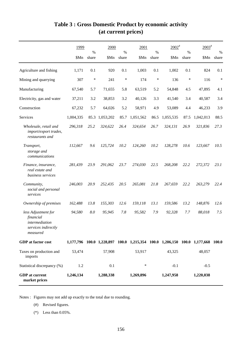|                                                                                       | 1999      | %      | 2000      | $\%$   | 2001<br>$\%$                                                                    |        | $2002$ <sup>#</sup><br>$\%$ |        | $2003^*$  |        | $\%$ |
|---------------------------------------------------------------------------------------|-----------|--------|-----------|--------|---------------------------------------------------------------------------------|--------|-----------------------------|--------|-----------|--------|------|
|                                                                                       | \$Mn      | share  | \$Mn      | share  | \$Mn                                                                            | share  | \$Mn                        | share  | \$Mn      | share  |      |
| Agriculture and fishing                                                               | 1,171     | 0.1    | 920       | 0.1    | 1,003                                                                           | 0.1    | 1,002                       | 0.1    | 824       | 0.1    |      |
| Mining and quarrying                                                                  | 307       | $\ast$ | 241       | $\ast$ | 174                                                                             | $\ast$ | 136                         | $\ast$ | 116       | $\ast$ |      |
| Manufacturing                                                                         | 67,540    | 5.7    | 71,655    | 5.8    | 63,519                                                                          | 5.2    | 54,848                      | 4.5    | 47,895    | 4.1    |      |
| Electricity, gas and water                                                            | 37,211    | 3.2    | 38,853    | 3.2    | 40,126                                                                          | 3.3    | 41,540                      | 3.4    | 40,587    | 3.4    |      |
| Construction                                                                          | 67,232    | 5.7    | 64,026    | 5.2    | 58,971                                                                          | 4.9    | 53,089                      | 4.4    | 46,233    | 3.9    |      |
| Services                                                                              | 1,004,335 | 85.3   | 1,053,202 | 85.7   | 1,051,562                                                                       | 86.5   | 1,055,535                   | 87.5   | 1,042,013 | 88.5   |      |
| Wholesale, retail and<br>import/export trades,<br>restaurants and                     | 296,318   | 25.2   | 324,622   | 26.4   | 324,654                                                                         | 26.7   | 324,131                     | 26.9   | 321,836   | 27.3   |      |
| Transport,<br>storage and<br>communications                                           | 112,667   | 9.6    | 125,724   | 10.2   | 124,260                                                                         | 10.2   | 128,278                     | 10.6   | 123,667   | 10.5   |      |
| Finance, insurance,<br>real estate and<br>business services                           | 281,439   | 23.9   | 291,062   | 23.7   | 274,030                                                                         | 22.5   | 268,208                     | 22.2   | 272,372   | 23.1   |      |
| Community,<br>social and personal<br>services                                         | 246,003   | 20.9   | 252,435   | 20.5   | 265,081                                                                         | 21.8   | 267,659                     | 22.2   | 263,279   | 22.4   |      |
| Ownership of premises                                                                 | 162,488   | 13.8   | 155,303   | 12.6   | 159,118                                                                         | 13.1   | 159,586                     | 13.2   | 148,876   | 12.6   |      |
| less Adjustment for<br>financial<br>intermediation<br>services indirectly<br>measured | 94,580    | 8.0    | 95,945    | 7.8    | 95,582                                                                          | 7.9    | 92,328                      | 7.7    | 88,018    | 7.5    |      |
| GDP at factor cost                                                                    |           |        |           |        | 1,177,796 100.0 1,228,897 100.0 1,215,354 100.0 1,206,150 100.0 1,177,668 100.0 |        |                             |        |           |        |      |
| Taxes on production and<br>imports                                                    | 53,474    |        | 57,908    |        | 53,917                                                                          |        | 43,325                      |        | 48,057    |        |      |
| Statistical discrepancy (%)                                                           | 1.2       |        | 0.1       |        | ∗                                                                               |        | $-0.1$                      |        | $-0.5$    |        |      |
| <b>GDP</b> at current<br>market prices                                                | 1,246,134 |        | 1,288,338 |        | 1,269,896                                                                       |        | 1,247,958                   |        | 1,220,038 |        |      |

# **Table 3 : Gross Domestic Product by economic activity (at current prices)**

Notes : Figures may not add up exactly to the total due to rounding.

- (#) Revised figures.
- (\*) Less than 0.05%.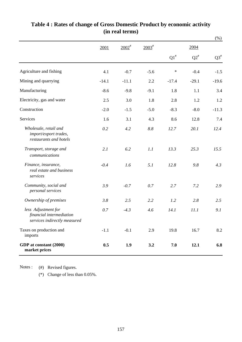|                                                                                 |         |                     |             |                    |           | $(\%)$    |
|---------------------------------------------------------------------------------|---------|---------------------|-------------|--------------------|-----------|-----------|
|                                                                                 | 2001    | $2002$ <sup>#</sup> | $2003^{\#}$ |                    | 2004      |           |
|                                                                                 |         |                     |             | $\mathrm{Q1}^{\#}$ | $Q2^{\#}$ | $Q3^{\#}$ |
| Agriculture and fishing                                                         | 4.1     | $-0.7$              | $-5.6$      | $\ast$             | $-0.4$    | $-1.5$    |
| Mining and quarrying                                                            | $-14.1$ | $-11.1$             | 2.2         | $-17.4$            | $-29.1$   | $-19.6$   |
| Manufacturing                                                                   | $-8.6$  | $-9.8$              | $-9.1$      | 1.8                | 1.1       | 3.4       |
| Electricity, gas and water                                                      | 2.5     | 3.0                 | 1.8         | 2.8                | 1.2       | 1.2       |
| Construction                                                                    | $-2.0$  | $-1.5$              | $-5.0$      | $-8.3$             | $-8.0$    | $-11.3$   |
| Services                                                                        | 1.6     | 3.1                 | 4.3         | 8.6                | 12.8      | 7.4       |
| Wholesale, retail and<br>import/export trades,<br>restaurants and hotels        | 0.2     | 4.2                 | $8.8\,$     | 12.7               | 20.1      | 12.4      |
| Transport, storage and<br>communications                                        | 2.1     | 6.2                 | 1.1         | 13.3               | 25.3      | 15.5      |
| Finance, insurance,<br>real estate and business<br>services                     | $-0.4$  | 1.6                 | 5.1         | 12.8               | 9.8       | 4.3       |
| Community, social and<br>personal services                                      | 3.9     | $-0.7$              | 0.7         | 2.7                | 7.2       | 2.9       |
| Ownership of premises                                                           | 3.8     | 2.5                 | 2.2         | 1.2                | 2.8       | 2.5       |
| less Adjustment for<br>financial intermediation<br>services indirectly measured | 0.7     | $-4.3$              | 4.6         | 14.1               | 11.1      | 9.1       |
| Taxes on production and<br>imports                                              | $-1.1$  | $-0.1$              | 2.9         | 19.8               | 16.7      | 8.2       |
| GDP at constant (2000)<br>market prices                                         | 0.5     | 1.9                 | 3.2         | 7.0                | 12.1      | 6.8       |

### **Table 4 : Rates of change of Gross Domestic Product by economic activity (in real terms)**

(#) Revised figures. Notes :

(\*) Change of less than 0.05%.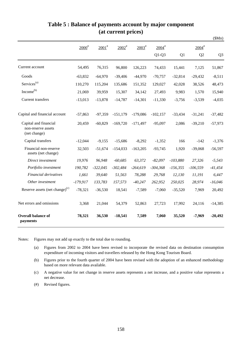|                                                             |            |                     |                     |             |                     |            |                     | \$Mn)          |
|-------------------------------------------------------------|------------|---------------------|---------------------|-------------|---------------------|------------|---------------------|----------------|
|                                                             | $2000^*$   | $2001$ <sup>#</sup> | $2002$ <sup>#</sup> | $2003^{\#}$ | $2004$ <sup>#</sup> |            | $2004$ <sup>#</sup> |                |
|                                                             |            |                     |                     |             | $Q1-Q3$             | Q1         | Q2                  | Q <sub>3</sub> |
| Current account                                             | 54,495     | 76,315              | 96,800              | 126,223     | 74,433              | 15,441     | 7,125               | 51,867         |
| Goods                                                       | $-63,832$  | $-64,970$           | $-39,406$           | $-44,970$   | $-70,757$           | $-32,814$  | $-29,432$           | $-8,511$       |
| Services <sup>(a)</sup>                                     | 110,270    | 115,204             | 135,686             | 151,352     | 129,027             | 42,028     | 38,526              | 48,473         |
| Income <sup>(b)</sup>                                       | 21,069     | 39,959              | 15,307              | 34,142      | 27,493              | 9,983      | 1,570               | 15,940         |
| <b>Current transfers</b>                                    | $-13,013$  | $-13,878$           | $-14,787$           | $-14,301$   | $-11,330$           | $-3,756$   | $-3,539$            | $-4,035$       |
| Capital and financial account                               | $-57,863$  | $-97,359$           | $-151,179$          | $-179,086$  | $-102,157$          | $-33,434$  | $-31,241$           | $-37,482$      |
| Capital and financial<br>non-reserve assets<br>(net change) | 20,459     | $-60,829$           | $-169,720$          | $-171,497$  | $-95,097$           | 2,086      | $-39,210$           | $-57,973$      |
| Capital transfers                                           | $-12,044$  | $-9,155$            | $-15,686$           | $-8,292$    | $-1,352$            | 166        | $-142$              | $-1,376$       |
| Financial non-reserve<br>assets (net change)                | 32,503     | $-51,674$           | $-154,033$          | $-163,205$  | $-93,745$           | 1,920      | $-39,068$           | $-56,597$      |
| Direct investment                                           | 19,976     | 96,948              | $-60,685$           | 63,372      | $-82,097$           | $-103,880$ | 27,326              | $-5,543$       |
| Portfolio investment                                        | 190,782    | $-322,045$          | $-302,484$          | $-264,619$  | $-304,368$          | $-156,355$ | $-106,559$          | $-41,454$      |
| Financial derivatives                                       | 1,661      | 39,640              | 51,563              | 78,288      | 29,768              | 12,130     | 11,191              | 6,447          |
| Other investment                                            | $-179,917$ | 133,783             | 157,573             | $-40,247$   | 262,952             | 250,025    | 28,974              | $-16,046$      |
| Reserve assets (net change) $(c)$                           | $-78,321$  | $-36,530$           | 18,541              | $-7,589$    | $-7,060$            | $-35,520$  | 7,969               | 20,492         |
| Net errors and omissions                                    | 3,368      | 21,044              | 54,379              | 52,863      | 27,723              | 17,992     | 24,116              | $-14,385$      |
| <b>Overall balance of</b><br>payments                       | 78,321     | 36,530              | $-18,541$           | 7,589       | 7,060               | 35,520     | $-7,969$            | $-20,492$      |

#### **Table 5 : Balance of payments account by major component (at current prices)**

Notes: Figures may not add up exactly to the total due to rounding.

- (a) Figures from 2002 to 2004 have been revised to incorporate the revised data on destination consumption expenditure of incoming visitors and travellers released by the Hong Kong Tourism Board.
- (b) Figures prior to the fourth quarter of 2004 have been revised with the adoption of an enhanced methodology based on more relevant data available.
- (c) A negative value for net change in reserve assets represents a net increase, and a positive value represents a net decrease.
- (#) Revised figures.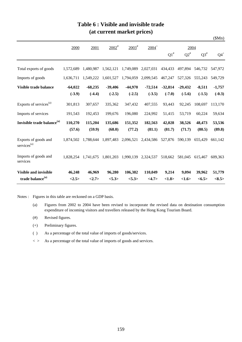|                                                 |           |           |                     |                     |                     |           |           |           | \$Mn)           |
|-------------------------------------------------|-----------|-----------|---------------------|---------------------|---------------------|-----------|-----------|-----------|-----------------|
|                                                 | 2000      | 2001      | $2002$ <sup>#</sup> | $2003$ <sup>#</sup> | $2004$ <sup>+</sup> |           | 2004      |           |                 |
|                                                 |           |           |                     |                     |                     | $Q1^*$    | $Q2^*$    | $Q3^{\#}$ | $Q4^+$          |
| Total exports of goods                          | 1,572,689 | 1,480,987 | 1,562,121           | 1,749,089           | 2,027,031           | 434,433   | 497,894   | 546,732   | 547,972         |
| Imports of goods                                | 1,636,711 | 1,549,222 | 1,601,527           | 1,794,059           | 2,099,545           | 467,247   | 527,326   | 555,243   | 549,729         |
| Visible trade balance                           | $-64,022$ | $-68,235$ | $-39,406$           | $-44,970$           | $-72,514$           | $-32,814$ | $-29,432$ | $-8,511$  | $-1,757$        |
|                                                 | $(-3.9)$  | $(-4.4)$  | $(-2.5)$            | $(-2.5)$            | $(-3.5)$            | $(-7.0)$  | $(-5.6)$  | $(-1.5)$  | $(-0.3)$        |
| Exports of services <sup>(a)</sup>              | 301,813   | 307,657   | 335,362             | 347,432             | 407,555             | 93,443    | 92,245    | 108,697   | 113,170         |
| Imports of services                             | 191,543   | 192,453   | 199,676             | 196,080             | 224,992             | 51,415    | 53,719    | 60,224    | 59,634          |
| Invisible trade balance <sup>(a)</sup>          | 110,270   | 115,204   | 135,686             | 151,352             | 182,563             | 42,028    | 38,526    | 48,473    | 53,536          |
|                                                 | (57.6)    | (59.9)    | (68.0)              | (77.2)              | (81.1)              | (81.7)    | (71.7)    | (80.5)    | (89.8)          |
| Exports of goods and<br>services <sup>(a)</sup> | 1,874,502 | 1,788,644 | 1,897,483           | 2,096,521           | 2,434,586           | 527,876   | 590,139   | 655,429   | 661,142         |
| Imports of goods and<br>services                | 1.828.254 | 1,741,675 | 1,801,203           | 1,990,139           | 2,324,537           | 518,662   | 581,045   | 615,467   | 609,363         |
| <b>Visible and invisible</b>                    | 46,248    | 46,969    | 96,280              | 106,382             | 110,049             | 9,214     | 9,094     | 39,962    | 51,779          |
| trade balance <sup>(a)</sup>                    | <2.5>     | <2.7>     | <5.3>               | < 5.3>              | <4.7>               | <1.8>     | <1.6>     | <6.5>     | $<\!\!8.5\!\!>$ |

#### **Table 6 : Visible and invisible trade (at current market prices)**

Notes : Figures in this table are reckoned on a GDP basis.

- (a) Figures from 2002 to 2004 have been revised to incorporate the revised data on destination consumption expenditure of incoming visitors and travellers released by the Hong Kong Tourism Board.
- (#) Revised figures.
- (+) Preliminary figures.
- ( ) As a percentage of the total value of imports of goods/services.
- $\langle \rangle$  As a percentage of the total value of imports of goods and services.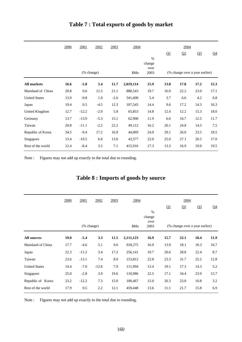|                      | <u>2000</u> | 2001       | 2002   | 2003   | 2004      |                        |             | 2004                           |                |                |
|----------------------|-------------|------------|--------|--------|-----------|------------------------|-------------|--------------------------------|----------------|----------------|
|                      |             |            |        |        |           | $\%$<br>change<br>over | Q1          | Q <sub>2</sub>                 | Q <sub>3</sub> | Q <sub>4</sub> |
|                      |             | (% change) |        |        | \$Mn      | 2003                   |             | (% change over a year earlier) |                |                |
| <b>All markets</b>   | 16.6        | $-5.8$     | 5.4    | 11.7   | 2,019,114 | 15.9                   | <b>13.0</b> | 17.8                           | 17.2           | 15.3           |
| Mainland of China    | 20.8        | 0.6        | 12.3   | 21.1   | 888,543   | 19.7                   | 16.0        | 22.2                           | 23.0           | 17.1           |
| <b>United States</b> | 13.9        | $-9.8$     | 1.0    | $-2.6$ | 341,600   | 5.4                    | 3.7         | 6.6                            | 4.2            | 6.8            |
| Japan                | 19.4        | 0.5        | $-4.5$ | 12.3   | 107,545   | 14.4                   | 9.6         | 17.2                           | 14.3           | 16.3           |
| United Kingdom       | 12.7        | $-12.2$    | $-2.0$ | 5.8    | 65,853    | 14.8                   | 12.4        | 12.2                           | 15.3           | 18.0           |
| Germany              | 13.7        | $-13.9$    | $-5.3$ | 15.1   | 62,900    | 11.9                   | 6.6         | 16.7                           | 12.5           | 11.7           |
| Taiwan               | 20.8        | $-11.1$    | $-2.2$ | 22.2   | 49,112    | 16.2                   | 20.1        | 24.8                           | 14.5           | 7.5            |
| Republic of Korea    | 34.5        | $-9.4$     | 17.2   | 16.9   | 44,069    | 24.0                   | 29.1        | 26.0                           | 23.5           | 18.5           |
| Singapore            | 13.4        | $-19.5$    | 6.8    | 13.0   | 43,577    | 22.0                   | 25.0        | 27.1                           | 20.5           | 17.0           |
| Rest of the world    | 12.4        | $-8.4$     | 3.5    | 7.1    | 415,916   | 17.3                   | 13.3        | 16.9                           | 19.0           | 19.5           |

### **Table 7 : Total exports of goods by market**

Note : Figures may not add up exactly to the total due to rounding.

# **Table 8 : Imports of goods by source**

|                      | 2000        | 2001       | 2002    | 2003 | 2004      |                         |      | 2004 |                                |       |  |  |
|----------------------|-------------|------------|---------|------|-----------|-------------------------|------|------|--------------------------------|-------|--|--|
|                      |             |            |         |      |           |                         | Q1   | Q2   | Q <sub>3</sub>                 | $Q_4$ |  |  |
|                      |             |            |         |      |           | $\frac{0}{0}$<br>change |      |      |                                |       |  |  |
|                      |             |            |         |      |           | over                    |      |      |                                |       |  |  |
|                      |             | (% change) |         |      | \$Mn      | 2003                    |      |      | (% change over a year earlier) |       |  |  |
| <b>All sources</b>   | <b>19.0</b> | $-5.4$     | 3.3     | 11.5 | 2,111,123 | 16.9                    | 15.7 | 22.1 | 18.4                           | 11.9  |  |  |
| Mainland of China    | 17.7        | $-4.6$     | 5.1     | 9.6  | 918,275   | 16.9                    | 13.9 | 18.1 | 18.3                           | 16.7  |  |  |
| Japan                | 22.3        | $-11.2$    | 3.4     | 17.2 | 256,141   | 19.7                    | 20.6 | 28.8 | 22.4                           | 8.7   |  |  |
| Taiwan               | 23.6        | $-13.1$    | 7.4     | 8.0  | 153,812   | 22.8                    | 23.3 | 31.7 | 25.2                           | 12.8  |  |  |
| <b>United States</b> | 14.4        | $-7.0$     | $-12.8$ | 7.9  | 111,994   | 13.4                    | 19.1 | 17.3 | 14.3                           | 5.2   |  |  |
| Singapore            | 25.0        | $-2.8$     | 3.9     | 19.6 | 110,986   | 22.5                    | 17.1 | 34.4 | 23.9                           | 15.7  |  |  |
| Republic of Korea    | 23.2        | $-12.2$    | 7.3     | 15.0 | 100,467   | 15.0                    | 26.3 | 23.0 | 10.8                           | 3.2   |  |  |
| Rest of the world    | 17.9        | 0.5        | 2.2     | 12.1 | 459,448   | 13.6                    | 11.1 | 21.7 | 15.8                           | 6.9   |  |  |

Note : Figures may not add up exactly to the total due to rounding.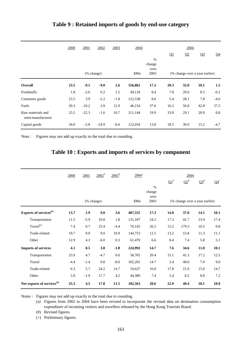|                                        | 2000 | 2001       | 2002    | 2003   | 2004    |                | 2004 |      |                                |                |  |
|----------------------------------------|------|------------|---------|--------|---------|----------------|------|------|--------------------------------|----------------|--|
|                                        |      |            |         |        |         |                | Q1   | Q2   | Q <sub>3</sub>                 | Q <sub>4</sub> |  |
|                                        |      |            |         |        |         | $\%$<br>change |      |      |                                |                |  |
|                                        |      | (% change) |         |        | \$Mn    | over<br>2003   |      |      | (% change over a year earlier) |                |  |
| Overall                                | 23.5 | $-9.1$     | $-9.0$  | 2.6    | 556,862 | 17.2           | 20.3 | 32.0 | 18.1                           | 1.5            |  |
| Foodstuffs                             | 1.8  | $-2.6$     | 0.2     | 1.5    | 49,118  | 8.4            | 7.8  | 20.6 | 8.5                            | $-0.2$         |  |
| Consumer goods                         | 15.5 | 3.9        | $-5.2$  | $-1.8$ | 122,538 | 8.6            | 5.4  | 28.1 | 7.8                            | $-4.6$         |  |
| Fuels                                  | 30.3 | $-10.2$    | 3.9     | 12.9   | 46,154  | 37.6           | 16.3 | 56.8 | 42.8                           | 37.5           |  |
| Raw materials and<br>semi-manufactures | 25.5 | $-22.3$    | $-1.6$  | 10.7   | 211,144 | 19.9           | 33.8 | 29.1 | 20.9                           | $0.8\,$        |  |
| Capital goods                          | 34.0 | $-2.8$     | $-24.9$ | $-6.6$ | 122,034 | 13.8           | 18.5 | 30.0 | 15.2                           | $-4.7$         |  |

#### **Table 9 : Retained imports of goods by end-use category**

Note : Figures may not add up exactly to the total due to rounding.

#### **Table 10 : Exports and imports of services by component**

|                                        | 2000   | 2001   | $2002^*$ | $2003^{\text{#}}$ | $2004^{+}$ |                                |                       | 2004   |                   |        |
|----------------------------------------|--------|--------|----------|-------------------|------------|--------------------------------|-----------------------|--------|-------------------|--------|
|                                        |        |        |          |                   |            |                                | $\Omega$ <sup>#</sup> | $Q2^*$ | $\Omega^{3^{\#}}$ | $Q4^+$ |
|                                        |        |        |          |                   |            | $\%$<br>change                 |                       |        |                   |        |
|                                        |        |        |          |                   |            | over                           |                       |        |                   |        |
| (% change)                             |        |        |          | \$Mn              | 2003       | (% change over a year earlier) |                       |        |                   |        |
| Exports of services <sup>(a)</sup>     | 13.7   | 1.9    | 9.0      | 3.6               | 407,555    | 17.3                           | 14.0                  | 37.0   | 14.1              | 10.1   |
| Transportation                         | 11.5   | $-5.9$ | 10.8     | 1.8               | 131,187    | 24.2                           | 17.3                  | 41.7   | 23.9              | 17.4   |
| Travel <sup>(a)</sup>                  | 7.4    | 0.7    | 25.4     | $-4.4$            | 70,145     | 26.2                           | 15.2                  | 179.3  | 10.5              | 0.8    |
| Trade-related                          | 19.7   | 9.0    | 9.0      | 10.9              | 144,753    | 12.5                           | 13.2                  | 15.8   | 11.3              | 11.1   |
| Other                                  | 12.9   | 4.3    | $-6.0$   | 0.3               | 61,470     | 6.6                            | 8.4                   | 7.4    | 5.8               | 5.1    |
| <b>Imports of services</b>             | 4.1    | 0.5    | 3.8      | $-1.8$            | 224,992    | 14.7                           | 7.6                   | 34.6   | 11.0              | 10.1   |
| Transportation                         | 23.9   | 4.7    | $-4.7$   | 0.6               | 58,765     | 20.4                           | 15.1                  | 41.3   | 17.2              | 12.5   |
| Travel                                 | $-4.4$ | $-1.4$ | 0.8      | $-8.0$            | 102,201    | 14.7                           | 3.4                   | 48.0   | 7.9               | 9.0    |
| Trade-related                          | 6.3    | 5.7    | 24.2     | 14.7              | 19,637     | 16.8                           | 17.8                  | 21.0   | 15.6              | 14.7   |
| Other                                  | 5.9    | $-1.9$ | 17.7     | 4.2               | 44,389     | 7.4                            | 5.4                   | 8.2    | $\!\!\!\!\!8.8$   | 7.2    |
| Net exports of services <sup>(a)</sup> | 35.3   | 4.5    | 17.8     | 11.5              | 182,563    | 20.6                           | 22.9                  | 40.4   | 18.1              | 10.0   |

Notes : Figures may not add up exactly to the total due to rounding.

(a) Figures from 2002 to 2004 have been revised to incorporate the revised data on destination consumption expenditure of incoming visitors and travellers released by the Hong Kong Tourism Board.

(#) Revised figures.

(+) Preliminary figures.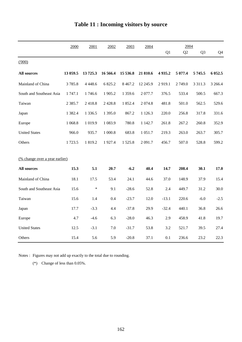|                                       | 2000<br>2002<br>2003<br>2004<br>2001 |             |           | 2004        |            |         |         |                |                |
|---------------------------------------|--------------------------------------|-------------|-----------|-------------|------------|---------|---------|----------------|----------------|
|                                       |                                      |             |           |             |            | Q1      | Q2      | Q <sub>3</sub> | Q <sub>4</sub> |
| (1000)                                |                                      |             |           |             |            |         |         |                |                |
| <b>All sources</b>                    | 13 059.5                             | 13725.3     | 16 566.4  | 15 536.8    | 21 810.6   | 4935.2  | 5 077.4 | 5745.5         | 6 052.5        |
| Mainland of China                     | 3785.8                               | 4 4 4 8 . 6 | 6 825.2   | 8 4 6 7.2   | 12 245.9   | 2919.1  | 2749.0  | 3 3 1 1 . 3    | 3 2 6 6.4      |
| South and Southeast Asia              | 1 747.1                              | 1746.6      | 1905.2    | 1 3 5 9 . 6 | 2077.7     | 376.5   | 533.4   | 500.5          | 667.3          |
| Taiwan                                | 2 3 8 5 .7                           | 2418.8      | 2 4 2 8.8 | 1852.4      | 2 0 7 4.8  | 481.8   | 501.0   | 562.5          | 529.6          |
| Japan                                 | 1 3 8 2.4                            | 1 3 3 6 . 5 | 1 395.0   | 867.2       | 1 1 2 6 .3 | 220.0   | 256.8   | 317.8          | 331.6          |
| Europe                                | 1 0 68.8                             | 1 0 1 9.9   | 1 0 8 3.9 | 780.8       | 1 1 4 2.7  | 261.8   | 267.2   | 260.8          | 352.9          |
| <b>United States</b>                  | 966.0                                | 935.7       | 1 000.8   | 683.8       | 1 0 5 1 .7 | 219.3   | 263.0   | 263.7          | 305.7          |
| Others                                | 1723.5                               | 1819.2      | 1927.4    | 1525.8      | 2 0 9 1.7  | 456.7   | 507.0   | 528.8          | 599.2          |
|                                       |                                      |             |           |             |            |         |         |                |                |
| <u>(% change over a year earlier)</u> |                                      |             |           |             |            |         |         |                |                |
| <b>All sources</b>                    | 15.3                                 | 5.1         | 20.7      | $-6.2$      | 40.4       | 14.7    | 208.4   | 30.1           | 17.0           |
| Mainland of China                     | 18.1                                 | 17.5        | 53.4      | 24.1        | 44.6       | 37.0    | 148.9   | 37.9           | 15.4           |
| South and Southeast Asia              | 15.6                                 | $\ast$      | 9.1       | $-28.6$     | 52.8       | 2.4     | 449.7   | 31.2           | 30.0           |
| Taiwan                                | 15.6                                 | 1.4         | 0.4       | $-23.7$     | 12.0       | $-13.1$ | 220.6   | $-6.0$         | $-2.5$         |
| Japan                                 | 17.7                                 | $-3.3$      | 4.4       | $-37.8$     | 29.9       | $-32.4$ | 440.1   | 36.8           | 26.6           |
| Europe                                | 4.7                                  | $-4.6$      | 6.3       | $-28.0$     | 46.3       | 2.9     | 458.9   | 41.8           | 19.7           |
| <b>United States</b>                  | 12.5                                 | $-3.1$      | 7.0       | $-31.7$     | 53.8       | 3.2     | 521.7   | 39.5           | 27.4           |
| Others                                | 15.4                                 | 5.6         | 5.9       | $-20.8$     | 37.1       | 0.1     | 236.6   | 23.2           | 22.3           |

# **Table 11 : Incoming visitors by source**

Notes : Figures may not add up exactly to the total due to rounding.

(\*) Change of less than 0.05%.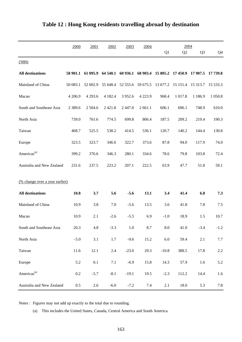|                                | 2000        | 2001      | 2002        | 2003              | 2004                                                           |                    | 2004      |                   |           |
|--------------------------------|-------------|-----------|-------------|-------------------|----------------------------------------------------------------|--------------------|-----------|-------------------|-----------|
|                                |             |           |             |                   |                                                                | Q1                 | Q2        | Q <sub>3</sub>    | Q4        |
| (000)                          |             |           |             |                   |                                                                |                    |           |                   |           |
| <b>All destinations</b>        |             |           |             |                   | 58 901.1 61 095.9 64 540.1 60 936.1 68 903.4 15 805.2 17 450.9 |                    |           | 17 907.5 17 739.8 |           |
| Mainland of China              | 50 083.1    | 52 002.9  | 55 648.4    | 52 555.6 59 675.5 |                                                                | 13 677.2           | 15 15 1.4 | 15 3 13.7         | 15 533.3  |
| Macao                          | 4 206.9     | 4 2 9 3.6 | 4 1 8 2 . 4 | 3 9 5 2.6         | 4 2 2 3 .9                                                     | 968.4              | 1 017.8   | 1 1 8 6.9         | 1 0 5 0.8 |
| South and Southeast Asia       | 2 3 8 9 . 6 | 2 504.6   | 2421.8      | 2 4 4 7 .0        | 2 661.1                                                        | 606.1              | 696.1     | 748.9             | 610.0     |
| North Asia                     | 739.0       | 761.6     | 774.5       | 699.8             | 806.4                                                          | 187.5              | 209.2     | 219.4             | 190.3     |
| Taiwan                         | 468.7       | 525.5     | 538.2       | 414.5             | 536.1                                                          | 120.7              | 140.2     | 144.4             | 130.8     |
| Europe                         | 323.5       | 323.7     | 346.6       | 322.7             | 373.6                                                          | 87.8               | 94.0      | 117.9             | 74.0      |
| Americas <sup>(a)</sup>        | 399.2       | 376.6     | 346.3       | 280.1             | 334.6                                                          | 78.6               | 79.8      | 103.8             | 72.4      |
| Australia and New Zealand      | 231.6       | 237.5     | 223.2       | 207.1             | 222.5                                                          | 63.9               | 47.7      | 51.8              | 59.1      |
| (% change over a year earlier) |             |           |             |                   |                                                                |                    |           |                   |           |
| <b>All destinations</b>        | 10.8        | 3.7       | 5.6         | $-5.6$            | 13.1                                                           | 3.4                | 41.4      | 6.8               | 7.3       |
| Mainland of China              | 10.9        | 3.8       | 7.0         | $-5.6$            | 13.5                                                           | 3.6                | 41.8      | 7.8               | 7.5       |
| Macao                          | 10.9        | 2.1       | $-2.6$      | $-5.5$            | 6.9                                                            | $\mbox{-}1.0$      | 18.9      | 1.5               | 10.7      |
| South and Southeast Asia       | 20.3        | 4.8       | $-3.3$      | 1.0               | 8.7                                                            | $\boldsymbol{8.0}$ | 41.0      | $-3.4$            | $-1.2$    |
| North Asia                     | $-5.0$      | $3.1\,$   | 1.7         | $-9.6$            | 15.2                                                           | $6.0\,$            | 59.4      | $2.1\,$           | $7.7\,$   |
| Taiwan                         | 11.6        | 12.1      | 2.4         | $-23.0$           | 29.3                                                           | $-10.8$            | 388.5     | 17.8              | $2.2\,$   |
| Europe                         | 5.2         | $0.1\,$   | 7.1         | $-6.9$            | 15.8                                                           | 14.3               | 57.9      | $1.6\,$           | 5.2       |
| Americas <sup>(a)</sup>        | 0.2         | $-5.7$    | $-8.1$      | $-19.1$           | 19.5                                                           | $-2.3$             | 112.2     | 14.4              | $1.6\,$   |
| Australia and New Zealand      | $0.5\,$     | 2.6       | $-6.0$      | $-7.2$            | 7.4                                                            | $2.1$              | 18.0      | 5.3               | $7.8\,$   |

# **Table 12 : Hong Kong residents travelling abroad by destination**

Notes : Figures may not add up exactly to the total due to rounding.

(a) This includes the United States, Canada, Central America and South America.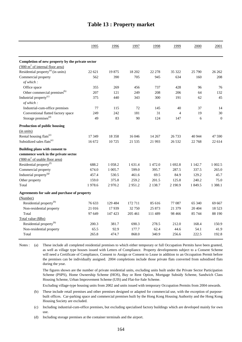|                                                  | 1995   | 1996       | 1997    | 1998       | 1999           | 2000    | 2001             |
|--------------------------------------------------|--------|------------|---------|------------|----------------|---------|------------------|
|                                                  |        |            |         |            |                |         |                  |
| Completion of new property by the private sector |        |            |         |            |                |         |                  |
| ('000 m <sup>2</sup> of internal floor area)     |        |            |         |            |                |         |                  |
| Residential property $^{(a)}$ (in units)         | 22 621 | 19875      | 18 202  | 22 278     | 35 322         | 25 790  | 26 26 2          |
| Commercial property<br>of which:                 | 562    | 390        | 705     | 945        | 634            | 160     | 208              |
| Office space                                     | 355    | 269        | 456     | 737        | 428            | 96      | 76               |
| Other commercial premises <sup>(b)</sup>         | 207    | 121        | 249     | 208        | 206            | 64      | 132              |
| Industrial property <sup>(c)</sup>               | 375    | 440        | 343     | 300        | 191            | 62      | 45               |
| of which:                                        |        |            |         |            |                |         |                  |
| Industrial-cum-office premises                   | 77     | 115        | 72      | 145        | 40             | 37      | 14               |
| Conventional flatted factory space               | 249    | 242        | 181     | 31         | $\overline{4}$ | 19      | 30               |
| Storage premises <sup>(d)</sup>                  | 49     | 83         | 90      | 124        | 147            | 6       | $\boldsymbol{0}$ |
| Production of public housing                     |        |            |         |            |                |         |                  |
| (in units)                                       |        |            |         |            |                |         |                  |
| Rental housing flats <sup>(e)</sup>              | 17 349 | 18 3 5 8   | 16 04 6 | 14 267     | 26 733         | 40 944  | 47 590           |
| Subsidized sales flats <sup>(e)</sup>            | 16 672 | 10725      | 21 5 35 | 21 993     | 26 5 32        | 22 768  | 22 614           |
| Building plans with consent to                   |        |            |         |            |                |         |                  |
| commence work in the private sector              |        |            |         |            |                |         |                  |
| $(000 \text{ m}^2 \text{ of usable floor area})$ |        |            |         |            |                |         |                  |
| Residential property <sup>(f)</sup>              | 688.2  | 1 0 5 8 .2 | 1 631.4 | 1472.0     | 1 692.8        | 1 142.7 | 1 002.5          |
| Commercial property                              | 674.0  | 1 0 0 5 .7 | 599.0   | 395.7      | 287.5          | 337.5   | 265.0            |
| Industrial property <sup>(g)</sup>               | 457.4  | 530.5      | 461.6   | 69.5       | 84.9           | 129.2   | 45.7             |
| Other property                                   | 159.0  | 375.8      | 259.2   | 201.5      | 125.8          | 240.2   | 75.0             |
| Total                                            | 1978.6 | 2970.2     | 2951.2  | 2 1 3 8 .7 | 2 190.9        | 1 849.5 | 1 388.1          |
| Agreements for sale and purchase of property     |        |            |         |            |                |         |                  |
| (Number)                                         |        |            |         |            |                |         |                  |
| Residential property <sup>(h)</sup>              | 76 633 | 129 484    | 172 711 | 85 616     | 77 087         | 65 340  | 69 667           |
| Non-residential property                         | 21 016 | 17939      | 32 750  | 25 873     | 21 379         | 20 40 4 | 18 5 23          |
| Total                                            | 97 649 | 147 423    | 205 461 | 111 489    | 98 4 66        | 85 744  | 88 190           |
| Total value (\$Bn)                               |        |            |         |            |                |         |                  |
| Residential property <sup>(h)</sup>              | 200.3  | 381.7      | 690.3   | 278.5      | 212.0          | 168.4   | 150.9            |
| Non-residential property                         | 65.5   | 92.9       | 177.7   | 62.4       | 44.6           | 54.1    | 41.9             |
| Total                                            | 265.8  | 474.7      | 868.0   | 340.9      | 256.6          | 222.5   | 192.8            |

#### **Table 13 : Property market**

Notes : (a) These include all completed residential premises to which either temporary or full Occupation Permits have been granted, as well as village type houses issued with Letters of Compliance. Property developments subject to a Consent Scheme will need a Certificate of Compliance, Consent to Assign or Consent to Lease in addition to an Occupation Permit before the premises can be individually assigned. 2004 completions include those private flats converted from subsidised flats during the year.

> The figures shown are the number of private residential units, excluding units built under the Private Sector Participation Scheme (PSPS), Home Ownership Scheme (HOS), Buy or Rent Option, Mortgage Subsidy Scheme, Sandwich Class Housing Scheme, Urban Improvement Scheme (UIS) and Flat-for-Sale Scheme.

> Excluding village-type housing units from 2002 and units issued with temporary Occupation Permits from 2004 onwards.

(b) These include retail premises and other premises designed or adapted for commercial use, with the exception of purposebuilt offices. Car-parking space and commercial premises built by the Hong Kong Housing Authority and the Hong Kong Housing Society are excluded.

(c) Including industrial-cum-office premises, but excluding specialised factory buildings which are developed mainly for own use.

(d) Including storage premises at the container terminals and the airport.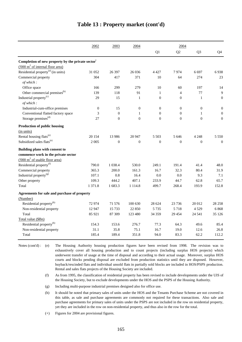|                                                               | 2002             | 2003           | 2004             |                | 2004             |                |                  |
|---------------------------------------------------------------|------------------|----------------|------------------|----------------|------------------|----------------|------------------|
|                                                               |                  |                |                  | Q1             | Q2               | Q <sub>3</sub> | Q <sub>4</sub>   |
| Completion of new property by the private sector <sup>+</sup> |                  |                |                  |                |                  |                |                  |
| ('000 m <sup>2</sup> of internal floor area)                  |                  |                |                  |                |                  |                |                  |
| Residential property $^{(a)}$ (in units)                      | 31 052           | 26 397         | 26 036           | 4 4 2 7        | 7974             | 6 6 9 7        | 6938             |
| Commercial property                                           | 304              | 417            | 371              | 10             | 64               | 274            | 23               |
| of which:                                                     |                  |                |                  |                |                  |                |                  |
| Office space                                                  | 166              | 299            | 279              | 10             | 60               | 197            | 14               |
| Other commercial premises <sup>(b)</sup>                      | 139              | 118            | 91               | $\mathbf{1}$   | $\overline{4}$   | 77             | 9                |
| Industrial property <sup>(c)</sup>                            | 29               | 15             | $\mathbf{1}$     | $\mathbf{0}$   | $\boldsymbol{0}$ | $\mathbf{1}$   | $\boldsymbol{0}$ |
| of which:                                                     |                  |                |                  |                |                  |                |                  |
| Industrial-cum-office premises                                | $\boldsymbol{0}$ | 15             | $\boldsymbol{0}$ | $\mathbf{0}$   | $\mathbf{0}$     | $\theta$       | $\boldsymbol{0}$ |
| Conventional flatted factory space                            | 3                | $\mathbf{0}$   | 1                | $\mathbf{0}$   | $\mathbf{0}$     | 1              | $\boldsymbol{0}$ |
| Storage premises <sup>(d)</sup>                               | 27               | $\overline{0}$ | $\overline{0}$   | $\overline{0}$ | $\overline{0}$   | $\mathbf{0}$   | $\boldsymbol{0}$ |
| Production of public housing                                  |                  |                |                  |                |                  |                |                  |
| (in units)                                                    |                  |                |                  |                |                  |                |                  |
| Rental housing flats <sup>(e)</sup>                           | 20 154           | 13 986         | 20 947           | 5 5 0 3        | 5 6 4 6          | 4 2 4 8        | 5 5 5 0          |
| Subsidized sales flats <sup>(e)</sup>                         | 2 0 0 5          | $\overline{0}$ | $\mathbf{0}$     | $\Omega$       | $\overline{0}$   | $\mathbf{0}$   | $\mathbf{0}$     |
| Building plans with consent to                                |                  |                |                  |                |                  |                |                  |
| commence work in the private sector                           |                  |                |                  |                |                  |                |                  |
| ('000 m <sup>2</sup> of usable floor area)                    |                  |                |                  |                |                  |                |                  |
| Residential property <sup>(f)</sup>                           | 790.0            | 1 0 38.4       | 530.0            | 249.1          | 191.4            | 41.4           | 48.0             |
| Commercial property                                           | 365.3            | 200.0          | 161.3            | 16.7           | 32.3             | 80.4           | 31.9             |
| Industrial property <sup>(g)</sup>                            | 107.1            | 0.8            | 16.4             | 0.0            | 0.0              | 9.3            | 7.1              |
| Other property                                                | 109.3            | 444.2          | 407.1            | 233.9          | 44.7             | 62.8           | 65.7             |
| Total                                                         | 1 371.8          | 1 683.3        | 1 1 1 4 .8       | 499.7          | 268.4            | 193.9          | 152.8            |
| Agreements for sale and purchase of property                  |                  |                |                  |                |                  |                |                  |
| (Number)                                                      |                  |                |                  |                |                  |                |                  |
| Residential property <sup>(h)</sup>                           | 72974            | 71 576         | 100 630          | 28 624         | 23 7 36          | 20 012         | 28 25 8          |
| Non-residential property                                      | 12 947           | 15 7 33        | 22 850           | 5 7 3 5        | 5718             | 4529           | 6868             |
| Total                                                         | 85 921           | 87 309         | 123 480          | 34 35 9        | 29 4 5 4         | 24 5 41        | 35 1 26          |
| Total value (\$Bn)                                            |                  |                |                  |                |                  |                |                  |
| Residential property <sup>(h)</sup>                           | 154.3            | 153.6          | 276.7            | 77.3           | 64.3             | 49.6           | 85.4             |
| Non-residential property                                      | 31.1             | 35.8           | 75.1             | 16.7           | 19.0             | 12.6           | 26.8             |
| Total                                                         | 185.4            | 189.4          | 351.8            | 94.0           | 83.3             | 62.2           | 112.2            |

#### **Table 13 : Property market (cont'd)**

Notes (cont'd) : (e) The Housing Authority housing production figures have been revised from 1998. The revision was to exhaustively cover all housing production and to count projects (including surplus HOS projects) which underwent transfer of usage at the time of disposal and according to their actual usage. Moreover, surplus HOS courts and blocks pending disposal are excluded from production statistics until they are disposed. However, buyback/rescinded flats and individual unsold flats in partially sold blocks are included in HOS/PSPS production. Rental and sales flats projects of the Housing Society are included.

- (f) As from 1995, the classification of residential property has been revised to include developments under the UIS of the Housing Society, but to exclude developments under the HOS and the PSPS of the Housing Authority.
- (g) Including multi-purpose industrial premises designed also for office use.
- (h) It should be noted that primary sales of units under the HOS and the Tenants Purchase Scheme are not covered in this table, as sale and purchase agreements are commonly not required for these transactions. Also sale and purchase agreements for primary sales of units under the PSPS are not included in the row on residential property, yet they are included in the row on non-residential property, and thus also in the row for the total.
- (+) Figures for 2004 are provisional figures.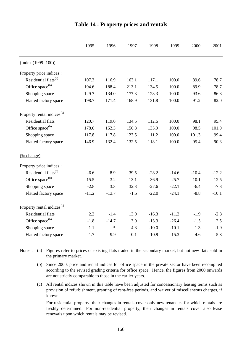|                                        | 1995    | 1996    | 1997   | 1998    | 1999    | 2000    | 2001    |
|----------------------------------------|---------|---------|--------|---------|---------|---------|---------|
| $(Index (1999=100))$                   |         |         |        |         |         |         |         |
| Property price indices :               |         |         |        |         |         |         |         |
| Residential flats <sup>(a)</sup>       | 107.3   | 116.9   | 163.1  | 117.1   | 100.0   | 89.6    | 78.7    |
| Office space <sup>(b)</sup>            | 194.6   | 188.4   | 213.1  | 134.5   | 100.0   | 89.9    | 78.7    |
| Shopping space                         | 129.7   | 134.0   | 177.3  | 128.3   | 100.0   | 93.6    | 86.8    |
| Flatted factory space                  | 198.7   | 171.4   | 168.9  | 131.8   | 100.0   | 91.2    | 82.0    |
| Property rental indices <sup>(c)</sup> |         |         |        |         |         |         |         |
| <b>Residential flats</b>               | 120.7   | 119.0   | 134.5  | 112.6   | 100.0   | 98.1    | 95.4    |
| Office space <sup>(b)</sup>            | 178.6   | 152.3   | 156.8  | 135.9   | 100.0   | 98.5    | 101.0   |
| Shopping space                         | 117.8   | 117.8   | 123.5  | 111.2   | 100.0   | 101.3   | 99.4    |
| Flatted factory space                  | 146.9   | 132.4   | 132.5  | 118.1   | 100.0   | 95.4    | 90.3    |
| (% change)                             |         |         |        |         |         |         |         |
| Property price indices :               |         |         |        |         |         |         |         |
| Residential flats <sup>(a)</sup>       | $-6.6$  | 8.9     | 39.5   | $-28.2$ | $-14.6$ | $-10.4$ | $-12.2$ |
| Office space <sup>(b)</sup>            | $-15.5$ | $-3.2$  | 13.1   | $-36.9$ | $-25.7$ | $-10.1$ | $-12.5$ |
| Shopping space                         | $-2.8$  | 3.3     | 32.3   | $-27.6$ | $-22.1$ | $-6.4$  | $-7.3$  |
| Flatted factory space                  | $-11.2$ | $-13.7$ | $-1.5$ | $-22.0$ | $-24.1$ | $-8.8$  | $-10.1$ |
| Property rental indices <sup>(c)</sup> |         |         |        |         |         |         |         |
| Residential flats                      | 2.2     | $-1.4$  | 13.0   | $-16.3$ | $-11.2$ | $-1.9$  | $-2.8$  |
| Office space <sup>(b)</sup>            | $-1.8$  | $-14.7$ | 3.0    | $-13.3$ | $-26.4$ | $-1.5$  | 2.5     |
| Shopping space                         | 1.1     | $\ast$  | 4.8    | $-10.0$ | $-10.1$ | 1.3     | $-1.9$  |
| Flatted factory space                  | $-1.7$  | $-9.9$  | 0.1    | $-10.9$ | $-15.3$ | $-4.6$  | $-5.3$  |

#### **Table 14 : Property prices and rentals**

Notes : (a) Figures refer to prices of existing flats traded in the secondary market, but not new flats sold in the primary market.

- (b) Since 2000, price and rental indices for office space in the private sector have been recompiled according to the revised grading criteria for office space. Hence, the figures from 2000 onwards are not strictly comparable to those in the earlier years.
- (c) All rental indices shown in this table have been adjusted for concessionary leasing terms such as provision of refurbishment, granting of rent-free periods, and waiver of miscellaneous charges, if known.

For residential property, their changes in rentals cover only new tenancies for which rentals are freshly determined. For non-residential property, their changes in rentals cover also lease renewals upon which rentals may be revised.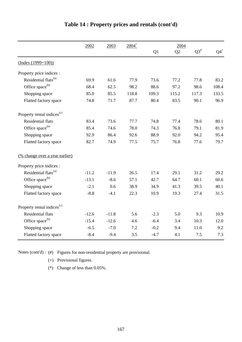|                                        | $2004^+$<br>2002<br>2003 |         |       | 2004   |                |                    |                 |
|----------------------------------------|--------------------------|---------|-------|--------|----------------|--------------------|-----------------|
|                                        |                          |         |       | Q1     | Q <sub>2</sub> | $\mathrm{Q3}^{\#}$ | $\mathbf{Q4}^+$ |
| $(Index (1999=100))$                   |                          |         |       |        |                |                    |                 |
| Property price indices :               |                          |         |       |        |                |                    |                 |
| Residential flats <sup>(a)</sup>       | 69.9                     | 61.6    | 77.9  | 73.6   | 77.2           | 77.8               | 83.2            |
| Office space <sup>(b)</sup>            | 68.4                     | 62.5    | 98.2  | 88.6   | 97.2           | 98.6               | 108.4           |
| Shopping space                         | 85.0                     | 85.5    | 118.8 | 109.3  | 115.2          | 117.3              | 133.5           |
| Flatted factory space                  | 74.8                     | 71.7    | 87.7  | 80.4   | 83.5           | 90.1               | 96.9            |
| Property rental indices <sup>(c)</sup> |                          |         |       |        |                |                    |                 |
| <b>Residential flats</b>               | 83.4                     | 73.6    | 77.7  | 74.8   | 77.4           | 78.6               | 80.1            |
| Office space <sup>(b)</sup>            | 85.4                     | 74.6    | 78.0  | 74.3   | 76.8           | 79.1               | 81.9            |
| Shopping space                         | 92.9                     | 86.4    | 92.6  | 88.9   | 92.0           | 94.2               | 95.4            |
| Flatted factory space                  | 82.7                     | 74.9    | 77.5  | 75.7   | 76.8           | 77.6               | 79.7            |
| (% change over a year earlier)         |                          |         |       |        |                |                    |                 |
| Property price indices :               |                          |         |       |        |                |                    |                 |
| Residential flats <sup>(a)</sup>       | $-11.2$                  | $-11.9$ | 26.5  | 17.4   | 29.1           | 31.2               | 29.2            |
| Office space <sup>(b)</sup>            | $-13.1$                  | $-8.6$  | 57.1  | 42.7   | 64.7           | 60.1               | 60.6            |
| Shopping space                         | $-2.1$                   | 0.6     | 38.9  | 34.9   | 41.3           | 39.5               | 40.1            |
| Flatted factory space                  | $-8.8$                   | $-4.1$  | 22.3  | 10.9   | 19.3           | 27.4               | 31.5            |
| Property rental indices <sup>(c)</sup> |                          |         |       |        |                |                    |                 |
| Residential flats                      | $-12.6$                  | $-11.8$ | 5.6   | $-2.3$ | 5.0            | 9.3                | 10.9            |
| Office space <sup>(b)</sup>            | $-15.4$                  | $-12.6$ | 4.6   | $-6.4$ | 3.4            | 10.3               | 12.0            |
| Shopping space                         | $-6.5$                   | $-7.0$  | 7.2   | $-0.2$ | 9.4            | 11.0               | 9.2             |
| Flatted factory space                  | $-8.4$                   | $-9.4$  | 3.5   | $-4.7$ | 4.1            | 7.5                | 7.3             |

# **Table 14 : Property prices and rentals (cont'd)**

Notes (cont'd) : (#) Figures for non-residential property are provisional.

(+) Provisional figures.

(\*) Change of less than 0.05%.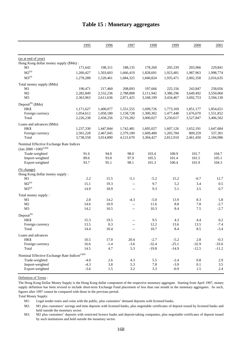|                                                              | 1995        | 1996         | 1997                                                 | 1998           | 1999        | 2000       | 2001             |
|--------------------------------------------------------------|-------------|--------------|------------------------------------------------------|----------------|-------------|------------|------------------|
|                                                              |             |              |                                                      |                |             |            |                  |
| (as at end of year)                                          |             |              |                                                      |                |             |            |                  |
| Hong Kong dollar money supply (\$Mn):<br>M1                  | 171,642     | 198,311      | 188,135                                              | 178,260        | 205,339     | 203,966    | 229,841          |
| $M2^{(a)}$                                                   |             |              |                                                      |                |             |            |                  |
|                                                              | 1,260,427   | 1,503,603    | 1,666,419                                            | 1,828,691      | 1,923,481   | 1,987,963  | 1,998,774        |
| $M3^{(a)}$                                                   | 1,278,288   | 1,520,461    | 1,684,325                                            | 1,840,824      | 1,935,471   | 2,002,358  | 2,016,635        |
| Total money supply (\$Mn)                                    |             |              |                                                      |                |             |            |                  |
| M1                                                           | 190,471     | 217,460      | 208,093                                              | 197,666        | 225,156     | 243,847    | 258,056          |
| M <sub>2</sub>                                               | 2,282,849   | 2,532,236    | 2,788,808                                            | 3,111,942      | 3,386,196   | 3,649,492  | 3,550,060        |
| M3                                                           | 2,363,963   | 2,611,636    | 2,871,425                                            | 3,168,199      | 3,434,467   | 3,692,753  | 3,594,130        |
| Deposit $^{(b)}$ (\$Mn)                                      |             |              |                                                      |                |             |            |                  |
| HK\$                                                         | 1,171,627   | 1,400,077    | 1,551,555                                            | 1,699,726      | 1,773,169   | 1,851,177  | 1,854,651        |
| Foreign currency                                             | 1,054,612   | 1,058,180    | 1,158,728                                            | 1,300,302      | 1,477,448   | 1,676,670  | 1,551,852        |
| Total                                                        | 2,226,238   | 2,458,256    | 2,710,282                                            | 3,000,027      | 3,250,617   | 3,527,847  | 3,406,502        |
| Loans and advances (\$Mn)                                    |             |              |                                                      |                |             |            |                  |
| HK\$                                                         | 1,237,330   | 1,447,844    | 1,742,481                                            | 1,695,027      | 1,607,126   | 1,652,191  | 1,647,684        |
| Foreign currency                                             | 2,501,228   | 2,467,045    | 2,379,189                                            | 1,609,400      | 1,205,784   | 809,259    | 537,301          |
| Total                                                        | 3,738,558   | 3,914,890    | 4,121,670                                            | 3,304,427      | 2,812,910   | 2,461,450  | 2,184,986        |
| Nominal Effective Exchange Rate Indices                      |             |              |                                                      |                |             |            |                  |
| (Jan 2000 = 100) <sup>(c)(d)</sup>                           |             |              |                                                      |                |             |            |                  |
| Trade-weighted                                               | 91.6        | 94.0         | 98.0                                                 | 103.4          | 100.9       | 101.7      | 104.7            |
| Import-weighted                                              | 89.6        | 93.0         | 97.9                                                 | 105.5          | 101.4       | 101.5      | 105.1            |
| Export-weighted                                              | 93.7        | 95.1         | 98.1                                                 | 101.3          | 100.4       | 101.9      | 104.3            |
| (% change)                                                   |             |              |                                                      |                |             |            |                  |
| Hong Kong dollar money supply:                               |             |              |                                                      |                |             |            |                  |
| M1                                                           | 2.2         | 15.5         | $-5.1$                                               | $-5.2$         | 15.2        | $-0.7$     | 12.7             |
| $M2^{(a)}$                                                   | 15.1        | 19.3         | $-\, -$                                              | 9.7            | 5.2         | 3.4        | 0.5              |
| $M3^{(a)}$                                                   | 14.9        | 18.9         | $-\, -$                                              | 9.3            | 5.1         | 3.5        | 0.7              |
|                                                              |             |              |                                                      |                |             |            |                  |
| Total money supply:                                          |             |              |                                                      |                |             |            |                  |
| M1<br>M <sub>2</sub>                                         | 2.8<br>14.6 | 14.2<br>10.9 | $-4.3$                                               | $-5.0$<br>11.6 | 13.9<br>8.8 | 8.3<br>7.8 | 5.8              |
| M <sub>3</sub>                                               | 14.2        | 10.5         | $\overline{\phantom{a}}$<br>$\overline{\phantom{a}}$ | 10.3           | 8.4         | 7.5        | $-2.7$<br>$-2.7$ |
|                                                              |             |              |                                                      |                |             |            |                  |
| $Deposit^{(b)}$                                              |             |              |                                                      |                |             |            |                  |
| HK\$                                                         | 15.3        | 19.5         |                                                      | 9.5            | 4.3         | 4.4        | 0.2              |
| Foreign currency                                             | 13.5        | 0.3          |                                                      | 12.2           | 13.6        | 13.5       | $-7.4$           |
| Total                                                        | 14.4        | 10.4         |                                                      | 10.7           | 8.4         | 8.5        | $-3.4$           |
| Loans and advances                                           |             |              |                                                      |                |             |            |                  |
| HK\$                                                         | 10.5        | 17.0         | 20.4                                                 | $-2.7$         | $-5.2$      | $2.8\,$    | $-0.3$           |
| Foreign currency                                             | 16.6        | $-1.4$       | $-3.6$                                               | $-32.4$        | $-25.1$     | $-32.9$    | $-33.6$          |
| Total                                                        | 14.5        | 4.7          | 5.3                                                  | $-19.8$        | $-14.9$     | $-12.5$    | $-11.2$          |
| Nominal Effective Exchange Rate Indices ${}^{\text{(c)(d)}}$ |             |              |                                                      |                |             |            |                  |
| Trade-weighted                                               | $-4.0$      | $2.6\,$      | 4.3                                                  | 5.5            | $-2.4$      | $0.8\,$    | 2.9              |
| Import-weighted                                              | $-4.3$      | 3.8          | 5.3                                                  | 7.8            | $-3.9$      | 0.1        | 3.5              |
| Export-weighted                                              | $-3.6$      | 1.5          | $3.2\,$                                              | 3.3            | $-0.9$      | 1.5        | 2.4              |

#### **Table 15 : Monetary aggregates**

Definition of Terms :

The Hong Kong Dollar Money Supply is the Hong Kong dollar component of the respective monetary aggregate. Starting from April 1997, money supply definition has been revised to include short-term Exchange Fund placement of less than one month in the monetary aggregates. As such, figures after 1997 cannot be compared with those in the previous period.

Total Money Supply:

M1: Legal tender notes and coins with the public, plus customers' demand deposits with licensed banks.

 $M2$ : M1 plus customers' savings and time deposits with licensed banks, plus negotiable certificates of deposit issued by licensed banks and held outside the monetary sector.

M3: M2 plus customers' deposits with restricted licence banks and deposit-taking companies, plus negotiable certificates of deposit issued by such institutions and held outside the monetary sector.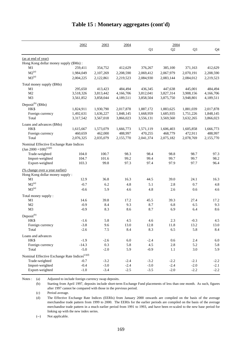|                                                              | 2002      | 2003      | 2004      |           | 2004      |                |           |
|--------------------------------------------------------------|-----------|-----------|-----------|-----------|-----------|----------------|-----------|
|                                                              |           |           |           | Q1        | Q2        | Q <sub>3</sub> | Q4        |
| (as at end of year)                                          |           |           |           |           |           |                |           |
| Hong Kong dollar money supply (\$Mn):                        |           |           |           |           |           |                |           |
| M1                                                           | 259,411   | 354,752   | 412,629   | 376,267   | 385,100   | 371,163        | 412,629   |
| $M2^{(a)}$                                                   | 1,984,049 | 2,107,269 | 2,208,590 | 2,069,412 | 2,067,979 | 2,070,191      | 2,208,590 |
| $M3^{(a)}$                                                   | 2,004,225 | 2,122,861 | 2,219,523 | 2,084,930 | 2,083,144 | 2,084,012      | 2,219,523 |
| Total money supply (\$Mn)                                    |           |           |           |           |           |                |           |
| M1                                                           | 295,650   | 413,423   | 484,494   | 436,345   | 447,638   | 445,001        | 484,494   |
| M2                                                           | 3,518,326 | 3,813,442 | 4,166,706 | 3,812,041 | 3,827,314 | 3,908,156      | 4,166,706 |
| M3                                                           | 3,561,852 | 3,858,044 | 4,189,511 | 3,858,504 | 3,875,750 | 3,948,801      | 4,189,511 |
| Deposit <sup>(b)</sup> (\$Mn)                                |           |           |           |           |           |                |           |
| HK\$                                                         | 1,824,911 | 1,930,790 | 2,017,878 | 1,887,172 | 1,883,625 | 1,881,039      | 2,017,878 |
| Foreign currency                                             | 1,492,631 | 1,636,227 | 1,848,145 | 1,668,959 | 1,685,935 | 1,751,226      | 1,848,145 |
| Total                                                        | 3,317,542 | 3,567,018 | 3,866,023 | 3,556,131 | 3,569,560 | 3,632,265      | 3,866,023 |
| Loans and advances (\$Mn)                                    |           |           |           |           |           |                |           |
| HK\$                                                         | 1,615,667 | 1,573,079 | 1,666,773 | 1,571,119 | 1,606,403 | 1,605,858      | 1,666,773 |
| Foreign currency                                             | 460,659   | 462,000   | 488,997   | 470,255   | 468,779   | 472,911        | 488,997   |
| Total                                                        | 2,076,325 | 2,035,079 | 2,155,770 | 2,041,374 | 2,075,182 | 2,078,769      | 2,155,770 |
| Nominal Effective Exchange Rate Indices                      |           |           |           |           |           |                |           |
| $\left(\text{Jan } 2000\right) = 100\right)^{(c)(d)}$        |           |           |           |           |           |                |           |
| Trade-weighted                                               | 104.0     | 100.7     | 98.3      | 98.4      | 98.8      | 98.7           | 97.3      |
| Import-weighted                                              | 104.7     | 101.6     | 99.2      | 99.4      | 99.7      | 99.7           | 98.2      |
| Export-weighted                                              | 103.3     | 99.8      | 97.3      | 97.4      | 97.9      | 97.7           | 96.4      |
| (% change over a year earlier)                               |           |           |           |           |           |                |           |
| Hong Kong dollar money supply:                               |           |           |           |           |           |                |           |
| M1                                                           | 12.9      | 36.8      | 16.3      | 44.5      | 39.0      | 24.1           | 16.3      |
| $M2^{(a)}$                                                   | $-0.7$    | 6.2       | 4.8       | 5.1       | 2.8       | 0.7            | 4.8       |
| $M3^{(a)}$                                                   | $-0.6$    | 5.9       | 4.6       | 4.8       | 2.6       | 0.6            | 4.6       |
| Total money supply :                                         |           |           |           |           |           |                |           |
| M1                                                           | 14.6      | 39.8      | 17.2      | 45.5      | 39.3      | 27.4           | 17.2      |
| M <sub>2</sub>                                               | $-0.9$    | 8.4       | 9.3       | 8.7       | 6.8       | 6.5            | 9.3       |
| M3                                                           | $-0.9$    | 8.3       | 8.6       | 8.7       | 6.9       | 6.4            | 8.6       |
| Deposit <sup>(b)</sup>                                       |           |           |           |           |           |                |           |
| HK\$                                                         | $-1.6$    | 5.8       | 4.5       | 4.6       | $2.3\,$   | $-0.3$         | 4.5       |
| Foreign currency                                             | $-3.8$    | 9.6       | 13.0      | 12.8      | 11.8      | 13.2           | 13.0      |
| Total                                                        | $-2.6$    | 7.5       | 8.4       | 8.3       | 6.5       | 5.8            | 8.4       |
| Loans and advances                                           |           |           |           |           |           |                |           |
| HK\$                                                         | $-1.9$    | $-2.6$    | $6.0\,$   | $-2.4$    | 0.6       | 2.4            | 6.0       |
| Foreign currency                                             | $-14.3$   | 0.3       | 5.8       | 4.5       | $2.8\,$   | 5.2            | 5.8       |
| Total                                                        | $-5.0$    | $-2.0$    | 5.9       | $-0.9$    | 1.1       | 3.0            | 5.9       |
| Nominal Effective Exchange Rate Indices ${}^{\text{(c)(d)}}$ |           |           |           |           |           |                |           |
| Trade-weighted                                               | $-0.7$    | $-3.2$    | $-2.4$    | $-3.2$    | $-2.2$    | $-2.1$         | $-2.2$    |
| Import-weighted                                              | $-0.4$    | $-3.0$    | $-2.4$    | $-3.0$    | $-2.4$    | $-2.0$         | $-2.1$    |
| Export-weighted                                              | $-1.0$    | $-3.4$    | $-2.5$    | $-3.5$    | $-2.0$    | $-2.2$         | $-2.2$    |

#### **Table 15 : Monetary aggregates (cont'd)**

Notes : (a) Adjusted to include foreign currency swap deposits.

(b) Starting from April 1997, deposits include short-term Exchange Fund placements of less than one month. As such, figures after 1997 cannot be compared with those in the previous period.

(c) Period average.

(d) The Effective Exchange Rate Indices (EERIs) from January 2000 onwards are compiled on the basis of the average merchandise trade pattern from 1999 to 2000. The EERIs for the earlier periods are compiled on the basis of the average merchandise trade pattern in a much earlier period from 1991 to 1993, and have been re-scaled to the new base period for linking up with the new index series.

(--) Not applicable.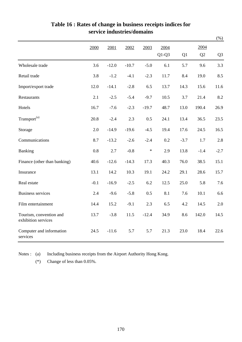|                                                |        |         |         |         |                 |        |            | $(\%)$         |
|------------------------------------------------|--------|---------|---------|---------|-----------------|--------|------------|----------------|
|                                                | 2000   | 2001    | 2002    | 2003    | 2004<br>$Q1-Q3$ | Q1     | 2004<br>Q2 | Q <sub>3</sub> |
| Wholesale trade                                | 3.6    | $-12.0$ | $-10.7$ | $-5.0$  | 6.1             | 5.7    | 9.6        | 3.3            |
| Retail trade                                   | 3.8    | $-1.2$  | $-4.1$  | $-2.3$  | 11.7            | 8.4    | 19.0       | 8.5            |
| Import/export trade                            | 12.0   | $-14.1$ | $-2.8$  | 6.5     | 13.7            | 14.3   | 15.6       | 11.6           |
| Restaurants                                    | 2.1    | $-2.5$  | $-5.4$  | $-9.7$  | 10.5            | 3.7    | 21.4       | 8.2            |
| Hotels                                         | 16.7   | $-7.6$  | $-2.3$  | $-19.7$ | 48.7            | 13.0   | 190.4      | 26.9           |
| Transport <sup>(a)</sup>                       | 20.8   | $-2.4$  | 2.3     | 0.5     | 24.1            | 13.4   | 36.5       | 23.5           |
| Storage                                        | 2.0    | $-14.9$ | $-19.6$ | $-4.5$  | 19.4            | 17.6   | 24.5       | 16.5           |
| Communications                                 | 8.7    | $-13.2$ | $-2.6$  | $-2.4$  | 0.2             | $-3.7$ | 1.7        | 2.8            |
| Banking                                        | 0.8    | 2.7     | $-0.8$  | $\ast$  | 2.9             | 13.8   | $-1.4$     | $-2.7$         |
| Finance (other than banking)                   | 40.6   | $-12.6$ | $-14.3$ | 17.3    | 40.3            | 76.0   | 38.5       | 15.1           |
| Insurance                                      | 13.1   | 14.2    | 10.3    | 19.1    | 24.2            | 29.1   | 28.6       | 15.7           |
| Real estate                                    | $-0.1$ | $-16.9$ | $-2.5$  | 6.2     | 12.5            | 25.0   | 5.8        | 7.6            |
| <b>Business services</b>                       | 2.4    | $-9.6$  | $-5.8$  | 0.5     | 8.1             | 7.6    | 10.1       | 6.6            |
| Film entertainment                             | 14.4   | 15.2    | $-9.1$  | 2.3     | 6.5             | 4.2    | 14.5       | 2.0            |
| Tourism, convention and<br>exhibition services | 13.7   | $-3.8$  | 11.5    | $-12.4$ | 34.9            | 8.6    | 142.0      | 14.5           |
| Computer and information<br>services           | 24.5   | $-11.6$ | 5.7     | 5.7     | 21.3            | 23.0   | 18.4       | 22.6           |

### **Table 16 : Rates of change in business receipts indices for service industries/domains**

Notes : (a) Including business receipts from the Airport Authority Hong Kong.

(\*) Change of less than 0.05%.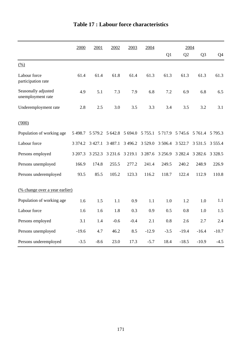|                                          | 2000        | 2001        | 2002        | 2003       | 2004        |             | 2004      |                 |             |
|------------------------------------------|-------------|-------------|-------------|------------|-------------|-------------|-----------|-----------------|-------------|
|                                          |             |             |             |            |             | Q1          | Q2        | Q <sub>3</sub>  | Q4          |
| (% )                                     |             |             |             |            |             |             |           |                 |             |
| Labour force<br>participation rate       | 61.4        | 61.4        | 61.8        | 61.4       | 61.3        | 61.3        | 61.3      | 61.3            | 61.3        |
| Seasonally adjusted<br>unemployment rate | 4.9         | 5.1         | 7.3         | 7.9        | 6.8         | 7.2         | 6.9       | 6.8             | 6.5         |
| Underemployment rate                     | 2.8         | 2.5         | 3.0         | 3.5        | 3.3         | 3.4         | 3.5       | 3.2             | 3.1         |
| (000)                                    |             |             |             |            |             |             |           |                 |             |
| Population of working age                | 5 4 9 8.7   | 5 5 7 9 .2  | 5 642.8     | 5 694.0    | 5 7 5 5 .1  | 5 7 1 7 . 9 |           | 5 745.6 5 761.4 | 5 7 9 5 . 3 |
| Labour force                             | 3 3 7 4 . 2 | 3 4 2 7 .1  | 3 4 8 7 . 1 | 3 4 9 6.2  | 3 5 29.0    | 3 506.4     | 3 5 2 2.7 | 3 5 3 1 .5      | 3 5 5 5 .4  |
| Persons employed                         | 3 207.3     | 3 2 5 2 . 3 | 3 2 3 1 . 6 | 3 2 1 9 .1 | 3 2 8 7 . 6 | 3 2 5 6.9   | 3 2 8 2.4 | 3 2 8 2.6       | 3 3 2 8 .5  |
| Persons unemployed                       | 166.9       | 174.8       | 255.5       | 277.2      | 241.4       | 249.5       | 240.2     | 248.9           | 226.9       |
| Persons underemployed                    | 93.5        | 85.5        | 105.2       | 123.3      | 116.2       | 118.7       | 122.4     | 112.9           | 110.8       |
| (% change over a year earlier)           |             |             |             |            |             |             |           |                 |             |
| Population of working age                | 1.6         | 1.5         | 1.1         | 0.9        | 1.1         | 1.0         | 1.2       | 1.0             | 1.1         |
| Labour force                             | 1.6         | 1.6         | 1.8         | 0.3        | 0.9         | 0.5         | 0.8       | 1.0             | 1.5         |
| Persons employed                         | 3.1         | 1.4         | $-0.6$      | $-0.4$     | 2.1         | 0.8         | 2.6       | 2.7             | 2.4         |
| Persons unemployed                       | $-19.6$     | 4.7         | 46.2        | 8.5        | $-12.9$     | $-3.5$      | $-19.4$   | $-16.4$         | $-10.7$     |
| Persons underemployed                    | $-3.5$      | $-8.6$      | 23.0        | 17.3       | $-5.7$      | 18.4        | $-18.5$   | $-10.9$         | $-4.5$      |

# **Table 17 : Labour force characteristics**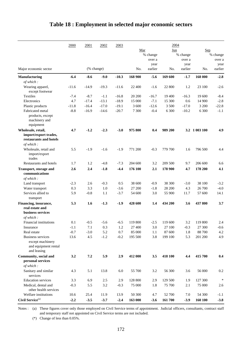|                                                 | 2000    | 2001       | 2002    | 2003    |         |          | 2004    |          |               |          |
|-------------------------------------------------|---------|------------|---------|---------|---------|----------|---------|----------|---------------|----------|
|                                                 |         |            |         |         | Mar     |          | Jun     |          | Sep           |          |
|                                                 |         |            |         |         |         | % change |         | % change |               | % change |
|                                                 |         |            |         |         |         | over a   |         | over a   |               | over a   |
|                                                 |         |            |         |         |         | year     |         | year     |               | year     |
| Major economic sector                           |         | (% change) |         |         | No.     | earlier  | No.     | earlier  | No.           | earlier  |
| Manufacturing                                   | $-6.4$  | $-8.6$     | $-9.0$  | $-10.3$ | 168 900 | $-5.6$   | 169 600 | $-1.7$   | 168 000       | $-2.8$   |
| of which:                                       |         |            |         |         |         |          |         |          |               |          |
| Wearing apparel,<br>except footwear             | $-11.6$ | $-14.9$    | $-19.3$ | $-11.6$ | 22 400  | $-1.6$   | 22 800  | 1.2      | 23 100        | $-2.6$   |
| Textiles                                        | $-7.4$  | $-8.7$     | $-1.1$  | $-16.8$ | 20 200  | $-16.7$  | 19 400  | $-16.3$  | 19 600        | $-8.4$   |
| Electronics                                     | 4.7     | $-17.4$    | $-13.1$ | $-18.9$ | 15 000  | $-7.1$   | 15 300  | 0.6      | 14 900        | $-2.8$   |
| Plastic products                                | $-11.8$ | $-16.4$    | $-17.0$ | $-19.1$ | 3 600   | $-12.6$  | 3 500   | $-17.0$  | 3 200         | $-22.8$  |
| Fabricated metal                                | $-8.8$  | $-16.9$    | $-14.6$ | $-20.7$ | 7 300   | $-0.4$   | 6 300   | $-10.2$  | 6 300         | $-1.1$   |
| products, except<br>machinery and<br>equipment  |         |            |         |         |         |          |         |          |               |          |
| Wholesale, retail,                              | 4.7     | $-1.2$     | $-2.3$  | $-3.0$  | 975 800 | 0.4      | 989 200 |          | 3.2 1 003 100 | 4.9      |
| import/export trades,<br>restaurants and hotels |         |            |         |         |         |          |         |          |               |          |
| of which:                                       |         |            |         |         |         |          |         |          |               |          |
| Wholesale, retail and<br>import/export          | 5.5     | $-1.9$     | $-1.6$  | $-1.9$  | 771 200 | $-0.3$   | 779 700 | 1.6      | 796 500       | 4.4      |
| trades                                          |         |            |         |         | 204 600 |          |         |          |               |          |
| Restaurants and hotels                          | 1.7     | 1.2        | $-4.8$  | $-7.3$  |         | 3.2      | 209 500 | 9.7      | 206 600       | 6.6      |
| <b>Transport, storage and</b><br>communications | 2.6     | 2.4        | $-1.8$  | $-4.4$  | 176 100 | 2.1      | 178 900 | 4.7      | 178 200       | 4.1      |
| of which:                                       |         |            |         |         |         |          |         |          |               |          |
| Land transport                                  | $-2.3$  | 2.6        | $-0.3$  | 0.5     | 38 600  | $-0.9$   | 38 300  | $-3.0$   | 38 100        | $-3.2$   |
| Water transport                                 | 0.3     | 3.3        | 1.0     | $-3.6$  | 27 200  | $-1.8$   | 28 200  | 4.3      | 26 700        | $-4.0$   |
| Services allied to                              | 5.9     | $-0.8$     | 1.1     | $-3.7$  | 54 600  | 3.0      | 55 900  | 11.7     | 57 600        | 14.1     |
| transport                                       |         |            |         |         |         |          |         |          |               |          |
| Financing, insurance,<br>real estate and        | 5.3     | 1.6        | $-1.3$  | $-1.9$  | 428 600 | 1.4      | 434 200 | 3.6      | 437 800       | 3.7      |
| business services                               |         |            |         |         |         |          |         |          |               |          |
| of which:                                       |         |            |         |         |         |          |         |          |               |          |
| Financial institutions                          | 0.1     | $-0.5$     | $-5.6$  | $-6.5$  | 119 800 | $-2.5$   | 119 600 | 3.2      | 119 800       | 2.4      |
| Insurance                                       | $-1.1$  | 7.1        | 0.3     | 1.2     | 27 400  | 3.0      | 27 100  | $-0.3$   | 27 300        | $-0.6$   |
| Real estate                                     | $-0.7$  | $-3.0$     | 5.2     | 0.7     | 85 000  | 1.1      | 87 600  | 1.8      | 88 700        | 4.2      |
| <b>Business services</b><br>except machinery    | 13.6    | 4.5        | $-1.2$  | $-0.2$  | 195 500 | 3.8      | 199 100 | 5.3      | 201 200       | 4.9      |
| and equipment rental<br>and leasing             |         |            |         |         |         |          |         |          |               |          |
| Community, social and                           | 3.2     | 7.2        | 5.9     | 2.9     | 412 000 | 3.5      | 418 100 | 4.4      | 415 700       | 0.4      |
| personal services                               |         |            |         |         |         |          |         |          |               |          |
| of which:                                       |         |            |         |         |         |          |         |          |               |          |
| Sanitary and similar<br>services                | 4.3     | 5.1        | 13.8    | 6.0     | 55 700  | 3.2      | 56 300  | 3.6      | 56 000        | 0.2      |
| <b>Education</b> services                       | 3.3     | 6.9        | 2.5     | 2.9     | 128 800 | 2.9      | 129 500 | 1.9      | 127 300       | $\ast$   |
| Medical, dental and<br>other health services    | $-0.3$  | 5.5        | 3.2     | $-0.3$  | 75 000  | 1.8      | 75 700  | 2.1      | 75 000        | 2.6      |
| Welfare institutions                            | 10.6    | 25.4       | 11.9    | 13.9    | 50 300  | 4.7      | 52 700  | 7.0      | 54 300        | $-1.1$   |
| Civil Service <sup>(a)</sup>                    | $-2.2$  | $-3.5$     | $-3.7$  | $-2.4$  | 163 000 | $-3.6$   | 161 700 | $-3.9$   | 160 100       | $-3.8$   |

### **Table 18 : Employment in selected major economic sectors**

Notes : (a) These figures cover only those employed on Civil Service terms of appointment. Judicial officers, consultants, contract staff and temporary staff not appointed on Civil Service terms are not included.

(\*) Change of less than 0.05%.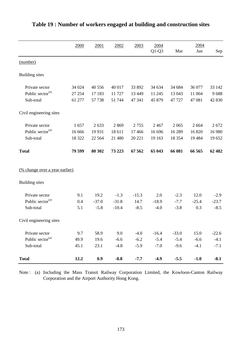|                                       | 2000   | 2001     | 2002    | 2003    | 2004    |          | 2004    |         |
|---------------------------------------|--------|----------|---------|---------|---------|----------|---------|---------|
|                                       |        |          |         |         | $Q1-Q3$ | Mar      | Jun     | Sep     |
| (number)                              |        |          |         |         |         |          |         |         |
| <b>Building sites</b>                 |        |          |         |         |         |          |         |         |
| Private sector                        | 34 024 | 40 55 6  | 40 017  | 33 892  | 34 634  | 34 684   | 36 077  | 33 142  |
| Public sector <sup>(a)</sup>          | 27 254 | 17 183   | 11727   | 13 4 49 | 11 245  | 13 043   | 11 004  | 9688    |
| Sub-total                             | 61 277 | 57 738   | 51 744  | 47 341  | 45 879  | 47 727   | 47 081  | 42 830  |
| Civil engineering sites               |        |          |         |         |         |          |         |         |
| Private sector                        | 1657   | 2633     | 2869    | 2755    | 2 4 6 7 | 2065     | 2 6 6 4 | 2 6 7 2 |
| Public sector <sup>(a)</sup>          | 16 666 | 19931    | 18 611  | 17 4 66 | 16 696  | 16 28 9  | 16 8 20 | 16 980  |
| Sub-total                             | 18 322 | 22 5 6 4 | 21 480  | 20 221  | 19 163  | 18 3 5 4 | 19 4 84 | 19 652  |
| <b>Total</b>                          | 79 599 | 80 30 2  | 73 223  | 67 562  | 65 043  | 66 081   | 66 565  | 62 482  |
| <u>(% change over a year earlier)</u> |        |          |         |         |         |          |         |         |
| <b>Building sites</b>                 |        |          |         |         |         |          |         |         |
| Private sector                        | 9.1    | 19.2     | $-1.3$  | $-15.3$ | 2.0     | $-2.3$   | 12.0    | $-2.9$  |
| Public sector <sup>(a)</sup>          | 0.4    | $-37.0$  | $-31.8$ | 14.7    | $-18.9$ | $-7.7$   | $-25.4$ | $-23.7$ |
| Sub-total                             | 5.1    | $-5.8$   | $-10.4$ | $-8.5$  | $-4.0$  | $-3.8$   | 0.3     | $-8.5$  |
| Civil engineering sites               |        |          |         |         |         |          |         |         |
| Private sector                        | 9.7    | 58.9     | 9.0     | $-4.0$  | $-16.4$ | $-33.0$  | 15.0    | $-22.6$ |
| Public sector <sup>(a)</sup>          | 49.9   | 19.6     | $-6.6$  | $-6.2$  | $-5.4$  | $-5.4$   | $-6.6$  | $-4.1$  |
| Sub-total                             | 45.1   | 23.1     | $-4.8$  | $-5.9$  | $-7.0$  | $-9.6$   | $-4.1$  | $-7.1$  |
| <b>Total</b>                          | 12.2   | 0.9      | $-8.8$  | $-7.7$  | $-4.9$  | $-5.5$   | $-1.0$  | $-8.1$  |

# **Table 19 : Number of workers engaged at building and construction sites**

Note : (a) Including the Mass Transit Railway Corporation Limited, the Kowloon-Canton Railway Corporation and the Airport Authority Hong Kong.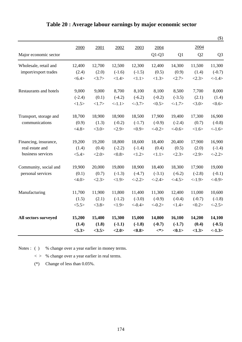|                        |          |        |          |           |           |                |                | $(\$)$         |
|------------------------|----------|--------|----------|-----------|-----------|----------------|----------------|----------------|
|                        | 2000     | 2001   | 2002     | 2003      | 2004      |                | 2004           |                |
| Major economic sector  |          |        |          |           | $Q1-Q3$   | Q <sub>1</sub> | Q <sub>2</sub> | Q <sub>3</sub> |
| Wholesale, retail and  | 12,400   | 12,700 | 12,500   | 12,300    | 12,400    | 14,300         | 11,500         | 11,300         |
| import/export trades   | (2.4)    | (2.0)  | $(-1.6)$ | $(-1.5)$  | (0.5)     | (0.9)          | (1.4)          | $(-0.7)$       |
|                        | < 6.4>   | <3.7>  | <1.4>    | <1.1>     | <1.3>     | <2.7>          | <2.3>          | <1.4>          |
| Restaurants and hotels | 9,000    | 9,000  | 8,700    | 8,100     | 8,100     | 8,500          | 7,700          | 8,000          |
|                        | $(-2.4)$ | (0.1)  | $(-4.2)$ | $(-6.2)$  | $(-0.2)$  | $(-3.5)$       | (2.1)          | (1.4)          |
|                        | <1.5>    | <1.7>  | <1.1>    | $< -3.7>$ | <0.5>     | <1.7>          | <3.0>          | <0.6           |
| Transport, storage and | 18,700   | 18,900 | 18,900   | 18,500    | 17,900    | 19,400         | 17,300         | 16,900         |
| communications         | (0.9)    | (1.3)  | $(-0.2)$ | $(-1.7)$  | $(-0.9)$  | $(-2.4)$       | (0.7)          | $(-0.8)$       |
|                        | <4.8>    | <3.0>  | <2.9>    | <0.9>     | $<-0.2>$  | $< -0.6 >$     | <1.6>          | $< -1.6$       |
| Financing, insurance,  | 19,200   | 19,200 | 18,800   | 18,600    | 18,400    | 20,400         | 17,900         | 16,900         |
| real estate and        | (1.4)    | (0.4)  | $(-2.2)$ | $(-1.4)$  | (0.4)     | (0.5)          | (2.0)          | $(-1.4)$       |
| business services      | < 5.4>   | <2.0>  | <0.8>    | <1.2>     | <1.1>     | <2.3>          | <2.9>          | $<-2.2>$       |
| Community, social and  | 19,900   | 20,000 | 19,800   | 18,900    | 18,400    | 18,300         | 17,900         | 19,000         |
| personal services      | (0.1)    | (0.7)  | $(-1.3)$ | $(-4.7)$  | $(-3.1)$  | $(-6.2)$       | $(-2.8)$       | $(-0.1)$       |
|                        | <4.0>    | <2.3>  | <1.9>    | $<-2.2>$  | $< -2.4>$ | $< -4.5>$      | <1.9>          | $< -0.9 >$     |
| Manufacturing          | 11,700   | 11,900 | 11,800   | 11,400    | 11,300    | 12,400         | 11,000         | 10,600         |
|                        | (1.5)    | (2.1)  | $(-1.2)$ | $(-3.0)$  | $(-0.9)$  | $(-0.4)$       | $(-0.7)$       | $(-1.8)$       |
|                        | < 5.5 >  | <3.8>  | <1.9>    | $< -0.4>$ | $<-0.2>$  | <1.4>          | <0.2>          | $<-2.5>$       |
| All sectors surveyed   | 15,200   | 15,400 | 15,300   | 15,000    | 14,800    | 16,100         | 14,200         | 14,100         |
|                        | (1.4)    | (1.8)  | $(-1.1)$ | $(-1.8)$  | $(-0.7)$  | $(-1.7)$       | (0.4)          | $(-0.5)$       |
|                        | < 5.3>   | <3.5>  | <2.0>    | <0.8>     | $<^*>$    | <0.1           | <1.3>          | $<-1.3>$       |

# **Table 20 : Average labour earnings by major economic sector**

Notes : ( ) % change over a year earlier in money terms.

 $\langle \rangle$  % change over a year earlier in real terms.

(\*) Change of less than 0.05%.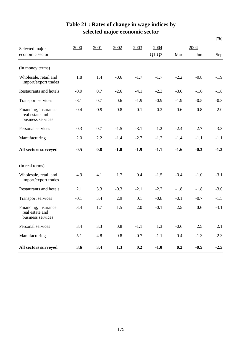|                                                               |        |        |         |        |         |        |         | $(\%)$ |
|---------------------------------------------------------------|--------|--------|---------|--------|---------|--------|---------|--------|
| Selected major                                                | 2000   | 2001   | 2002    | 2003   | 2004    |        | 2004    |        |
| economic sector                                               |        |        |         |        | $Q1-Q3$ | Mar    | Jun     | Sep    |
| (in money terms)                                              |        |        |         |        |         |        |         |        |
| Wholesale, retail and<br>import/export trades                 | 1.8    | 1.4    | $-0.6$  | $-1.7$ | $-1.7$  | $-2.2$ | $-0.8$  | $-1.9$ |
| <b>Restaurants and hotels</b>                                 | $-0.9$ | 0.7    | $-2.6$  | $-4.1$ | $-2.3$  | $-3.6$ | $-1.6$  | $-1.8$ |
| <b>Transport services</b>                                     | $-3.1$ | 0.7    | 0.6     | $-1.9$ | $-0.9$  | $-1.9$ | $-0.5$  | $-0.3$ |
| Financing, insurance,<br>real estate and<br>business services | 0.4    | $-0.9$ | $-0.8$  | $-0.1$ | $-0.2$  | 0.6    | 0.8     | $-2.0$ |
| Personal services                                             | 0.3    | 0.7    | $-1.5$  | $-3.1$ | 1.2     | $-2.4$ | 2.7     | 3.3    |
| Manufacturing                                                 | 2.0    | 2.2    | $-1.4$  | $-2.7$ | $-1.2$  | $-1.4$ | $-1.1$  | $-1.1$ |
| All sectors surveyed                                          | 0.5    | 0.8    | $-1.0$  | $-1.9$ | $-1.1$  | $-1.6$ | $-0.3$  | $-1.3$ |
| (in real terms)                                               |        |        |         |        |         |        |         |        |
| Wholesale, retail and<br>import/export trades                 | 4.9    | 4.1    | 1.7     | 0.4    | $-1.5$  | $-0.4$ | $-1.0$  | $-3.1$ |
| <b>Restaurants and hotels</b>                                 | 2.1    | 3.3    | $-0.3$  | $-2.1$ | $-2.2$  | $-1.8$ | $-1.8$  | $-3.0$ |
| <b>Transport services</b>                                     | $-0.1$ | 3.4    | 2.9     | 0.1    | $-0.8$  | $-0.1$ | $-0.7$  | $-1.5$ |
| Financing, insurance,<br>real estate and<br>business services | 3.4    | 1.7    | 1.5     | 2.0    | $-0.1$  | 2.5    | 0.6     | $-3.1$ |
| Personal services                                             | 3.4    | 3.3    | $0.8\,$ | $-1.1$ | 1.3     | $-0.6$ | $2.5\,$ | 2.1    |
| Manufacturing                                                 | 5.1    | 4.8    | $0.8\,$ | $-0.7$ | $-1.1$  | 0.4    | $-1.3$  | $-2.3$ |
| All sectors surveyed                                          | 3.6    | 3.4    | 1.3     | 0.2    | $-1.0$  | 0.2    | $-0.5$  | $-2.5$ |

# **Table 21 : Rates of change in wage indices by selected major economic sector**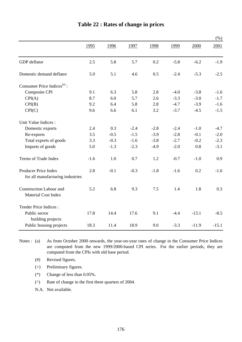|                                                              |        |        |        |        |        |         | (% )    |
|--------------------------------------------------------------|--------|--------|--------|--------|--------|---------|---------|
|                                                              | 1995   | 1996   | 1997   | 1998   | 1999   | 2000    | 2001    |
| GDP deflator                                                 | 2.5    | 5.8    | 5.7    | 0.2    | $-5.8$ | $-6.2$  | $-1.9$  |
| Domestic demand deflator                                     | 5.0    | 5.1    | 4.6    | 0.5    | $-2.4$ | $-5.3$  | $-2.5$  |
| Consumer Price Indices <sup>(a)</sup> :                      |        |        |        |        |        |         |         |
| Composite CPI                                                | 9.1    | 6.3    | 5.8    | 2.8    | $-4.0$ | $-3.8$  | $-1.6$  |
| CPI(A)                                                       | 8.7    | 6.0    | 5.7    | 2.6    | $-3.3$ | $-3.0$  | $-1.7$  |
| CPI(B)                                                       | 9.2    | 6.4    | 5.8    | 2.8    | $-4.7$ | $-3.9$  | $-1.6$  |
| CPI(C)                                                       | 9.6    | 6.6    | 6.1    | 3.2    | $-3.7$ | $-4.5$  | $-1.5$  |
| Unit Value Indices :                                         |        |        |        |        |        |         |         |
| Domestic exports                                             | 2.4    | 0.3    | $-2.4$ | $-2.8$ | $-2.4$ | $-1.0$  | $-4.7$  |
| Re-exports                                                   | 3.5    | $-0.5$ | $-1.5$ | $-3.9$ | $-2.8$ | $-0.1$  | $-2.0$  |
| Total exports of goods                                       | 3.3    | $-0.3$ | $-1.6$ | $-3.8$ | $-2.7$ | $-0.2$  | $-2.3$  |
| Imports of goods                                             | 5.0    | $-1.3$ | $-2.3$ | $-4.9$ | $-2.0$ | 0.8     | $-3.1$  |
| Terms of Trade Index                                         | $-1.6$ | 1.0    | 0.7    | 1.2    | $-0.7$ | $-1.0$  | 0.9     |
| Producer Price Index<br>for all manufacturing industries     | 2.8    | $-0.1$ | $-0.3$ | $-1.8$ | $-1.6$ | 0.2     | $-1.6$  |
| <b>Construction Labour and</b><br><b>Material Cost Index</b> | 5.2    | 6.8    | 9.3    | 7.5    | 1.4    | 1.8     | 0.3     |
| Tender Price Indices:                                        |        |        |        |        |        |         |         |
| Public sector<br>building projects                           | 17.8   | 14.4   | 17.6   | 9.1    | $-4.4$ | $-13.1$ | $-8.5$  |
| Public housing projects                                      | 18.3   | 11.4   | 18.9   | 9.0    | $-3.3$ | $-11.9$ | $-15.1$ |

### **Table 22 : Rates of change in prices**

Notes :  $(a)$ As from October 2000 onwards, the year-on-year rates of change in the Consumer Price Indices are computed from the new 1999/2000-based CPI series. For the earlier periods, they are computed from the CPIs with old base period.

- (#) Revised figures.
- (+) Preliminary figures.
- (\*) Change of less than 0.05%.
- (^) Rate of change in the first three quarters of 2004.
- N.A. Not available.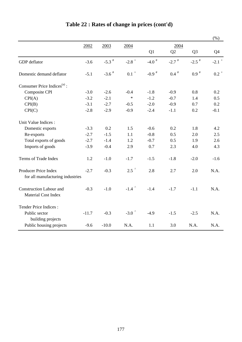|                                                              |         |                     |                                        |                     |                     |                     | (%)                 |
|--------------------------------------------------------------|---------|---------------------|----------------------------------------|---------------------|---------------------|---------------------|---------------------|
|                                                              | 2002    | 2003                | 2004                                   |                     | 2004                |                     |                     |
|                                                              |         |                     |                                        | Q1                  | Q2                  | Q <sub>3</sub>      | Q4                  |
| GDP deflator                                                 | $-3.6$  | $-5.3$ <sup>#</sup> | $-2.8$ <sup>+</sup>                    | $-4.0$ <sup>#</sup> | $-2.7$ <sup>#</sup> | $-2.5$ <sup>#</sup> | $-2.1$ <sup>+</sup> |
| Domestic demand deflator                                     | $-5.1$  | $-3.6$ <sup>#</sup> | $0.1$ $^+$                             | $-0.9$ <sup>#</sup> | $0.4$ <sup>#</sup>  | $0.9*$              | $0.2^+$             |
| Consumer Price Indices $(a)$ :                               |         |                     |                                        |                     |                     |                     |                     |
| Composite CPI                                                | $-3.0$  | $-2.6$              | $-0.4$                                 | $-1.8$              | $-0.9$              | 0.8                 | 0.2                 |
| CPI(A)                                                       | $-3.2$  | $-2.1$              | $\ast$                                 | $-1.2$              | $-0.7$              | 1.4                 | 0.5                 |
| CPI(B)                                                       | $-3.1$  | $-2.7$              | $-0.5$                                 | $-2.0$              | $-0.9$              | 0.7                 | 0.2                 |
| CPI(C)                                                       | $-2.8$  | $-2.9$              | $-0.9$                                 | $-2.4$              | $-1.1$              | 0.2                 | $-0.1$              |
| Unit Value Indices :                                         |         |                     |                                        |                     |                     |                     |                     |
| Domestic exports                                             | $-3.3$  | 0.2                 | 1.5                                    | $-0.6$              | 0.2                 | 1.8                 | 4.2                 |
| Re-exports                                                   | $-2.7$  | $-1.5$              | 1.1                                    | $-0.8$              | 0.5                 | 2.0                 | 2.5                 |
| Total exports of goods                                       | $-2.7$  | $-1.4$              | 1.2                                    | $-0.7$              | 0.5                 | 1.9                 | 2.6                 |
| Imports of goods                                             | $-3.9$  | $-0.4$              | 2.9                                    | 0.7                 | 2.3                 | 4.0                 | 4.3                 |
| Terms of Trade Index                                         | 1.2     | $-1.0$              | $-1.7$                                 | $-1.5$              | $-1.8$              | $-2.0$              | $-1.6$              |
| Producer Price Index                                         | $-2.7$  | $-0.3$              | $2.5^{\circ}$                          | 2.8                 | 2.7                 | 2.0                 | N.A.                |
| for all manufacturing industries                             |         |                     |                                        |                     |                     |                     |                     |
| <b>Construction Labour and</b><br><b>Material Cost Index</b> | $-0.3$  | $-1.0$              | $-1.4$ <sup><math>\degree</math></sup> | $-1.4$              | $-1.7$              | $-1.1$              | N.A.                |
| Tender Price Indices :                                       |         |                     |                                        |                     |                     |                     |                     |
| Public sector<br>building projects                           | $-11.7$ | $-0.3$              | -3.0 $\degree$                         | $-4.9$              | $-1.5$              | $-2.5$              | N.A.                |
| Public housing projects                                      | $-9.6$  | $-10.0$             | N.A.                                   | 1.1                 | 3.0                 | N.A.                | N.A.                |

# **Table 22 : Rates of change in prices (cont'd)**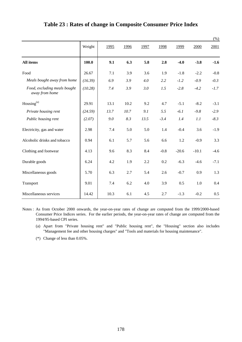|                                                |         |      |      |      |        |         |         | $(\%)$ |
|------------------------------------------------|---------|------|------|------|--------|---------|---------|--------|
|                                                | Weight  | 1995 | 1996 | 1997 | 1998   | 1999    | 2000    | 2001   |
| All items                                      | 100.0   | 9.1  | 6.3  | 5.8  | 2.8    | $-4.0$  | $-3.8$  | $-1.6$ |
| Food                                           | 26.67   | 7.1  | 3.9  | 3.6  | 1.9    | $-1.8$  | $-2.2$  | $-0.8$ |
| Meals bought away from home                    | (16.39) | 6.9  | 3.9  | 4.0  | 2.2    | $-1.2$  | $-0.9$  | $-0.3$ |
| Food, excluding meals bought<br>away from home | (10.28) | 7.4  | 3.9  | 3.0  | 1.5    | $-2.8$  | $-4.2$  | $-1.7$ |
| Housing <sup>(a)</sup>                         | 29.91   | 13.1 | 10.2 | 9.2  | 4.7    | $-5.1$  | $-8.2$  | $-3.1$ |
| Private housing rent                           | (24.59) | 13.7 | 10.7 | 9.1  | 5.5    | $-6.1$  | $-9.8$  | $-2.9$ |
| Public housing rent                            | (2.07)  | 9.0  | 8.3  | 13.5 | $-3.4$ | 1.4     | 1.1     | $-8.3$ |
| Electricity, gas and water                     | 2.98    | 7.4  | 5.0  | 5.0  | 1.4    | $-0.4$  | 3.6     | $-1.9$ |
| Alcoholic drinks and tobacco                   | 0.94    | 6.1  | 5.7  | 5.6  | 6.6    | 1.2     | $-0.9$  | 3.3    |
| Clothing and footwear                          | 4.13    | 9.6  | 8.3  | 8.4  | $-0.8$ | $-20.6$ | $-10.1$ | $-4.6$ |
| Durable goods                                  | 6.24    | 4.2  | 1.9  | 2.2  | 0.2    | $-6.3$  | $-4.6$  | $-7.1$ |
| Miscellaneous goods                            | 5.70    | 6.3  | 2.7  | 5.4  | 2.6    | $-0.7$  | 0.9     | 1.3    |
| Transport                                      | 9.01    | 7.4  | 6.2  | 4.0  | 3.9    | 0.5     | 1.0     | 0.4    |
| Miscellaneous services                         | 14.42   | 10.3 | 6.1  | 4.5  | 2.7    | $-1.3$  | $-0.2$  | 0.5    |

### **Table 23 : Rates of change in Composite Consumer Price Index**

Notes : As from October 2000 onwards, the year-on-year rates of change are computed from the 1999/2000-based Consumer Price Indices series. For the earlier periods, the year-on-year rates of change are computed from the 1994/95-based CPI series.

- (a) Apart from "Private housing rent" and "Public housing rent", the "Housing" section also includes "Management fee and other housing charges" and "Tools and materials for housing maintenance".
- (\*) Change of less than 0.05%.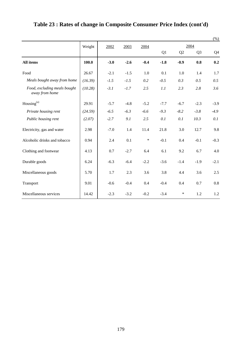|                                                |         |        |        |        |        |        |                | $(\%)$ |  |
|------------------------------------------------|---------|--------|--------|--------|--------|--------|----------------|--------|--|
|                                                | Weight  | 2002   | 2003   | 2004   |        | 2004   |                |        |  |
|                                                |         |        |        |        | Q1     | Q2     | Q <sub>3</sub> | Q4     |  |
| All items                                      | 100.0   | $-3.0$ | $-2.6$ | $-0.4$ | $-1.8$ | $-0.9$ | 0.8            | 0.2    |  |
| Food                                           | 26.67   | $-2.1$ | $-1.5$ | 1.0    | 0.1    | 1.0    | 1.4            | 1.7    |  |
| Meals bought away from home                    | (16.39) | $-1.5$ | $-1.5$ | 0.2    | $-0.5$ | 0.3    | 0.5            | 0.5    |  |
| Food, excluding meals bought<br>away from home | (10.28) | $-3.1$ | $-1.7$ | 2.5    | 1.1    | 2.3    | 2.8            | 3.6    |  |
| Housing <sup>(a)</sup>                         | 29.91   | $-5.7$ | $-4.8$ | $-5.2$ | $-7.7$ | $-6.7$ | $-2.3$         | $-3.9$ |  |
| Private housing rent                           | (24.59) | $-6.5$ | $-6.3$ | $-6.6$ | $-9.3$ | $-8.2$ | $-3.8$         | $-4.9$ |  |
| Public housing rent                            | (2.07)  | $-2.7$ | 9.1    | 2.5    | 0.1    | 0.1    | 10.3           | 0.1    |  |
| Electricity, gas and water                     | 2.98    | $-7.0$ | 1.4    | 11.4   | 21.8   | 3.0    | 12.7           | 9.8    |  |
| Alcoholic drinks and tobacco                   | 0.94    | 2.4    | 0.1    | $\ast$ | $-0.1$ | 0.4    | $-0.1$         | $-0.3$ |  |
| Clothing and footwear                          | 4.13    | 0.7    | $-2.7$ | 6.4    | 6.1    | 9.2    | 6.7            | 4.0    |  |
| Durable goods                                  | 6.24    | $-6.3$ | $-6.4$ | $-2.2$ | $-3.6$ | $-1.4$ | $-1.9$         | $-2.1$ |  |
| Miscellaneous goods                            | 5.70    | 1.7    | 2.3    | 3.6    | 3.8    | 4.4    | 3.6            | 2.5    |  |
| Transport                                      | 9.01    | $-0.6$ | $-0.4$ | 0.4    | $-0.4$ | 0.4    | 0.7            | 0.8    |  |
| Miscellaneous services                         | 14.42   | $-2.3$ | $-3.2$ | $-0.2$ | $-3.4$ | ∗      | 1.2            | 1.2    |  |

## **Table 23 : Rates of change in Composite Consumer Price Index (cont'd)**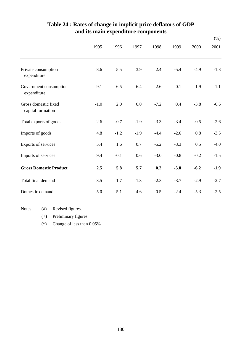|                                           |             |        |        |        |        |        | $(\%)$ |
|-------------------------------------------|-------------|--------|--------|--------|--------|--------|--------|
|                                           | <u>1995</u> | 1996   | 1997   | 1998   | 1999   | 2000   | 2001   |
| Private consumption<br>expenditure        | 8.6         | 5.5    | 3.9    | 2.4    | $-5.4$ | $-4.9$ | $-1.3$ |
| Government consumption<br>expenditure     | 9.1         | 6.5    | 6.4    | 2.6    | $-0.1$ | $-1.9$ | 1.1    |
| Gross domestic fixed<br>capital formation | $-1.0$      | 2.0    | 6.0    | $-7.2$ | 0.4    | $-3.8$ | $-6.6$ |
| Total exports of goods                    | 2.6         | $-0.7$ | $-1.9$ | $-3.3$ | $-3.4$ | $-0.5$ | $-2.6$ |
| Imports of goods                          | 4.8         | $-1.2$ | $-1.9$ | $-4.4$ | $-2.6$ | 0.8    | $-3.5$ |
| Exports of services                       | 5.4         | 1.6    | 0.7    | $-5.2$ | $-3.3$ | 0.5    | $-4.0$ |
| Imports of services                       | 9.4         | $-0.1$ | 0.6    | $-3.0$ | $-0.8$ | $-0.2$ | $-1.5$ |
| <b>Gross Domestic Product</b>             | 2.5         | 5.8    | 5.7    | 0.2    | $-5.8$ | $-6.2$ | $-1.9$ |
| Total final demand                        | 3.5         | 1.7    | 1.3    | $-2.3$ | $-3.7$ | $-2.9$ | $-2.7$ |
| Domestic demand                           | 5.0         | 5.1    | 4.6    | 0.5    | $-2.4$ | $-5.3$ | $-2.5$ |

### **and its main expenditure components Table 24 : Rates of change in implicit price deflators of GDP**

Notes : (#) Revised figures.

(+) Preliminary figures.

(\*) Change of less than 0.05%.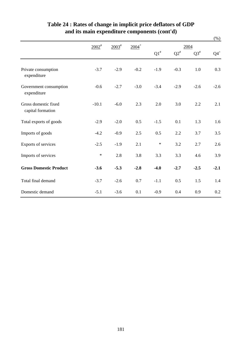|                                           |                       |                   |                     |           |                    |           | $(\%)$ |
|-------------------------------------------|-----------------------|-------------------|---------------------|-----------|--------------------|-----------|--------|
|                                           | $2002^{\frac{\mu}{}}$ | $2003^{\text{#}}$ | $2004$ <sup>+</sup> |           | 2004               |           |        |
|                                           |                       |                   |                     | $Q1^{\#}$ | $\mathrm{Q2}^{\#}$ | $Q3^{\#}$ | $Q4^+$ |
| Private consumption<br>expenditure        | $-3.7$                | $-2.9$            | $-0.2$              | $-1.9$    | $-0.3$             | 1.0       | 0.3    |
| Government consumption<br>expenditure     | $-0.6$                | $-2.7$            | $-3.0$              | $-3.4$    | $-2.9$             | $-2.6$    | $-2.6$ |
| Gross domestic fixed<br>capital formation | $-10.1$               | $-6.0$            | 2.3                 | 2.0       | 3.0                | 2.2       | 2.1    |
| Total exports of goods                    | $-2.9$                | $-2.0$            | 0.5                 | $-1.5$    | 0.1                | 1.3       | 1.6    |
| Imports of goods                          | $-4.2$                | $-0.9$            | 2.5                 | 0.5       | 2.2                | 3.7       | 3.5    |
| Exports of services                       | $-2.5$                | $-1.9$            | 2.1                 | $\ast$    | 3.2                | 2.7       | 2.6    |
| Imports of services                       | $\ast$                | 2.8               | 3.8                 | 3.3       | 3.3                | 4.6       | 3.9    |
| <b>Gross Domestic Product</b>             | $-3.6$                | $-5.3$            | $-2.8$              | $-4.0$    | $-2.7$             | $-2.5$    | $-2.1$ |
| Total final demand                        | $-3.7$                | $-2.6$            | 0.7                 | $-1.1$    | 0.5                | 1.5       | 1.4    |
| Domestic demand                           | $-5.1$                | $-3.6$            | 0.1                 | $-0.9$    | 0.4                | 0.9       | 0.2    |

## **Table 24 : Rates of change in implicit price deflators of GDP and its main expenditure components (cont'd)**